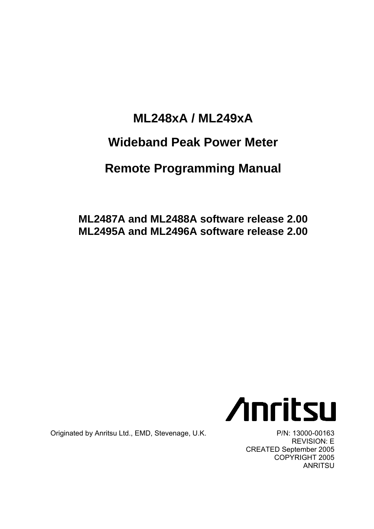## **ML248xA / ML249xA Wideband Peak Power Meter**

# **Remote Programming Manual**

**ML2487A and ML2488A software release 2.00 ML2495A and ML2496A software release 2.00** 



Originated by Anritsu Ltd., EMD, Stevenage, U.K. P/N: 13000-00163

REVISION: E CREATED September 2005 COPYRIGHT 2005 **ANRITSU**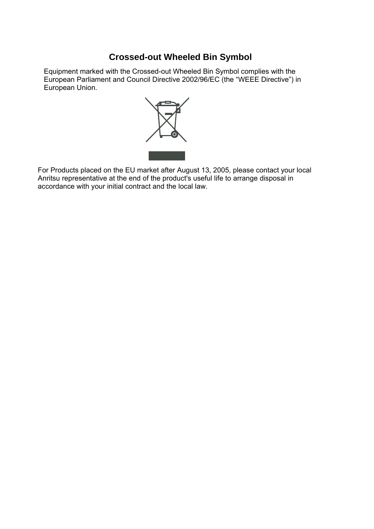#### **Crossed-out Wheeled Bin Symbol**

Equipment marked with the Crossed-out Wheeled Bin Symbol complies with the European Parliament and Council Directive 2002/96/EC (the "WEEE Directive") in European Union.



For Products placed on the EU market after August 13, 2005, please contact your local Anritsu representative at the end of the product's useful life to arrange disposal in accordance with your initial contract and the local law.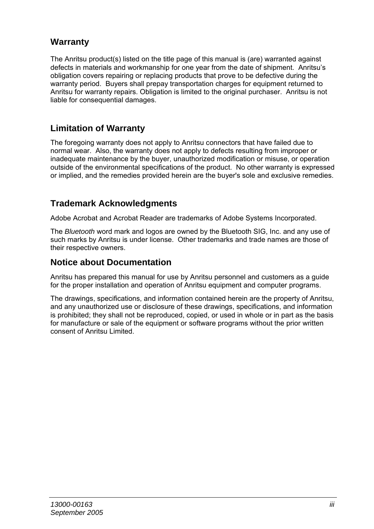#### **Warranty**

The Anritsu product(s) listed on the title page of this manual is (are) warranted against defects in materials and workmanship for one year from the date of shipment. Anritsu's obligation covers repairing or replacing products that prove to be defective during the warranty period. Buyers shall prepay transportation charges for equipment returned to Anritsu for warranty repairs. Obligation is limited to the original purchaser. Anritsu is not liable for consequential damages.

#### **Limitation of Warranty**

The foregoing warranty does not apply to Anritsu connectors that have failed due to normal wear. Also, the warranty does not apply to defects resulting from improper or inadequate maintenance by the buyer, unauthorized modification or misuse, or operation outside of the environmental specifications of the product. No other warranty is expressed or implied, and the remedies provided herein are the buyer's sole and exclusive remedies.

#### **Trademark Acknowledgments**

Adobe Acrobat and Acrobat Reader are trademarks of Adobe Systems Incorporated.

The *Bluetooth* word mark and logos are owned by the Bluetooth SIG, Inc. and any use of such marks by Anritsu is under license. Other trademarks and trade names are those of their respective owners.

#### **Notice about Documentation**

Anritsu has prepared this manual for use by Anritsu personnel and customers as a guide for the proper installation and operation of Anritsu equipment and computer programs.

The drawings, specifications, and information contained herein are the property of Anritsu, and any unauthorized use or disclosure of these drawings, specifications, and information is prohibited; they shall not be reproduced, copied, or used in whole or in part as the basis for manufacture or sale of the equipment or software programs without the prior written consent of Anritsu Limited.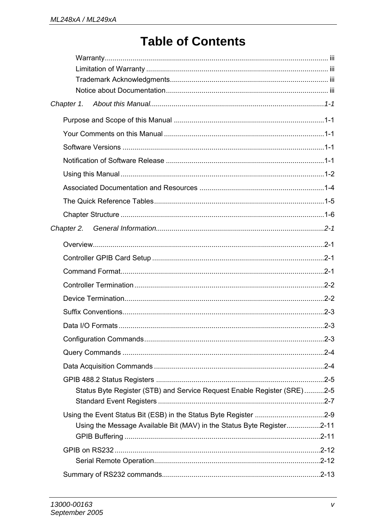## **Table of Contents**

| Chapter 1.                                                                                                                                                                    |  |
|-------------------------------------------------------------------------------------------------------------------------------------------------------------------------------|--|
|                                                                                                                                                                               |  |
|                                                                                                                                                                               |  |
|                                                                                                                                                                               |  |
|                                                                                                                                                                               |  |
|                                                                                                                                                                               |  |
|                                                                                                                                                                               |  |
|                                                                                                                                                                               |  |
|                                                                                                                                                                               |  |
| Chapter 2.                                                                                                                                                                    |  |
|                                                                                                                                                                               |  |
|                                                                                                                                                                               |  |
|                                                                                                                                                                               |  |
|                                                                                                                                                                               |  |
|                                                                                                                                                                               |  |
|                                                                                                                                                                               |  |
|                                                                                                                                                                               |  |
|                                                                                                                                                                               |  |
|                                                                                                                                                                               |  |
|                                                                                                                                                                               |  |
|                                                                                                                                                                               |  |
| Status Byte Register (STB) and Service Request Enable Register (SRE)2-5                                                                                                       |  |
|                                                                                                                                                                               |  |
|                                                                                                                                                                               |  |
| Using the Message Available Bit (MAV) in the Status Byte Register2-11<br>2-11. 2-11. 2-11. 2-11. 2-11. 2-11. 2-11. 2-11. 2-11. 2-11. 2-11. 2-11. 2-11. 2-11. 2-11. 2-11. 2-11 |  |
|                                                                                                                                                                               |  |
|                                                                                                                                                                               |  |
|                                                                                                                                                                               |  |
|                                                                                                                                                                               |  |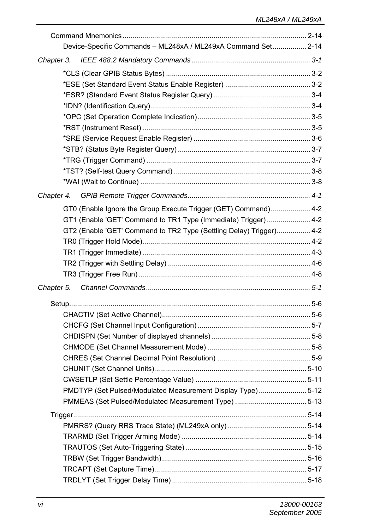| Device-Specific Commands - ML248xA / ML249xA Command Set 2-14       |  |
|---------------------------------------------------------------------|--|
| Chapter 3.                                                          |  |
|                                                                     |  |
|                                                                     |  |
|                                                                     |  |
|                                                                     |  |
|                                                                     |  |
|                                                                     |  |
|                                                                     |  |
|                                                                     |  |
|                                                                     |  |
|                                                                     |  |
|                                                                     |  |
| Chapter 4.                                                          |  |
| GT0 (Enable Ignore the Group Execute Trigger (GET) Command) 4-2     |  |
| GT1 (Enable 'GET' Command to TR1 Type (Immediate) Trigger)  4-2     |  |
| GT2 (Enable 'GET' Command to TR2 Type (Settling Delay) Trigger) 4-2 |  |
|                                                                     |  |
|                                                                     |  |
|                                                                     |  |
|                                                                     |  |
|                                                                     |  |
|                                                                     |  |
|                                                                     |  |
|                                                                     |  |
|                                                                     |  |
|                                                                     |  |
|                                                                     |  |
|                                                                     |  |
|                                                                     |  |
| PMDTYP (Set Pulsed/Modulated Measurement Display Type)5-12          |  |
|                                                                     |  |
|                                                                     |  |
|                                                                     |  |
|                                                                     |  |
|                                                                     |  |
|                                                                     |  |
|                                                                     |  |
|                                                                     |  |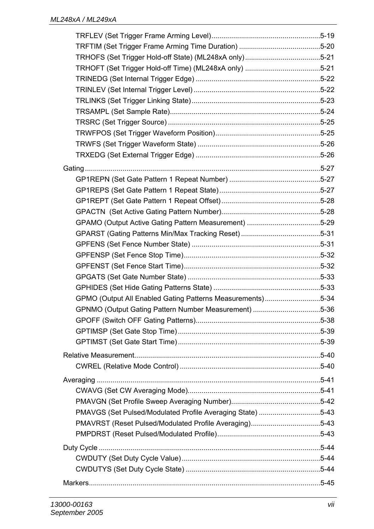| TRHOFT (Set Trigger Hold-off Time) (ML248xA only) 5-21     |  |
|------------------------------------------------------------|--|
|                                                            |  |
|                                                            |  |
|                                                            |  |
|                                                            |  |
|                                                            |  |
|                                                            |  |
|                                                            |  |
|                                                            |  |
|                                                            |  |
|                                                            |  |
|                                                            |  |
|                                                            |  |
|                                                            |  |
| GPAMO (Output Active Gating Pattern Measurement) 5-29      |  |
|                                                            |  |
|                                                            |  |
|                                                            |  |
|                                                            |  |
|                                                            |  |
|                                                            |  |
| GPMO (Output All Enabled Gating Patterns Measurements)5-34 |  |
| GPNMO (Output Gating Pattern Number Measurement) 5-36      |  |
|                                                            |  |
|                                                            |  |
|                                                            |  |
|                                                            |  |
|                                                            |  |
|                                                            |  |
|                                                            |  |
|                                                            |  |
|                                                            |  |
| PMAVGS (Set Pulsed/Modulated Profile Averaging State) 5-43 |  |
| PMAVRST (Reset Pulsed/Modulated Profile Averaging)5-43     |  |
|                                                            |  |
|                                                            |  |
|                                                            |  |
|                                                            |  |
|                                                            |  |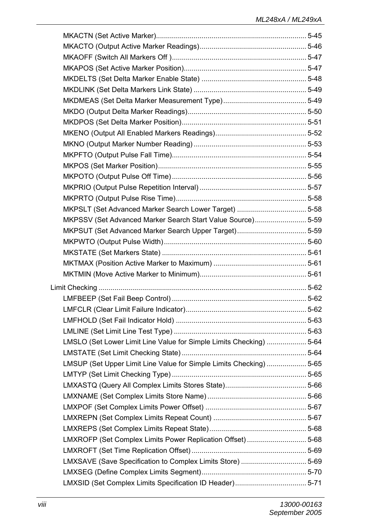| MKPSLT (Set Advanced Marker Search Lower Target) 5-58               |  |
|---------------------------------------------------------------------|--|
| MKPSSV (Set Advanced Marker Search Start Value Source)5-59          |  |
|                                                                     |  |
|                                                                     |  |
|                                                                     |  |
|                                                                     |  |
|                                                                     |  |
|                                                                     |  |
|                                                                     |  |
|                                                                     |  |
|                                                                     |  |
|                                                                     |  |
| LMSLO (Set Lower Limit Line Value for Simple Limits Checking)  5-64 |  |
|                                                                     |  |
| LMSUP (Set Upper Limit Line Value for Simple Limits Checking)  5-65 |  |
|                                                                     |  |
|                                                                     |  |
|                                                                     |  |
|                                                                     |  |
|                                                                     |  |
|                                                                     |  |
|                                                                     |  |
| LMXROFP (Set Complex Limits Power Replication Offset)  5-68         |  |
|                                                                     |  |
| LMXSAVE (Save Specification to Complex Limits Store) 5-69           |  |
|                                                                     |  |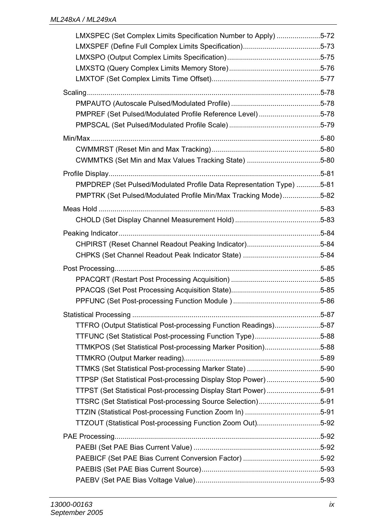| LMXSPEC (Set Complex Limits Specification Number to Apply) 5-72      |  |
|----------------------------------------------------------------------|--|
|                                                                      |  |
|                                                                      |  |
|                                                                      |  |
|                                                                      |  |
|                                                                      |  |
|                                                                      |  |
| PMPREF (Set Pulsed/Modulated Profile Reference Level) 5-78           |  |
|                                                                      |  |
|                                                                      |  |
|                                                                      |  |
| CWMMTKS (Set Min and Max Values Tracking State) 5-80                 |  |
|                                                                      |  |
| PMPDREP (Set Pulsed/Modulated Profile Data Representation Type) 5-81 |  |
| PMPTRK (Set Pulsed/Modulated Profile Min/Max Tracking Mode)5-82      |  |
|                                                                      |  |
|                                                                      |  |
|                                                                      |  |
| CHPIRST (Reset Channel Readout Peaking Indicator)5-84                |  |
|                                                                      |  |
|                                                                      |  |
|                                                                      |  |
|                                                                      |  |
|                                                                      |  |
|                                                                      |  |
|                                                                      |  |
| TTFRO (Output Statistical Post-processing Function Readings)5-87     |  |
| TTFUNC (Set Statistical Post-processing Function Type)5-88           |  |
| TTMKPOS (Set Statistical Post-processing Marker Position)5-88        |  |
|                                                                      |  |
| TTPSP (Set Statistical Post-processing Display Stop Power)5-90       |  |
| TTPST (Set Statistical Post-processing Display Start Power)5-91      |  |
| TTSRC (Set Statistical Post-processing Source Selection)5-91         |  |
|                                                                      |  |
| TTZOUT (Statistical Post-processing Function Zoom Out)5-92           |  |
|                                                                      |  |
|                                                                      |  |
|                                                                      |  |
|                                                                      |  |
|                                                                      |  |
|                                                                      |  |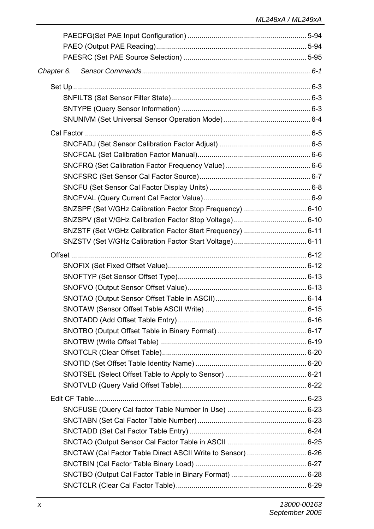| Chapter 6.                                                   |  |
|--------------------------------------------------------------|--|
|                                                              |  |
|                                                              |  |
|                                                              |  |
|                                                              |  |
|                                                              |  |
|                                                              |  |
|                                                              |  |
|                                                              |  |
|                                                              |  |
|                                                              |  |
|                                                              |  |
|                                                              |  |
|                                                              |  |
|                                                              |  |
|                                                              |  |
|                                                              |  |
|                                                              |  |
|                                                              |  |
|                                                              |  |
|                                                              |  |
|                                                              |  |
|                                                              |  |
|                                                              |  |
|                                                              |  |
|                                                              |  |
|                                                              |  |
|                                                              |  |
|                                                              |  |
|                                                              |  |
|                                                              |  |
|                                                              |  |
|                                                              |  |
|                                                              |  |
| SNCTAW (Cal Factor Table Direct ASCII Write to Sensor)  6-26 |  |
|                                                              |  |
|                                                              |  |
|                                                              |  |
|                                                              |  |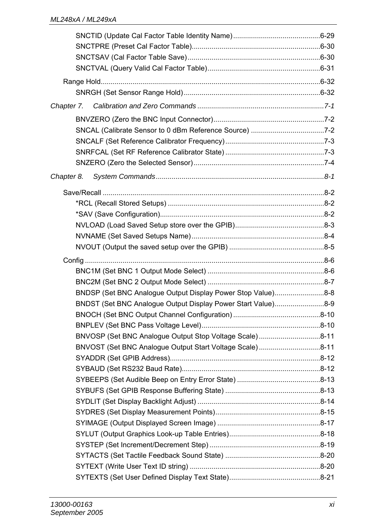| Chapter 7.                                                   |  |
|--------------------------------------------------------------|--|
|                                                              |  |
|                                                              |  |
|                                                              |  |
|                                                              |  |
|                                                              |  |
| Chapter 8.                                                   |  |
|                                                              |  |
|                                                              |  |
|                                                              |  |
|                                                              |  |
|                                                              |  |
|                                                              |  |
|                                                              |  |
|                                                              |  |
|                                                              |  |
|                                                              |  |
| BNDSP (Set BNC Analogue Output Display Power Stop Value)8-8  |  |
| BNDST (Set BNC Analogue Output Display Power Start Value)8-9 |  |
|                                                              |  |
|                                                              |  |
| BNVOSP (Set BNC Analogue Output Stop Voltage Scale)8-11      |  |
| BNVOST (Set BNC Analogue Output Start Voltage Scale)8-11     |  |
|                                                              |  |
|                                                              |  |
|                                                              |  |
|                                                              |  |
|                                                              |  |
|                                                              |  |
|                                                              |  |
|                                                              |  |
|                                                              |  |
|                                                              |  |
|                                                              |  |
|                                                              |  |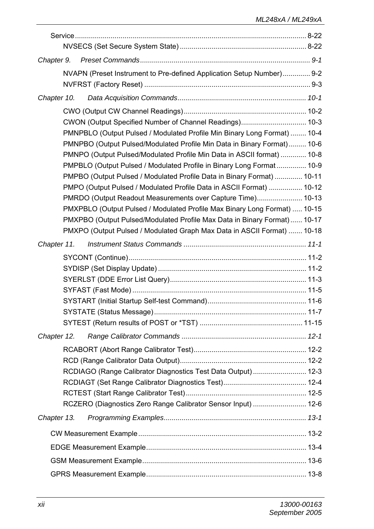| Chapter 9.  |                                                                                                                                                 |  |
|-------------|-------------------------------------------------------------------------------------------------------------------------------------------------|--|
|             | NVAPN (Preset Instrument to Pre-defined Application Setup Number) 9-2                                                                           |  |
|             |                                                                                                                                                 |  |
| Chapter 10. |                                                                                                                                                 |  |
|             |                                                                                                                                                 |  |
|             | CWON (Output Specified Number of Channel Readings) 10-3                                                                                         |  |
|             | PMNPBLO (Output Pulsed / Modulated Profile Min Binary Long Format)  10-4                                                                        |  |
|             | PMNPBO (Output Pulsed/Modulated Profile Min Data in Binary Format) 10-6                                                                         |  |
|             | PMNPO (Output Pulsed/Modulated Profile Min Data in ASCII format)  10-8                                                                          |  |
|             | PMPBLO (Output Pulsed / Modulated Profile in Binary Long Format  10-9<br>PMPBO (Output Pulsed / Modulated Profile Data in Binary Format)  10-11 |  |
|             | PMPO (Output Pulsed / Modulated Profile Data in ASCII Format)  10-12                                                                            |  |
|             | PMRDO (Output Readout Measurements over Capture Time) 10-13                                                                                     |  |
|             | PMXPBLO (Output Pulsed / Modulated Profile Max Binary Long Format)  10-15                                                                       |  |
|             | PMXPBO (Output Pulsed/Modulated Profile Max Data in Binary Format) 10-17                                                                        |  |
|             | PMXPO (Output Pulsed / Modulated Graph Max Data in ASCII Format)  10-18                                                                         |  |
| Chapter 11. |                                                                                                                                                 |  |
|             |                                                                                                                                                 |  |
|             |                                                                                                                                                 |  |
|             |                                                                                                                                                 |  |
|             |                                                                                                                                                 |  |
|             |                                                                                                                                                 |  |
|             |                                                                                                                                                 |  |
|             |                                                                                                                                                 |  |
| Chapter 12. |                                                                                                                                                 |  |
|             |                                                                                                                                                 |  |
|             |                                                                                                                                                 |  |
|             | RCDIAGO (Range Calibrator Diagnostics Test Data Output)  12-3                                                                                   |  |
|             |                                                                                                                                                 |  |
|             | RCZERO (Diagnostics Zero Range Calibrator Sensor Input)  12-6                                                                                   |  |
|             |                                                                                                                                                 |  |
| Chapter 13. |                                                                                                                                                 |  |
|             |                                                                                                                                                 |  |
|             |                                                                                                                                                 |  |
|             |                                                                                                                                                 |  |
|             |                                                                                                                                                 |  |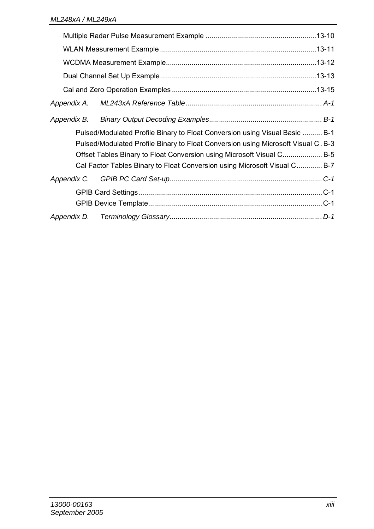| Appendix A. |                                                                                                                                                                                                                                                                                                                        |  |
|-------------|------------------------------------------------------------------------------------------------------------------------------------------------------------------------------------------------------------------------------------------------------------------------------------------------------------------------|--|
| Appendix B. |                                                                                                                                                                                                                                                                                                                        |  |
|             | Pulsed/Modulated Profile Binary to Float Conversion using Visual Basic  B-1<br>Pulsed/Modulated Profile Binary to Float Conversion using Microsoft Visual C. B-3<br>Offset Tables Binary to Float Conversion using Microsoft Visual C B-5<br>Cal Factor Tables Binary to Float Conversion using Microsoft Visual C B-7 |  |
|             |                                                                                                                                                                                                                                                                                                                        |  |
|             |                                                                                                                                                                                                                                                                                                                        |  |
|             |                                                                                                                                                                                                                                                                                                                        |  |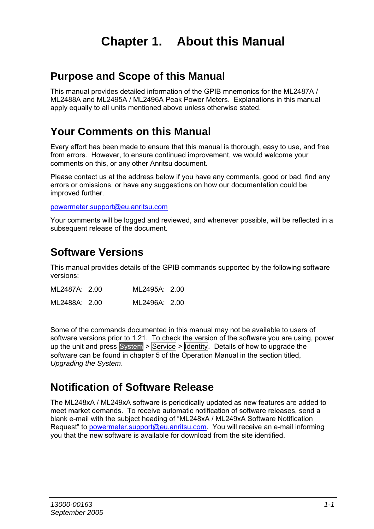### **Chapter 1. About this Manual**

#### **Purpose and Scope of this Manual**

This manual provides detailed information of the GPIB mnemonics for the ML2487A / ML2488A and ML2495A / ML2496A Peak Power Meters. Explanations in this manual apply equally to all units mentioned above unless otherwise stated.

### **Your Comments on this Manual**

Every effort has been made to ensure that this manual is thorough, easy to use, and free from errors. However, to ensure continued improvement, we would welcome your comments on this, or any other Anritsu document.

Please contact us at the address below if you have any comments, good or bad, find any errors or omissions, or have any suggestions on how our documentation could be improved further.

powermeter.support@eu.anritsu.com

Your comments will be logged and reviewed, and whenever possible, will be reflected in a subsequent release of the document.

### **Software Versions**

This manual provides details of the GPIB commands supported by the following software versions:

| ML2487A: 2.00 | ML2495A: 2.00 |  |
|---------------|---------------|--|
| ML2488A: 2.00 | ML2496A: 2.00 |  |

Some of the commands documented in this manual may not be available to users of software versions prior to 1.21. To check the version of the software you are using, power up the unit and press System  $>$  Service  $>$  Identity. Details of how to upgrade the software can be found in chapter 5 of the Operation Manual in the section titled, *Upgrading the System*.

### **Notification of Software Release**

The ML248xA / ML249xA software is periodically updated as new features are added to meet market demands. To receive automatic notification of software releases, send a blank e-mail with the subject heading of "ML248xA / ML249xA Software Notification Request" to powermeter.support@eu.anritsu.com. You will receive an e-mail informing you that the new software is available for download from the site identified.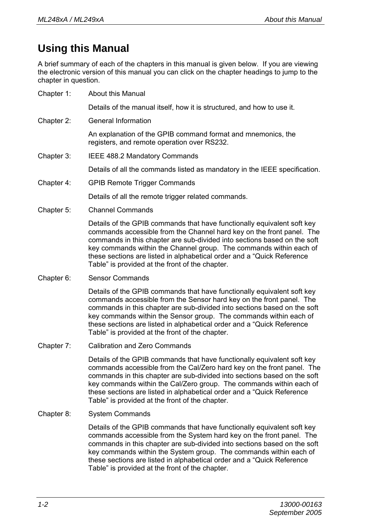### **Using this Manual**

A brief summary of each of the chapters in this manual is given below. If you are viewing the electronic version of this manual you can click on the chapter headings to jump to the chapter in question.

Chapter 1: About this Manual Details of the manual itself, how it is structured, and how to use it. Chapter 2: General Information An explanation of the GPIB command format and mnemonics, the registers, and remote operation over RS232. Chapter 3: IEEE 488.2 Mandatory Commands Details of all the commands listed as mandatory in the IEEE specification. Chapter 4: GPIB Remote Trigger Commands Details of all the remote trigger related commands. Chapter 5: Channel Commands Details of the GPIB commands that have functionally equivalent soft key commands accessible from the Channel hard key on the front panel. The commands in this chapter are sub-divided into sections based on the soft key commands within the Channel group. The commands within each of these sections are listed in alphabetical order and a "Quick Reference Table" is provided at the front of the chapter. Chapter 6: Sensor Commands Details of the GPIB commands that have functionally equivalent soft key commands accessible from the Sensor hard key on the front panel. The commands in this chapter are sub-divided into sections based on the soft key commands within the Sensor group. The commands within each of these sections are listed in alphabetical order and a "Quick Reference Table" is provided at the front of the chapter. Chapter 7: Calibration and Zero Commands Details of the GPIB commands that have functionally equivalent soft key commands accessible from the Cal/Zero hard key on the front panel. The commands in this chapter are sub-divided into sections based on the soft key commands within the Cal/Zero group. The commands within each of these sections are listed in alphabetical order and a "Quick Reference

Table" is provided at the front of the chapter.

#### Chapter 8: System Commands

Details of the GPIB commands that have functionally equivalent soft key commands accessible from the System hard key on the front panel. The commands in this chapter are sub-divided into sections based on the soft key commands within the System group. The commands within each of these sections are listed in alphabetical order and a "Quick Reference Table" is provided at the front of the chapter.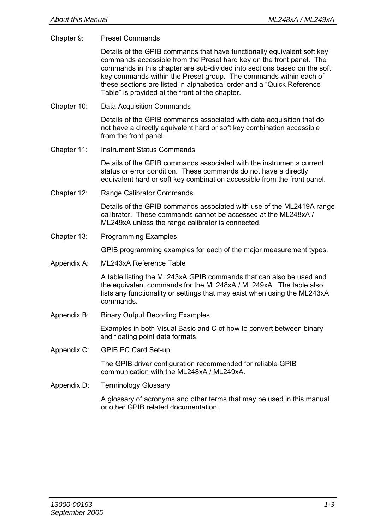Chapter 9: Preset Commands

Details of the GPIB commands that have functionally equivalent soft key commands accessible from the Preset hard key on the front panel. The commands in this chapter are sub-divided into sections based on the soft key commands within the Preset group. The commands within each of these sections are listed in alphabetical order and a "Quick Reference Table" is provided at the front of the chapter.

Chapter 10: Data Acquisition Commands

Details of the GPIB commands associated with data acquisition that do not have a directly equivalent hard or soft key combination accessible from the front panel.

Chapter 11: Instrument Status Commands

Details of the GPIB commands associated with the instruments current status or error condition. These commands do not have a directly equivalent hard or soft key combination accessible from the front panel.

Chapter 12: Range Calibrator Commands

Details of the GPIB commands associated with use of the ML2419A range calibrator. These commands cannot be accessed at the ML248xA / ML249xA unless the range calibrator is connected.

Chapter 13: Programming Examples

GPIB programming examples for each of the major measurement types.

Appendix A: ML243xA Reference Table

A table listing the ML243xA GPIB commands that can also be used and the equivalent commands for the ML248xA / ML249xA. The table also lists any functionality or settings that may exist when using the ML243xA commands.

Appendix B: Binary Output Decoding Examples

Examples in both Visual Basic and C of how to convert between binary and floating point data formats.

Appendix C: GPIB PC Card Set-up

The GPIB driver configuration recommended for reliable GPIB communication with the ML248xA / ML249xA.

Appendix D: Terminology Glossary

A glossary of acronyms and other terms that may be used in this manual or other GPIB related documentation.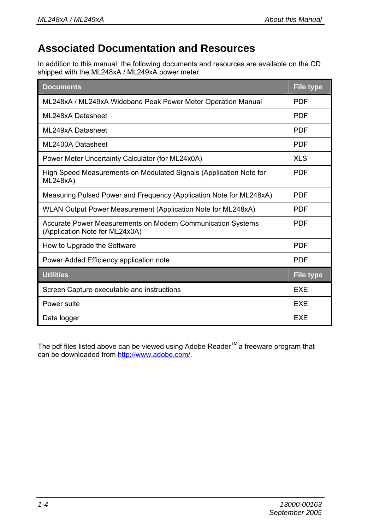### **Associated Documentation and Resources**

In addition to this manual, the following documents and resources are available on the CD shipped with the ML248xA / ML249xA power meter.

| <b>Documents</b>                                                                              | <b>File type</b> |
|-----------------------------------------------------------------------------------------------|------------------|
| ML248xA / ML249xA Wideband Peak Power Meter Operation Manual                                  | <b>PDF</b>       |
| MI 248xA Datasheet                                                                            | <b>PDF</b>       |
| ML249xA Datasheet                                                                             | <b>PDF</b>       |
| ML2400A Datasheet                                                                             | <b>PDF</b>       |
| Power Meter Uncertainty Calculator (for ML24x0A)                                              | <b>XLS</b>       |
| High Speed Measurements on Modulated Signals (Application Note for<br>ML248xA)                | <b>PDF</b>       |
| Measuring Pulsed Power and Frequency (Application Note for ML248xA)                           | <b>PDF</b>       |
| WLAN Output Power Measurement (Application Note for ML248xA)                                  | <b>PDF</b>       |
| Accurate Power Measurements on Modern Communication Systems<br>(Application Note for ML24x0A) | <b>PDF</b>       |
| How to Upgrade the Software                                                                   | <b>PDF</b>       |
| Power Added Efficiency application note                                                       | <b>PDF</b>       |
| <b>Utilities</b>                                                                              | <b>File type</b> |
| Screen Capture executable and instructions                                                    | <b>FXF</b>       |
| Power suite                                                                                   | <b>EXE</b>       |
| Data logger                                                                                   | <b>EXE</b>       |

The pdf files listed above can be viewed using Adobe Reader<sup>TM</sup> a freeware program that can be downloaded from http://www.adobe.com/.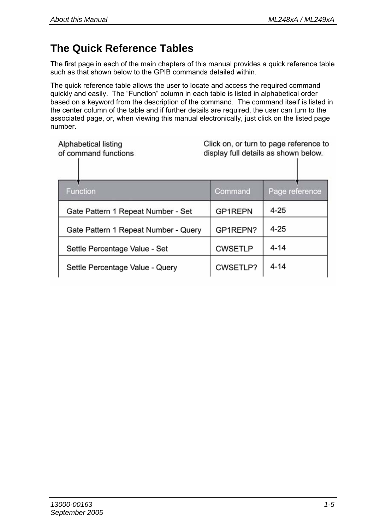### **The Quick Reference Tables**

The first page in each of the main chapters of this manual provides a quick reference table such as that shown below to the GPIB commands detailed within.

The quick reference table allows the user to locate and access the required command quickly and easily. The "Function" column in each table is listed in alphabetical order based on a keyword from the description of the command. The command itself is listed in the center column of the table and if further details are required, the user can turn to the associated page, or, when viewing this manual electronically, just click on the listed page number.

| Alphabetical listing<br>of command functions | Click on, or turn to page reference to<br>display full details as shown below. |                |
|----------------------------------------------|--------------------------------------------------------------------------------|----------------|
| <b>Function</b>                              | Command                                                                        | Page reference |
| Gate Pattern 1 Repeat Number - Set           | <b>GP1REPN</b>                                                                 | $4 - 25$       |
| Gate Pattern 1 Repeat Number - Query         | GP1REPN?                                                                       | $4 - 25$       |
| Settle Percentage Value - Set                | <b>CWSETLP</b>                                                                 | $4 - 14$       |
| Settle Percentage Value - Query              | CWSETLP?                                                                       | $4 - 14$       |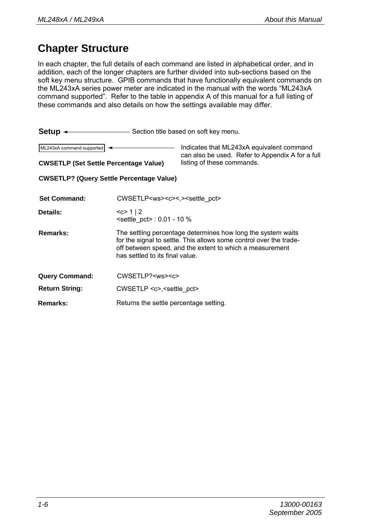### **Chapter Structure**

In each chapter, the full details of each command are listed in alphabetical order, and in addition, each of the longer chapters are further divided into sub-sections based on the soft key menu structure. GPIB commands that have functionally equivalent commands on the ML243xA series power meter are indicated in the manual with the words "ML243xA command supported". Refer to the table in appendix A of this manual for a full listing of these commands and also details on how the settings available may differ.

| <b>Setup <math>\leftarrow</math></b> Section title based on soft key menu. |                                                                                                                                                                                                                                   |                                                                                               |
|----------------------------------------------------------------------------|-----------------------------------------------------------------------------------------------------------------------------------------------------------------------------------------------------------------------------------|-----------------------------------------------------------------------------------------------|
| ML243xA command supported                                                  |                                                                                                                                                                                                                                   | Indicates that ML243xA equivalent command<br>can also be used. Refer to Appendix A for a full |
| <b>CWSETLP (Set Settle Percentage Value)</b>                               |                                                                                                                                                                                                                                   | listing of these commands.                                                                    |
| <b>CWSETLP? (Query Settle Percentage Value)</b>                            |                                                                                                                                                                                                                                   |                                                                                               |
| <b>Set Command:</b>                                                        | CWSETLP <ws><c>&lt;.&gt;<settle_pct></settle_pct></c></ws>                                                                                                                                                                        |                                                                                               |
| Details:                                                                   | < c > 1   2<br>$\le$ settle pct> : 0.01 - 10 %                                                                                                                                                                                    |                                                                                               |
| Remarks:                                                                   | The settling percentage determines how long the system waits<br>for the signal to settle. This allows some control over the trade-<br>off between speed, and the extent to which a measurement<br>has settled to its final value. |                                                                                               |
| <b>Query Command:</b>                                                      | CWSETLP? <ws><c></c></ws>                                                                                                                                                                                                         |                                                                                               |
| <b>Return String:</b>                                                      | $CWSETLP \lll$ , settle pct>                                                                                                                                                                                                      |                                                                                               |
| Remarks:                                                                   | Returns the settle percentage setting.                                                                                                                                                                                            |                                                                                               |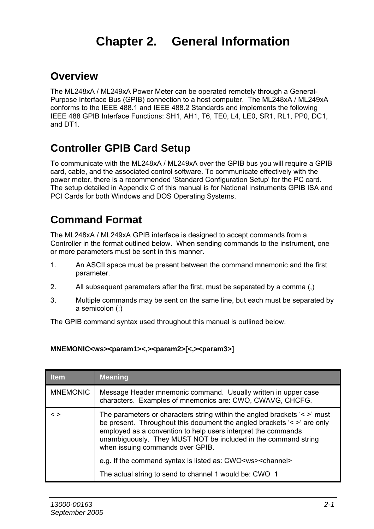## **Chapter 2. General Information**

#### **Overview**

The ML248xA / ML249xA Power Meter can be operated remotely through a General-Purpose Interface Bus (GPIB) connection to a host computer. The ML248xA / ML249xA conforms to the IEEE 488.1 and IEEE 488.2 Standards and implements the following IEEE 488 GPIB Interface Functions: SH1, AH1, T6, TE0, L4, LE0, SR1, RL1, PP0, DC1, and DT1.

### **Controller GPIB Card Setup**

To communicate with the ML248xA / ML249xA over the GPIB bus you will require a GPIB card, cable, and the associated control software. To communicate effectively with the power meter, there is a recommended 'Standard Configuration Setup' for the PC card. The setup detailed in Appendix C of this manual is for National Instruments GPIB ISA and PCI Cards for both Windows and DOS Operating Systems.

### **Command Format**

The ML248xA / ML249xA GPIB interface is designed to accept commands from a Controller in the format outlined below. When sending commands to the instrument, one or more parameters must be sent in this manner.

- 1. An ASCII space must be present between the command mnemonic and the first parameter.
- 2. All subsequent parameters after the first, must be separated by a comma (,)
- 3. Multiple commands may be sent on the same line, but each must be separated by a semicolon (;)

The GPIB command syntax used throughout this manual is outlined below.

#### **MNEMONIC<ws><param1><,><param2>[<,><param3>]**

| <b>Item</b>     | <b>Meaning</b>                                                                                                                                                                                                                                                                                                                  |
|-----------------|---------------------------------------------------------------------------------------------------------------------------------------------------------------------------------------------------------------------------------------------------------------------------------------------------------------------------------|
| <b>MNEMONIC</b> | Message Header mnemonic command. Usually written in upper case<br>characters. Examples of mnemonics are: CWO, CWAVG, CHCFG.                                                                                                                                                                                                     |
| $\leq$          | The parameters or characters string within the angled brackets $\le$ >' must<br>be present. Throughout this document the angled brackets $\leq$ are only<br>employed as a convention to help users interpret the commands<br>unambiguously. They MUST NOT be included in the command string<br>when issuing commands over GPIB. |
|                 | e.g. If the command syntax is listed as: CWO <ws><channel></channel></ws>                                                                                                                                                                                                                                                       |
|                 | The actual string to send to channel 1 would be: CWO 1                                                                                                                                                                                                                                                                          |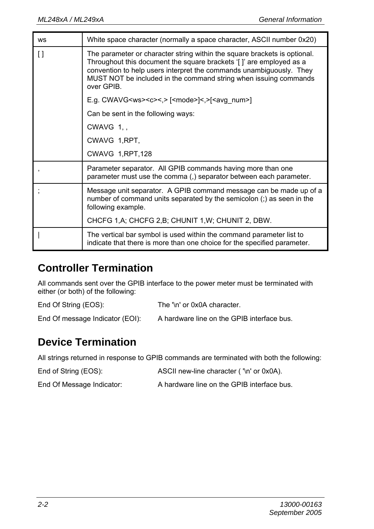| <b>WS</b>                | White space character (normally a space character, ASCII number 0x20)                                                                                                                                                                                                                                     |
|--------------------------|-----------------------------------------------------------------------------------------------------------------------------------------------------------------------------------------------------------------------------------------------------------------------------------------------------------|
| I)                       | The parameter or character string within the square brackets is optional.<br>Throughout this document the square brackets '[]' are employed as a<br>convention to help users interpret the commands unambiguously. They<br>MUST NOT be included in the command string when issuing commands<br>over GPIB. |
|                          | E.g. CWAVG <ws><c>&lt;,&gt; [<mode>]&lt;,&gt;[<avg_num>]</avg_num></mode></c></ws>                                                                                                                                                                                                                        |
|                          | Can be sent in the following ways:                                                                                                                                                                                                                                                                        |
|                          | $CWAVG$ 1.                                                                                                                                                                                                                                                                                                |
|                          | CWAVG 1, RPT,                                                                                                                                                                                                                                                                                             |
|                          | CWAVG 1, RPT, 128                                                                                                                                                                                                                                                                                         |
| $\overline{\phantom{a}}$ | Parameter separator. All GPIB commands having more than one<br>parameter must use the comma (,) separator between each parameter.                                                                                                                                                                         |
|                          | Message unit separator. A GPIB command message can be made up of a<br>number of command units separated by the semicolon (;) as seen in the<br>following example.                                                                                                                                         |
|                          | CHCFG 1, A; CHCFG 2, B; CHUNIT 1, W; CHUNIT 2, DBW.                                                                                                                                                                                                                                                       |
|                          | The vertical bar symbol is used within the command parameter list to<br>indicate that there is more than one choice for the specified parameter.                                                                                                                                                          |

### **Controller Termination**

All commands sent over the GPIB interface to the power meter must be terminated with either (or both) of the following:

End Of String (EOS): The '\n' or 0x0A character. End Of message Indicator (EOI): A hardware line on the GPIB interface bus.

### **Device Termination**

All strings returned in response to GPIB commands are terminated with both the following:

End of String (EOS): ASCII new-line character ('\n' or 0x0A). End Of Message Indicator: A hardware line on the GPIB interface bus.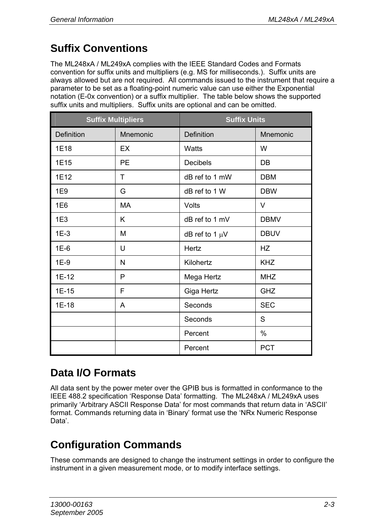### **Suffix Conventions**

The ML248xA / ML249xA complies with the IEEE Standard Codes and Formats convention for suffix units and multipliers (e.g. MS for milliseconds.). Suffix units are always allowed but are not required. All commands issued to the instrument that require a parameter to be set as a floating-point numeric value can use either the Exponential notation (E-0x convention) or a suffix multiplier. The table below shows the supported suffix units and multipliers. Suffix units are optional and can be omitted.

| <b>Suffix Multipliers</b> |           | <b>Suffix Units</b> |             |
|---------------------------|-----------|---------------------|-------------|
| <b>Definition</b>         | Mnemonic  | <b>Definition</b>   | Mnemonic    |
| 1E18                      | <b>EX</b> | Watts               | W           |
| 1E15                      | PE        | <b>Decibels</b>     | DB          |
| 1E12                      | T         | dB ref to 1 mW      | <b>DBM</b>  |
| 1E9                       | G         | dB ref to 1 W       | <b>DBW</b>  |
| 1E6                       | MA        | Volts               | V           |
| 1E3                       | K         | dB ref to 1 mV      | <b>DBMV</b> |
| $1E-3$                    | м         | dB ref to 1 $\mu$ V | <b>DBUV</b> |
| $1E-6$                    | U         | Hertz               | <b>HZ</b>   |
| $1E-9$                    | N         | Kilohertz           | <b>KHZ</b>  |
| $1E-12$                   | P         | Mega Hertz          | <b>MHZ</b>  |
| 1E-15                     | F         | Giga Hertz          | GHZ         |
| 1E-18                     | A         | Seconds             | <b>SEC</b>  |
|                           |           | Seconds             | S           |
|                           |           | Percent             | $\%$        |
|                           |           | Percent             | <b>PCT</b>  |

### **Data I/O Formats**

All data sent by the power meter over the GPIB bus is formatted in conformance to the IEEE 488.2 specification 'Response Data' formatting. The ML248xA / ML249xA uses primarily 'Arbitrary ASCII Response Data' for most commands that return data in 'ASCII' format. Commands returning data in 'Binary' format use the 'NRx Numeric Response Data'.

### **Configuration Commands**

These commands are designed to change the instrument settings in order to configure the instrument in a given measurement mode, or to modify interface settings.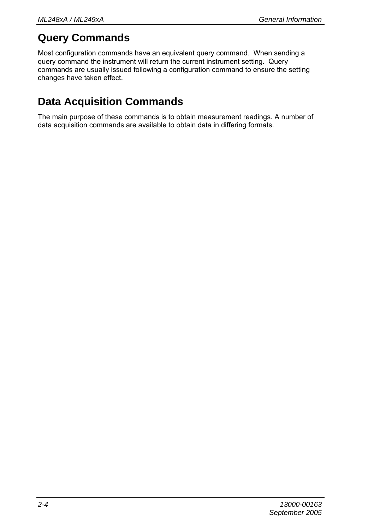### **Query Commands**

Most configuration commands have an equivalent query command. When sending a query command the instrument will return the current instrument setting. Query commands are usually issued following a configuration command to ensure the setting changes have taken effect.

### **Data Acquisition Commands**

The main purpose of these commands is to obtain measurement readings. A number of data acquisition commands are available to obtain data in differing formats.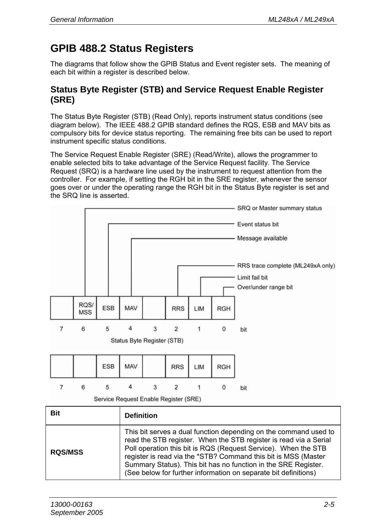### **GPIB 488.2 Status Registers**

The diagrams that follow show the GPIB Status and Event register sets. The meaning of each bit within a register is described below.

#### **Status Byte Register (STB) and Service Request Enable Register (SRE)**

The Status Byte Register (STB) (Read Only), reports instrument status conditions (see diagram below). The IEEE 488.2 GPIB standard defines the RQS, ESB and MAV bits as compulsory bits for device status reporting. The remaining free bits can be used to report instrument specific status conditions.

The Service Request Enable Register (SRE) (Read/Write), allows the programmer to enable selected bits to take advantage of the Service Request facility. The Service Request (SRQ) is a hardware line used by the instrument to request attention from the controller. For example, if setting the RGH bit in the SRE register, whenever the sensor goes over or under the operating range the RGH bit in the Status Byte register is set and the SRQ line is asserted.



| <b>Bit</b>     | <b>Definition</b>                                                                                                                                                                                                                                                                                                                                                                                              |
|----------------|----------------------------------------------------------------------------------------------------------------------------------------------------------------------------------------------------------------------------------------------------------------------------------------------------------------------------------------------------------------------------------------------------------------|
| <b>RQS/MSS</b> | This bit serves a dual function depending on the command used to<br>read the STB register. When the STB register is read via a Serial<br>Poll operation this bit is RQS (Request Service). When the STB<br>register is read via the *STB? Command this bit is MSS (Master<br>Summary Status). This bit has no function in the SRE Register.<br>(See below for further information on separate bit definitions) |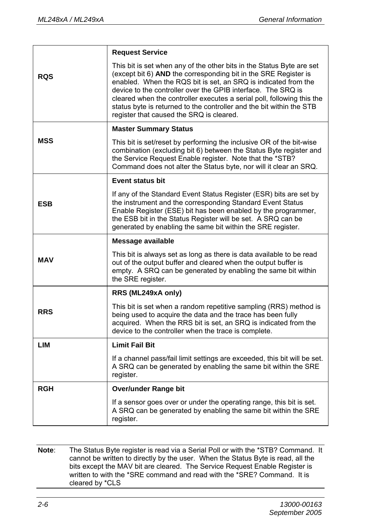|            | <b>Request Service</b>                                                                                                                                                                                                                                                                                                                                                                                                                                                   |  |
|------------|--------------------------------------------------------------------------------------------------------------------------------------------------------------------------------------------------------------------------------------------------------------------------------------------------------------------------------------------------------------------------------------------------------------------------------------------------------------------------|--|
| <b>RQS</b> | This bit is set when any of the other bits in the Status Byte are set<br>(except bit 6) AND the corresponding bit in the SRE Register is<br>enabled. When the RQS bit is set, an SRQ is indicated from the<br>device to the controller over the GPIB interface. The SRQ is<br>cleared when the controller executes a serial poll, following this the<br>status byte is returned to the controller and the bit within the STB<br>register that caused the SRQ is cleared. |  |
|            | <b>Master Summary Status</b>                                                                                                                                                                                                                                                                                                                                                                                                                                             |  |
| MSS        | This bit is set/reset by performing the inclusive OR of the bit-wise<br>combination (excluding bit 6) between the Status Byte register and<br>the Service Request Enable register. Note that the *STB?<br>Command does not alter the Status byte, nor will it clear an SRQ.                                                                                                                                                                                              |  |
|            | <b>Event status bit</b>                                                                                                                                                                                                                                                                                                                                                                                                                                                  |  |
| <b>ESB</b> | If any of the Standard Event Status Register (ESR) bits are set by<br>the instrument and the corresponding Standard Event Status<br>Enable Register (ESE) bit has been enabled by the programmer,<br>the ESB bit in the Status Register will be set. A SRQ can be<br>generated by enabling the same bit within the SRE register.                                                                                                                                         |  |
|            | Message available                                                                                                                                                                                                                                                                                                                                                                                                                                                        |  |
| MAV        | This bit is always set as long as there is data available to be read<br>out of the output buffer and cleared when the output buffer is<br>empty. A SRQ can be generated by enabling the same bit within<br>the SRE register.                                                                                                                                                                                                                                             |  |
|            | RRS (ML249xA only)                                                                                                                                                                                                                                                                                                                                                                                                                                                       |  |
| <b>RRS</b> | This bit is set when a random repetitive sampling (RRS) method is<br>being used to acquire the data and the trace has been fully<br>acquired. When the RRS bit is set, an SRQ is indicated from the<br>device to the controller when the trace is complete.                                                                                                                                                                                                              |  |
| LIM        | <b>Limit Fail Bit</b>                                                                                                                                                                                                                                                                                                                                                                                                                                                    |  |
|            | If a channel pass/fail limit settings are exceeded, this bit will be set.<br>A SRQ can be generated by enabling the same bit within the SRE<br>register.                                                                                                                                                                                                                                                                                                                 |  |
| <b>RGH</b> | Over/under Range bit                                                                                                                                                                                                                                                                                                                                                                                                                                                     |  |
|            | If a sensor goes over or under the operating range, this bit is set.<br>A SRQ can be generated by enabling the same bit within the SRE<br>register.                                                                                                                                                                                                                                                                                                                      |  |

**Note**: The Status Byte register is read via a Serial Poll or with the \*STB? Command. It cannot be written to directly by the user. When the Status Byte is read, all the bits except the MAV bit are cleared. The Service Request Enable Register is written to with the \*SRE command and read with the \*SRE? Command. It is cleared by \*CLS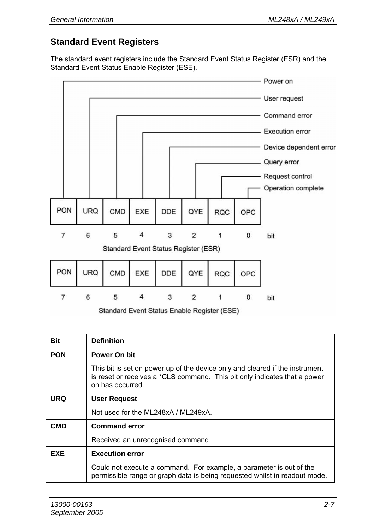#### **Standard Event Registers**

The standard event registers include the Standard Event Status Register (ESR) and the Standard Event Status Enable Register (ESE).



Standard Event Status Enable Register (ESE)

| <b>Bit</b> | <b>Definition</b>                                                                                                                                                             |  |
|------------|-------------------------------------------------------------------------------------------------------------------------------------------------------------------------------|--|
| <b>PON</b> | Power On bit                                                                                                                                                                  |  |
|            | This bit is set on power up of the device only and cleared if the instrument<br>is reset or receives a *CLS command. This bit only indicates that a power<br>on has occurred. |  |
| <b>URQ</b> | <b>User Request</b>                                                                                                                                                           |  |
|            | Not used for the ML248xA / ML249xA.                                                                                                                                           |  |
| CMD        | <b>Command error</b>                                                                                                                                                          |  |
|            | Received an unrecognised command.                                                                                                                                             |  |
| EXE        | <b>Execution error</b>                                                                                                                                                        |  |
|            | Could not execute a command. For example, a parameter is out of the<br>permissible range or graph data is being requested whilst in readout mode.                             |  |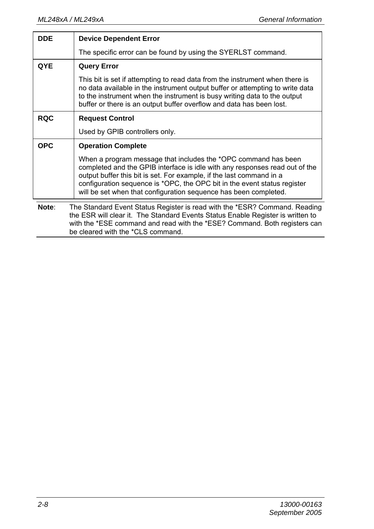| <b>DDE</b> | <b>Device Dependent Error</b>                                                                                                                                                                                                                                                                                                                                         |  |
|------------|-----------------------------------------------------------------------------------------------------------------------------------------------------------------------------------------------------------------------------------------------------------------------------------------------------------------------------------------------------------------------|--|
|            | The specific error can be found by using the SYERLST command.                                                                                                                                                                                                                                                                                                         |  |
| <b>QYE</b> | <b>Query Error</b>                                                                                                                                                                                                                                                                                                                                                    |  |
|            | This bit is set if attempting to read data from the instrument when there is<br>no data available in the instrument output buffer or attempting to write data<br>to the instrument when the instrument is busy writing data to the output<br>buffer or there is an output buffer overflow and data has been lost.                                                     |  |
| <b>RQC</b> | <b>Request Control</b>                                                                                                                                                                                                                                                                                                                                                |  |
|            | Used by GPIB controllers only.                                                                                                                                                                                                                                                                                                                                        |  |
| <b>OPC</b> | <b>Operation Complete</b>                                                                                                                                                                                                                                                                                                                                             |  |
|            | When a program message that includes the *OPC command has been<br>completed and the GPIB interface is idle with any responses read out of the<br>output buffer this bit is set. For example, if the last command in a<br>configuration sequence is *OPC, the OPC bit in the event status register<br>will be set when that configuration sequence has been completed. |  |
| Note:      | The Standard Event Status Register is read with the *ESR? Command. Reading<br>the ESR will clear it. The Standard Events Status Enable Register is written to<br>with the *ESE command and read with the *ESE? Command. Both registers can<br>be cleared with the *CLS command.                                                                                       |  |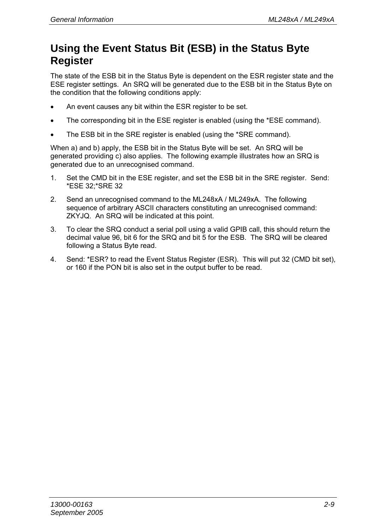### **Using the Event Status Bit (ESB) in the Status Byte Register**

The state of the ESB bit in the Status Byte is dependent on the ESR register state and the ESE register settings. An SRQ will be generated due to the ESB bit in the Status Byte on the condition that the following conditions apply:

- An event causes any bit within the ESR register to be set.
- The corresponding bit in the ESE register is enabled (using the \*ESE command).
- The ESB bit in the SRE register is enabled (using the \*SRE command).

When a) and b) apply, the ESB bit in the Status Byte will be set. An SRQ will be generated providing c) also applies. The following example illustrates how an SRQ is generated due to an unrecognised command.

- 1. Set the CMD bit in the ESE register, and set the ESB bit in the SRE register. Send: \*ESE 32;\*SRE 32
- 2. Send an unrecognised command to the ML248xA / ML249xA. The following sequence of arbitrary ASCII characters constituting an unrecognised command: ZKYJQ. An SRQ will be indicated at this point.
- 3. To clear the SRQ conduct a serial poll using a valid GPIB call, this should return the decimal value 96, bit 6 for the SRQ and bit 5 for the ESB. The SRQ will be cleared following a Status Byte read.
- 4. Send: \*ESR? to read the Event Status Register (ESR). This will put 32 (CMD bit set), or 160 if the PON bit is also set in the output buffer to be read.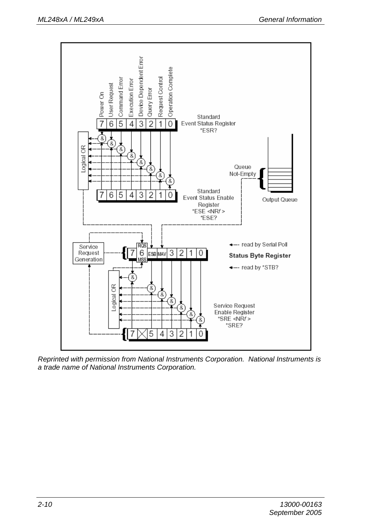

*Reprinted with permission from National Instruments Corporation. National Instruments is a trade name of National Instruments Corporation.*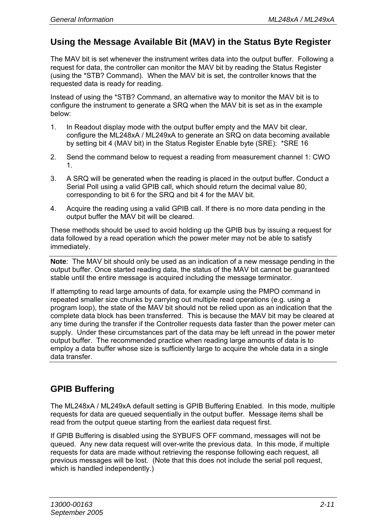#### **Using the Message Available Bit (MAV) in the Status Byte Register**

The MAV bit is set whenever the instrument writes data into the output buffer. Following a request for data, the controller can monitor the MAV bit by reading the Status Register (using the \*STB? Command). When the MAV bit is set, the controller knows that the requested data is ready for reading.

Instead of using the \*STB? Command, an alternative way to monitor the MAV bit is to configure the instrument to generate a SRQ when the MAV bit is set as in the example below:

- 1. In Readout display mode with the output buffer empty and the MAV bit clear, configure the ML248xA / ML249xA to generate an SRQ on data becoming available by setting bit 4 (MAV bit) in the Status Register Enable byte (SRE): \*SRE 16
- 2. Send the command below to request a reading from measurement channel 1: CWO 1.
- 3. A SRQ will be generated when the reading is placed in the output buffer. Conduct a Serial Poll using a valid GPIB call, which should return the decimal value 80, corresponding to bit 6 for the SRQ and bit 4 for the MAV bit.
- 4. Acquire the reading using a valid GPIB call. If there is no more data pending in the output buffer the MAV bit will be cleared.

These methods should be used to avoid holding up the GPIB bus by issuing a request for data followed by a read operation which the power meter may not be able to satisfy immediately.

**Note**: The MAV bit should only be used as an indication of a new message pending in the output buffer. Once started reading data, the status of the MAV bit cannot be guaranteed stable until the entire message is acquired including the message terminator.

If attempting to read large amounts of data, for example using the PMPO command in repeated smaller size chunks by carrying out multiple read operations (e.g. using a program loop), the state of the MAV bit should not be relied upon as an indication that the complete data block has been transferred. This is because the MAV bit may be cleared at any time during the transfer if the Controller requests data faster than the power meter can supply. Under these circumstances part of the data may be left unread in the power meter output buffer. The recommended practice when reading large amounts of data is to employ a data buffer whose size is sufficiently large to acquire the whole data in a single data transfer.

#### **GPIB Buffering**

The ML248xA / ML249xA default setting is GPIB Buffering Enabled. In this mode, multiple requests for data are queued sequentially in the output buffer. Message items shall be read from the output queue starting from the earliest data request first.

If GPIB Buffering is disabled using the SYBUFS OFF command, messages will not be queued. Any new data request will over-write the previous data. In this mode, if multiple requests for data are made without retrieving the response following each request, all previous messages will be lost. (Note that this does not include the serial poll request, which is handled independently.)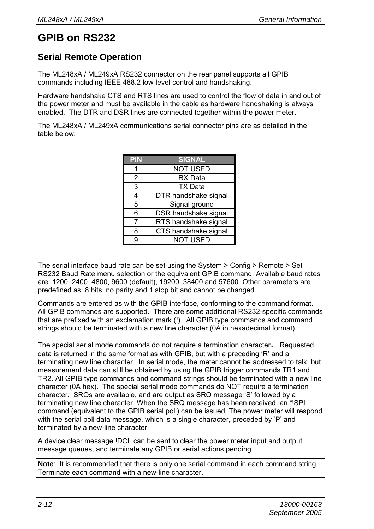#### **GPIB on RS232**

#### **Serial Remote Operation**

The ML248xA / ML249xA RS232 connector on the rear panel supports all GPIB commands including IEEE 488.2 low-level control and handshaking.

Hardware handshake CTS and RTS lines are used to control the flow of data in and out of the power meter and must be available in the cable as hardware handshaking is always enabled. The DTR and DSR lines are connected together within the power meter.

The ML248xA / ML249xA communications serial connector pins are as detailed in the table below.

| <b>PIN</b>     | <b>SIGNAL</b>        |
|----------------|----------------------|
|                | <b>NOT USED</b>      |
| $\overline{2}$ | <b>RX</b> Data       |
| 3              | <b>TX Data</b>       |
| 4              | DTR handshake signal |
| 5              | Signal ground        |
| 6              | DSR handshake signal |
| 7              | RTS handshake signal |
| 8              | CTS handshake signal |
| q              | <b>NOT USED</b>      |

The serial interface baud rate can be set using the System > Config > Remote > Set RS232 Baud Rate menu selection or the equivalent GPIB command. Available baud rates are: 1200, 2400, 4800, 9600 (default), 19200, 38400 and 57600. Other parameters are predefined as: 8 bits, no parity and 1 stop bit and cannot be changed.

Commands are entered as with the GPIB interface, conforming to the command format. All GPIB commands are supported. There are some additional RS232-specific commands that are prefixed with an exclamation mark (!). All GPIB type commands and command strings should be terminated with a new line character (0A in hexadecimal format).

The special serial mode commands do not require a termination character. Requested data is returned in the same format as with GPIB, but with a preceding 'R' and a terminating new line character. In serial mode, the meter cannot be addressed to talk, but measurement data can still be obtained by using the GPIB trigger commands TR1 and TR2. All GPIB type commands and command strings should be terminated with a new line character (0A hex). The special serial mode commands do NOT require a termination character. SRQs are available, and are output as SRQ message 'S' followed by a terminating new line character. When the SRQ message has been received, an "!SPL" command (equivalent to the GPIB serial poll) can be issued. The power meter will respond with the serial poll data message, which is a single character, preceded by 'P' and terminated by a new-line character.

A device clear message !DCL can be sent to clear the power meter input and output message queues, and terminate any GPIB or serial actions pending.

**Note**: It is recommended that there is only one serial command in each command string. Terminate each command with a new-line character.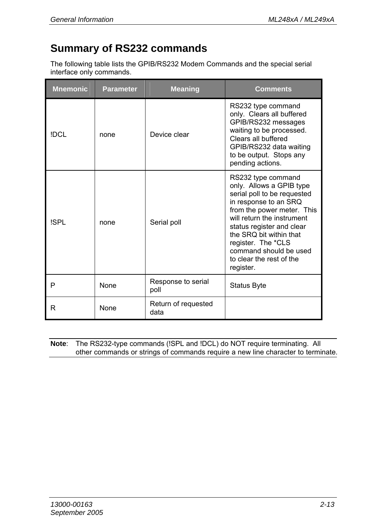#### **Summary of RS232 commands**

The following table lists the GPIB/RS232 Modem Commands and the special serial interface only commands.

| <b>Mnemonic</b> | <b>Parameter</b> | <b>Meaning</b>              | Comments                                                                                                                                                                                                                                                                                                            |
|-----------------|------------------|-----------------------------|---------------------------------------------------------------------------------------------------------------------------------------------------------------------------------------------------------------------------------------------------------------------------------------------------------------------|
| IDCI.           | none             | Device clear                | RS232 type command<br>only. Clears all buffered<br>GPIB/RS232 messages<br>waiting to be processed.<br>Clears all buffered<br>GPIB/RS232 data waiting<br>to be output. Stops any<br>pending actions.                                                                                                                 |
| <b>ISPL</b>     | none             | Serial poll                 | RS232 type command<br>only. Allows a GPIB type<br>serial poll to be requested<br>in response to an SRQ<br>from the power meter. This<br>will return the instrument<br>status register and clear<br>the SRO bit within that<br>register. The *CLS<br>command should be used<br>to clear the rest of the<br>register. |
| P               | None             | Response to serial<br>poll  | Status Byte                                                                                                                                                                                                                                                                                                         |
| R               | <b>None</b>      | Return of requested<br>data |                                                                                                                                                                                                                                                                                                                     |

| <b>Note:</b> The RS232-type commands (ISPL and IDCL) do NOT require terminating. All |  |
|--------------------------------------------------------------------------------------|--|
| other commands or strings of commands require a new line character to terminate.     |  |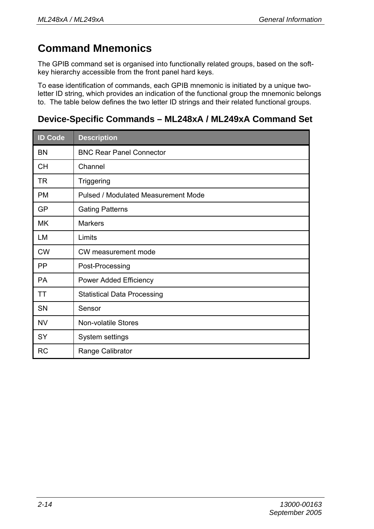### **Command Mnemonics**

The GPIB command set is organised into functionally related groups, based on the softkey hierarchy accessible from the front panel hard keys.

To ease identification of commands, each GPIB mnemonic is initiated by a unique twoletter ID string, which provides an indication of the functional group the mnemonic belongs to. The table below defines the two letter ID strings and their related functional groups.

#### **Device-Specific Commands – ML248xA / ML249xA Command Set**

| <b>ID Code</b> | <b>Description</b>                  |
|----------------|-------------------------------------|
| BN             | <b>BNC Rear Panel Connector</b>     |
| <b>CH</b>      | Channel                             |
| <b>TR</b>      | Triggering                          |
| <b>PM</b>      | Pulsed / Modulated Measurement Mode |
| GP             | <b>Gating Patterns</b>              |
| <b>MK</b>      | <b>Markers</b>                      |
| LM             | Limits                              |
| <b>CW</b>      | CW measurement mode                 |
| <b>PP</b>      | Post-Processing                     |
| <b>PA</b>      | Power Added Efficiency              |
| TT             | <b>Statistical Data Processing</b>  |
| <b>SN</b>      | Sensor                              |
| <b>NV</b>      | Non-volatile Stores                 |
| SY             | System settings                     |
| <b>RC</b>      | Range Calibrator                    |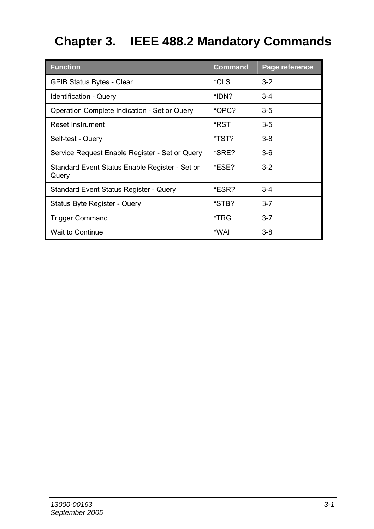## **Chapter 3. IEEE 488.2 Mandatory Commands**

| <b>Function</b>                                         | Command | Page reference |
|---------------------------------------------------------|---------|----------------|
| <b>GPIB Status Bytes - Clear</b>                        | *CLS    | $3-2$          |
| Identification - Query                                  | *IDN?   | $3 - 4$        |
| Operation Complete Indication - Set or Query            | *OPC?   | $3 - 5$        |
| Reset Instrument                                        | *RST    | $3 - 5$        |
| Self-test - Query                                       | *TST?   | $3 - 8$        |
| Service Request Enable Register - Set or Query          | *SRE?   | $3-6$          |
| Standard Event Status Enable Register - Set or<br>Query | *ESE?   | $3-2$          |
| Standard Event Status Register - Query                  | *ESR?   | $3 - 4$        |
| Status Byte Register - Query                            | *STB?   | $3 - 7$        |
| Trigger Command                                         | *TRG    | $3 - 7$        |
| Wait to Continue                                        | *WAI    | $3 - 8$        |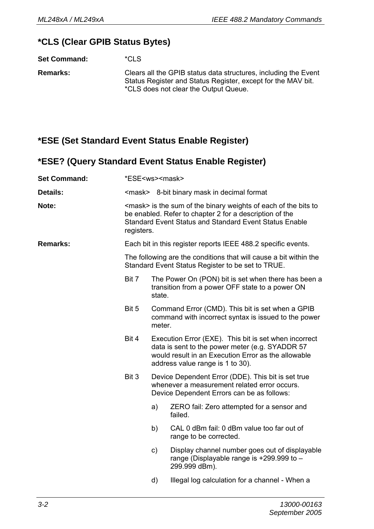#### **\*CLS (Clear GPIB Status Bytes)**

**Set Command:** \*CLS

**Remarks:** Clears all the GPIB status data structures, including the Event Status Register and Status Register, except for the MAV bit. \*CLS does not clear the Output Queue.

#### **\*ESE (Set Standard Event Status Enable Register)**

#### **\*ESE? (Query Standard Event Status Enable Register)**

| <b>Set Command:</b> | *ESE <ws><mask></mask></ws>                                                                                                                                                                                 |                                                                                                                                                                                                     |                                                                                                              |  |  |
|---------------------|-------------------------------------------------------------------------------------------------------------------------------------------------------------------------------------------------------------|-----------------------------------------------------------------------------------------------------------------------------------------------------------------------------------------------------|--------------------------------------------------------------------------------------------------------------|--|--|
| Details:            |                                                                                                                                                                                                             |                                                                                                                                                                                                     | <mask> 8-bit binary mask in decimal format</mask>                                                            |  |  |
| Note:               | <mask> is the sum of the binary weights of each of the bits to<br/>be enabled. Refer to chapter 2 for a description of the<br/>Standard Event Status and Standard Event Status Enable<br/>registers.</mask> |                                                                                                                                                                                                     |                                                                                                              |  |  |
| Remarks:            |                                                                                                                                                                                                             | Each bit in this register reports IEEE 488.2 specific events.                                                                                                                                       |                                                                                                              |  |  |
|                     | The following are the conditions that will cause a bit within the<br>Standard Event Status Register to be set to TRUE.                                                                                      |                                                                                                                                                                                                     |                                                                                                              |  |  |
|                     | Bit 7                                                                                                                                                                                                       | state.                                                                                                                                                                                              | The Power On (PON) bit is set when there has been a<br>transition from a power OFF state to a power ON       |  |  |
|                     | Bit 5                                                                                                                                                                                                       | Command Error (CMD). This bit is set when a GPIB<br>command with incorrect syntax is issued to the power<br>meter.                                                                                  |                                                                                                              |  |  |
|                     | Bit 4                                                                                                                                                                                                       | Execution Error (EXE). This bit is set when incorrect<br>data is sent to the power meter (e.g. SYADDR 57<br>would result in an Execution Error as the allowable<br>address value range is 1 to 30). |                                                                                                              |  |  |
|                     | Bit 3                                                                                                                                                                                                       | Device Dependent Error (DDE). This bit is set true<br>whenever a measurement related error occurs.<br>Device Dependent Errors can be as follows:                                                    |                                                                                                              |  |  |
|                     |                                                                                                                                                                                                             | a)                                                                                                                                                                                                  | ZERO fail: Zero attempted for a sensor and<br>failed.                                                        |  |  |
|                     |                                                                                                                                                                                                             | b)                                                                                                                                                                                                  | CAL 0 dBm fail: 0 dBm value too far out of<br>range to be corrected.                                         |  |  |
|                     |                                                                                                                                                                                                             | c)                                                                                                                                                                                                  | Display channel number goes out of displayable<br>range (Displayable range is +299.999 to -<br>299.999 dBm). |  |  |
|                     |                                                                                                                                                                                                             | d)                                                                                                                                                                                                  | Illegal log calculation for a channel - When a                                                               |  |  |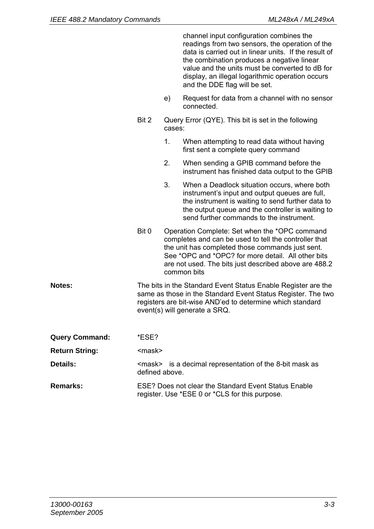|                 |                |        | channel input configuration combines the<br>readings from two sensors, the operation of the<br>data is carried out in linear units. If the result of<br>the combination produces a negative linear<br>value and the units must be converted to dB for<br>display, an illegal logarithmic operation occurs<br>and the DDE flag will be set. |
|-----------------|----------------|--------|--------------------------------------------------------------------------------------------------------------------------------------------------------------------------------------------------------------------------------------------------------------------------------------------------------------------------------------------|
|                 |                | e)     | Request for data from a channel with no sensor<br>connected.                                                                                                                                                                                                                                                                               |
|                 | Bit 2          | cases: | Query Error (QYE). This bit is set in the following                                                                                                                                                                                                                                                                                        |
|                 |                | 1.     | When attempting to read data without having<br>first sent a complete query command                                                                                                                                                                                                                                                         |
|                 |                | 2.     | When sending a GPIB command before the<br>instrument has finished data output to the GPIB                                                                                                                                                                                                                                                  |
|                 |                | 3.     | When a Deadlock situation occurs, where both<br>instrument's input and output queues are full,<br>the instrument is waiting to send further data to<br>the output queue and the controller is waiting to<br>send further commands to the instrument.                                                                                       |
|                 | Bit 0          |        | Operation Complete: Set when the *OPC command<br>completes and can be used to tell the controller that<br>the unit has completed those commands just sent.<br>See *OPC and *OPC? for more detail. All other bits<br>are not used. The bits just described above are 488.2<br>common bits                                                   |
| <b>Notes:</b>   |                |        | The bits in the Standard Event Status Enable Register are the<br>same as those in the Standard Event Status Register. The two<br>registers are bit-wise AND'ed to determine which standard<br>event(s) will generate a SRQ.                                                                                                                |
| Query Command:  | *ESE?          |        |                                                                                                                                                                                                                                                                                                                                            |
| Return String:  | <mask></mask>  |        |                                                                                                                                                                                                                                                                                                                                            |
| <b>Details:</b> | defined above. |        | <mask> is a decimal representation of the 8-bit mask as</mask>                                                                                                                                                                                                                                                                             |
| <b>Remarks:</b> |                |        | ESE? Does not clear the Standard Event Status Enable<br>register. Use *ESE 0 or *CLS for this purpose.                                                                                                                                                                                                                                     |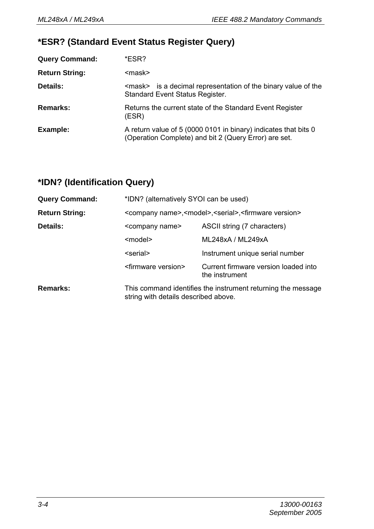#### **\*ESR? (Standard Event Status Register Query)**

| <b>Query Command:</b> | *ESR?                                                                                                                    |
|-----------------------|--------------------------------------------------------------------------------------------------------------------------|
| <b>Return String:</b> | <mask></mask>                                                                                                            |
| Details:              | <mask> is a decimal representation of the binary value of the<br/>Standard Event Status Register.</mask>                 |
| Remarks:              | Returns the current state of the Standard Event Register<br>(ESR)                                                        |
| Example:              | A return value of 5 (0000 0101 in binary) indicates that bits 0<br>(Operation Complete) and bit 2 (Query Error) are set. |

## **\*IDN? (Identification Query)**

| <b>Query Command:</b> |                                  | *IDN? (alternatively SYOI can be used)                                                               |  |  |
|-----------------------|----------------------------------|------------------------------------------------------------------------------------------------------|--|--|
| <b>Return String:</b> |                                  | <company name="">,<model>,<serial>,<firmware version=""></firmware></serial></model></company>       |  |  |
| Details:              | <company name=""></company>      | ASCII string (7 characters)                                                                          |  |  |
|                       | <model></model>                  | ML248xA / ML249xA                                                                                    |  |  |
|                       | <serial></serial>                | Instrument unique serial number                                                                      |  |  |
|                       | <firmware version=""></firmware> | Current firmware version loaded into<br>the instrument                                               |  |  |
| Remarks:              |                                  | This command identifies the instrument returning the message<br>string with details described above. |  |  |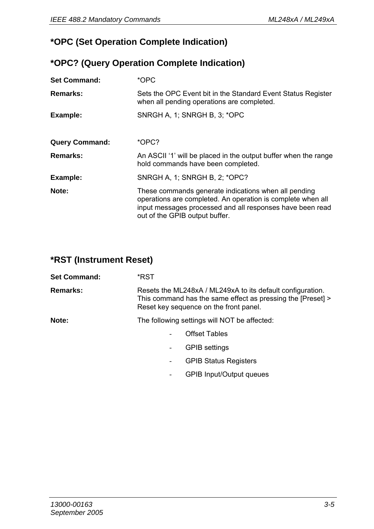#### **\*OPC (Set Operation Complete Indication)**

#### **\*OPC? (Query Operation Complete Indication)**

| <b>Set Command:</b>   | *OPC                                                                                                                                                                                                               |
|-----------------------|--------------------------------------------------------------------------------------------------------------------------------------------------------------------------------------------------------------------|
| Remarks:              | Sets the OPC Event bit in the Standard Event Status Register<br>when all pending operations are completed.                                                                                                         |
| Example:              | SNRGH A. 1: SNRGH B. 3: *OPC                                                                                                                                                                                       |
|                       |                                                                                                                                                                                                                    |
| <b>Query Command:</b> | *OPC?                                                                                                                                                                                                              |
| Remarks:              | An ASCII '1' will be placed in the output buffer when the range<br>hold commands have been completed.                                                                                                              |
| Example:              | SNRGH A, 1; SNRGH B, 2; *OPC?                                                                                                                                                                                      |
| Note:                 | These commands generate indications when all pending<br>operations are completed. An operation is complete when all<br>input messages processed and all responses have been read<br>out of the GPIB output buffer. |

#### **\*RST (Instrument Reset)**

| <b>Set Command:</b> | *RST                                                                                                                                                                |                                 |
|---------------------|---------------------------------------------------------------------------------------------------------------------------------------------------------------------|---------------------------------|
| Remarks:            | Resets the ML248xA / ML249xA to its default configuration.<br>This command has the same effect as pressing the [Preset] ><br>Reset key sequence on the front panel. |                                 |
| Note:               | The following settings will NOT be affected:                                                                                                                        |                                 |
|                     |                                                                                                                                                                     | <b>Offset Tables</b>            |
|                     | ٠.                                                                                                                                                                  | <b>GPIB</b> settings            |
|                     | $\overline{\phantom{0}}$                                                                                                                                            | <b>GPIB Status Registers</b>    |
|                     |                                                                                                                                                                     | <b>GPIB Input/Output queues</b> |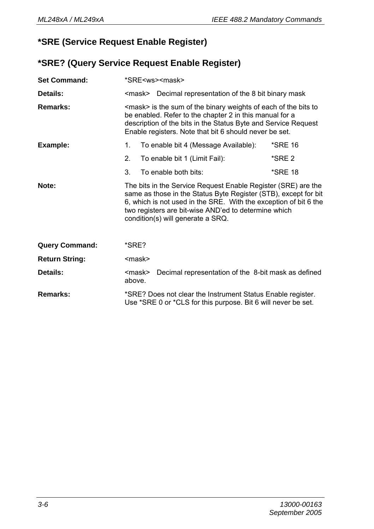### **\*SRE (Service Request Enable Register)**

### **\*SRE? (Query Service Request Enable Register)**

| <b>Set Command:</b>   |                                                                                                                                                                                                                                                                 |  | *SRE <ws><mask></mask></ws>                                                                                                                                                                                                                                                                       |         |
|-----------------------|-----------------------------------------------------------------------------------------------------------------------------------------------------------------------------------------------------------------------------------------------------------------|--|---------------------------------------------------------------------------------------------------------------------------------------------------------------------------------------------------------------------------------------------------------------------------------------------------|---------|
| Details:              |                                                                                                                                                                                                                                                                 |  | <mask> Decimal representation of the 8 bit binary mask</mask>                                                                                                                                                                                                                                     |         |
| Remarks:              | <mask> is the sum of the binary weights of each of the bits to<br/>be enabled. Refer to the chapter 2 in this manual for a<br/>description of the bits in the Status Byte and Service Request<br/>Enable registers. Note that bit 6 should never be set.</mask> |  |                                                                                                                                                                                                                                                                                                   |         |
| Example:              | 1.                                                                                                                                                                                                                                                              |  | To enable bit 4 (Message Available):                                                                                                                                                                                                                                                              | *SRE 16 |
|                       | 2.                                                                                                                                                                                                                                                              |  | To enable bit 1 (Limit Fail):                                                                                                                                                                                                                                                                     | *SRE 2  |
|                       | 3.                                                                                                                                                                                                                                                              |  | To enable both bits:                                                                                                                                                                                                                                                                              | *SRE 18 |
| Note:                 |                                                                                                                                                                                                                                                                 |  | The bits in the Service Request Enable Register (SRE) are the<br>same as those in the Status Byte Register (STB), except for bit<br>6, which is not used in the SRE. With the exception of bit 6 the<br>two registers are bit-wise AND'ed to determine which<br>condition(s) will generate a SRQ. |         |
| <b>Query Command:</b> | *SRE?                                                                                                                                                                                                                                                           |  |                                                                                                                                                                                                                                                                                                   |         |
| <b>Return String:</b> | <mask></mask>                                                                                                                                                                                                                                                   |  |                                                                                                                                                                                                                                                                                                   |         |
| Details:              | <mask><br/>above.</mask>                                                                                                                                                                                                                                        |  | Decimal representation of the 8-bit mask as defined                                                                                                                                                                                                                                               |         |
| Remarks:              |                                                                                                                                                                                                                                                                 |  | *SRE? Does not clear the Instrument Status Enable register.<br>Use *SRE 0 or *CLS for this purpose. Bit 6 will never be set.                                                                                                                                                                      |         |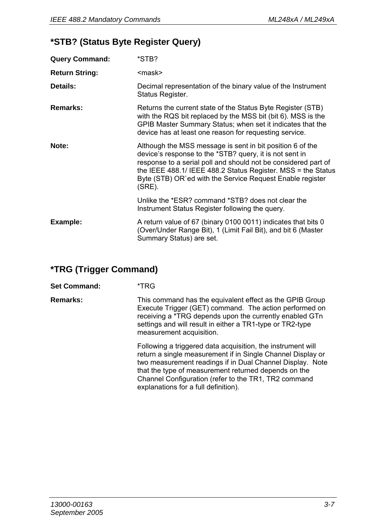#### **\*STB? (Status Byte Register Query)**

| <b>Query Command:</b> | *STB?                                                                                                                                                                                                                                                                                                                         |
|-----------------------|-------------------------------------------------------------------------------------------------------------------------------------------------------------------------------------------------------------------------------------------------------------------------------------------------------------------------------|
| <b>Return String:</b> | <mask></mask>                                                                                                                                                                                                                                                                                                                 |
| Details:              | Decimal representation of the binary value of the Instrument<br>Status Register.                                                                                                                                                                                                                                              |
| Remarks:              | Returns the current state of the Status Byte Register (STB)<br>with the RQS bit replaced by the MSS bit (bit 6). MSS is the<br>GPIB Master Summary Status; when set it indicates that the<br>device has at least one reason for requesting service.                                                                           |
| Note:                 | Although the MSS message is sent in bit position 6 of the<br>device's response to the *STB? query, it is not sent in<br>response to a serial poll and should not be considered part of<br>the IEEE 488.1/ IEEE 488.2 Status Register. MSS = the Status<br>Byte (STB) OR`ed with the Service Request Enable register<br>(SRE). |
|                       | Unlike the *ESR? command *STB? does not clear the<br>Instrument Status Register following the query.                                                                                                                                                                                                                          |
| Example:              | A return value of 67 (binary 0100 0011) indicates that bits 0<br>(Over/Under Range Bit), 1 (Limit Fail Bit), and bit 6 (Master<br>Summary Status) are set.                                                                                                                                                                    |

#### **\*TRG (Trigger Command)**

**Set Command:** \*TRG

**Remarks:** This command has the equivalent effect as the GPIB Group Execute Trigger (GET) command. The action performed on receiving a \*TRG depends upon the currently enabled GTn settings and will result in either a TR1-type or TR2-type measurement acquisition.

> Following a triggered data acquisition, the instrument will return a single measurement if in Single Channel Display or two measurement readings if in Dual Channel Display. Note that the type of measurement returned depends on the Channel Configuration (refer to the TR1, TR2 command explanations for a full definition).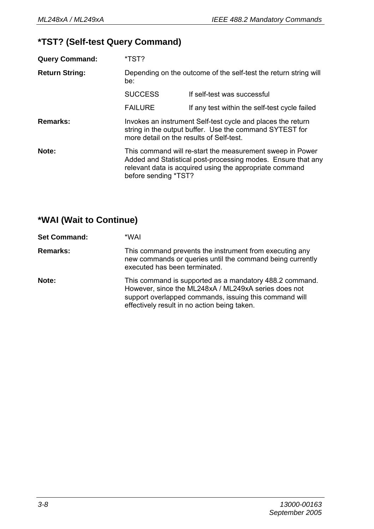#### **\*TST? (Self-test Query Command)**

| <b>Query Command:</b> | *TST?          |                                                                                                                                                                                                              |  |
|-----------------------|----------------|--------------------------------------------------------------------------------------------------------------------------------------------------------------------------------------------------------------|--|
| <b>Return String:</b> | be:            | Depending on the outcome of the self-test the return string will                                                                                                                                             |  |
|                       | <b>SUCCESS</b> | If self-test was successful                                                                                                                                                                                  |  |
|                       | <b>FAILURE</b> | If any test within the self-test cycle failed                                                                                                                                                                |  |
| Remarks:              |                | Invokes an instrument Self-test cycle and places the return<br>string in the output buffer. Use the command SYTEST for<br>more detail on the results of Self-test.                                           |  |
| Note:                 |                | This command will re-start the measurement sweep in Power<br>Added and Statistical post-processing modes. Ensure that any<br>relevant data is acquired using the appropriate command<br>before sending *TST? |  |

## **\*WAI (Wait to Continue)**

| <b>Set Command:</b> | *WAI                                                                                                                                                                                                                      |
|---------------------|---------------------------------------------------------------------------------------------------------------------------------------------------------------------------------------------------------------------------|
| <b>Remarks:</b>     | This command prevents the instrument from executing any<br>new commands or queries until the command being currently<br>executed has been terminated.                                                                     |
| Note:               | This command is supported as a mandatory 488.2 command.<br>However, since the ML248xA / ML249xA series does not<br>support overlapped commands, issuing this command will<br>effectively result in no action being taken. |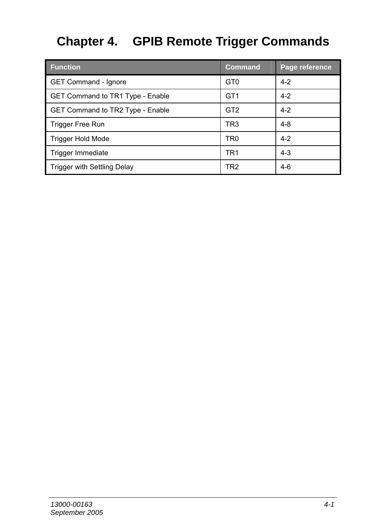# **Chapter 4. GPIB Remote Trigger Commands**

| <b>Function</b>                  | <b>Command</b>  | Page reference |
|----------------------------------|-----------------|----------------|
| GET Command - Ignore             | GT <sub>0</sub> | $4 - 2$        |
| GET Command to TR1 Type - Enable | GT <sub>1</sub> | $4 - 2$        |
| GET Command to TR2 Type - Enable | GT <sub>2</sub> | $4 - 2$        |
| <b>Trigger Free Run</b>          | TR <sub>3</sub> | $4 - 8$        |
| <b>Trigger Hold Mode</b>         | TR <sub>0</sub> | $4 - 2$        |
| Trigger Immediate                | TR <sub>1</sub> | $4 - 3$        |
| Trigger with Settling Delay      | TR2             | $4-6$          |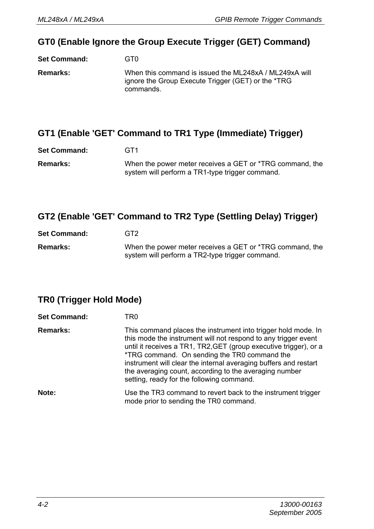#### **GT0 (Enable Ignore the Group Execute Trigger (GET) Command)**

**Set Command:** GT0 **Remarks:** When this command is issued the ML248xA / ML249xA will ignore the Group Execute Trigger (GET) or the \*TRG commands.

#### **GT1 (Enable 'GET' Command to TR1 Type (Immediate) Trigger)**

| <b>Set Command:</b> | GT <sub>1</sub>                                          |
|---------------------|----------------------------------------------------------|
| <b>Remarks:</b>     | When the power meter receives a GET or *TRG command, the |
|                     | system will perform a TR1-type trigger command.          |

#### **GT2 (Enable 'GET' Command to TR2 Type (Settling Delay) Trigger)**

| <b>Set Command:</b> | GT2                                                                                                         |
|---------------------|-------------------------------------------------------------------------------------------------------------|
| <b>Remarks:</b>     | When the power meter receives a GET or *TRG command, the<br>system will perform a TR2-type trigger command. |

## **TR0 (Trigger Hold Mode)**

| <b>Set Command:</b> | TR0                                                                                                                                                                                                                                                                                                                                                                                                                             |
|---------------------|---------------------------------------------------------------------------------------------------------------------------------------------------------------------------------------------------------------------------------------------------------------------------------------------------------------------------------------------------------------------------------------------------------------------------------|
| <b>Remarks:</b>     | This command places the instrument into trigger hold mode. In<br>this mode the instrument will not respond to any trigger event<br>until it receives a TR1, TR2, GET (group executive trigger), or a<br>*TRG command. On sending the TR0 command the<br>instrument will clear the internal averaging buffers and restart<br>the averaging count, according to the averaging number<br>setting, ready for the following command. |
| Note:               | Use the TR3 command to revert back to the instrument trigger<br>mode prior to sending the TR0 command.                                                                                                                                                                                                                                                                                                                          |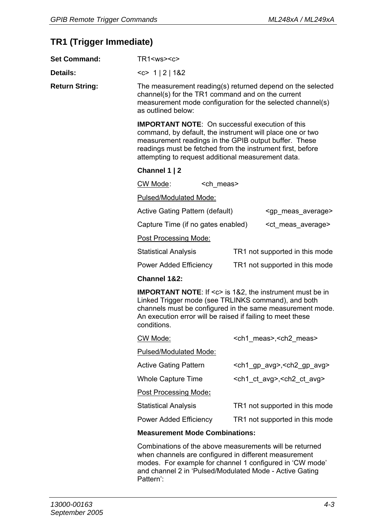#### **TR1 (Trigger Immediate)**

| <b>Set Command:</b>   | $TR1<$ ws> $<$ c>                                                                                                                                                                                                                                                                                |                   |  |                                                     |
|-----------------------|--------------------------------------------------------------------------------------------------------------------------------------------------------------------------------------------------------------------------------------------------------------------------------------------------|-------------------|--|-----------------------------------------------------|
| Details:              | <c> 1 2 1&amp;2</c>                                                                                                                                                                                                                                                                              |                   |  |                                                     |
| <b>Return String:</b> | The measurement reading(s) returned depend on the selected<br>channel(s) for the TR1 command and on the current<br>measurement mode configuration for the selected channel(s)<br>as outlined below:                                                                                              |                   |  |                                                     |
|                       | <b>IMPORTANT NOTE:</b> On successful execution of this<br>command, by default, the instrument will place one or two<br>measurement readings in the GPIB output buffer. These<br>readings must be fetched from the instrument first, before<br>attempting to request additional measurement data. |                   |  |                                                     |
|                       | Channel 1   2                                                                                                                                                                                                                                                                                    |                   |  |                                                     |
|                       | CW Mode:                                                                                                                                                                                                                                                                                         | <ch meas=""></ch> |  |                                                     |
|                       | Pulsed/Modulated Mode:                                                                                                                                                                                                                                                                           |                   |  |                                                     |
|                       | Active Gating Pattern (default)                                                                                                                                                                                                                                                                  |                   |  | <gp_meas_average></gp_meas_average>                 |
|                       | Capture Time (if no gates enabled)                                                                                                                                                                                                                                                               |                   |  | <ct average="" meas=""></ct>                        |
|                       | Post Processing Mode:                                                                                                                                                                                                                                                                            |                   |  |                                                     |
|                       | <b>Statistical Analysis</b><br>TR1 not supported in this mode                                                                                                                                                                                                                                    |                   |  |                                                     |
|                       | Power Added Efficiency<br>TR1 not supported in this mode                                                                                                                                                                                                                                         |                   |  |                                                     |
|                       | Channel 1&2:                                                                                                                                                                                                                                                                                     |                   |  |                                                     |
|                       | <b>IMPORTANT NOTE:</b> If <c> is 1&amp;2, the instrument must be in<br/>Linked Trigger mode (see TRLINKS command), and both<br/>channels must be configured in the same measurement mode.<br/>An execution error will be raised if failing to meet these<br/>conditions.</c>                     |                   |  |                                                     |
|                       | CW Mode:                                                                                                                                                                                                                                                                                         |                   |  | <ch1 meas="">,<ch2 meas=""></ch2></ch1>             |
|                       | Pulsed/Modulated Mode:                                                                                                                                                                                                                                                                           |                   |  |                                                     |
|                       | Active Gating Pattern                                                                                                                                                                                                                                                                            |                   |  | <ch1_gp_avg>,<ch2_gp_avg></ch2_gp_avg></ch1_gp_avg> |
|                       | Whole Capture Time                                                                                                                                                                                                                                                                               |                   |  | <ch1_ct_avg>,<ch2_ct_avg></ch2_ct_avg></ch1_ct_avg> |
|                       | Post Processing Mode:                                                                                                                                                                                                                                                                            |                   |  |                                                     |
|                       | <b>Statistical Analysis</b>                                                                                                                                                                                                                                                                      |                   |  | TR1 not supported in this mode                      |
|                       | Power Added Efficiency<br>TR1 not supported in this mode                                                                                                                                                                                                                                         |                   |  |                                                     |
|                       | <b>Measurement Mode Combinations:</b>                                                                                                                                                                                                                                                            |                   |  |                                                     |
|                       | Combinations of the above measurements will be returned<br>ubon abonnalo are configured in different messurement                                                                                                                                                                                 |                   |  |                                                     |

when channels are configured in different measurement modes. For example for channel 1 configured in 'CW mode' and channel 2 in 'Pulsed/Modulated Mode - Active Gating Pattern':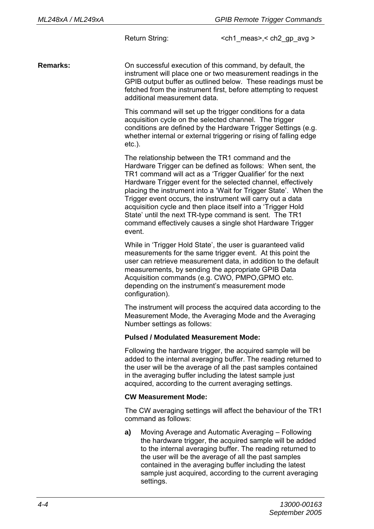Return String:  $\le$  ch1 meas>, < ch2 qp avg >

**Remarks:** On successful execution of this command, by default, the instrument will place one or two measurement readings in the GPIB output buffer as outlined below. These readings must be fetched from the instrument first, before attempting to request additional measurement data.

> This command will set up the trigger conditions for a data acquisition cycle on the selected channel. The trigger conditions are defined by the Hardware Trigger Settings (e.g. whether internal or external triggering or rising of falling edge etc.).

The relationship between the TR1 command and the Hardware Trigger can be defined as follows: When sent, the TR1 command will act as a 'Trigger Qualifier' for the next Hardware Trigger event for the selected channel, effectively placing the instrument into a 'Wait for Trigger State'. When the Trigger event occurs, the instrument will carry out a data acquisition cycle and then place itself into a 'Trigger Hold State' until the next TR-type command is sent. The TR1 command effectively causes a single shot Hardware Trigger event.

While in 'Trigger Hold State', the user is guaranteed valid measurements for the same trigger event. At this point the user can retrieve measurement data, in addition to the default measurements, by sending the appropriate GPIB Data Acquisition commands (e.g. CWO, PMPO,GPMO etc. depending on the instrument's measurement mode configuration).

The instrument will process the acquired data according to the Measurement Mode, the Averaging Mode and the Averaging Number settings as follows:

#### **Pulsed / Modulated Measurement Mode:**

Following the hardware trigger, the acquired sample will be added to the internal averaging buffer. The reading returned to the user will be the average of all the past samples contained in the averaging buffer including the latest sample just acquired, according to the current averaging settings.

#### **CW Measurement Mode:**

The CW averaging settings will affect the behaviour of the TR1 command as follows:

**a)** Moving Average and Automatic Averaging – Following the hardware trigger, the acquired sample will be added to the internal averaging buffer. The reading returned to the user will be the average of all the past samples contained in the averaging buffer including the latest sample just acquired, according to the current averaging settings.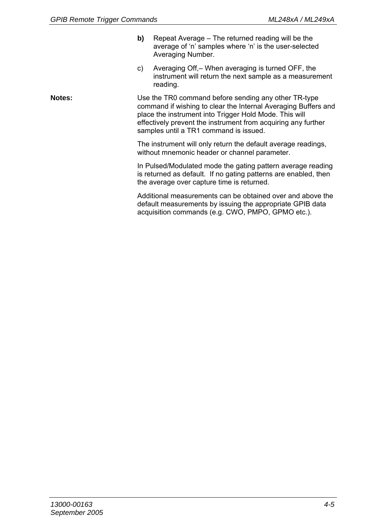- **b)** Repeat Average The returned reading will be the average of 'n' samples where 'n' is the user-selected Averaging Number.
- c) Averaging Off,– When averaging is turned OFF, the instrument will return the next sample as a measurement reading.

**Notes:** Use the TR0 command before sending any other TR-type command if wishing to clear the Internal Averaging Buffers and place the instrument into Trigger Hold Mode. This will effectively prevent the instrument from acquiring any further samples until a TR1 command is issued.

> The instrument will only return the default average readings, without mnemonic header or channel parameter.

In Pulsed/Modulated mode the gating pattern average reading is returned as default. If no gating patterns are enabled, then the average over capture time is returned.

Additional measurements can be obtained over and above the default measurements by issuing the appropriate GPIB data acquisition commands (e.g. CWO, PMPO, GPMO etc.).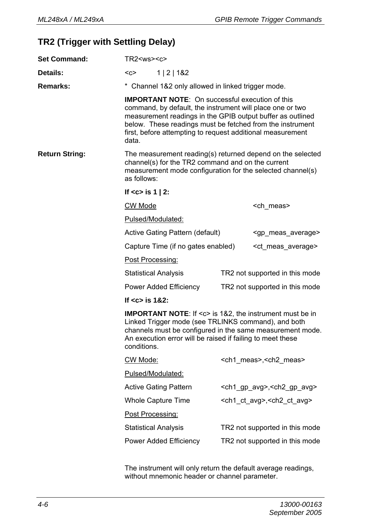#### **TR2 (Trigger with Settling Delay)**

| <b>Set Command:</b>   | $TR2<$ ws> $<$ c>                                                                                                                                                                                                                                                                                    |                                                                                                                                                                                                                                                                                                              |  |                                                      |
|-----------------------|------------------------------------------------------------------------------------------------------------------------------------------------------------------------------------------------------------------------------------------------------------------------------------------------------|--------------------------------------------------------------------------------------------------------------------------------------------------------------------------------------------------------------------------------------------------------------------------------------------------------------|--|------------------------------------------------------|
| Details:              | $C$<br>1   2   182                                                                                                                                                                                                                                                                                   |                                                                                                                                                                                                                                                                                                              |  |                                                      |
| <b>Remarks:</b>       | * Channel 1&2 only allowed in linked trigger mode.                                                                                                                                                                                                                                                   |                                                                                                                                                                                                                                                                                                              |  |                                                      |
|                       | data.                                                                                                                                                                                                                                                                                                | <b>IMPORTANT NOTE:</b> On successful execution of this<br>command, by default, the instrument will place one or two<br>measurement readings in the GPIB output buffer as outlined<br>below. These readings must be fetched from the instrument<br>first, before attempting to request additional measurement |  |                                                      |
| <b>Return String:</b> | The measurement reading(s) returned depend on the selected<br>channel(s) for the TR2 command and on the current<br>measurement mode configuration for the selected channel(s)<br>as follows:                                                                                                         |                                                                                                                                                                                                                                                                                                              |  |                                                      |
|                       | If $<$ c> is 1   2:                                                                                                                                                                                                                                                                                  |                                                                                                                                                                                                                                                                                                              |  |                                                      |
|                       | CW Mode                                                                                                                                                                                                                                                                                              |                                                                                                                                                                                                                                                                                                              |  | <ch meas=""></ch>                                    |
|                       |                                                                                                                                                                                                                                                                                                      | Pulsed/Modulated:                                                                                                                                                                                                                                                                                            |  |                                                      |
|                       | Active Gating Pattern (default)<br><gp average="" meas=""></gp>                                                                                                                                                                                                                                      |                                                                                                                                                                                                                                                                                                              |  |                                                      |
|                       | Capture Time (if no gates enabled)                                                                                                                                                                                                                                                                   |                                                                                                                                                                                                                                                                                                              |  | <ct average="" meas=""></ct>                         |
|                       | Post Processing:                                                                                                                                                                                                                                                                                     |                                                                                                                                                                                                                                                                                                              |  |                                                      |
|                       | <b>Statistical Analysis</b><br>TR2 not supported in this mode                                                                                                                                                                                                                                        |                                                                                                                                                                                                                                                                                                              |  |                                                      |
|                       | Power Added Efficiency<br>TR2 not supported in this mode                                                                                                                                                                                                                                             |                                                                                                                                                                                                                                                                                                              |  |                                                      |
|                       | If $<$ c $>$ is 1&2:<br><b>IMPORTANT NOTE:</b> If <c> is 1&amp;2, the instrument must be in<br/>Linked Trigger mode (see TRLINKS command), and both<br/>channels must be configured in the same measurement mode.<br/>An execution error will be raised if failing to meet these<br/>conditions.</c> |                                                                                                                                                                                                                                                                                                              |  |                                                      |
|                       |                                                                                                                                                                                                                                                                                                      |                                                                                                                                                                                                                                                                                                              |  |                                                      |
|                       | CW Mode:                                                                                                                                                                                                                                                                                             |                                                                                                                                                                                                                                                                                                              |  | <ch1 meas="">, <ch2 meas=""></ch2></ch1>             |
|                       |                                                                                                                                                                                                                                                                                                      | Pulsed/Modulated:                                                                                                                                                                                                                                                                                            |  |                                                      |
|                       |                                                                                                                                                                                                                                                                                                      | <b>Active Gating Pattern</b>                                                                                                                                                                                                                                                                                 |  | <ch1_gp_avg>,<ch2_gp_avg></ch2_gp_avg></ch1_gp_avg>  |
|                       |                                                                                                                                                                                                                                                                                                      | Whole Capture Time                                                                                                                                                                                                                                                                                           |  | <ch1_ct_avg>, <ch2_ct_avg></ch2_ct_avg></ch1_ct_avg> |
|                       | Post Processing:                                                                                                                                                                                                                                                                                     |                                                                                                                                                                                                                                                                                                              |  |                                                      |
|                       |                                                                                                                                                                                                                                                                                                      | <b>Statistical Analysis</b>                                                                                                                                                                                                                                                                                  |  | TR2 not supported in this mode                       |
|                       | Power Added Efficiency<br>TR2 not supported in this mode                                                                                                                                                                                                                                             |                                                                                                                                                                                                                                                                                                              |  |                                                      |

The instrument will only return the default average readings, without mnemonic header or channel parameter.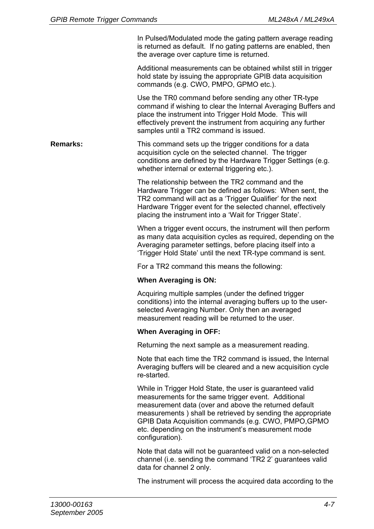In Pulsed/Modulated mode the gating pattern average reading is returned as default. If no gating patterns are enabled, then the average over capture time is returned.

Additional measurements can be obtained whilst still in trigger hold state by issuing the appropriate GPIB data acquisition commands (e.g. CWO, PMPO, GPMO etc.).

Use the TR0 command before sending any other TR-type command if wishing to clear the Internal Averaging Buffers and place the instrument into Trigger Hold Mode. This will effectively prevent the instrument from acquiring any further samples until a TR2 command is issued.

**Remarks:** This command sets up the trigger conditions for a data acquisition cycle on the selected channel. The trigger conditions are defined by the Hardware Trigger Settings (e.g. whether internal or external triggering etc.).

> The relationship between the TR2 command and the Hardware Trigger can be defined as follows: When sent, the TR2 command will act as a 'Trigger Qualifier' for the next Hardware Trigger event for the selected channel, effectively placing the instrument into a 'Wait for Trigger State'.

When a trigger event occurs, the instrument will then perform as many data acquisition cycles as required, depending on the Averaging parameter settings, before placing itself into a 'Trigger Hold State' until the next TR-type command is sent.

For a TR2 command this means the following:

#### **When Averaging is ON:**

Acquiring multiple samples (under the defined trigger conditions) into the internal averaging buffers up to the userselected Averaging Number. Only then an averaged measurement reading will be returned to the user.

#### **When Averaging in OFF:**

Returning the next sample as a measurement reading.

Note that each time the TR2 command is issued, the Internal Averaging buffers will be cleared and a new acquisition cycle re-started.

While in Trigger Hold State, the user is guaranteed valid measurements for the same trigger event. Additional measurement data (over and above the returned default measurements ) shall be retrieved by sending the appropriate GPIB Data Acquisition commands (e.g. CWO, PMPO,GPMO etc. depending on the instrument's measurement mode configuration).

Note that data will not be guaranteed valid on a non-selected channel (i.e. sending the command 'TR2 2' guarantees valid data for channel 2 only.

The instrument will process the acquired data according to the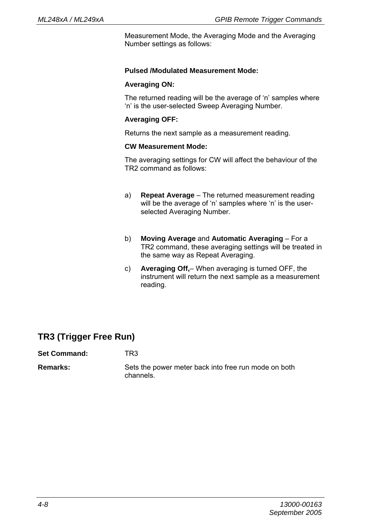Measurement Mode, the Averaging Mode and the Averaging Number settings as follows:

#### **Pulsed /Modulated Measurement Mode:**

#### **Averaging ON:**

The returned reading will be the average of 'n' samples where 'n' is the user-selected Sweep Averaging Number.

#### **Averaging OFF:**

Returns the next sample as a measurement reading.

#### **CW Measurement Mode:**

The averaging settings for CW will affect the behaviour of the TR2 command as follows:

- a) **Repeat Average** The returned measurement reading will be the average of 'n' samples where 'n' is the userselected Averaging Number.
- b) **Moving Average** and **Automatic Averaging** For a TR2 command, these averaging settings will be treated in the same way as Repeat Averaging.
- c) **Averaging Off,** When averaging is turned OFF, the instrument will return the next sample as a measurement reading.

#### **TR3 (Trigger Free Run)**

**Set Command:** TR3

**Remarks:** Sets the power meter back into free run mode on both channels.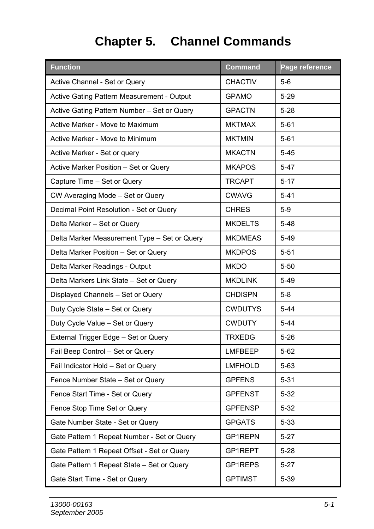# **Chapter 5. Channel Commands**

| <b>Function</b>                              | <b>Command</b> | Page reference |
|----------------------------------------------|----------------|----------------|
| Active Channel - Set or Query                | <b>CHACTIV</b> | $5-6$          |
| Active Gating Pattern Measurement - Output   | <b>GPAMO</b>   | $5 - 29$       |
| Active Gating Pattern Number – Set or Query  | <b>GPACTN</b>  | $5 - 28$       |
| Active Marker - Move to Maximum              | <b>MKTMAX</b>  | $5 - 61$       |
| Active Marker - Move to Minimum              | <b>MKTMIN</b>  | $5 - 61$       |
| Active Marker - Set or query                 | <b>MKACTN</b>  | $5 - 45$       |
| Active Marker Position - Set or Query        | <b>MKAPOS</b>  | $5 - 47$       |
| Capture Time – Set or Query                  | <b>TRCAPT</b>  | $5 - 17$       |
| CW Averaging Mode - Set or Query             | <b>CWAVG</b>   | $5 - 41$       |
| Decimal Point Resolution - Set or Query      | <b>CHRES</b>   | $5-9$          |
| Delta Marker - Set or Query                  | <b>MKDELTS</b> | $5 - 48$       |
| Delta Marker Measurement Type - Set or Query | <b>MKDMEAS</b> | $5 - 49$       |
| Delta Marker Position - Set or Query         | <b>MKDPOS</b>  | $5 - 51$       |
| Delta Marker Readings - Output               | <b>MKDO</b>    | $5 - 50$       |
| Delta Markers Link State - Set or Query      | <b>MKDLINK</b> | $5 - 49$       |
| Displayed Channels - Set or Query            | <b>CHDISPN</b> | $5-8$          |
| Duty Cycle State - Set or Query              | <b>CWDUTYS</b> | $5 - 44$       |
| Duty Cycle Value - Set or Query              | <b>CWDUTY</b>  | $5 - 44$       |
| External Trigger Edge - Set or Query         | <b>TRXEDG</b>  | $5 - 26$       |
| Fail Beep Control - Set or Query             | <b>LMFBEEP</b> | $5 - 62$       |
| Fail Indicator Hold - Set or Query           | <b>LMFHOLD</b> | $5 - 63$       |
| Fence Number State - Set or Query            | <b>GPFENS</b>  | $5 - 31$       |
| Fence Start Time - Set or Query              | <b>GPFENST</b> | $5 - 32$       |
| Fence Stop Time Set or Query                 | <b>GPFENSP</b> | $5 - 32$       |
| Gate Number State - Set or Query             | <b>GPGATS</b>  | $5 - 33$       |
| Gate Pattern 1 Repeat Number - Set or Query  | GP1REPN        | $5 - 27$       |
| Gate Pattern 1 Repeat Offset - Set or Query  | GP1REPT        | $5 - 28$       |
| Gate Pattern 1 Repeat State – Set or Query   | GP1REPS        | $5 - 27$       |
| Gate Start Time - Set or Query               | <b>GPTIMST</b> | $5 - 39$       |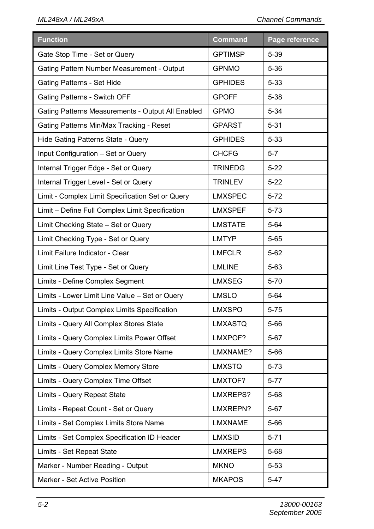| <b>Function</b>                                   | <b>Command</b> | Page reference |
|---------------------------------------------------|----------------|----------------|
| Gate Stop Time - Set or Query                     | <b>GPTIMSP</b> | $5 - 39$       |
| Gating Pattern Number Measurement - Output        | <b>GPNMO</b>   | $5 - 36$       |
| Gating Patterns - Set Hide                        | <b>GPHIDES</b> | $5 - 33$       |
| Gating Patterns - Switch OFF                      | <b>GPOFF</b>   | $5 - 38$       |
| Gating Patterns Measurements - Output All Enabled | <b>GPMO</b>    | $5 - 34$       |
| Gating Patterns Min/Max Tracking - Reset          | <b>GPARST</b>  | $5 - 31$       |
| Hide Gating Patterns State - Query                | <b>GPHIDES</b> | $5 - 33$       |
| Input Configuration - Set or Query                | <b>CHCFG</b>   | $5 - 7$        |
| Internal Trigger Edge - Set or Query              | <b>TRINEDG</b> | $5 - 22$       |
| Internal Trigger Level - Set or Query             | <b>TRINLEV</b> | $5-22$         |
| Limit - Complex Limit Specification Set or Query  | LMXSPEC        | $5 - 72$       |
| Limit - Define Full Complex Limit Specification   | LMXSPEF        | $5 - 73$       |
| Limit Checking State - Set or Query               | <b>LMSTATE</b> | $5 - 64$       |
| Limit Checking Type - Set or Query                | <b>LMTYP</b>   | $5 - 65$       |
| Limit Failure Indicator - Clear                   | LMFCLR         | $5 - 62$       |
| Limit Line Test Type - Set or Query               | <b>LMLINE</b>  | $5 - 63$       |
| Limits - Define Complex Segment                   | <b>LMXSEG</b>  | $5 - 70$       |
| Limits - Lower Limit Line Value - Set or Query    | <b>LMSLO</b>   | $5 - 64$       |
| Limits - Output Complex Limits Specification      | LMXSPO         | $5 - 75$       |
| Limits - Query All Complex Stores State           | LMXASTQ        | $5 - 66$       |
| Limits - Query Complex Limits Power Offset        | LMXPOF?        | $5 - 67$       |
| Limits - Query Complex Limits Store Name          | LMXNAME?       | $5 - 66$       |
| Limits - Query Complex Memory Store               | <b>LMXSTQ</b>  | $5 - 73$       |
| Limits - Query Complex Time Offset                | LMXTOF?        | $5 - 77$       |
| Limits - Query Repeat State                       | LMXREPS?       | $5 - 68$       |
| Limits - Repeat Count - Set or Query              | LMXREPN?       | $5 - 67$       |
| Limits - Set Complex Limits Store Name            | <b>LMXNAME</b> | $5 - 66$       |
| Limits - Set Complex Specification ID Header      | <b>LMXSID</b>  | $5 - 71$       |
| Limits - Set Repeat State                         | <b>LMXREPS</b> | $5 - 68$       |
| Marker - Number Reading - Output                  | <b>MKNO</b>    | $5 - 53$       |
| Marker - Set Active Position                      | <b>MKAPOS</b>  | $5 - 47$       |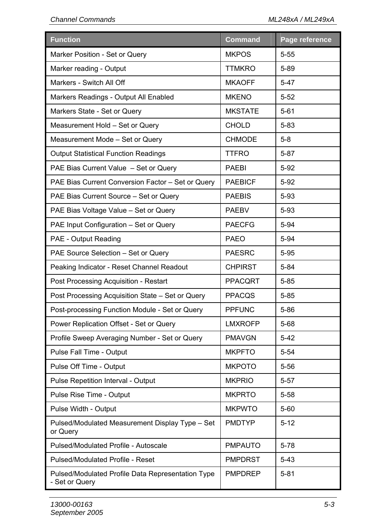| <b>Function</b>                                                     | <b>Command</b> | Page reference |
|---------------------------------------------------------------------|----------------|----------------|
| Marker Position - Set or Query                                      | <b>MKPOS</b>   | $5 - 55$       |
| Marker reading - Output                                             | <b>TTMKRO</b>  | 5-89           |
| Markers - Switch All Off                                            | <b>MKAOFF</b>  | $5 - 47$       |
| Markers Readings - Output All Enabled                               | <b>MKENO</b>   | $5 - 52$       |
| Markers State - Set or Query                                        | <b>MKSTATE</b> | $5 - 61$       |
| Measurement Hold - Set or Query                                     | <b>CHOLD</b>   | $5 - 83$       |
| Measurement Mode - Set or Query                                     | <b>CHMODE</b>  | $5 - 8$        |
| <b>Output Statistical Function Readings</b>                         | <b>TTFRO</b>   | $5 - 87$       |
| PAE Bias Current Value - Set or Query                               | <b>PAEBI</b>   | $5 - 92$       |
| PAE Bias Current Conversion Factor - Set or Query                   | <b>PAEBICF</b> | $5 - 92$       |
| PAE Bias Current Source - Set or Query                              | <b>PAEBIS</b>  | $5 - 93$       |
| PAE Bias Voltage Value - Set or Query                               | <b>PAEBV</b>   | $5 - 93$       |
| PAE Input Configuration - Set or Query                              | <b>PAECFG</b>  | $5 - 94$       |
| PAE - Output Reading                                                | <b>PAEO</b>    | $5 - 94$       |
| PAE Source Selection - Set or Query                                 | PAESRC         | $5 - 95$       |
| Peaking Indicator - Reset Channel Readout                           | <b>CHPIRST</b> | $5 - 84$       |
| Post Processing Acquisition - Restart                               | <b>PPACQRT</b> | $5 - 85$       |
| Post Processing Acquisition State – Set or Query                    | <b>PPACQS</b>  | $5 - 85$       |
| Post-processing Function Module - Set or Query                      | <b>PPFUNC</b>  | $5 - 86$       |
| Power Replication Offset - Set or Query                             | <b>LMXROFP</b> | $5 - 68$       |
| Profile Sweep Averaging Number - Set or Query                       | <b>PMAVGN</b>  | $5 - 42$       |
| Pulse Fall Time - Output                                            | <b>MKPFTO</b>  | $5 - 54$       |
| Pulse Off Time - Output                                             | <b>MKPOTO</b>  | $5 - 56$       |
| Pulse Repetition Interval - Output                                  | <b>MKPRIO</b>  | $5 - 57$       |
| Pulse Rise Time - Output                                            | <b>MKPRTO</b>  | $5 - 58$       |
| Pulse Width - Output                                                | <b>MKPWTO</b>  | $5 - 60$       |
| Pulsed/Modulated Measurement Display Type - Set<br>or Query         | <b>PMDTYP</b>  | $5 - 12$       |
| Pulsed/Modulated Profile - Autoscale                                | <b>PMPAUTO</b> | $5 - 78$       |
| Pulsed/Modulated Profile - Reset                                    | <b>PMPDRST</b> | $5-43$         |
| Pulsed/Modulated Profile Data Representation Type<br>- Set or Query | <b>PMPDREP</b> | $5 - 81$       |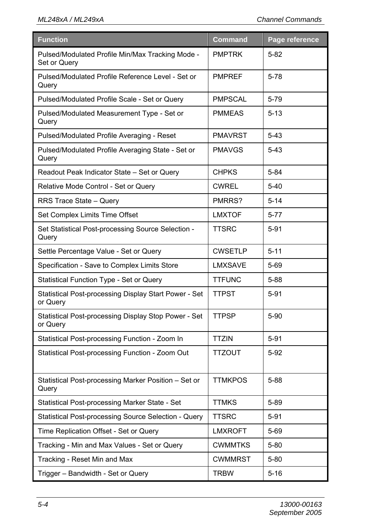| <b>Function</b>                                                   | <b>Command</b> | Page reference |
|-------------------------------------------------------------------|----------------|----------------|
| Pulsed/Modulated Profile Min/Max Tracking Mode -<br>Set or Query  | <b>PMPTRK</b>  | $5 - 82$       |
| Pulsed/Modulated Profile Reference Level - Set or<br>Query        | <b>PMPREF</b>  | $5 - 78$       |
| Pulsed/Modulated Profile Scale - Set or Query                     | <b>PMPSCAL</b> | 5-79           |
| Pulsed/Modulated Measurement Type - Set or<br>Query               | <b>PMMEAS</b>  | $5 - 13$       |
| Pulsed/Modulated Profile Averaging - Reset                        | <b>PMAVRST</b> | $5 - 43$       |
| Pulsed/Modulated Profile Averaging State - Set or<br>Query        | <b>PMAVGS</b>  | $5 - 43$       |
| Readout Peak Indicator State - Set or Query                       | <b>CHPKS</b>   | $5 - 84$       |
| Relative Mode Control - Set or Query                              | <b>CWREL</b>   | $5-40$         |
| RRS Trace State - Query                                           | PMRRS?         | $5 - 14$       |
| Set Complex Limits Time Offset                                    | <b>LMXTOF</b>  | $5 - 77$       |
| Set Statistical Post-processing Source Selection -<br>Query       | TTSRC          | $5 - 91$       |
| Settle Percentage Value - Set or Query                            | <b>CWSETLP</b> | $5 - 11$       |
| Specification - Save to Complex Limits Store                      | LMXSAVE        | 5-69           |
| Statistical Function Type - Set or Query                          | <b>TTFUNC</b>  | $5 - 88$       |
| Statistical Post-processing Display Start Power - Set<br>or Query | <b>TTPST</b>   | $5 - 91$       |
| Statistical Post-processing Display Stop Power - Set<br>or Query  | <b>TTPSP</b>   | $5 - 90$       |
| Statistical Post-processing Function - Zoom In                    | <b>TTZIN</b>   | $5 - 91$       |
| Statistical Post-processing Function - Zoom Out                   | <b>TTZOUT</b>  | $5 - 92$       |
| Statistical Post-processing Marker Position - Set or<br>Query     | <b>TTMKPOS</b> | $5 - 88$       |
| Statistical Post-processing Marker State - Set                    | <b>TTMKS</b>   | $5 - 89$       |
| Statistical Post-processing Source Selection - Query              | <b>TTSRC</b>   | 5-91           |
| Time Replication Offset - Set or Query                            | <b>LMXROFT</b> | $5 - 69$       |
| Tracking - Min and Max Values - Set or Query                      | <b>CWMMTKS</b> | $5 - 80$       |
| Tracking - Reset Min and Max                                      | <b>CWMMRST</b> | $5 - 80$       |
| Trigger - Bandwidth - Set or Query                                | <b>TRBW</b>    | $5 - 16$       |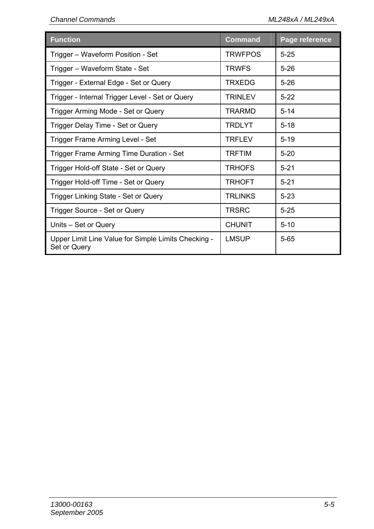| <b>Function</b>                                                     | <b>Command</b> | Page reference |
|---------------------------------------------------------------------|----------------|----------------|
| Trigger - Waveform Position - Set                                   | <b>TRWFPOS</b> | $5 - 25$       |
| Trigger – Waveform State - Set                                      | <b>TRWFS</b>   | $5 - 26$       |
| Trigger - External Edge - Set or Query                              | <b>TRXEDG</b>  | $5 - 26$       |
| Trigger - Internal Trigger Level - Set or Query                     | <b>TRINLEV</b> | $5 - 22$       |
| Trigger Arming Mode - Set or Query                                  | <b>TRARMD</b>  | $5 - 14$       |
| Trigger Delay Time - Set or Query                                   | <b>TRDLYT</b>  | $5 - 18$       |
| Trigger Frame Arming Level - Set                                    | <b>TRFLEV</b>  | $5 - 19$       |
| Trigger Frame Arming Time Duration - Set                            | <b>TRFTIM</b>  | $5 - 20$       |
| Trigger Hold-off State - Set or Query                               | <b>TRHOFS</b>  | $5 - 21$       |
| Trigger Hold-off Time - Set or Query                                | <b>TRHOFT</b>  | $5 - 21$       |
| Trigger Linking State - Set or Query                                | <b>TRLINKS</b> | $5 - 23$       |
| Trigger Source - Set or Query                                       | <b>TRSRC</b>   | $5 - 25$       |
| Units – Set or Query                                                | <b>CHUNIT</b>  | $5 - 10$       |
| Upper Limit Line Value for Simple Limits Checking -<br>Set or Query | LMSUP          | $5 - 65$       |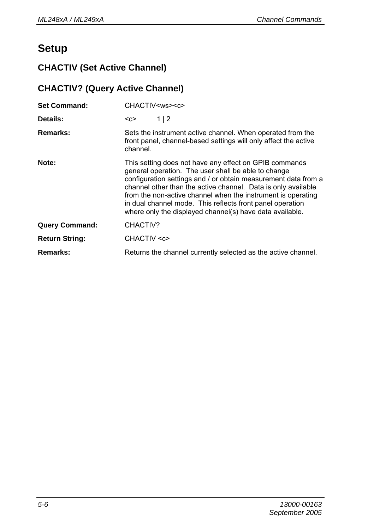# **Setup**

# **CHACTIV (Set Active Channel)**

# **CHACTIV? (Query Active Channel)**

| <b>Set Command:</b>   | CHACTIV <ws><c></c></ws>                                                                                                                                                                                                                                                                                                                                                                                                                  |  |  |
|-----------------------|-------------------------------------------------------------------------------------------------------------------------------------------------------------------------------------------------------------------------------------------------------------------------------------------------------------------------------------------------------------------------------------------------------------------------------------------|--|--|
| Details:              | 1 2<br><c></c>                                                                                                                                                                                                                                                                                                                                                                                                                            |  |  |
| Remarks:              | Sets the instrument active channel. When operated from the<br>front panel, channel-based settings will only affect the active<br>channel.                                                                                                                                                                                                                                                                                                 |  |  |
| Note:                 | This setting does not have any effect on GPIB commands<br>general operation. The user shall be able to change<br>configuration settings and / or obtain measurement data from a<br>channel other than the active channel. Data is only available<br>from the non-active channel when the instrument is operating<br>in dual channel mode. This reflects front panel operation<br>where only the displayed channel(s) have data available. |  |  |
| <b>Query Command:</b> | CHACTIV?                                                                                                                                                                                                                                                                                                                                                                                                                                  |  |  |
| <b>Return String:</b> | CHACTIV <c></c>                                                                                                                                                                                                                                                                                                                                                                                                                           |  |  |
| Remarks:              | Returns the channel currently selected as the active channel.                                                                                                                                                                                                                                                                                                                                                                             |  |  |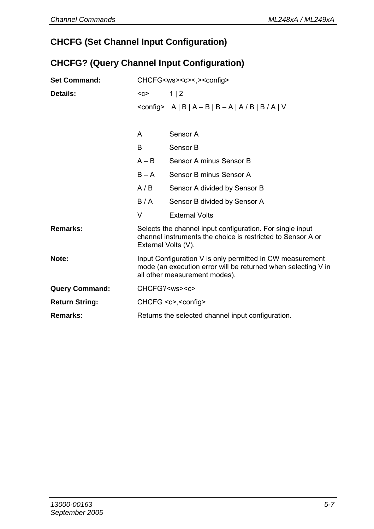# **CHCFG (Set Channel Input Configuration)**

#### **CHCFG? (Query Channel Input Configuration)**

| <b>Set Command:</b>   | CHCFG <ws><c>&lt;.&gt;<config></config></c></ws>  |                                                                                                                                                             |  |
|-----------------------|---------------------------------------------------|-------------------------------------------------------------------------------------------------------------------------------------------------------------|--|
| Details:              | $C$                                               | 1 2                                                                                                                                                         |  |
|                       |                                                   | $\leq$ config> A   B   A - B   B - A   A / B   B / A   V                                                                                                    |  |
|                       |                                                   |                                                                                                                                                             |  |
|                       | A                                                 | Sensor A                                                                                                                                                    |  |
|                       | B                                                 | Sensor B                                                                                                                                                    |  |
|                       | $A - B$                                           | Sensor A minus Sensor B                                                                                                                                     |  |
|                       | $B - A$                                           | Sensor B minus Sensor A                                                                                                                                     |  |
|                       | A/B                                               | Sensor A divided by Sensor B                                                                                                                                |  |
|                       | B/A                                               | Sensor B divided by Sensor A                                                                                                                                |  |
|                       | V                                                 | <b>External Volts</b>                                                                                                                                       |  |
| Remarks:              | External Volts (V).                               | Selects the channel input configuration. For single input<br>channel instruments the choice is restricted to Sensor A or                                    |  |
| Note:                 |                                                   | Input Configuration V is only permitted in CW measurement<br>mode (an execution error will be returned when selecting V in<br>all other measurement modes). |  |
| <b>Query Command:</b> | CHCFG? <ws><c></c></ws>                           |                                                                                                                                                             |  |
| <b>Return String:</b> | CHCFG <c>,<config></config></c>                   |                                                                                                                                                             |  |
| Remarks:              | Returns the selected channel input configuration. |                                                                                                                                                             |  |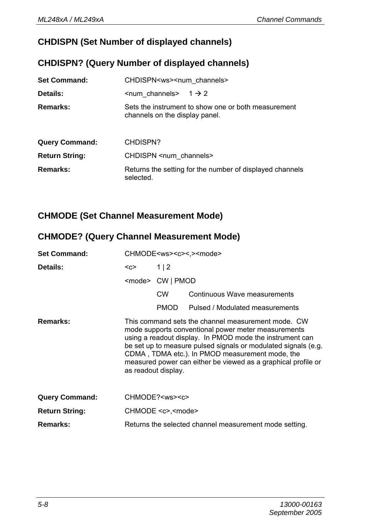### **CHDISPN (Set Number of displayed channels)**

#### **CHDISPN? (Query Number of displayed channels)**

| <b>Set Command:</b>   | CHDISPN <ws><num channels=""></num></ws>                                              |  |  |  |
|-----------------------|---------------------------------------------------------------------------------------|--|--|--|
| Details:              | $\le$ num channels> 1 $\rightarrow$ 2                                                 |  |  |  |
| Remarks:              | Sets the instrument to show one or both measurement<br>channels on the display panel. |  |  |  |
| <b>Query Command:</b> | CHDISPN?                                                                              |  |  |  |
| <b>Return String:</b> | CHDISPN <num channels=""></num>                                                       |  |  |  |
| Remarks:              | Returns the setting for the number of displayed channels<br>selected.                 |  |  |  |

#### **CHMODE (Set Channel Measurement Mode)**

#### **CHMODE? (Query Channel Measurement Mode)**

| <b>Set Command:</b>   | CHMODE <ws><c>&lt;.&gt;<mode></mode></c></ws> |                              |                                                                                                                                                                                                                                                                                                                                                             |
|-----------------------|-----------------------------------------------|------------------------------|-------------------------------------------------------------------------------------------------------------------------------------------------------------------------------------------------------------------------------------------------------------------------------------------------------------------------------------------------------------|
| Details:              | $<$ C $>$                                     | 1 2                          |                                                                                                                                                                                                                                                                                                                                                             |
|                       |                                               | <mode> CW   PMOD</mode>      |                                                                                                                                                                                                                                                                                                                                                             |
|                       |                                               | <b>CW</b>                    | Continuous Wave measurements                                                                                                                                                                                                                                                                                                                                |
|                       |                                               | <b>PMOD</b>                  | Pulsed / Modulated measurements                                                                                                                                                                                                                                                                                                                             |
| Remarks:              | as readout display.                           |                              | This command sets the channel measurement mode. CW<br>mode supports conventional power meter measurements<br>using a readout display. In PMOD mode the instrument can<br>be set up to measure pulsed signals or modulated signals (e.g.<br>CDMA, TDMA etc.). In PMOD measurement mode, the<br>measured power can either be viewed as a graphical profile or |
| <b>Query Command:</b> |                                               | CHMODE? <ws><c></c></ws>     |                                                                                                                                                                                                                                                                                                                                                             |
| <b>Return String:</b> |                                               | CHMODE <c>,<mode></mode></c> |                                                                                                                                                                                                                                                                                                                                                             |
| Remarks:              |                                               |                              | Returns the selected channel measurement mode setting.                                                                                                                                                                                                                                                                                                      |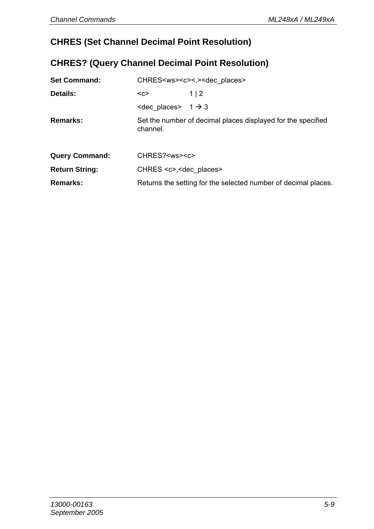# **CHRES (Set Channel Decimal Point Resolution)**

#### **CHRES? (Query Channel Decimal Point Resolution)**

| <b>Set Command:</b>   | CHRES <ws><c>&lt;.&gt;<dec places=""></dec></c></ws>           |                                                              |  |
|-----------------------|----------------------------------------------------------------|--------------------------------------------------------------|--|
| Details:              | <c></c>                                                        | 1   2                                                        |  |
|                       | $\leq$ dec places > 1 $\rightarrow$ 3                          |                                                              |  |
| Remarks:              | channel.                                                       | Set the number of decimal places displayed for the specified |  |
| <b>Query Command:</b> | CHRES? <ws><c></c></ws>                                        |                                                              |  |
| <b>Return String:</b> | CHRES <c>, <dec places=""></dec></c>                           |                                                              |  |
| Remarks:              | Returns the setting for the selected number of decimal places. |                                                              |  |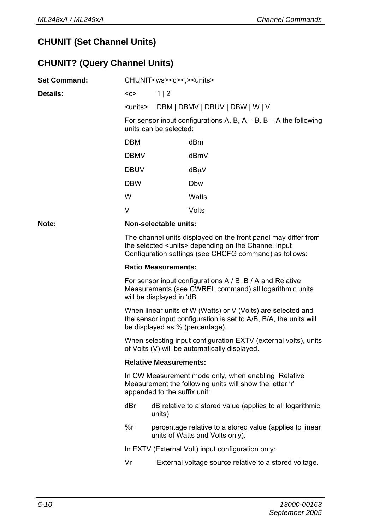### **CHUNIT (Set Channel Units)**

# **CHUNIT? (Query Channel Units)**

| <b>Set Command:</b> | CHUNIT <ws><c>&lt;.&gt;<units></units></c></ws>                                                                                                                                          |                                                                                                                  |                                                                                             |  |
|---------------------|------------------------------------------------------------------------------------------------------------------------------------------------------------------------------------------|------------------------------------------------------------------------------------------------------------------|---------------------------------------------------------------------------------------------|--|
| Details:            | $C$                                                                                                                                                                                      | 1 2                                                                                                              |                                                                                             |  |
|                     | <units></units>                                                                                                                                                                          |                                                                                                                  | DBM   DBMV   DBUV   DBW   W   V                                                             |  |
|                     |                                                                                                                                                                                          | units can be selected:                                                                                           | For sensor input configurations A, B, $A - B$ , B - A the following                         |  |
|                     | <b>DBM</b>                                                                                                                                                                               |                                                                                                                  | dBm                                                                                         |  |
|                     | DBMV                                                                                                                                                                                     |                                                                                                                  | dBmV                                                                                        |  |
|                     | <b>DBUV</b>                                                                                                                                                                              |                                                                                                                  | dBµV                                                                                        |  |
|                     | <b>DBW</b>                                                                                                                                                                               |                                                                                                                  | Dbw                                                                                         |  |
|                     | W                                                                                                                                                                                        |                                                                                                                  | Watts                                                                                       |  |
|                     | V                                                                                                                                                                                        |                                                                                                                  | Volts                                                                                       |  |
| Note:               |                                                                                                                                                                                          | Non-selectable units:                                                                                            |                                                                                             |  |
|                     | The channel units displayed on the front panel may differ from<br>the selected <units> depending on the Channel Input<br/>Configuration settings (see CHCFG command) as follows:</units> |                                                                                                                  |                                                                                             |  |
|                     | <b>Ratio Measurements:</b>                                                                                                                                                               |                                                                                                                  |                                                                                             |  |
|                     | For sensor input configurations A / B, B / A and Relative<br>Measurements (see CWREL command) all logarithmic units<br>will be displayed in 'dB                                          |                                                                                                                  |                                                                                             |  |
|                     | When linear units of W (Watts) or V (Volts) are selected and<br>the sensor input configuration is set to A/B, B/A, the units will<br>be displayed as % (percentage).                     |                                                                                                                  |                                                                                             |  |
|                     |                                                                                                                                                                                          | When selecting input configuration EXTV (external volts), units<br>of Volts (V) will be automatically displayed. |                                                                                             |  |
|                     | <b>Relative Measurements:</b>                                                                                                                                                            |                                                                                                                  |                                                                                             |  |
|                     | In CW Measurement mode only, when enabling Relative<br>Measurement the following units will show the letter 'r'<br>appended to the suffix unit:                                          |                                                                                                                  |                                                                                             |  |
|                     | dBr                                                                                                                                                                                      | dB relative to a stored value (applies to all logarithmic<br>units)                                              |                                                                                             |  |
|                     | $\%r$                                                                                                                                                                                    |                                                                                                                  | percentage relative to a stored value (applies to linear<br>units of Watts and Volts only). |  |
|                     |                                                                                                                                                                                          |                                                                                                                  | In EXTV (External Volt) input configuration only:                                           |  |
|                     | Vr                                                                                                                                                                                       |                                                                                                                  | External voltage source relative to a stored voltage.                                       |  |
|                     |                                                                                                                                                                                          |                                                                                                                  |                                                                                             |  |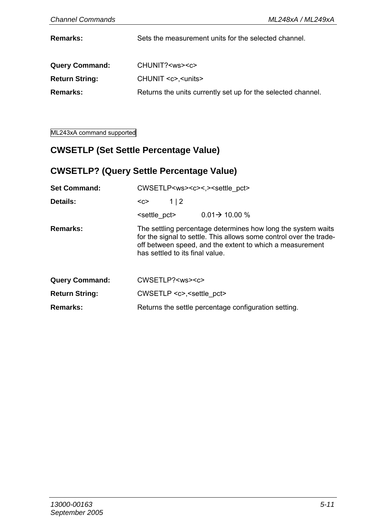**Remarks:** Sets the measurement units for the selected channel.

| <b>Query Command:</b> | CHUNIT? <ws><c></c></ws>                                     |
|-----------------------|--------------------------------------------------------------|
| <b>Return String:</b> | CHUNIT <c>.<units></units></c>                               |
| <b>Remarks:</b>       | Returns the units currently set up for the selected channel. |

ML243xA command supported

#### **CWSETLP (Set Settle Percentage Value)**

## **CWSETLP? (Query Settle Percentage Value)**

| <b>Set Command:</b>   | CWSETLP <ws><c>&lt;.&gt;<settle_pct></settle_pct></c></ws> |                                 |                                                                                                                                                                                                |
|-----------------------|------------------------------------------------------------|---------------------------------|------------------------------------------------------------------------------------------------------------------------------------------------------------------------------------------------|
| Details:              | $C$                                                        | 1 2                             |                                                                                                                                                                                                |
|                       | <settle pct=""></settle>                                   |                                 | $0.01 \rightarrow 10.00 \%$                                                                                                                                                                    |
| Remarks:              |                                                            | has settled to its final value. | The settling percentage determines how long the system waits<br>for the signal to settle. This allows some control over the trade-<br>off between speed, and the extent to which a measurement |
| <b>Query Command:</b> |                                                            | CWSETLP? <ws><c></c></ws>       |                                                                                                                                                                                                |
| <b>Return String:</b> |                                                            | $CWSETLP \lll$ , settle pct>    |                                                                                                                                                                                                |
| Remarks:              | Returns the settle percentage configuration setting.       |                                 |                                                                                                                                                                                                |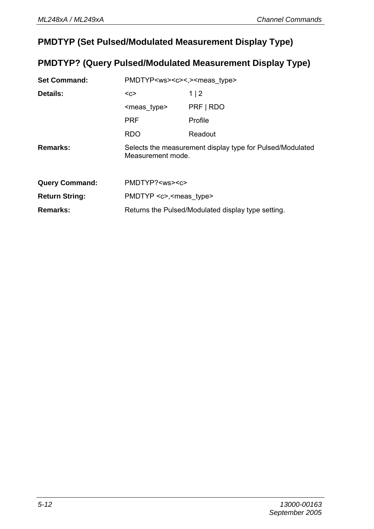#### **PMDTYP (Set Pulsed/Modulated Measurement Display Type)**

#### **PMDTYP? (Query Pulsed/Modulated Measurement Display Type)**

| <b>Set Command:</b>   | PMDTYP <ws><c>&lt;.&gt;<meas type=""></meas></c></ws> |                                                           |  |
|-----------------------|-------------------------------------------------------|-----------------------------------------------------------|--|
| Details:              | $C$                                                   | 1 2                                                       |  |
|                       | <meas type=""></meas>                                 | PRF   RDO                                                 |  |
|                       | <b>PRF</b>                                            | Profile                                                   |  |
|                       | <b>RDO</b>                                            | Readout                                                   |  |
| Remarks:              | Measurement mode.                                     | Selects the measurement display type for Pulsed/Modulated |  |
| <b>Query Command:</b> | PMDTYP? <ws><c></c></ws>                              |                                                           |  |
| <b>Return String:</b> | PMDTYP <c>,<meas type=""></meas></c>                  |                                                           |  |
| Remarks:              | Returns the Pulsed/Modulated display type setting.    |                                                           |  |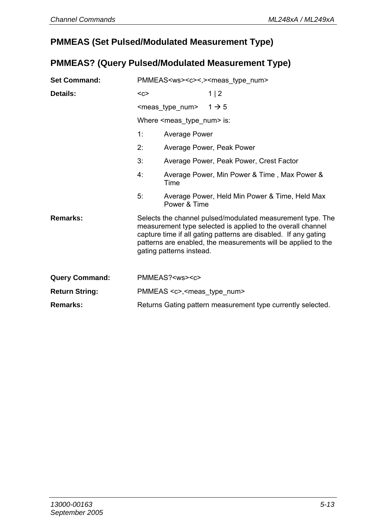#### **PMMEAS (Set Pulsed/Modulated Measurement Type)**

#### **PMMEAS? (Query Pulsed/Modulated Measurement Type)**

| <b>Set Command:</b>   | PMMEAS <ws><c>&lt;,&gt;<meas num="" type=""></meas></c></ws> |                                             |                                                                                                                                                                                                                                                               |
|-----------------------|--------------------------------------------------------------|---------------------------------------------|---------------------------------------------------------------------------------------------------------------------------------------------------------------------------------------------------------------------------------------------------------------|
| Details:              | $C$                                                          |                                             | 1 2                                                                                                                                                                                                                                                           |
|                       |                                                              | $\epsilon$ meas_type_num> $1 \rightarrow 5$ |                                                                                                                                                                                                                                                               |
|                       |                                                              | Where $\leq$ meas type num $\geq$ is:       |                                                                                                                                                                                                                                                               |
|                       | 1:                                                           | Average Power                               |                                                                                                                                                                                                                                                               |
|                       | 2:                                                           |                                             | Average Power, Peak Power                                                                                                                                                                                                                                     |
|                       | 3:                                                           |                                             | Average Power, Peak Power, Crest Factor                                                                                                                                                                                                                       |
|                       | 4:                                                           | <b>Time</b>                                 | Average Power, Min Power & Time, Max Power &                                                                                                                                                                                                                  |
|                       | 5.                                                           | Power & Time                                | Average Power, Held Min Power & Time, Held Max                                                                                                                                                                                                                |
| Remarks:              |                                                              | gating patterns instead.                    | Selects the channel pulsed/modulated measurement type. The<br>measurement type selected is applied to the overall channel<br>capture time if all gating patterns are disabled. If any gating<br>patterns are enabled, the measurements will be applied to the |
| <b>Query Command:</b> |                                                              | PMMEAS? <ws><c></c></ws>                    |                                                                                                                                                                                                                                                               |
| <b>Return String:</b> | PMMEAS <c>,<meas num="" type=""></meas></c>                  |                                             |                                                                                                                                                                                                                                                               |
| Remarks:              | Returns Gating pattern measurement type currently selected.  |                                             |                                                                                                                                                                                                                                                               |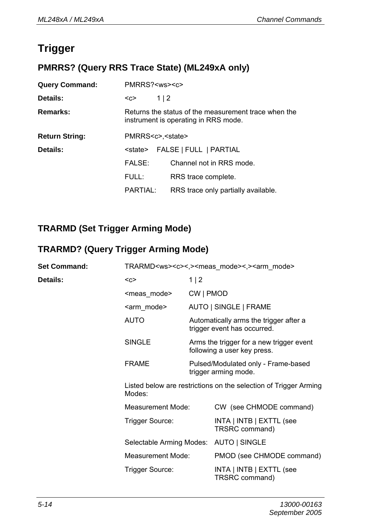# **Trigger**

# **PMRRS? (Query RRS Trace State) (ML249xA only)**

| <b>Query Command:</b> | PMRRS? <ws><c></c></ws>                                                                      |            |                                     |
|-----------------------|----------------------------------------------------------------------------------------------|------------|-------------------------------------|
| Details:              | $C$                                                                                          | $1 \mid 2$ |                                     |
| Remarks:              | Returns the status of the measurement trace when the<br>instrument is operating in RRS mode. |            |                                     |
| <b>Return String:</b> | PMRRS <c>,<state></state></c>                                                                |            |                                     |
| Details:              | FALSE   FULL   PARTIAL<br><state></state>                                                    |            |                                     |
|                       | FALSE:                                                                                       |            | Channel not in RRS mode.            |
|                       | FULL:                                                                                        |            | RRS trace complete.                 |
|                       | PARTIAL:                                                                                     |            | RRS trace only partially available. |

#### **TRARMD (Set Trigger Arming Mode)**

# **TRARMD? (Query Trigger Arming Mode)**

| <b>Set Command:</b> | TRARMD <ws><c>&lt;,&gt;<meas mode="">&lt;,&gt;<arm mode=""></arm></meas></c></ws> |                                                                       |                                                                         |
|---------------------|-----------------------------------------------------------------------------------|-----------------------------------------------------------------------|-------------------------------------------------------------------------|
| Details:            | $C$                                                                               | 1   2                                                                 |                                                                         |
|                     | <meas mode=""></meas>                                                             | CW   PMOD                                                             |                                                                         |
|                     | <arm mode=""></arm>                                                               |                                                                       | AUTO   SINGLE   FRAME                                                   |
|                     | <b>AUTO</b>                                                                       | Automatically arms the trigger after a<br>trigger event has occurred. |                                                                         |
|                     | <b>SINGLE</b>                                                                     |                                                                       | Arms the trigger for a new trigger event<br>following a user key press. |
|                     | <b>FRAME</b>                                                                      | Pulsed/Modulated only - Frame-based<br>trigger arming mode.           |                                                                         |
|                     | Modes:                                                                            |                                                                       | Listed below are restrictions on the selection of Trigger Arming        |
|                     | Measurement Mode:                                                                 |                                                                       | CW (see CHMODE command)                                                 |
|                     | Trigger Source:                                                                   |                                                                       | INTA   INTB   EXTTL (see<br>TRSRC command)                              |
|                     | Selectable Arming Modes:                                                          |                                                                       | AUTO   SINGLE                                                           |
|                     | Measurement Mode:                                                                 |                                                                       | PMOD (see CHMODE command)                                               |
|                     | Trigger Source:                                                                   |                                                                       | INTA   INTB   EXTTL (see<br>TRSRC command)                              |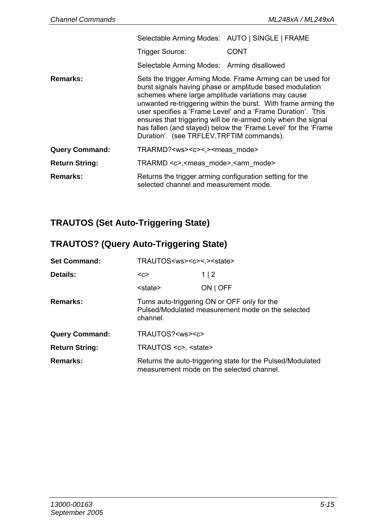|                       | Selectable Arming Modes: AUTO   SINGLE   FRAME                                                     |                                                                                                                                                                                                                                                                                                                                                                                            |
|-----------------------|----------------------------------------------------------------------------------------------------|--------------------------------------------------------------------------------------------------------------------------------------------------------------------------------------------------------------------------------------------------------------------------------------------------------------------------------------------------------------------------------------------|
|                       | Trigger Source:                                                                                    | CONT                                                                                                                                                                                                                                                                                                                                                                                       |
|                       | Selectable Arming Modes: Arming disallowed                                                         |                                                                                                                                                                                                                                                                                                                                                                                            |
| Remarks:              | schemes where large amplitude variations may cause<br>Duration'. (see TRFLEV, TRFTIM commands).    | Sets the trigger Arming Mode. Frame Arming can be used for<br>burst signals having phase or amplitude based modulation<br>unwanted re-triggering within the burst. With frame arming the<br>user specifies a 'Frame Level' and a 'Frame Duration'. This<br>ensures that triggering will be re-armed only when the signal<br>has fallen (and stayed) below the 'Frame Level' for the 'Frame |
| <b>Query Command:</b> | TRARMD? <ws><c>&lt;.&gt;<meas mode=""></meas></c></ws>                                             |                                                                                                                                                                                                                                                                                                                                                                                            |
| <b>Return String:</b> | TRARMD <c>,<meas mode="">,<arm mode=""></arm></meas></c>                                           |                                                                                                                                                                                                                                                                                                                                                                                            |
| Remarks:              | Returns the trigger arming configuration setting for the<br>selected channel and measurement mode. |                                                                                                                                                                                                                                                                                                                                                                                            |

# **TRAUTOS (Set Auto-Triggering State)**

# **TRAUTOS? (Query Auto-Triggering State)**

| <b>Set Command:</b>   | TRAUTOS <ws><c>&lt;.&gt;<state></state></c></ws>                                                              |                                                                                                         |  |
|-----------------------|---------------------------------------------------------------------------------------------------------------|---------------------------------------------------------------------------------------------------------|--|
| Details:              | $C$                                                                                                           | 1 2                                                                                                     |  |
|                       | <state></state>                                                                                               | ON   OFF                                                                                                |  |
| Remarks:              | Turns auto-triggering ON or OFF only for the<br>Pulsed/Modulated measurement mode on the selected<br>channel. |                                                                                                         |  |
| <b>Query Command:</b> | TRAUTOS? <ws><c></c></ws>                                                                                     |                                                                                                         |  |
| <b>Return String:</b> | TRAUTOS <c>. <state></state></c>                                                                              |                                                                                                         |  |
| Remarks:              |                                                                                                               | Returns the auto-triggering state for the Pulsed/Modulated<br>measurement mode on the selected channel. |  |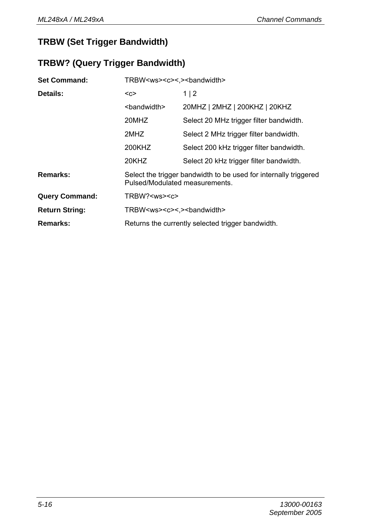## **TRBW (Set Trigger Bandwidth)**

## **TRBW? (Query Trigger Bandwidth)**

| <b>Set Command:</b>   | TRBW <ws><c>&lt;.&gt;<br/>bandwidth&gt;</c></ws>                                                   |                                          |  |
|-----------------------|----------------------------------------------------------------------------------------------------|------------------------------------------|--|
| Details:              | $C$                                                                                                | 1 2                                      |  |
|                       | <bandwidth></bandwidth>                                                                            | 20MHZ   2MHZ   200KHZ   20KHZ            |  |
|                       | 20MHZ                                                                                              | Select 20 MHz trigger filter bandwidth.  |  |
|                       | 2MHZ                                                                                               | Select 2 MHz trigger filter bandwidth.   |  |
|                       | 200KHZ                                                                                             | Select 200 kHz trigger filter bandwidth. |  |
|                       | 20KHZ                                                                                              | Select 20 kHz trigger filter bandwidth.  |  |
| Remarks:              | Select the trigger bandwidth to be used for internally triggered<br>Pulsed/Modulated measurements. |                                          |  |
| <b>Query Command:</b> | TRBW? <ws><c></c></ws>                                                                             |                                          |  |
| <b>Return String:</b> | TRBW <ws><c>&lt;.&gt;<br/>bandwidth&gt;</c></ws>                                                   |                                          |  |
| Remarks:              | Returns the currently selected trigger bandwidth.                                                  |                                          |  |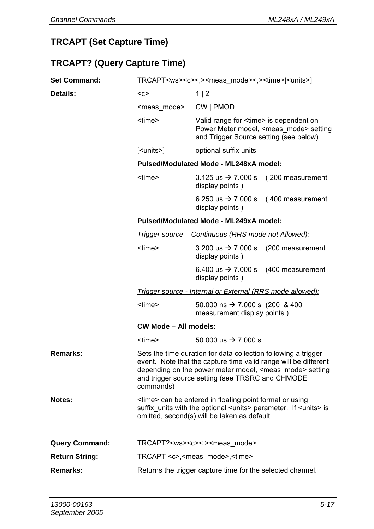# **TRCAPT (Set Capture Time)**

## **TRCAPT? (Query Capture Time)**

| <b>Set Command:</b> | TRCAPT <ws><c>&lt;,&gt;<meas mode="">&lt;,&gt;<time>[<units>]</units></time></meas></c></ws>                                                                                                                                                                                |                                                                                                                                                |  |  |
|---------------------|-----------------------------------------------------------------------------------------------------------------------------------------------------------------------------------------------------------------------------------------------------------------------------|------------------------------------------------------------------------------------------------------------------------------------------------|--|--|
| Details:            | $C$                                                                                                                                                                                                                                                                         | 1 2                                                                                                                                            |  |  |
|                     | <meas mode=""></meas>                                                                                                                                                                                                                                                       | CW   PMOD                                                                                                                                      |  |  |
|                     | <time></time>                                                                                                                                                                                                                                                               | Valid range for <time> is dependent on<br/>Power Meter model, <meas mode=""> setting<br/>and Trigger Source setting (see below).</meas></time> |  |  |
|                     | [ <units>]</units>                                                                                                                                                                                                                                                          | optional suffix units                                                                                                                          |  |  |
|                     |                                                                                                                                                                                                                                                                             | Pulsed/Modulated Mode - ML248xA model:                                                                                                         |  |  |
|                     | <time></time>                                                                                                                                                                                                                                                               | 3.125 us $\rightarrow$ 7.000 s<br>(200 measurement<br>display points)                                                                          |  |  |
|                     |                                                                                                                                                                                                                                                                             | 6.250 us $\rightarrow$ 7.000 s<br>(400 measurement<br>display points)                                                                          |  |  |
|                     |                                                                                                                                                                                                                                                                             | Pulsed/Modulated Mode - ML249xA model:                                                                                                         |  |  |
|                     |                                                                                                                                                                                                                                                                             | Trigger source – Continuous (RRS mode not Allowed):                                                                                            |  |  |
|                     | <time></time>                                                                                                                                                                                                                                                               | 3.200 us $\rightarrow$ 7.000 s<br>(200 measurement<br>display points)                                                                          |  |  |
|                     |                                                                                                                                                                                                                                                                             | 6.400 us $\to$ 7.000 s<br>(400 measurement<br>display points)                                                                                  |  |  |
|                     | Trigger source - Internal or External (RRS mode allowed):                                                                                                                                                                                                                   |                                                                                                                                                |  |  |
|                     | <time></time>                                                                                                                                                                                                                                                               | 50.000 ns $\rightarrow$ 7.000 s (200 & 400<br>measurement display points)                                                                      |  |  |
|                     | CW Mode - All models:                                                                                                                                                                                                                                                       |                                                                                                                                                |  |  |
|                     | <time></time>                                                                                                                                                                                                                                                               | 50,000 us $\rightarrow$ 7,000 s                                                                                                                |  |  |
| Remarks:            | Sets the time duration for data collection following a trigger<br>event. Note that the capture time valid range will be different<br>depending on the power meter model, <meas_mode> setting<br/>and trigger source setting (see TRSRC and CHMODE<br/>commands)</meas_mode> |                                                                                                                                                |  |  |
| Notes:              | <time> can be entered in floating point format or using<br/>suffix_units with the optional <units> parameter. If <units> is<br/>omitted, second(s) will be taken as default.</units></units></time>                                                                         |                                                                                                                                                |  |  |
| Query Command:      | TRCAPT? <ws><c>&lt;,&gt;<meas mode=""></meas></c></ws>                                                                                                                                                                                                                      |                                                                                                                                                |  |  |
| Return String:      |                                                                                                                                                                                                                                                                             | TRCAPT <c>,<meas mode="">,<time></time></meas></c>                                                                                             |  |  |
| Remarks:            | Returns the trigger capture time for the selected channel.                                                                                                                                                                                                                  |                                                                                                                                                |  |  |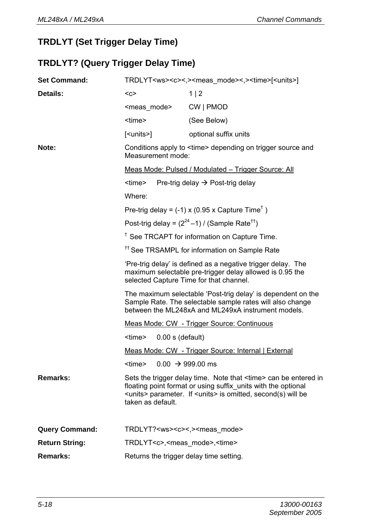# **TRDLYT (Set Trigger Delay Time)**

## **TRDLYT? (Query Trigger Delay Time)**

| <b>Set Command:</b>   | TRDLYT <ws><c>&lt;.&gt;<meas mode="">&lt;.&gt;<time>[<units>]</units></time></meas></c></ws>                                                                                                                                  |                                                                                                                                                                                                                          |
|-----------------------|-------------------------------------------------------------------------------------------------------------------------------------------------------------------------------------------------------------------------------|--------------------------------------------------------------------------------------------------------------------------------------------------------------------------------------------------------------------------|
| Details:              | $C$                                                                                                                                                                                                                           | 1 2                                                                                                                                                                                                                      |
|                       | <meas mode=""></meas>                                                                                                                                                                                                         | CW   PMOD                                                                                                                                                                                                                |
|                       | <time></time>                                                                                                                                                                                                                 | (See Below)                                                                                                                                                                                                              |
|                       | [ <units>]</units>                                                                                                                                                                                                            | optional suffix units                                                                                                                                                                                                    |
| Note:                 | Measurement mode:                                                                                                                                                                                                             | Conditions apply to <time> depending on trigger source and</time>                                                                                                                                                        |
|                       | Meas Mode: Pulsed / Modulated - Trigger Source: All                                                                                                                                                                           |                                                                                                                                                                                                                          |
|                       | <time><br/>Pre-trig delay <math>\rightarrow</math> Post-trig delay</time>                                                                                                                                                     |                                                                                                                                                                                                                          |
|                       | Where:                                                                                                                                                                                                                        |                                                                                                                                                                                                                          |
|                       |                                                                                                                                                                                                                               | Pre-trig delay = $(-1)$ x (0.95 x Capture Time <sup>†</sup> )                                                                                                                                                            |
|                       |                                                                                                                                                                                                                               | Post-trig delay = $(2^{24}-1)$ / (Sample Rate <sup>††</sup> )                                                                                                                                                            |
|                       | <sup>†</sup> See TRCAPT for information on Capture Time.                                                                                                                                                                      |                                                                                                                                                                                                                          |
|                       |                                                                                                                                                                                                                               | <sup>11</sup> See TRSAMPL for information on Sample Rate                                                                                                                                                                 |
|                       |                                                                                                                                                                                                                               | 'Pre-trig delay' is defined as a negative trigger delay. The<br>maximum selectable pre-trigger delay allowed is 0.95 the<br>selected Capture Time for that channel.                                                      |
|                       | The maximum selectable 'Post-trig delay' is dependent on the<br>Sample Rate. The selectable sample rates will also change<br>between the ML248xA and ML249xA instrument models.<br>Meas Mode: CW - Trigger Source: Continuous |                                                                                                                                                                                                                          |
|                       |                                                                                                                                                                                                                               |                                                                                                                                                                                                                          |
|                       | <time><br/><math>0.00</math> s (default)</time>                                                                                                                                                                               |                                                                                                                                                                                                                          |
|                       |                                                                                                                                                                                                                               | Meas Mode: CW - Trigger Source: Internal   External                                                                                                                                                                      |
|                       | <time><br/><math>0.00 \rightarrow 999.00 \text{ ms}</math></time>                                                                                                                                                             |                                                                                                                                                                                                                          |
| Remarks:              | taken as default.                                                                                                                                                                                                             | Sets the trigger delay time. Note that <time> can be entered in<br/>floating point format or using suffix units with the optional<br/><units> parameter. If <units> is omitted, second(s) will be</units></units></time> |
| <b>Query Command:</b> | TRDLYT? <ws><c>&lt;.&gt;<meas mode=""></meas></c></ws>                                                                                                                                                                        |                                                                                                                                                                                                                          |
| <b>Return String:</b> | TRDLYT <c>,<meas mode="">,<time></time></meas></c>                                                                                                                                                                            |                                                                                                                                                                                                                          |
| Remarks:              | Returns the trigger delay time setting.                                                                                                                                                                                       |                                                                                                                                                                                                                          |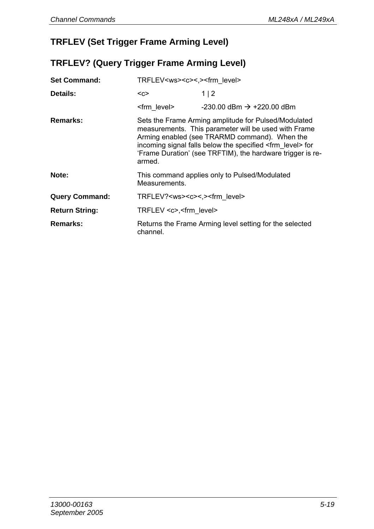# **TRFLEV (Set Trigger Frame Arming Level)**

## **TRFLEV? (Query Trigger Frame Arming Level)**

| <b>Set Command:</b>   | TRFLEV <ws><c>&lt;.&gt;<frm level=""></frm></c></ws>                                                                                                                                                                                                                                                          |                                         |
|-----------------------|---------------------------------------------------------------------------------------------------------------------------------------------------------------------------------------------------------------------------------------------------------------------------------------------------------------|-----------------------------------------|
| Details:              | $C$                                                                                                                                                                                                                                                                                                           | 1 2                                     |
|                       | <frm level=""></frm>                                                                                                                                                                                                                                                                                          | $-230.00$ dBm $\rightarrow +220.00$ dBm |
| Remarks:              | Sets the Frame Arming amplitude for Pulsed/Modulated<br>measurements. This parameter will be used with Frame<br>Arming enabled (see TRARMD command). When the<br>incoming signal falls below the specified <frm level=""> for<br/>'Frame Duration' (see TRFTIM), the hardware trigger is re-<br/>armed.</frm> |                                         |
| Note:                 | This command applies only to Pulsed/Modulated<br>Measurements.                                                                                                                                                                                                                                                |                                         |
| <b>Query Command:</b> | TRFLEV? <ws><c>&lt;.&gt;<frm level=""></frm></c></ws>                                                                                                                                                                                                                                                         |                                         |
| <b>Return String:</b> | TRFLEV <c>,<frm level=""></frm></c>                                                                                                                                                                                                                                                                           |                                         |
| Remarks:              | Returns the Frame Arming level setting for the selected<br>channel.                                                                                                                                                                                                                                           |                                         |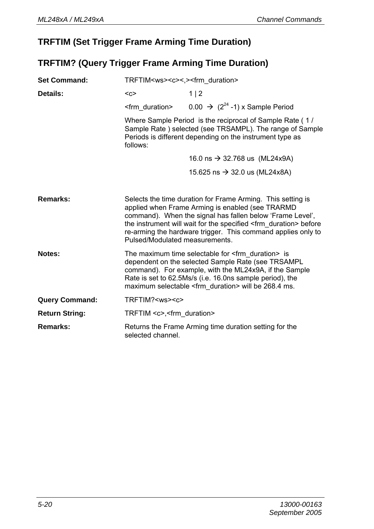## **TRFTIM (Set Trigger Frame Arming Time Duration)**

## **TRFTIM? (Query Trigger Frame Arming Time Duration)**

| <b>Set Command:</b>   | TRFTIM <ws><c>&lt;.&gt;<frm duration=""></frm></c></ws>                                                                                                                                                                                                                                                                                                       |                                                        |
|-----------------------|---------------------------------------------------------------------------------------------------------------------------------------------------------------------------------------------------------------------------------------------------------------------------------------------------------------------------------------------------------------|--------------------------------------------------------|
| Details:              | $C$                                                                                                                                                                                                                                                                                                                                                           | 1 2                                                    |
|                       | <frm duration=""></frm>                                                                                                                                                                                                                                                                                                                                       | $0.00 \rightarrow (2^{24} - 1)$ x Sample Period        |
|                       | Where Sample Period is the reciprocal of Sample Rate (1/<br>Sample Rate) selected (see TRSAMPL). The range of Sample<br>Periods is different depending on the instrument type as<br>follows:                                                                                                                                                                  |                                                        |
|                       |                                                                                                                                                                                                                                                                                                                                                               | 16.0 ns $\rightarrow$ 32.768 us (ML24x9A)              |
|                       |                                                                                                                                                                                                                                                                                                                                                               | 15.625 ns → 32.0 us (ML24x8A)                          |
| Remarks:              | Selects the time duration for Frame Arming. This setting is<br>applied when Frame Arming is enabled (see TRARMD<br>command). When the signal has fallen below 'Frame Level',<br>the instrument will wait for the specified <frm duration=""> before<br/>re-arming the hardware trigger. This command applies only to<br/>Pulsed/Modulated measurements.</frm> |                                                        |
| Notes:                | The maximum time selectable for $\leq$ frm duration $>$ is<br>dependent on the selected Sample Rate (see TRSAMPL<br>command). For example, with the ML24x9A, if the Sample<br>Rate is set to 62.5Ms/s (i.e. 16.0ns sample period), the<br>maximum selectable <frm duration=""> will be 268.4 ms.</frm>                                                        |                                                        |
| <b>Query Command:</b> | TRFTIM? <ws><c></c></ws>                                                                                                                                                                                                                                                                                                                                      |                                                        |
| <b>Return String:</b> | TRFTIM <c>,<frm duration=""></frm></c>                                                                                                                                                                                                                                                                                                                        |                                                        |
| Remarks:              | selected channel.                                                                                                                                                                                                                                                                                                                                             | Returns the Frame Arming time duration setting for the |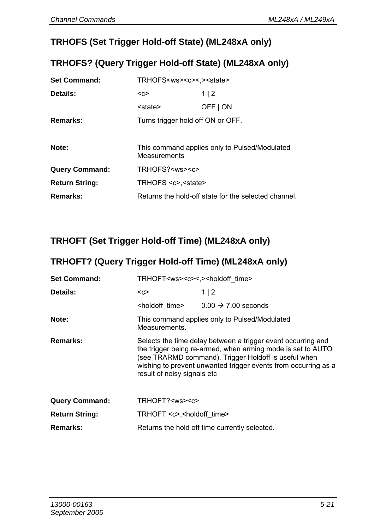## **TRHOFS (Set Trigger Hold-off State) (ML248xA only)**

#### **TRHOFS? (Query Trigger Hold-off State) (ML248xA only)**

| <b>Set Command:</b>   | TRHOFS <ws><c>&lt;.&gt;<state></state></c></ws>               |          |
|-----------------------|---------------------------------------------------------------|----------|
| Details:              | $C$                                                           | 1 2      |
|                       | <state></state>                                               | OFF   ON |
| Remarks:              | Turns trigger hold off ON or OFF.                             |          |
|                       |                                                               |          |
| Note:                 | This command applies only to Pulsed/Modulated<br>Measurements |          |
| <b>Query Command:</b> | TRHOFS? <ws><c></c></ws>                                      |          |
| <b>Return String:</b> | TRHOFS <c>.<state></state></c>                                |          |
| Remarks:              | Returns the hold-off state for the selected channel.          |          |

# **TRHOFT (Set Trigger Hold-off Time) (ML248xA only)**

#### **TRHOFT? (Query Trigger Hold-off Time) (ML248xA only)**

| <b>Set Command:</b>   | TRHOFT <ws><c>&lt;.&gt;<holdoff_time></holdoff_time></c></ws>                                                                                                                                                                                                                        |                                                            |
|-----------------------|--------------------------------------------------------------------------------------------------------------------------------------------------------------------------------------------------------------------------------------------------------------------------------------|------------------------------------------------------------|
| Details:              | $C$                                                                                                                                                                                                                                                                                  | 1 2                                                        |
|                       |                                                                                                                                                                                                                                                                                      | $\leftarrow$ holdoff time> $0.00 \rightarrow 7.00$ seconds |
| Note:                 | This command applies only to Pulsed/Modulated<br>Measurements.                                                                                                                                                                                                                       |                                                            |
| Remarks:              | Selects the time delay between a trigger event occurring and<br>the trigger being re-armed, when arming mode is set to AUTO<br>(see TRARMD command). Trigger Holdoff is useful when<br>wishing to prevent unwanted trigger events from occurring as a<br>result of noisy signals etc |                                                            |
| <b>Query Command:</b> | TRHOFT? <ws><c></c></ws>                                                                                                                                                                                                                                                             |                                                            |
| <b>Return String:</b> | TRHOFT <c>,<holdoff time=""></holdoff></c>                                                                                                                                                                                                                                           |                                                            |
| Remarks:              | Returns the hold off time currently selected.                                                                                                                                                                                                                                        |                                                            |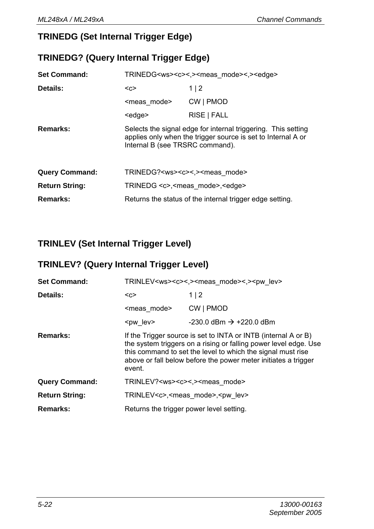# **TRINEDG (Set Internal Trigger Edge)**

# **TRINEDG? (Query Internal Trigger Edge)**

| <b>Set Command:</b>   | TRINEDG <ws><c>&lt;.&gt;<meas mode="">&lt;.&gt;<edge></edge></meas></c></ws>                                                                                     |             |
|-----------------------|------------------------------------------------------------------------------------------------------------------------------------------------------------------|-------------|
| Details:              | $C$                                                                                                                                                              | 1 2         |
|                       | <meas mode=""></meas>                                                                                                                                            | CW   PMOD   |
|                       | <edge></edge>                                                                                                                                                    | RISE   FALL |
| Remarks:              | Selects the signal edge for internal triggering. This setting<br>applies only when the trigger source is set to Internal A or<br>Internal B (see TRSRC command). |             |
| <b>Query Command:</b> | TRINEDG? <ws><c>&lt;.&gt;<meas mode=""></meas></c></ws>                                                                                                          |             |
| <b>Return String:</b> | TRINEDG <c>,<meas mode="">,<edge></edge></meas></c>                                                                                                              |             |
| Remarks:              | Returns the status of the internal trigger edge setting.                                                                                                         |             |

# **TRINLEV (Set Internal Trigger Level)**

# **TRINLEV? (Query Internal Trigger Level)**

| <b>Set Command:</b>   | TRINLEV <ws><c>&lt;.&gt;<meas mode="">&lt;.&gt;<pw lev=""></pw></meas></c></ws>                                                                                                                                                                                               |                                       |
|-----------------------|-------------------------------------------------------------------------------------------------------------------------------------------------------------------------------------------------------------------------------------------------------------------------------|---------------------------------------|
| Details:              | $C$                                                                                                                                                                                                                                                                           | 1 2                                   |
|                       | <meas mode=""></meas>                                                                                                                                                                                                                                                         | CW   PMOD                             |
|                       | <pw lev=""></pw>                                                                                                                                                                                                                                                              | $-230.0$ dBm $\rightarrow +220.0$ dBm |
| Remarks:              | If the Trigger source is set to INTA or INTB (internal A or B)<br>the system triggers on a rising or falling power level edge. Use<br>this command to set the level to which the signal must rise<br>above or fall below before the power meter initiates a trigger<br>event. |                                       |
| <b>Query Command:</b> | TRINLEV? <ws><c>&lt;.&gt;<meas mode=""></meas></c></ws>                                                                                                                                                                                                                       |                                       |
| <b>Return String:</b> | TRINLEV <c>,<meas mode="">,<pw lev=""></pw></meas></c>                                                                                                                                                                                                                        |                                       |
| Remarks:              | Returns the trigger power level setting.                                                                                                                                                                                                                                      |                                       |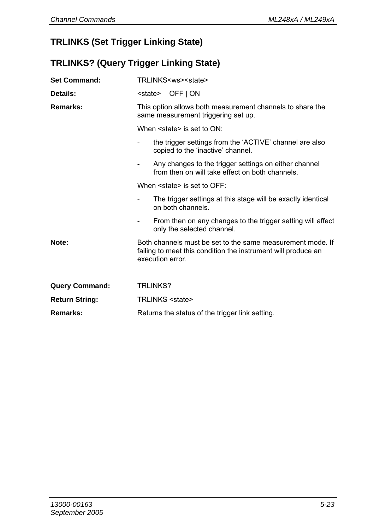# **TRLINKS (Set Trigger Linking State)**

# **TRLINKS? (Query Trigger Linking State)**

| <b>Set Command:</b>   | TRLINKS <ws><state></state></ws>                                                                                                                |  |
|-----------------------|-------------------------------------------------------------------------------------------------------------------------------------------------|--|
| Details:              | <state> OFF   ON</state>                                                                                                                        |  |
| Remarks:              | This option allows both measurement channels to share the<br>same measurement triggering set up.                                                |  |
|                       | When <state> is set to ON:</state>                                                                                                              |  |
|                       | the trigger settings from the 'ACTIVE' channel are also<br>copied to the 'inactive' channel.                                                    |  |
|                       | Any changes to the trigger settings on either channel<br>$\overline{a}$<br>from then on will take effect on both channels.                      |  |
|                       | When $\leq$ state> is set to OFF.                                                                                                               |  |
|                       | The trigger settings at this stage will be exactly identical<br>$\overline{a}$<br>on both channels.                                             |  |
|                       | From then on any changes to the trigger setting will affect<br>$\overline{\phantom{0}}$<br>only the selected channel.                           |  |
| Note:                 | Both channels must be set to the same measurement mode. If<br>failing to meet this condition the instrument will produce an<br>execution error. |  |
| <b>Query Command:</b> | <b>TRLINKS?</b>                                                                                                                                 |  |
| <b>Return String:</b> | TRLINKS <state></state>                                                                                                                         |  |
| Remarks:              | Returns the status of the trigger link setting.                                                                                                 |  |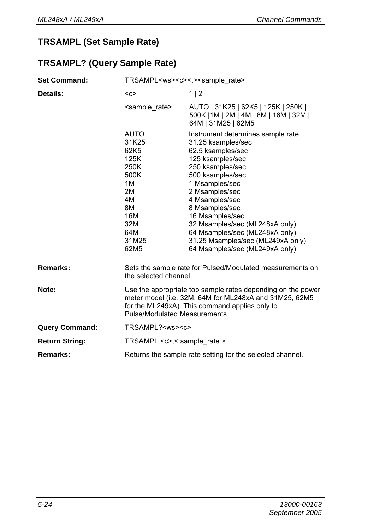# **TRSAMPL (Set Sample Rate)**

# **TRSAMPL? (Query Sample Rate)**

| <b>Set Command:</b>   | TRSAMPL <ws><c>&lt;.&gt;<sample rate=""></sample></c></ws>                                                                     |                                                                                                                                                                                                                                                                                                                                                                                |
|-----------------------|--------------------------------------------------------------------------------------------------------------------------------|--------------------------------------------------------------------------------------------------------------------------------------------------------------------------------------------------------------------------------------------------------------------------------------------------------------------------------------------------------------------------------|
| Details:              | $C$                                                                                                                            | 1 2                                                                                                                                                                                                                                                                                                                                                                            |
|                       | <sample rate=""></sample>                                                                                                      | AUTO   31K25   62K5   125K   250K  <br>500K   1M   2M   4M   8M   16M   32M  <br>64M   31M25   62M5                                                                                                                                                                                                                                                                            |
|                       | <b>AUTO</b><br>31K25<br>62K5<br>125K<br>250K<br>500K<br>1M<br>2M<br>4M<br>8M<br>16M<br>32M<br>64M<br>31M25<br>62M <sub>5</sub> | Instrument determines sample rate<br>31.25 ksamples/sec<br>62.5 ksamples/sec<br>125 ksamples/sec<br>250 ksamples/sec<br>500 ksamples/sec<br>1 Msamples/sec<br>2 Msamples/sec<br>4 Msamples/sec<br>8 Msamples/sec<br>16 Msamples/sec<br>32 Msamples/sec (ML248xA only)<br>64 Msamples/sec (ML248xA only)<br>31.25 Msamples/sec (ML249xA only)<br>64 Msamples/sec (ML249xA only) |
| Remarks:              | the selected channel                                                                                                           | Sets the sample rate for Pulsed/Modulated measurements on                                                                                                                                                                                                                                                                                                                      |
| Note:                 | Pulse/Modulated Measurements.                                                                                                  | Use the appropriate top sample rates depending on the power<br>meter model (i.e. 32M, 64M for ML248xA and 31M25, 62M5<br>for the ML249xA). This command applies only to                                                                                                                                                                                                        |
| <b>Query Command:</b> | TRSAMPL? <ws><c></c></ws>                                                                                                      |                                                                                                                                                                                                                                                                                                                                                                                |
| <b>Return String:</b> | TRSAMPL $\langle c \rangle$ , sample rate $>$                                                                                  |                                                                                                                                                                                                                                                                                                                                                                                |
| Remarks:              | Returns the sample rate setting for the selected channel.                                                                      |                                                                                                                                                                                                                                                                                                                                                                                |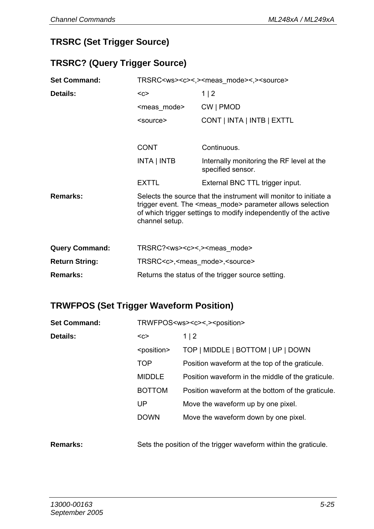### **TRSRC (Set Trigger Source)**

#### **TRSRC? (Query Trigger Source)**

| <b>Set Command:</b>   |                                                       | TRSRC <ws><c>&lt;,&gt;<meas_mode>&lt;,&gt;<source/></meas_mode></c></ws>                                                                                                                                     |
|-----------------------|-------------------------------------------------------|--------------------------------------------------------------------------------------------------------------------------------------------------------------------------------------------------------------|
| Details:              | $C$                                                   | 1 2                                                                                                                                                                                                          |
|                       | <meas mode=""></meas>                                 | CW   PMOD                                                                                                                                                                                                    |
|                       | <source/>                                             | CONT   INTA   INTB   EXTTL                                                                                                                                                                                   |
|                       |                                                       |                                                                                                                                                                                                              |
|                       | <b>CONT</b>                                           | Continuous.                                                                                                                                                                                                  |
|                       | INTA   INTB                                           | Internally monitoring the RF level at the<br>specified sensor.                                                                                                                                               |
|                       | <b>EXTTL</b>                                          | External BNC TTL trigger input.                                                                                                                                                                              |
| Remarks:              | channel setup.                                        | Selects the source that the instrument will monitor to initiate a<br>trigger event. The <meas mode=""> parameter allows selection<br/>of which trigger settings to modify independently of the active</meas> |
| <b>Query Command:</b> | TRSRC? <ws><c>&lt;,&gt;<meas mode=""></meas></c></ws> |                                                                                                                                                                                                              |
| <b>Return String:</b> | TRSRC <c>,<meas mode="">,<source/></meas></c>         |                                                                                                                                                                                                              |
| Remarks:              |                                                       | Returns the status of the trigger source setting.                                                                                                                                                            |

# **TRWFPOS (Set Trigger Waveform Position)**

| <b>Set Command:</b> | TRWFPOS <ws><c>&lt;.&gt;<position></position></c></ws> |                                                   |
|---------------------|--------------------------------------------------------|---------------------------------------------------|
| Details:            | $C$                                                    | 1 2                                               |
|                     | <position></position>                                  | TOP   MIDDLE   BOTTOM   UP   DOWN                 |
|                     | TOP                                                    | Position waveform at the top of the graticule.    |
|                     | <b>MIDDLE</b>                                          | Position waveform in the middle of the graticule. |
|                     | <b>BOTTOM</b>                                          | Position waveform at the bottom of the graticule. |
|                     | UP                                                     | Move the waveform up by one pixel.                |
|                     | <b>DOWN</b>                                            | Move the waveform down by one pixel.              |
|                     |                                                        |                                                   |

**Remarks:** Sets the position of the trigger waveform within the graticule.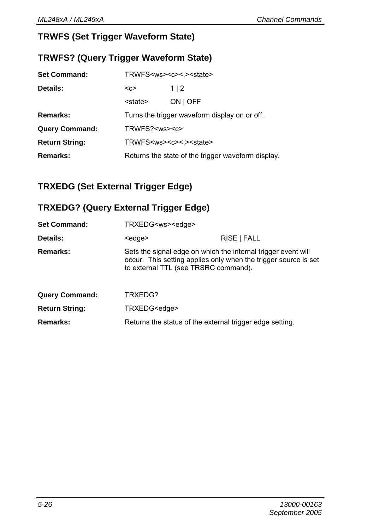# **TRWFS (Set Trigger Waveform State)**

### **TRWFS? (Query Trigger Waveform State)**

| <b>Set Command:</b>   | TRWFS <ws><c>&lt;.&gt;<state></state></c></ws>     |                                                |
|-----------------------|----------------------------------------------------|------------------------------------------------|
| Details:              | $C$                                                | 1 2                                            |
|                       | <state></state>                                    | ON   OFF                                       |
| Remarks:              |                                                    | Turns the trigger waveform display on or off.  |
| <b>Query Command:</b> | TRWFS? <ws><c></c></ws>                            |                                                |
| <b>Return String:</b> |                                                    | TRWFS <ws><c>&lt;.&gt;<state></state></c></ws> |
| Remarks:              | Returns the state of the trigger waveform display. |                                                |

# **TRXEDG (Set External Trigger Edge)**

### **TRXEDG? (Query External Trigger Edge)**

| <b>Set Command:</b>   | TRXEDG <ws><edge></edge></ws>                                                                         |                                                                 |
|-----------------------|-------------------------------------------------------------------------------------------------------|-----------------------------------------------------------------|
| Details:              | <edge></edge>                                                                                         | RISE   FALL                                                     |
| Remarks:              | Sets the signal edge on which the internal trigger event will<br>to external TTL (see TRSRC command). | occur. This setting applies only when the trigger source is set |
| <b>Query Command:</b> | TRXEDG?                                                                                               |                                                                 |
| <b>Return String:</b> | TRXEDG <edge></edge>                                                                                  |                                                                 |
| Remarks:              | Returns the status of the external trigger edge setting.                                              |                                                                 |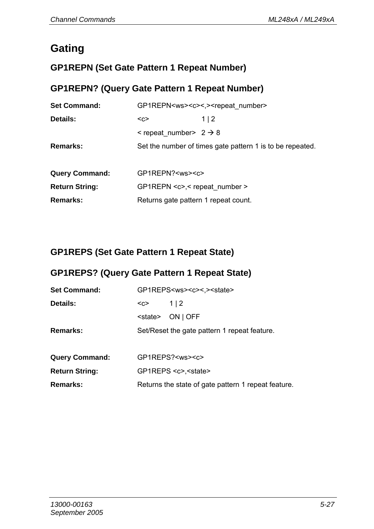# **Gating**

# **GP1REPN (Set Gate Pattern 1 Repeat Number)**

# **GP1REPN? (Query Gate Pattern 1 Repeat Number)**

| <b>Set Command:</b>   |                                         | GP1REPN <ws><c>&lt;.&gt;<repeat number=""></repeat></c></ws> |
|-----------------------|-----------------------------------------|--------------------------------------------------------------|
| Details:              | $C$                                     | 1   2                                                        |
|                       | $\le$ repeat number > 2 $\rightarrow$ 8 |                                                              |
| Remarks:              |                                         | Set the number of times gate pattern 1 is to be repeated.    |
|                       |                                         |                                                              |
| <b>Query Command:</b> | GP1REPN? <ws><c></c></ws>               |                                                              |
| <b>Return String:</b> | GP1REPN <c>,&lt; repeat number &gt;</c> |                                                              |
| Remarks:              | Returns gate pattern 1 repeat count.    |                                                              |

# **GP1REPS (Set Gate Pattern 1 Repeat State)**

### **GP1REPS? (Query Gate Pattern 1 Repeat State)**

| <b>Set Command:</b>   | GP1REPS <ws><c>&lt;.&gt;<state></state></c></ws> |                                                     |
|-----------------------|--------------------------------------------------|-----------------------------------------------------|
| Details:              | <c></c>                                          | 1 2                                                 |
|                       | <state></state>                                  | ON   OFF                                            |
| Remarks:              |                                                  | Set/Reset the gate pattern 1 repeat feature.        |
|                       |                                                  |                                                     |
| <b>Query Command:</b> |                                                  | GP1REPS? <ws><c></c></ws>                           |
| <b>Return String:</b> |                                                  | GP1REPS <c>,<state></state></c>                     |
| <b>Remarks:</b>       |                                                  | Returns the state of gate pattern 1 repeat feature. |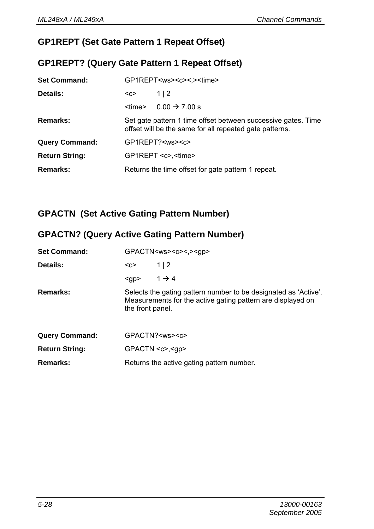## **GP1REPT (Set Gate Pattern 1 Repeat Offset)**

#### **GP1REPT? (Query Gate Pattern 1 Repeat Offset)**

| <b>Set Command:</b>   |               | GP1REPT <ws><c>&lt;.&gt;<time></time></c></ws>                                                                           |
|-----------------------|---------------|--------------------------------------------------------------------------------------------------------------------------|
| Details:              | $C$           | 1 2                                                                                                                      |
|                       | <time></time> | $0.00 \rightarrow 7.00 s$                                                                                                |
| Remarks:              |               | Set gate pattern 1 time offset between successive gates. Time<br>offset will be the same for all repeated gate patterns. |
| <b>Query Command:</b> |               | GP1REPT? <ws><c></c></ws>                                                                                                |
| <b>Return String:</b> |               | GP1REPT <c>, <time></time></c>                                                                                           |
| Remarks:              |               | Returns the time offset for gate pattern 1 repeat.                                                                       |

# **GPACTN (Set Active Gating Pattern Number)**

# **GPACTN? (Query Active Gating Pattern Number)**

| <b>Set Command:</b>   |                  | GPACTN <ws><c>&lt;,&gt;<gp></gp></c></ws>                                                                                      |
|-----------------------|------------------|--------------------------------------------------------------------------------------------------------------------------------|
| Details:              | $C$              | 1 2                                                                                                                            |
|                       | $<$ gp>          | $1 \rightarrow 4$                                                                                                              |
| Remarks:              | the front panel. | Selects the gating pattern number to be designated as 'Active'.<br>Measurements for the active gating pattern are displayed on |
| <b>Query Command:</b> |                  | GPACTN? <ws><c></c></ws>                                                                                                       |
| <b>Return String:</b> |                  | $GPACTN < c$ , $< qp$                                                                                                          |
| Remarks:              |                  | Returns the active gating pattern number.                                                                                      |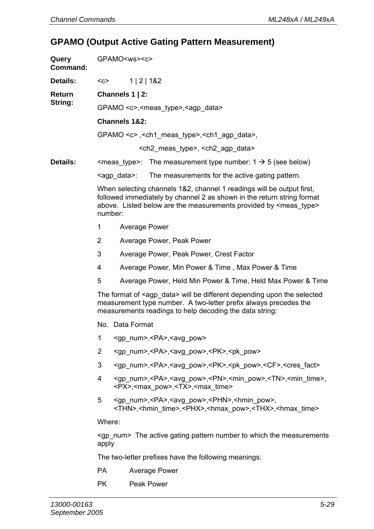# **GPAMO (Output Active Gating Pattern Measurement)**

| Query<br>Command: | GPAMO <ws><c></c></ws>                                                                 |                                                                                                                                                                                                                                             |                                                                                                                                                                                                                    |  |  |
|-------------------|----------------------------------------------------------------------------------------|---------------------------------------------------------------------------------------------------------------------------------------------------------------------------------------------------------------------------------------------|--------------------------------------------------------------------------------------------------------------------------------------------------------------------------------------------------------------------|--|--|
| Details:          | $C$                                                                                    | 1 2 1&2                                                                                                                                                                                                                                     |                                                                                                                                                                                                                    |  |  |
| Return            |                                                                                        | Channels 1   2:                                                                                                                                                                                                                             |                                                                                                                                                                                                                    |  |  |
| String:           | GPAMO <c>,<meas type="">,<agp data=""></agp></meas></c>                                |                                                                                                                                                                                                                                             |                                                                                                                                                                                                                    |  |  |
|                   |                                                                                        | Channels 1&2:                                                                                                                                                                                                                               |                                                                                                                                                                                                                    |  |  |
|                   |                                                                                        |                                                                                                                                                                                                                                             | GPAMO <c>, <ch1_meas_type>, <ch1_agp_data>,</ch1_agp_data></ch1_meas_type></c>                                                                                                                                     |  |  |
|                   |                                                                                        |                                                                                                                                                                                                                                             | <ch2_meas_type>, <ch2_agp_data></ch2_agp_data></ch2_meas_type>                                                                                                                                                     |  |  |
| Details:          |                                                                                        |                                                                                                                                                                                                                                             | $\le$ meas_type>: The measurement type number: 1 $\rightarrow$ 5 (see below)                                                                                                                                       |  |  |
|                   |                                                                                        | <agp_data>:</agp_data>                                                                                                                                                                                                                      | The measurements for the active gating pattern.                                                                                                                                                                    |  |  |
|                   |                                                                                        | When selecting channels 1&2, channel 1 readings will be output first,<br>followed immediately by channel 2 as shown in the return string format<br>above. Listed below are the measurements provided by <meas_type><br/>number:</meas_type> |                                                                                                                                                                                                                    |  |  |
|                   | 1                                                                                      | Average Power                                                                                                                                                                                                                               |                                                                                                                                                                                                                    |  |  |
|                   | 2                                                                                      |                                                                                                                                                                                                                                             | Average Power, Peak Power                                                                                                                                                                                          |  |  |
|                   | 3                                                                                      |                                                                                                                                                                                                                                             | Average Power, Peak Power, Crest Factor                                                                                                                                                                            |  |  |
|                   | 4                                                                                      |                                                                                                                                                                                                                                             | Average Power, Min Power & Time, Max Power & Time                                                                                                                                                                  |  |  |
|                   | 5                                                                                      |                                                                                                                                                                                                                                             | Average Power, Held Min Power & Time, Held Max Power & Time                                                                                                                                                        |  |  |
|                   |                                                                                        |                                                                                                                                                                                                                                             | The format of <agp_data> will be different depending upon the selected<br/>measurement type number. A two-letter prefix always precedes the<br/>measurements readings to help decoding the data string:</agp_data> |  |  |
|                   |                                                                                        | No. Data Format                                                                                                                                                                                                                             |                                                                                                                                                                                                                    |  |  |
|                   | 1                                                                                      |                                                                                                                                                                                                                                             | <gp num="">,<pa>,<avg pow=""></avg></pa></gp>                                                                                                                                                                      |  |  |
|                   | 2                                                                                      |                                                                                                                                                                                                                                             | <gp_num>,<pa>,<avg_pow>,<pk>,<pk_pow></pk_pow></pk></avg_pow></pa></gp_num>                                                                                                                                        |  |  |
|                   | 3                                                                                      |                                                                                                                                                                                                                                             | <gp_num>,<pa>,<avg_pow>,<pk>,<pk_pow>,<cf>,<cres_fact></cres_fact></cf></pk_pow></pk></avg_pow></pa></gp_num>                                                                                                      |  |  |
|                   | 4                                                                                      |                                                                                                                                                                                                                                             | <gp_num>,<pa>,<avg_pow>,<pn>,<min_pow>,<tn>,<min_time>,<br/><px>,<max pow="">,<tx>,<max time=""></max></tx></max></px></min_time></tn></min_pow></pn></avg_pow></pa></gp_num>                                      |  |  |
|                   | 5                                                                                      |                                                                                                                                                                                                                                             | <gp_num>,<pa>,<avg_pow>,<phn>,<hmin_pow>,<br/><thn>,<hmin time="">,<phx>,<hmax pow="">,<thx>,<hmax time=""></hmax></thx></hmax></phx></hmin></thn></hmin_pow></phn></avg_pow></pa></gp_num>                        |  |  |
|                   | Where:                                                                                 |                                                                                                                                                                                                                                             |                                                                                                                                                                                                                    |  |  |
|                   | <gp_num> The active gating pattern number to which the measurements<br/>apply</gp_num> |                                                                                                                                                                                                                                             |                                                                                                                                                                                                                    |  |  |
|                   |                                                                                        | The two-letter prefixes have the following meanings:                                                                                                                                                                                        |                                                                                                                                                                                                                    |  |  |
|                   | <b>PA</b>                                                                              |                                                                                                                                                                                                                                             | Average Power                                                                                                                                                                                                      |  |  |
|                   | РK                                                                                     |                                                                                                                                                                                                                                             | Peak Power                                                                                                                                                                                                         |  |  |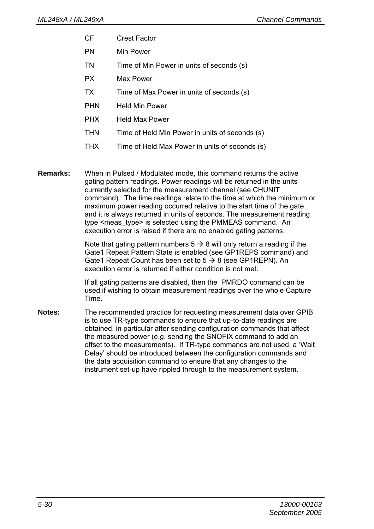- CF Crest Factor
- PN Min Power
- TN Time of Min Power in units of seconds (s)
- PX Max Power
- TX Time of Max Power in units of seconds (s)
- PHN Held Min Power
- PHX Held Max Power
- THN Time of Held Min Power in units of seconds (s)
- THX Time of Held Max Power in units of seconds (s)

**Remarks:** When in Pulsed / Modulated mode, this command returns the active gating pattern readings. Power readings will be returned in the units currently selected for the measurement channel (see CHUNIT command). The time readings relate to the time at which the minimum or maximum power reading occurred relative to the start time of the gate and it is always returned in units of seconds. The measurement reading type <meas type> is selected using the PMMEAS command. An execution error is raised if there are no enabled gating patterns.

> Note that gating pattern numbers  $5 \rightarrow 8$  will only return a reading if the Gate1 Repeat Pattern State is enabled (see GP1REPS command) and Gate1 Repeat Count has been set to  $5 \rightarrow 8$  (see GP1REPN). An execution error is returned if either condition is not met.

If all gating patterns are disabled, then the PMRDO command can be used if wishing to obtain measurement readings over the whole Capture Time.

**Notes:** The recommended practice for requesting measurement data over GPIB is to use TR-type commands to ensure that up-to-date readings are obtained, in particular after sending configuration commands that affect the measured power (e.g. sending the SNOFIX command to add an offset to the measurements). If TR-type commands are not used, a 'Wait Delay' should be introduced between the configuration commands and the data acquisition command to ensure that any changes to the instrument set-up have rippled through to the measurement system.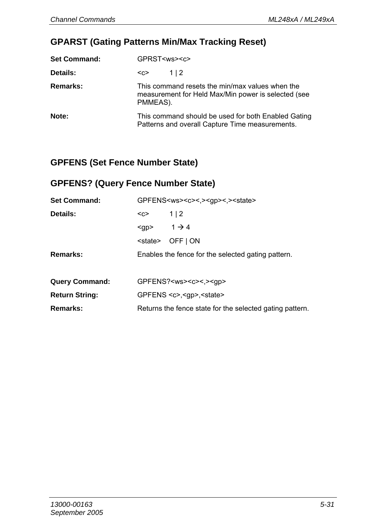### **GPARST (Gating Patterns Min/Max Tracking Reset)**

| <b>Set Command:</b> | GPRST <ws><c></c></ws>                                                                                             |  |
|---------------------|--------------------------------------------------------------------------------------------------------------------|--|
| Details:            | 1   2<br>$C$                                                                                                       |  |
| Remarks:            | This command resets the min/max values when the<br>measurement for Held Max/Min power is selected (see<br>PMMEAS). |  |
| Note:               | This command should be used for both Enabled Gating<br>Patterns and overall Capture Time measurements.             |  |

## **GPFENS (Set Fence Number State)**

# **GPFENS? (Query Fence Number State)**

| <b>Set Command:</b>   | GPFENS <ws><c>&lt;.&gt;<qp>&lt;.&gt;<state></state></qp></c></ws> |                                            |  |
|-----------------------|-------------------------------------------------------------------|--------------------------------------------|--|
| Details:              | <c></c>                                                           | 1 2                                        |  |
|                       | $<$ gp>                                                           | $1 \rightarrow 4$                          |  |
|                       |                                                                   | <state> OFF   ON</state>                   |  |
| Remarks:              | Enables the fence for the selected gating pattern.                |                                            |  |
|                       |                                                                   |                                            |  |
| <b>Query Command:</b> |                                                                   | GPFENS? <ws><c>&lt;,&gt;<gp></gp></c></ws> |  |
| <b>Return String:</b> | GPFENS <c>,<gp>,<state></state></gp></c>                          |                                            |  |
| Remarks:              | Returns the fence state for the selected gating pattern.          |                                            |  |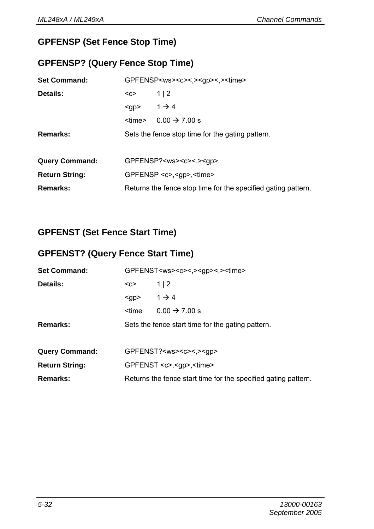# **GPFENSP (Set Fence Stop Time)**

## **GPFENSP? (Query Fence Stop Time)**

| <b>Set Command:</b>   | GPFENSP <ws><c>&lt;.&gt;<qp>&lt;.&gt;<time></time></qp></c></ws> |                           |  |
|-----------------------|------------------------------------------------------------------|---------------------------|--|
| Details:              | $1 \mid 2$<br>$C$                                                |                           |  |
|                       | $<$ gp> $1 \rightarrow 4$                                        |                           |  |
|                       | <time></time>                                                    | $0.00 \rightarrow 7.00 s$ |  |
| Remarks:              | Sets the fence stop time for the gating pattern.                 |                           |  |
|                       |                                                                  |                           |  |
| <b>Query Command:</b> | GPFENSP? <ws><c>&lt;.&gt;<gp></gp></c></ws>                      |                           |  |
| <b>Return String:</b> | GPFENSP <c>.<qp>.<time></time></qp></c>                          |                           |  |
| Remarks:              | Returns the fence stop time for the specified gating pattern.    |                           |  |

# **GPFENST (Set Fence Start Time)**

### **GPFENST? (Query Fence Start Time)**

| <b>Set Command:</b>   | GPFENST <ws><c>&lt;.&gt;<qp>&lt;.&gt;<time></time></qp></c></ws>   |                           |  |
|-----------------------|--------------------------------------------------------------------|---------------------------|--|
| Details:              | $C$                                                                | 1 2                       |  |
|                       | $<$ qp $>$                                                         | $1 \rightarrow 4$         |  |
|                       | <time< th=""><th><math>0.00 \rightarrow 7.00 s</math></th></time<> | $0.00 \rightarrow 7.00 s$ |  |
| Remarks:              | Sets the fence start time for the gating pattern.                  |                           |  |
|                       |                                                                    |                           |  |
| <b>Query Command:</b> | GPFENST? <ws><c>&lt;,&gt;<gp></gp></c></ws>                        |                           |  |
| <b>Return String:</b> | GPFENST <c>.<qp>.<time></time></qp></c>                            |                           |  |
| Remarks:              | Returns the fence start time for the specified gating pattern.     |                           |  |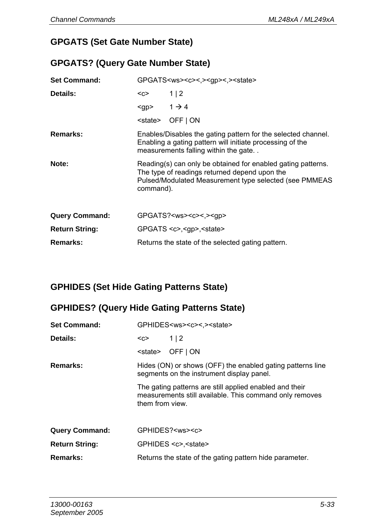### **GPGATS (Set Gate Number State)**

#### **GPGATS? (Query Gate Number State)**

| <b>Set Command:</b>   | GPGATS <ws><c>&lt;.&gt;<qp>&lt;.&gt;<state></state></qp></c></ws>                                                                                                                    |                                            |  |
|-----------------------|--------------------------------------------------------------------------------------------------------------------------------------------------------------------------------------|--------------------------------------------|--|
| Details:              | <c></c>                                                                                                                                                                              | 1 2                                        |  |
|                       | $<$ gp> 1 $\rightarrow$ 4                                                                                                                                                            |                                            |  |
|                       |                                                                                                                                                                                      | <state> OFF   ON</state>                   |  |
| Remarks:              | Enables/Disables the gating pattern for the selected channel.<br>Enabling a gating pattern will initiate processing of the<br>measurements falling within the gate                   |                                            |  |
| Note:                 | Reading(s) can only be obtained for enabled gating patterns.<br>The type of readings returned depend upon the<br>Pulsed/Modulated Measurement type selected (see PMMEAS<br>command). |                                            |  |
| <b>Query Command:</b> |                                                                                                                                                                                      | GPGATS? <ws><c>&lt;,&gt;<gp></gp></c></ws> |  |
| <b>Return String:</b> | $GPGATS \lll < gpp \lll sstate$                                                                                                                                                      |                                            |  |
| Remarks:              | Returns the state of the selected gating pattern.                                                                                                                                    |                                            |  |

# **GPHIDES (Set Hide Gating Patterns State)**

### **GPHIDES? (Query Hide Gating Patterns State)**

| <b>Set Command:</b>   | GPHIDES <ws><c>&lt;.&gt;<state></state></c></ws>                                                                                                                                                                                                 |                           |  |  |
|-----------------------|--------------------------------------------------------------------------------------------------------------------------------------------------------------------------------------------------------------------------------------------------|---------------------------|--|--|
| Details:              | <c></c>                                                                                                                                                                                                                                          | 1 2                       |  |  |
|                       | <state></state>                                                                                                                                                                                                                                  | OFF   ON                  |  |  |
| Remarks:              | Hides (ON) or shows (OFF) the enabled gating patterns line<br>segments on the instrument display panel.<br>The gating patterns are still applied enabled and their<br>measurements still available. This command only removes<br>them from view. |                           |  |  |
|                       |                                                                                                                                                                                                                                                  |                           |  |  |
| <b>Query Command:</b> |                                                                                                                                                                                                                                                  | GPHIDES? <ws><c></c></ws> |  |  |
| <b>Return String:</b> | GPHIDES <c>.<state></state></c>                                                                                                                                                                                                                  |                           |  |  |
| Remarks:              | Returns the state of the gating pattern hide parameter.                                                                                                                                                                                          |                           |  |  |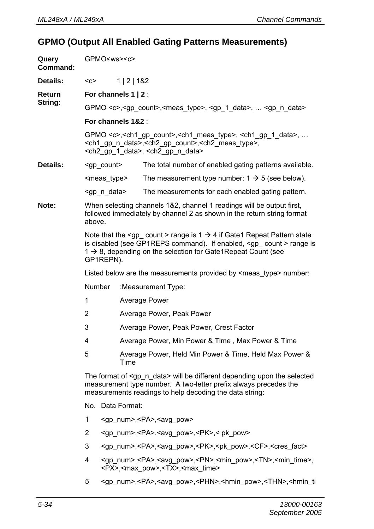### **GPMO (Output All Enabled Gating Patterns Measurements)**

| Query<br>Command: |                                                                                                                                                                                                                      | GPMO <ws><c></c></ws>                                                                                                                                                                                                                                                                       |                           |                                                                                                                                                                               |  |  |  |
|-------------------|----------------------------------------------------------------------------------------------------------------------------------------------------------------------------------------------------------------------|---------------------------------------------------------------------------------------------------------------------------------------------------------------------------------------------------------------------------------------------------------------------------------------------|---------------------------|-------------------------------------------------------------------------------------------------------------------------------------------------------------------------------|--|--|--|
| <b>Details:</b>   | $C$                                                                                                                                                                                                                  |                                                                                                                                                                                                                                                                                             | 1   2   1&2               |                                                                                                                                                                               |  |  |  |
| Return            |                                                                                                                                                                                                                      |                                                                                                                                                                                                                                                                                             | For channels $1 \mid 2$ : |                                                                                                                                                                               |  |  |  |
| String:           |                                                                                                                                                                                                                      | GPMO <c>,<gp_count>,<meas_type>, <gp_1_data>,  <gp_n_data></gp_n_data></gp_1_data></meas_type></gp_count></c>                                                                                                                                                                               |                           |                                                                                                                                                                               |  |  |  |
|                   |                                                                                                                                                                                                                      |                                                                                                                                                                                                                                                                                             | For channels 1&2 :        |                                                                                                                                                                               |  |  |  |
|                   |                                                                                                                                                                                                                      | GPMO <c>,<ch1_gp_count>,<ch1_meas_type>, <ch1_gp_1_data>, <br/><ch1_gp_n_data>,<ch2_gp_count>,<ch2_meas_type>,<br/><ch2_gp_1_data>, <ch2_gp_n_data></ch2_gp_n_data></ch2_gp_1_data></ch2_meas_type></ch2_gp_count></ch1_gp_n_data></ch1_gp_1_data></ch1_meas_type></ch1_gp_count></c>       |                           |                                                                                                                                                                               |  |  |  |
| Details:          |                                                                                                                                                                                                                      | <gp_count></gp_count>                                                                                                                                                                                                                                                                       |                           | The total number of enabled gating patterns available.                                                                                                                        |  |  |  |
|                   |                                                                                                                                                                                                                      | <meas type=""></meas>                                                                                                                                                                                                                                                                       |                           | The measurement type number: $1 \rightarrow 5$ (see below).                                                                                                                   |  |  |  |
|                   |                                                                                                                                                                                                                      | <gp_n_data></gp_n_data>                                                                                                                                                                                                                                                                     |                           | The measurements for each enabled gating pattern.                                                                                                                             |  |  |  |
| Note:             | above.                                                                                                                                                                                                               |                                                                                                                                                                                                                                                                                             |                           | When selecting channels 1&2, channel 1 readings will be output first,<br>followed immediately by channel 2 as shown in the return string format                               |  |  |  |
|                   |                                                                                                                                                                                                                      | Note that the <gp_ count=""> range is <math>1 \rightarrow 4</math> if Gate1 Repeat Pattern state<br/>is disabled (see GP1REPS command). If enabled, <gp count=""> range is<br/><math>1 \rightarrow 8</math>, depending on the selection for Gate1Repeat Count (see<br/>GP1REPN).</gp></gp_> |                           |                                                                                                                                                                               |  |  |  |
|                   | Listed below are the measurements provided by <meas_type> number:</meas_type>                                                                                                                                        |                                                                                                                                                                                                                                                                                             |                           |                                                                                                                                                                               |  |  |  |
|                   |                                                                                                                                                                                                                      | Number                                                                                                                                                                                                                                                                                      |                           | :Measurement Type:                                                                                                                                                            |  |  |  |
|                   | 1                                                                                                                                                                                                                    |                                                                                                                                                                                                                                                                                             |                           | Average Power                                                                                                                                                                 |  |  |  |
|                   | 2                                                                                                                                                                                                                    |                                                                                                                                                                                                                                                                                             |                           | Average Power, Peak Power                                                                                                                                                     |  |  |  |
|                   | 3                                                                                                                                                                                                                    |                                                                                                                                                                                                                                                                                             |                           | Average Power, Peak Power, Crest Factor                                                                                                                                       |  |  |  |
|                   | 4                                                                                                                                                                                                                    |                                                                                                                                                                                                                                                                                             |                           | Average Power, Min Power & Time, Max Power & Time                                                                                                                             |  |  |  |
|                   | 5                                                                                                                                                                                                                    |                                                                                                                                                                                                                                                                                             | Time                      | Average Power, Held Min Power & Time, Held Max Power &                                                                                                                        |  |  |  |
|                   | The format of <gp_n_data> will be different depending upon the selected<br/>measurement type number. A two-letter prefix always precedes the<br/>measurements readings to help decoding the data string:</gp_n_data> |                                                                                                                                                                                                                                                                                             |                           |                                                                                                                                                                               |  |  |  |
|                   |                                                                                                                                                                                                                      |                                                                                                                                                                                                                                                                                             | No. Data Format:          |                                                                                                                                                                               |  |  |  |
|                   | 1                                                                                                                                                                                                                    |                                                                                                                                                                                                                                                                                             |                           | <gp_num>,<pa>,<avg_pow></avg_pow></pa></gp_num>                                                                                                                               |  |  |  |
|                   | 2                                                                                                                                                                                                                    |                                                                                                                                                                                                                                                                                             |                           | <gp_num>,<pa>,<avg_pow>,<pk>,&lt; pk_pow&gt;</pk></avg_pow></pa></gp_num>                                                                                                     |  |  |  |
|                   | 3                                                                                                                                                                                                                    |                                                                                                                                                                                                                                                                                             |                           | <gp_num>,<pa>,<avg_pow>,<pk>,<pk_pow>,<cf>,<cres_fact></cres_fact></cf></pk_pow></pk></avg_pow></pa></gp_num>                                                                 |  |  |  |
|                   | 4                                                                                                                                                                                                                    |                                                                                                                                                                                                                                                                                             |                           | <gp_num>,<pa>,<avg_pow>,<pn>,<min_pow>,<tn>,<min_time>,<br/><px>,<max pow="">,<tx>,<max time=""></max></tx></max></px></min_time></tn></min_pow></pn></avg_pow></pa></gp_num> |  |  |  |
|                   | 5                                                                                                                                                                                                                    |                                                                                                                                                                                                                                                                                             |                           | <gp num="">,<pa>,<avg pow="">,<phn>,<hmin pow="">,<thn>,<hmin td="" ti<=""></hmin></thn></hmin></phn></avg></pa></gp>                                                         |  |  |  |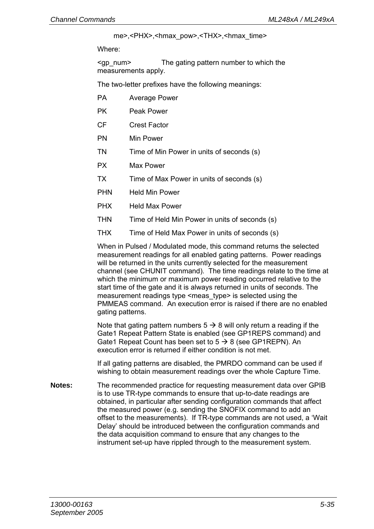me>,<PHX>,<hmax\_pow>,<THX>,<hmax\_time>

Where:

<gp\_num> The gating pattern number to which the measurements apply.

The two-letter prefixes have the following meanings:

- PA Average Power
- PK Peak Power
- CF Crest Factor
- PN Min Power
- TN Time of Min Power in units of seconds (s)
- PX Max Power
- TX Time of Max Power in units of seconds (s)
- PHN Held Min Power
- PHX Held Max Power
- THN Time of Held Min Power in units of seconds (s)
- THX Time of Held Max Power in units of seconds (s)

When in Pulsed / Modulated mode, this command returns the selected measurement readings for all enabled gating patterns. Power readings will be returned in the units currently selected for the measurement channel (see CHUNIT command). The time readings relate to the time at which the minimum or maximum power reading occurred relative to the start time of the gate and it is always returned in units of seconds. The measurement readings type <meas\_type> is selected using the PMMEAS command. An execution error is raised if there are no enabled gating patterns.

Note that gating pattern numbers  $5 \rightarrow 8$  will only return a reading if the Gate1 Repeat Pattern State is enabled (see GP1REPS command) and Gate1 Repeat Count has been set to  $5 \rightarrow 8$  (see GP1REPN). An execution error is returned if either condition is not met.

If all gating patterns are disabled, the PMRDO command can be used if wishing to obtain measurement readings over the whole Capture Time.

**Notes:** The recommended practice for requesting measurement data over GPIB is to use TR-type commands to ensure that up-to-date readings are obtained, in particular after sending configuration commands that affect the measured power (e.g. sending the SNOFIX command to add an offset to the measurements). If TR-type commands are not used, a 'Wait Delay' should be introduced between the configuration commands and the data acquisition command to ensure that any changes to the instrument set-up have rippled through to the measurement system.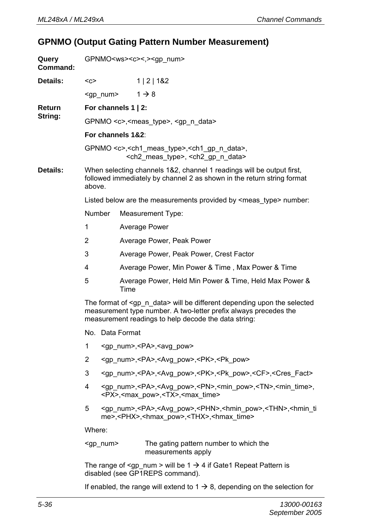### **GPNMO (Output Gating Pattern Number Measurement)**

| Query<br>Command: |                                                                                                                                                                                                                  | GPNMO <ws><c>&lt;,&gt;<gp_num></gp_num></c></ws> |                                                                |                                                                                                                                                                                                     |  |  |  |
|-------------------|------------------------------------------------------------------------------------------------------------------------------------------------------------------------------------------------------------------|--------------------------------------------------|----------------------------------------------------------------|-----------------------------------------------------------------------------------------------------------------------------------------------------------------------------------------------------|--|--|--|
| Details:          | $C$                                                                                                                                                                                                              |                                                  |                                                                | 1   2   182                                                                                                                                                                                         |  |  |  |
|                   |                                                                                                                                                                                                                  | <gp_num></gp_num>                                |                                                                | $1 \rightarrow 8$                                                                                                                                                                                   |  |  |  |
| Return            | For channels 1   2:                                                                                                                                                                                              |                                                  |                                                                |                                                                                                                                                                                                     |  |  |  |
| String:           | GPNMO <c>,<meas_type>, <gp_n_data></gp_n_data></meas_type></c>                                                                                                                                                   |                                                  |                                                                |                                                                                                                                                                                                     |  |  |  |
|                   |                                                                                                                                                                                                                  |                                                  | For channels 1&2:                                              |                                                                                                                                                                                                     |  |  |  |
|                   |                                                                                                                                                                                                                  |                                                  |                                                                | GPNMO <c>,<ch1_meas_type>,<ch1_gp_n_data>,<br/><ch2_meas_type>, <ch2_gp_n_data></ch2_gp_n_data></ch2_meas_type></ch1_gp_n_data></ch1_meas_type></c>                                                 |  |  |  |
| Details:          | above.                                                                                                                                                                                                           |                                                  |                                                                | When selecting channels 1&2, channel 1 readings will be output first,<br>followed immediately by channel 2 as shown in the return string format                                                     |  |  |  |
|                   |                                                                                                                                                                                                                  |                                                  |                                                                | Listed below are the measurements provided by <meas type=""> number:</meas>                                                                                                                         |  |  |  |
|                   | Number                                                                                                                                                                                                           |                                                  |                                                                | Measurement Type:                                                                                                                                                                                   |  |  |  |
|                   | 1                                                                                                                                                                                                                |                                                  | Average Power                                                  |                                                                                                                                                                                                     |  |  |  |
|                   | 2                                                                                                                                                                                                                |                                                  | Average Power, Peak Power                                      |                                                                                                                                                                                                     |  |  |  |
|                   | 3                                                                                                                                                                                                                |                                                  |                                                                | Average Power, Peak Power, Crest Factor                                                                                                                                                             |  |  |  |
|                   | 4                                                                                                                                                                                                                |                                                  | Average Power, Min Power & Time, Max Power & Time              |                                                                                                                                                                                                     |  |  |  |
|                   | 5                                                                                                                                                                                                                |                                                  | Average Power, Held Min Power & Time, Held Max Power &<br>Time |                                                                                                                                                                                                     |  |  |  |
|                   | The format of <gp data="" n=""> will be different depending upon the selected<br/>measurement type number. A two-letter prefix always precedes the<br/>measurement readings to help decode the data string:</gp> |                                                  |                                                                |                                                                                                                                                                                                     |  |  |  |
|                   |                                                                                                                                                                                                                  |                                                  | No. Data Format                                                |                                                                                                                                                                                                     |  |  |  |
|                   | 1                                                                                                                                                                                                                |                                                  |                                                                | <gp_num>,<pa>,<avg_pow></avg_pow></pa></gp_num>                                                                                                                                                     |  |  |  |
|                   | 2                                                                                                                                                                                                                |                                                  |                                                                | <gp num="">,<pa>,<avg pow="">,<pk>,<pk pow=""></pk></pk></avg></pa></gp>                                                                                                                            |  |  |  |
|                   | 3<br><gp_num>,<pa>,<avg_pow>,<pk>,<pk_pow>,<cf>,<cres_fact></cres_fact></cf></pk_pow></pk></avg_pow></pa></gp_num>                                                                                               |                                                  |                                                                |                                                                                                                                                                                                     |  |  |  |
|                   | 4                                                                                                                                                                                                                |                                                  |                                                                | <gp_num>,<pa>,<avg_pow>,<pn>,<min_pow>,<tn>,<min_time>,<br/><px>,<max_pow>,<tx>,<max_time></max_time></tx></max_pow></px></min_time></tn></min_pow></pn></avg_pow></pa></gp_num>                    |  |  |  |
|                   | 5                                                                                                                                                                                                                |                                                  |                                                                | <gp_num>,<pa>,<avg_pow>,<phn>,<hmin_pow>,<thn>,<hmin_ti<br>me&gt;,<phx>,<hmax_pow>,<thx>,<hmax_time></hmax_time></thx></hmax_pow></phx></hmin_ti<br></thn></hmin_pow></phn></avg_pow></pa></gp_num> |  |  |  |
|                   | Where:                                                                                                                                                                                                           |                                                  |                                                                |                                                                                                                                                                                                     |  |  |  |
|                   |                                                                                                                                                                                                                  | <gp_num></gp_num>                                |                                                                | The gating pattern number to which the<br>measurements apply                                                                                                                                        |  |  |  |
|                   | The range of $\leq$ gp_num > will be 1 $\rightarrow$ 4 if Gate1 Repeat Pattern is<br>disabled (see GP1REPS command).                                                                                             |                                                  |                                                                |                                                                                                                                                                                                     |  |  |  |

If enabled, the range will extend to  $1 \rightarrow 8$ , depending on the selection for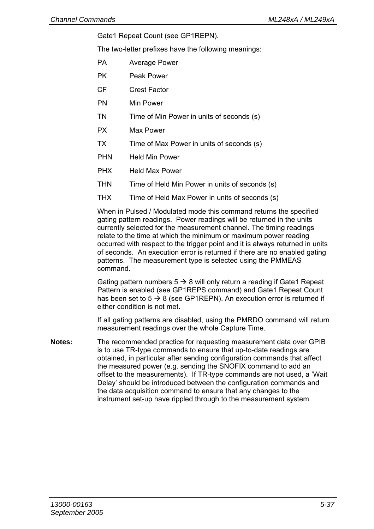Gate1 Repeat Count (see GP1REPN).

The two-letter prefixes have the following meanings:

- PA Average Power
- PK Peak Power
- CF Crest Factor
- PN Min Power
- TN Time of Min Power in units of seconds (s)
- PX Max Power
- TX Time of Max Power in units of seconds (s)
- PHN Held Min Power
- PHX Held Max Power
- THN Time of Held Min Power in units of seconds (s)
- THX Time of Held Max Power in units of seconds (s)

When in Pulsed / Modulated mode this command returns the specified gating pattern readings. Power readings will be returned in the units currently selected for the measurement channel. The timing readings relate to the time at which the minimum or maximum power reading occurred with respect to the trigger point and it is always returned in units of seconds. An execution error is returned if there are no enabled gating patterns. The measurement type is selected using the PMMEAS command.

Gating pattern numbers  $5 \rightarrow 8$  will only return a reading if Gate1 Repeat Pattern is enabled (see GP1REPS command) and Gate1 Repeat Count has been set to  $5 \rightarrow 8$  (see GP1REPN). An execution error is returned if either condition is not met.

If all gating patterns are disabled, using the PMRDO command will return measurement readings over the whole Capture Time.

**Notes:** The recommended practice for requesting measurement data over GPIB is to use TR-type commands to ensure that up-to-date readings are obtained, in particular after sending configuration commands that affect the measured power (e.g. sending the SNOFIX command to add an offset to the measurements). If TR-type commands are not used, a 'Wait Delay' should be introduced between the configuration commands and the data acquisition command to ensure that any changes to the instrument set-up have rippled through to the measurement system.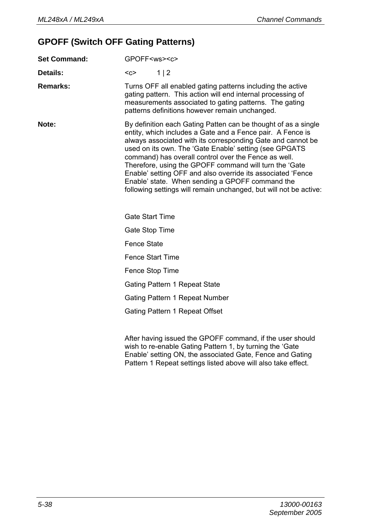# **GPOFF (Switch OFF Gating Patterns)**

| <b>Set Command:</b> | GPOFF <ws><c></c></ws>                                                                                                                                                                                                                                                                                                                                                                                                                                                                                                                                         |  |  |  |  |
|---------------------|----------------------------------------------------------------------------------------------------------------------------------------------------------------------------------------------------------------------------------------------------------------------------------------------------------------------------------------------------------------------------------------------------------------------------------------------------------------------------------------------------------------------------------------------------------------|--|--|--|--|
| Details:            | 1 2<br>$C$                                                                                                                                                                                                                                                                                                                                                                                                                                                                                                                                                     |  |  |  |  |
| <b>Remarks:</b>     | Turns OFF all enabled gating patterns including the active<br>gating pattern. This action will end internal processing of<br>measurements associated to gating patterns. The gating<br>patterns definitions however remain unchanged.                                                                                                                                                                                                                                                                                                                          |  |  |  |  |
| Note:               | By definition each Gating Patten can be thought of as a single<br>entity, which includes a Gate and a Fence pair. A Fence is<br>always associated with its corresponding Gate and cannot be<br>used on its own. The 'Gate Enable' setting (see GPGATS<br>command) has overall control over the Fence as well.<br>Therefore, using the GPOFF command will turn the 'Gate<br>Enable' setting OFF and also override its associated 'Fence<br>Enable' state. When sending a GPOFF command the<br>following settings will remain unchanged, but will not be active: |  |  |  |  |
|                     | Gate Start Time                                                                                                                                                                                                                                                                                                                                                                                                                                                                                                                                                |  |  |  |  |
|                     | Gate Stop Time                                                                                                                                                                                                                                                                                                                                                                                                                                                                                                                                                 |  |  |  |  |
|                     | Fence State                                                                                                                                                                                                                                                                                                                                                                                                                                                                                                                                                    |  |  |  |  |
|                     | Fence Start Time                                                                                                                                                                                                                                                                                                                                                                                                                                                                                                                                               |  |  |  |  |
|                     | Fence Stop Time                                                                                                                                                                                                                                                                                                                                                                                                                                                                                                                                                |  |  |  |  |
|                     | Gating Pattern 1 Repeat State                                                                                                                                                                                                                                                                                                                                                                                                                                                                                                                                  |  |  |  |  |
|                     | Gating Pattern 1 Repeat Number                                                                                                                                                                                                                                                                                                                                                                                                                                                                                                                                 |  |  |  |  |
|                     | Gating Pattern 1 Repeat Offset                                                                                                                                                                                                                                                                                                                                                                                                                                                                                                                                 |  |  |  |  |
|                     | After having issued the GPOFF command if the user should                                                                                                                                                                                                                                                                                                                                                                                                                                                                                                       |  |  |  |  |

After having issued the GPOFF command, if the user should wish to re-enable Gating Pattern 1, by turning the 'Gate Enable' setting ON, the associated Gate, Fence and Gating Pattern 1 Repeat settings listed above will also take effect.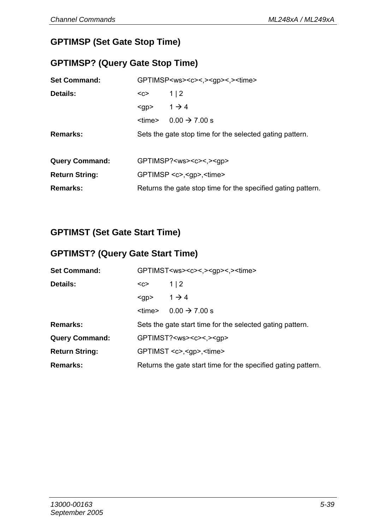# **GPTIMSP (Set Gate Stop Time)**

### **GPTIMSP? (Query Gate Stop Time)**

| <b>Set Command:</b>   | GPTIMSP <ws><c>&lt;,&gt;<gp>&lt;.&gt;<time></time></gp></c></ws> |                           |  |
|-----------------------|------------------------------------------------------------------|---------------------------|--|
| Details:              | 1 2<br>$C$                                                       |                           |  |
|                       | $<$ gp>                                                          | $1 \rightarrow 4$         |  |
|                       | <time></time>                                                    | $0.00 \rightarrow 7.00 s$ |  |
| Remarks:              | Sets the gate stop time for the selected gating pattern.         |                           |  |
|                       |                                                                  |                           |  |
| <b>Query Command:</b> | GPTIMSP? <ws><c>&lt;.&gt;<qp></qp></c></ws>                      |                           |  |
| <b>Return String:</b> | GPTIMSP <c>,<qp>,<time></time></qp></c>                          |                           |  |
| Remarks:              | Returns the gate stop time for the specified gating pattern.     |                           |  |

# **GPTIMST (Set Gate Start Time)**

### **GPTIMST? (Query Gate Start Time)**

| <b>Set Command:</b>   | GPTIMST <ws><c>&lt;,&gt;<gp>&lt;.&gt;<time></time></gp></c></ws> |                           |  |
|-----------------------|------------------------------------------------------------------|---------------------------|--|
| Details:              | $C$                                                              | 1 2                       |  |
|                       | $<$ gp>                                                          | $1 \rightarrow 4$         |  |
|                       | <time></time>                                                    | $0.00 \rightarrow 7.00 s$ |  |
| Remarks:              | Sets the gate start time for the selected gating pattern.        |                           |  |
| <b>Query Command:</b> | GPTIMST? <ws><c>&lt;.&gt;<gp></gp></c></ws>                      |                           |  |
| <b>Return String:</b> | GPTIMST <c>,<qp>,<time></time></qp></c>                          |                           |  |
| Remarks:              | Returns the gate start time for the specified gating pattern.    |                           |  |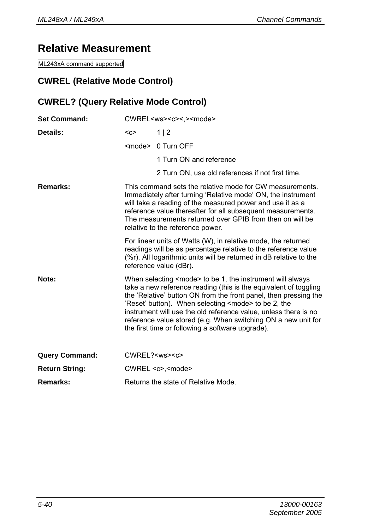# **Relative Measurement**

ML243xA command supported

### **CWREL (Relative Mode Control)**

### **CWREL? (Query Relative Mode Control)**

| <b>Set Command:</b>   | CWREL <ws><c>&lt;,&gt;<mode></mode></c></ws>                                                                                                                                                                                                                                                                                                                                                                                                                         |                                                                                                                                                                                                                                 |  |
|-----------------------|----------------------------------------------------------------------------------------------------------------------------------------------------------------------------------------------------------------------------------------------------------------------------------------------------------------------------------------------------------------------------------------------------------------------------------------------------------------------|---------------------------------------------------------------------------------------------------------------------------------------------------------------------------------------------------------------------------------|--|
| Details:              | $C$                                                                                                                                                                                                                                                                                                                                                                                                                                                                  | 1 2                                                                                                                                                                                                                             |  |
|                       |                                                                                                                                                                                                                                                                                                                                                                                                                                                                      | <mode> 0 Turn OFF</mode>                                                                                                                                                                                                        |  |
|                       |                                                                                                                                                                                                                                                                                                                                                                                                                                                                      | 1 Turn ON and reference                                                                                                                                                                                                         |  |
|                       |                                                                                                                                                                                                                                                                                                                                                                                                                                                                      | 2 Turn ON, use old references if not first time.                                                                                                                                                                                |  |
| Remarks:              | This command sets the relative mode for CW measurements.<br>Immediately after turning 'Relative mode' ON, the instrument<br>will take a reading of the measured power and use it as a<br>reference value thereafter for all subsequent measurements.<br>The measurements returned over GPIB from then on will be<br>relative to the reference power.                                                                                                                 |                                                                                                                                                                                                                                 |  |
|                       |                                                                                                                                                                                                                                                                                                                                                                                                                                                                      | For linear units of Watts (W), in relative mode, the returned<br>readings will be as percentage relative to the reference value<br>(%r). All logarithmic units will be returned in dB relative to the<br>reference value (dBr). |  |
| Note:                 | When selecting <mode> to be 1, the instrument will always<br/>take a new reference reading (this is the equivalent of toggling<br/>the 'Relative' button ON from the front panel, then pressing the<br/>'Reset' button). When selecting <mode> to be 2, the<br/>instrument will use the old reference value, unless there is no<br/>reference value stored (e.g. When switching ON a new unit for<br/>the first time or following a software upgrade).</mode></mode> |                                                                                                                                                                                                                                 |  |
| <b>Query Command:</b> | CWREL? <ws><c></c></ws>                                                                                                                                                                                                                                                                                                                                                                                                                                              |                                                                                                                                                                                                                                 |  |
| <b>Return String:</b> |                                                                                                                                                                                                                                                                                                                                                                                                                                                                      | CWREL <c>,<mode></mode></c>                                                                                                                                                                                                     |  |
| Remarks:              |                                                                                                                                                                                                                                                                                                                                                                                                                                                                      | Returns the state of Relative Mode.                                                                                                                                                                                             |  |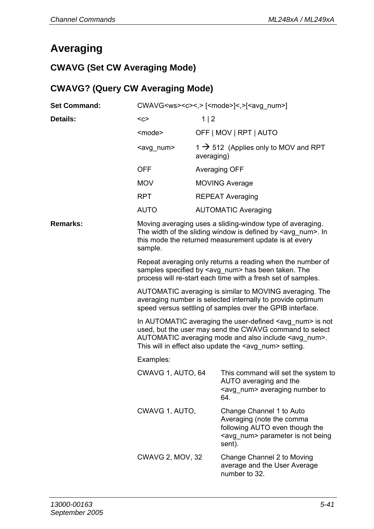# **Averaging**

# **CWAVG (Set CW Averaging Mode)**

# **CWAVG? (Query CW Averaging Mode)**

| <b>Set Command:</b> | CWAVG <ws><c>&lt;,&gt; [<mode>]&lt;,&gt;[<avg num="">]</avg></mode></c></ws>                                                                                                                                                                                          |                                                                |                                                                                                                                                                                             |  |  |
|---------------------|-----------------------------------------------------------------------------------------------------------------------------------------------------------------------------------------------------------------------------------------------------------------------|----------------------------------------------------------------|---------------------------------------------------------------------------------------------------------------------------------------------------------------------------------------------|--|--|
| Details:            | $C$                                                                                                                                                                                                                                                                   | 1 2                                                            |                                                                                                                                                                                             |  |  |
|                     | <mode></mode>                                                                                                                                                                                                                                                         |                                                                | OFF   MOV   RPT   AUTO                                                                                                                                                                      |  |  |
|                     | <avg_num></avg_num>                                                                                                                                                                                                                                                   | $1 \rightarrow 512$ (Applies only to MOV and RPT<br>averaging) |                                                                                                                                                                                             |  |  |
|                     | <b>OFF</b>                                                                                                                                                                                                                                                            | Averaging OFF                                                  |                                                                                                                                                                                             |  |  |
|                     | <b>MOV</b>                                                                                                                                                                                                                                                            |                                                                | <b>MOVING Average</b>                                                                                                                                                                       |  |  |
|                     | <b>RPT</b>                                                                                                                                                                                                                                                            |                                                                | <b>REPEAT Averaging</b>                                                                                                                                                                     |  |  |
|                     | AUTO                                                                                                                                                                                                                                                                  |                                                                | <b>AUTOMATIC Averaging</b>                                                                                                                                                                  |  |  |
| Remarks:            | sample.                                                                                                                                                                                                                                                               |                                                                | Moving averaging uses a sliding-window type of averaging.<br>The width of the sliding window is defined by <avg num="">. In<br/>this mode the returned measurement update is at every</avg> |  |  |
|                     | Repeat averaging only returns a reading when the number of<br>samples specified by <avg_num> has been taken. The<br/>process will re-start each time with a fresh set of samples.</avg_num>                                                                           |                                                                |                                                                                                                                                                                             |  |  |
|                     | AUTOMATIC averaging is similar to MOVING averaging. The<br>averaging number is selected internally to provide optimum<br>speed versus settling of samples over the GPIB interface.                                                                                    |                                                                |                                                                                                                                                                                             |  |  |
|                     | In AUTOMATIC averaging the user-defined <avg_num> is not<br/>used, but the user may send the CWAVG command to select<br/>AUTOMATIC averaging mode and also include <avg num="">.<br/>This will in effect also update the <avg_num> setting.</avg_num></avg></avg_num> |                                                                |                                                                                                                                                                                             |  |  |
|                     | Examples:                                                                                                                                                                                                                                                             |                                                                |                                                                                                                                                                                             |  |  |
|                     | CWAVG 1, AUTO, 64                                                                                                                                                                                                                                                     |                                                                | This command will set the system to<br>AUTO averaging and the<br><avg num=""> averaging number to<br/>64.</avg>                                                                             |  |  |
|                     | CWAVG 1, AUTO,                                                                                                                                                                                                                                                        |                                                                | Change Channel 1 to Auto<br>Averaging (note the comma<br>following AUTO even though the<br><avg num=""> parameter is not being<br/>sent).</avg>                                             |  |  |
|                     | <b>CWAVG 2, MOV, 32</b>                                                                                                                                                                                                                                               |                                                                | Change Channel 2 to Moving<br>average and the User Average<br>number to 32.                                                                                                                 |  |  |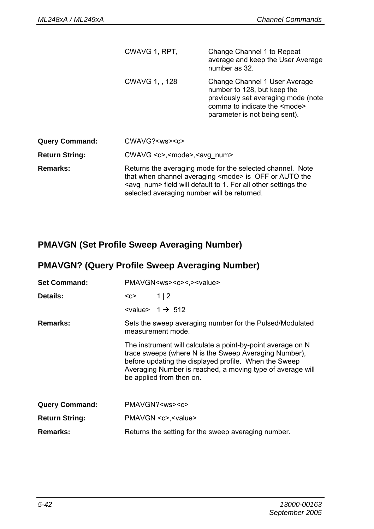|                       | CWAVG 1, RPT.      | Change Channel 1 to Repeat<br>average and keep the User Average<br>number as 32.                                                                                                                                                                     |  |  |
|-----------------------|--------------------|------------------------------------------------------------------------------------------------------------------------------------------------------------------------------------------------------------------------------------------------------|--|--|
|                       | CWAVG 1, 128       | Change Channel 1 User Average<br>number to 128, but keep the<br>previously set averaging mode (note<br>comma to indicate the <mode><br/>parameter is not being sent).</mode>                                                                         |  |  |
| <b>Query Command:</b> | $CWAVG? <$ ws> $<$ |                                                                                                                                                                                                                                                      |  |  |
| Return String:        |                    | CWAVG <c>,<mode>,<avg num=""></avg></mode></c>                                                                                                                                                                                                       |  |  |
| <b>Remarks:</b>       |                    | Returns the averaging mode for the selected channel. Note<br>that when channel averaging <mode> is OFF or AUTO the<br/><avg num=""> field will default to 1. For all other settings the<br/>selected averaging number will be returned.</avg></mode> |  |  |

# **PMAVGN (Set Profile Sweep Averaging Number)**

# **PMAVGN? (Query Profile Sweep Averaging Number)**

| <b>Set Command:</b>   | PMAVGN <ws><c>&lt;.&gt;<value></value></c></ws>                                                                                                                                                                                                                                                                                                          |                                      |
|-----------------------|----------------------------------------------------------------------------------------------------------------------------------------------------------------------------------------------------------------------------------------------------------------------------------------------------------------------------------------------------------|--------------------------------------|
| Details:              | <c></c>                                                                                                                                                                                                                                                                                                                                                  | 1 2                                  |
|                       |                                                                                                                                                                                                                                                                                                                                                          | $\langle$ value> 1 $\rightarrow$ 512 |
| Remarks:              | Sets the sweep averaging number for the Pulsed/Modulated<br>measurement mode.<br>The instrument will calculate a point-by-point average on N<br>trace sweeps (where N is the Sweep Averaging Number).<br>before updating the displayed profile. When the Sweep<br>Averaging Number is reached, a moving type of average will<br>be applied from then on. |                                      |
|                       |                                                                                                                                                                                                                                                                                                                                                          |                                      |
| <b>Query Command:</b> |                                                                                                                                                                                                                                                                                                                                                          | PMAVGN? <ws><c></c></ws>             |
| <b>Return String:</b> |                                                                                                                                                                                                                                                                                                                                                          | PMAVGN <c>,<value></value></c>       |
| Remarks:              | Returns the setting for the sweep averaging number.                                                                                                                                                                                                                                                                                                      |                                      |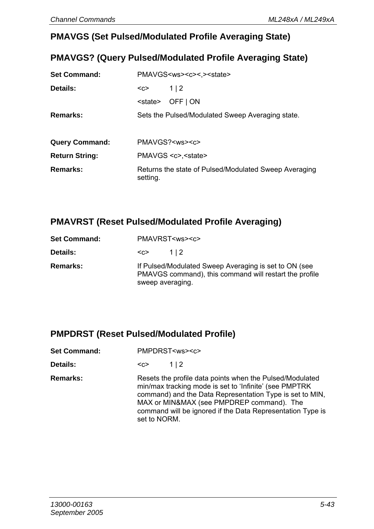#### **PMAVGS (Set Pulsed/Modulated Profile Averaging State)**

### **PMAVGS? (Query Pulsed/Modulated Profile Averaging State)**

| <b>Set Command:</b>   | PMAVGS <ws><c>&lt;.&gt;<state></state></c></ws>                   |  |
|-----------------------|-------------------------------------------------------------------|--|
| Details:              | 1 2<br>$C$                                                        |  |
|                       | OFF   ON<br><state></state>                                       |  |
| Remarks:              | Sets the Pulsed/Modulated Sweep Averaging state.                  |  |
|                       |                                                                   |  |
| <b>Query Command:</b> | PMAVGS? <ws><c></c></ws>                                          |  |
| <b>Return String:</b> | PMAVGS <c>,<state></state></c>                                    |  |
| Remarks:              | Returns the state of Pulsed/Modulated Sweep Averaging<br>setting. |  |

#### **PMAVRST (Reset Pulsed/Modulated Profile Averaging)**

| <b>Set Command:</b> | PMAVRST <ws><c></c></ws> |                                                                                                                 |  |
|---------------------|--------------------------|-----------------------------------------------------------------------------------------------------------------|--|
| Details:            | $C$                      | 112                                                                                                             |  |
| Remarks:            | sweep averaging.         | If Pulsed/Modulated Sweep Averaging is set to ON (see<br>PMAVGS command), this command will restart the profile |  |

#### **PMPDRST (Reset Pulsed/Modulated Profile)**

| <b>Set Command:</b> | PMPDRST <ws><c></c></ws> |
|---------------------|--------------------------|
|                     |                          |

| <b>Details:</b> | <೧> | 1 2 |
|-----------------|-----|-----|
|-----------------|-----|-----|

**Remarks:** Resets the profile data points when the Pulsed/Modulated min/max tracking mode is set to 'Infinite' (see PMPTRK command) and the Data Representation Type is set to MIN, MAX or MIN&MAX (see PMPDREP command). The command will be ignored if the Data Representation Type is set to NORM.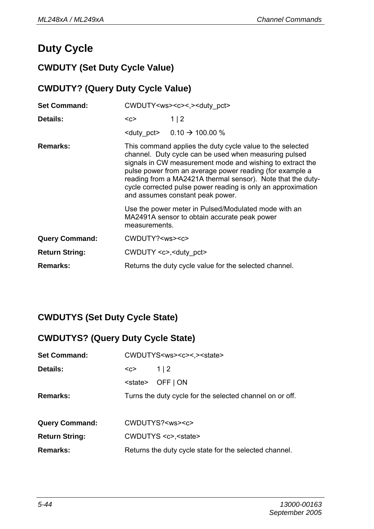# **Duty Cycle**

# **CWDUTY (Set Duty Cycle Value)**

### **CWDUTY? (Query Duty Cycle Value)**

| <b>Set Command:</b>   | CWDUTY <ws><c>&lt;.&gt;<duty_pct></duty_pct></c></ws>                                                                 |                                                                                                                                                                                                                                                                                                                                                                                                                |  |
|-----------------------|-----------------------------------------------------------------------------------------------------------------------|----------------------------------------------------------------------------------------------------------------------------------------------------------------------------------------------------------------------------------------------------------------------------------------------------------------------------------------------------------------------------------------------------------------|--|
| Details:              | $C$                                                                                                                   | 1 2                                                                                                                                                                                                                                                                                                                                                                                                            |  |
|                       |                                                                                                                       | <duty pct=""> <math>0.10 \div 100.00 \%</math></duty>                                                                                                                                                                                                                                                                                                                                                          |  |
| Remarks:              |                                                                                                                       | This command applies the duty cycle value to the selected<br>channel. Duty cycle can be used when measuring pulsed<br>signals in CW measurement mode and wishing to extract the<br>pulse power from an average power reading (for example a<br>reading from a MA2421A thermal sensor). Note that the duty-<br>cycle corrected pulse power reading is only an approximation<br>and assumes constant peak power. |  |
|                       | Use the power meter in Pulsed/Modulated mode with an<br>MA2491A sensor to obtain accurate peak power<br>measurements. |                                                                                                                                                                                                                                                                                                                                                                                                                |  |
| <b>Query Command:</b> | CWDUTY? <ws><c></c></ws>                                                                                              |                                                                                                                                                                                                                                                                                                                                                                                                                |  |
| <b>Return String:</b> | CWDUTY <c>,<duty pct=""></duty></c>                                                                                   |                                                                                                                                                                                                                                                                                                                                                                                                                |  |
| Remarks:              | Returns the duty cycle value for the selected channel.                                                                |                                                                                                                                                                                                                                                                                                                                                                                                                |  |

# **CWDUTYS (Set Duty Cycle State)**

### **CWDUTYS? (Query Duty Cycle State)**

| <b>Set Command:</b>   | CWDUTYS <ws><c>&lt;.&gt;<state></state></c></ws>         |  |
|-----------------------|----------------------------------------------------------|--|
| <b>Details:</b>       | 1 2<br><c></c>                                           |  |
|                       | OFF   ON<br><state></state>                              |  |
| Remarks:              | Turns the duty cycle for the selected channel on or off. |  |
|                       |                                                          |  |
| <b>Query Command:</b> | CWDUTYS? <ws><c></c></ws>                                |  |
| <b>Return String:</b> | CWDUTYS <c>,<state></state></c>                          |  |
| <b>Remarks:</b>       | Returns the duty cycle state for the selected channel.   |  |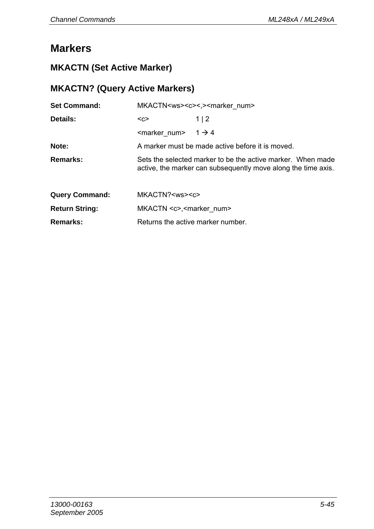# **Markers**

# **MKACTN (Set Active Marker)**

# **MKACTN? (Query Active Markers)**

| <b>Set Command:</b>   |                                         | MKACTN <ws><c>&lt;.&gt;<marker num=""></marker></c></ws>                                                                     |  |  |
|-----------------------|-----------------------------------------|------------------------------------------------------------------------------------------------------------------------------|--|--|
| Details:              | $C$                                     | 1 2                                                                                                                          |  |  |
|                       | <marker num=""></marker>                | $1 \rightarrow 4$                                                                                                            |  |  |
| Note:                 |                                         | A marker must be made active before it is moved.                                                                             |  |  |
| Remarks:              |                                         | Sets the selected marker to be the active marker. When made<br>active, the marker can subsequently move along the time axis. |  |  |
| <b>Query Command:</b> | MKACTN? <ws><c></c></ws>                |                                                                                                                              |  |  |
| <b>Return String:</b> | MKACTN <c>,<marker num=""></marker></c> |                                                                                                                              |  |  |
| Remarks:              |                                         | Returns the active marker number.                                                                                            |  |  |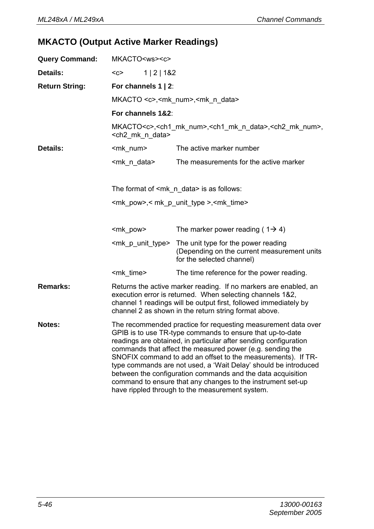# **MKACTO (Output Active Marker Readings)**

| <b>Query Command:</b> | MKACTO <ws><c></c></ws>                                                                                                                                                                                                                                                                                                                                                                                                                                                                                                                                                         |                                                                                                                  |  |  |
|-----------------------|---------------------------------------------------------------------------------------------------------------------------------------------------------------------------------------------------------------------------------------------------------------------------------------------------------------------------------------------------------------------------------------------------------------------------------------------------------------------------------------------------------------------------------------------------------------------------------|------------------------------------------------------------------------------------------------------------------|--|--|
| Details:              | 1   2   182<br>$C$                                                                                                                                                                                                                                                                                                                                                                                                                                                                                                                                                              |                                                                                                                  |  |  |
| <b>Return String:</b> |                                                                                                                                                                                                                                                                                                                                                                                                                                                                                                                                                                                 | For channels $1 \mid 2$ :                                                                                        |  |  |
|                       |                                                                                                                                                                                                                                                                                                                                                                                                                                                                                                                                                                                 | MKACTO <c>,<mk num="">,<mk data="" n=""></mk></mk></c>                                                           |  |  |
|                       | For channels 1&2:                                                                                                                                                                                                                                                                                                                                                                                                                                                                                                                                                               |                                                                                                                  |  |  |
|                       | <ch2 data="" mk="" n=""></ch2>                                                                                                                                                                                                                                                                                                                                                                                                                                                                                                                                                  | MKACTO <c>,<ch1 mk="" num="">,<ch1 data="" mk="" n="">,<ch2 mk="" num="">,</ch2></ch1></ch1></c>                 |  |  |
| Details:              | <mk num=""></mk>                                                                                                                                                                                                                                                                                                                                                                                                                                                                                                                                                                | The active marker number                                                                                         |  |  |
|                       | <mk data="" n=""></mk>                                                                                                                                                                                                                                                                                                                                                                                                                                                                                                                                                          | The measurements for the active marker                                                                           |  |  |
|                       |                                                                                                                                                                                                                                                                                                                                                                                                                                                                                                                                                                                 |                                                                                                                  |  |  |
|                       | The format of $\leq m$ k n data> is as follows:                                                                                                                                                                                                                                                                                                                                                                                                                                                                                                                                 |                                                                                                                  |  |  |
|                       |                                                                                                                                                                                                                                                                                                                                                                                                                                                                                                                                                                                 | <mk_pow>,&lt; mk_p_unit_type &gt;,<mk_time></mk_time></mk_pow>                                                   |  |  |
|                       |                                                                                                                                                                                                                                                                                                                                                                                                                                                                                                                                                                                 |                                                                                                                  |  |  |
|                       | <mk pow=""></mk>                                                                                                                                                                                                                                                                                                                                                                                                                                                                                                                                                                | The marker power reading ( $1\rightarrow 4$ )                                                                    |  |  |
|                       | <mk p="" type="" unit=""></mk>                                                                                                                                                                                                                                                                                                                                                                                                                                                                                                                                                  | The unit type for the power reading<br>(Depending on the current measurement units)<br>for the selected channel) |  |  |
|                       | <mk time=""></mk>                                                                                                                                                                                                                                                                                                                                                                                                                                                                                                                                                               | The time reference for the power reading.                                                                        |  |  |
| Remarks:              | Returns the active marker reading. If no markers are enabled, an<br>execution error is returned. When selecting channels 1&2,<br>channel 1 readings will be output first, followed immediately by<br>channel 2 as shown in the return string format above.                                                                                                                                                                                                                                                                                                                      |                                                                                                                  |  |  |
| <b>Notes:</b>         | The recommended practice for requesting measurement data over<br>GPIB is to use TR-type commands to ensure that up-to-date<br>readings are obtained, in particular after sending configuration<br>commands that affect the measured power (e.g. sending the<br>SNOFIX command to add an offset to the measurements). If TR-<br>type commands are not used, a 'Wait Delay' should be introduced<br>between the configuration commands and the data acquisition<br>command to ensure that any changes to the instrument set-up<br>have rippled through to the measurement system. |                                                                                                                  |  |  |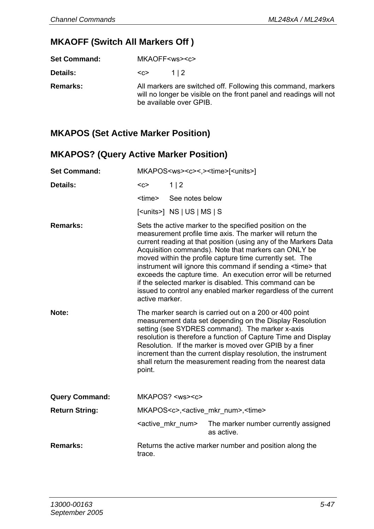## **MKAOFF (Switch All Markers Off )**

**Set Command:** MKAOFF<ws><c>

**Details:**  $\langle c \rangle$  1 | 2

**Remarks:** All markers are switched off. Following this command, markers will no longer be visible on the front panel and readings will not be available over GPIB.

### **MKAPOS (Set Active Marker Position)**

#### **MKAPOS? (Query Active Marker Position)**

| <b>Set Command:</b>   | MKAPOS <ws><c>&lt;.&gt;<time>[<units>]</units></time></c></ws>                                                                                                                                                                                                                                                                                                                                                                              |                                    |                                                                                                                                                                                                                                                                                                                                                                                                                                                                                                                                                                                     |
|-----------------------|---------------------------------------------------------------------------------------------------------------------------------------------------------------------------------------------------------------------------------------------------------------------------------------------------------------------------------------------------------------------------------------------------------------------------------------------|------------------------------------|-------------------------------------------------------------------------------------------------------------------------------------------------------------------------------------------------------------------------------------------------------------------------------------------------------------------------------------------------------------------------------------------------------------------------------------------------------------------------------------------------------------------------------------------------------------------------------------|
| Details:              | $C$                                                                                                                                                                                                                                                                                                                                                                                                                                         | 1 2                                |                                                                                                                                                                                                                                                                                                                                                                                                                                                                                                                                                                                     |
|                       | <time></time>                                                                                                                                                                                                                                                                                                                                                                                                                               | See notes below                    |                                                                                                                                                                                                                                                                                                                                                                                                                                                                                                                                                                                     |
|                       |                                                                                                                                                                                                                                                                                                                                                                                                                                             | $[<$ units> $]$ NS $ US $ MS $ S $ |                                                                                                                                                                                                                                                                                                                                                                                                                                                                                                                                                                                     |
| Remarks:              | active marker.                                                                                                                                                                                                                                                                                                                                                                                                                              |                                    | Sets the active marker to the specified position on the<br>measurement profile time axis. The marker will return the<br>current reading at that position (using any of the Markers Data<br>Acquisition commands). Note that markers can ONLY be<br>moved within the profile capture time currently set. The<br>instrument will ignore this command if sending a <time> that<br/>exceeds the capture time. An execution error will be returned<br/>if the selected marker is disabled. This command can be<br/>issued to control any enabled marker regardless of the current</time> |
| Note:                 | The marker search is carried out on a 200 or 400 point<br>measurement data set depending on the Display Resolution<br>setting (see SYDRES command). The marker x-axis<br>resolution is therefore a function of Capture Time and Display<br>Resolution. If the marker is moved over GPIB by a finer<br>increment than the current display resolution, the instrument<br>shall return the measurement reading from the nearest data<br>point. |                                    |                                                                                                                                                                                                                                                                                                                                                                                                                                                                                                                                                                                     |
| <b>Query Command:</b> |                                                                                                                                                                                                                                                                                                                                                                                                                                             | MKAPOS? <ws><c></c></ws>           |                                                                                                                                                                                                                                                                                                                                                                                                                                                                                                                                                                                     |
| <b>Return String:</b> | MKAPOS <c>,<active mkr="" num="">,<time></time></active></c>                                                                                                                                                                                                                                                                                                                                                                                |                                    |                                                                                                                                                                                                                                                                                                                                                                                                                                                                                                                                                                                     |
|                       |                                                                                                                                                                                                                                                                                                                                                                                                                                             | <active mkr="" num=""></active>    | The marker number currently assigned<br>as active.                                                                                                                                                                                                                                                                                                                                                                                                                                                                                                                                  |
| Remarks:              | trace.                                                                                                                                                                                                                                                                                                                                                                                                                                      |                                    | Returns the active marker number and position along the                                                                                                                                                                                                                                                                                                                                                                                                                                                                                                                             |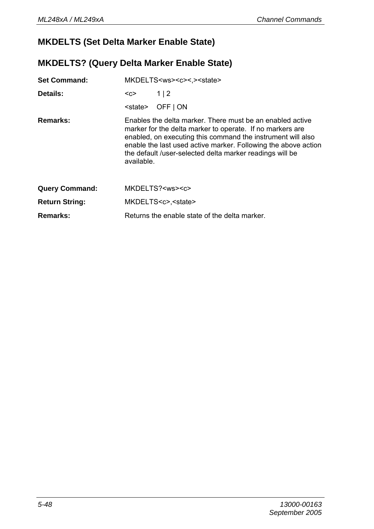## **MKDELTS (Set Delta Marker Enable State)**

## **MKDELTS? (Query Delta Marker Enable State)**

| <b>Set Command:</b>   | MKDELTS <ws><c>&lt;.&gt;<state></state></c></ws>                                                                                                                                                                                                                                                                                  |                                               |
|-----------------------|-----------------------------------------------------------------------------------------------------------------------------------------------------------------------------------------------------------------------------------------------------------------------------------------------------------------------------------|-----------------------------------------------|
| Details:              | <c></c>                                                                                                                                                                                                                                                                                                                           | 1 2                                           |
|                       | <state></state>                                                                                                                                                                                                                                                                                                                   | OFF   ON                                      |
| Remarks:              | Enables the delta marker. There must be an enabled active<br>marker for the delta marker to operate. If no markers are<br>enabled, on executing this command the instrument will also<br>enable the last used active marker. Following the above action<br>the default /user-selected delta marker readings will be<br>available. |                                               |
| <b>Query Command:</b> |                                                                                                                                                                                                                                                                                                                                   | MKDELTS? <ws><c></c></ws>                     |
| <b>Return String:</b> |                                                                                                                                                                                                                                                                                                                                   | MKDELTS <c>,<state></state></c>               |
| Remarks:              |                                                                                                                                                                                                                                                                                                                                   | Returns the enable state of the delta marker. |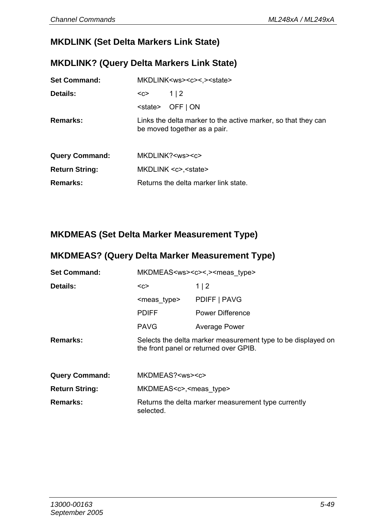# **MKDLINK (Set Delta Markers Link State)**

#### **MKDLINK? (Query Delta Markers Link State)**

| <b>Set Command:</b>   |                 | MKDLINK <ws><c>&lt;.&gt;<state></state></c></ws>                                              |
|-----------------------|-----------------|-----------------------------------------------------------------------------------------------|
| Details:              | $C$             | 1 2                                                                                           |
|                       | <state></state> | OFF   ON                                                                                      |
| Remarks:              |                 | Links the delta marker to the active marker, so that they can<br>be moved together as a pair. |
| <b>Query Command:</b> |                 | MKDLINK? <ws><c></c></ws>                                                                     |
| <b>Return String:</b> |                 | MKDLINK <c>,<state></state></c>                                                               |
| Remarks:              |                 | Returns the delta marker link state.                                                          |

## **MKDMEAS (Set Delta Marker Measurement Type)**

### **MKDMEAS? (Query Delta Marker Measurement Type)**

| <b>Set Command:</b>   |                                       | MKDMEAS <ws><c>&lt;,&gt;<meas type=""></meas></c></ws>                                                 |
|-----------------------|---------------------------------------|--------------------------------------------------------------------------------------------------------|
| Details:              | $C$                                   | 1 2                                                                                                    |
|                       | <meas type=""></meas>                 | PDIFF   PAVG                                                                                           |
|                       | <b>PDIFF</b>                          | Power Difference                                                                                       |
|                       | <b>PAVG</b>                           | Average Power                                                                                          |
| Remarks:              |                                       | Selects the delta marker measurement type to be displayed on<br>the front panel or returned over GPIB. |
| <b>Query Command:</b> | MKDMEAS? <ws><c></c></ws>             |                                                                                                        |
| <b>Return String:</b> | MKDMEAS <c>,<meas type=""></meas></c> |                                                                                                        |
| Remarks:              | selected.                             | Returns the delta marker measurement type currently                                                    |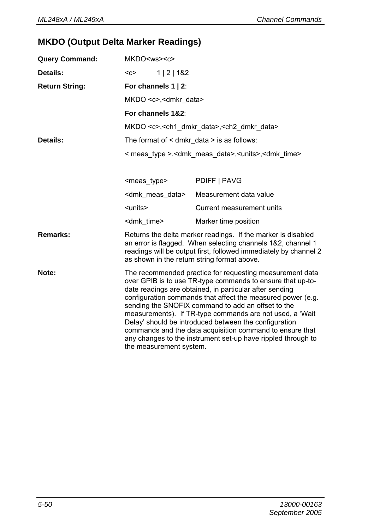# **MKDO (Output Delta Marker Readings)**

| <b>Query Command:</b> | MKDO <ws><c></c></ws>                             |                                                                                                                                                                                                                                                                                                                                                                                                                                                                                                                                                         |
|-----------------------|---------------------------------------------------|---------------------------------------------------------------------------------------------------------------------------------------------------------------------------------------------------------------------------------------------------------------------------------------------------------------------------------------------------------------------------------------------------------------------------------------------------------------------------------------------------------------------------------------------------------|
| Details:              | 1   2   182<br>$C$                                |                                                                                                                                                                                                                                                                                                                                                                                                                                                                                                                                                         |
| <b>Return String:</b> | For channels 1   2:                               |                                                                                                                                                                                                                                                                                                                                                                                                                                                                                                                                                         |
|                       | MKDO <c>,<dmkr data=""></dmkr></c>                |                                                                                                                                                                                                                                                                                                                                                                                                                                                                                                                                                         |
|                       | For channels 1&2:                                 |                                                                                                                                                                                                                                                                                                                                                                                                                                                                                                                                                         |
|                       |                                                   | MKDO <c>, <ch1 data="" dmkr="">, <ch2 data="" dmkr=""></ch2></ch1></c>                                                                                                                                                                                                                                                                                                                                                                                                                                                                                  |
| Details:              | The format of $\leq$ dmkr data $>$ is as follows: |                                                                                                                                                                                                                                                                                                                                                                                                                                                                                                                                                         |
|                       |                                                   | < meas type >, < dm k meas data >, < units >, < dm k time >                                                                                                                                                                                                                                                                                                                                                                                                                                                                                             |
|                       |                                                   |                                                                                                                                                                                                                                                                                                                                                                                                                                                                                                                                                         |
|                       | <meas type=""></meas>                             | PDIFF   PAVG                                                                                                                                                                                                                                                                                                                                                                                                                                                                                                                                            |
|                       | <dmk data="" meas=""></dmk>                       | Measurement data value                                                                                                                                                                                                                                                                                                                                                                                                                                                                                                                                  |
|                       | <units></units>                                   | Current measurement units                                                                                                                                                                                                                                                                                                                                                                                                                                                                                                                               |
|                       | <dmk time=""></dmk>                               | Marker time position                                                                                                                                                                                                                                                                                                                                                                                                                                                                                                                                    |
| Remarks:              | as shown in the return string format above.       | Returns the delta marker readings. If the marker is disabled<br>an error is flagged. When selecting channels 1&2, channel 1<br>readings will be output first, followed immediately by channel 2                                                                                                                                                                                                                                                                                                                                                         |
| Note:                 | the measurement system.                           | The recommended practice for requesting measurement data<br>over GPIB is to use TR-type commands to ensure that up-to-<br>date readings are obtained, in particular after sending<br>configuration commands that affect the measured power (e.g.<br>sending the SNOFIX command to add an offset to the<br>measurements). If TR-type commands are not used, a 'Wait<br>Delay' should be introduced between the configuration<br>commands and the data acquisition command to ensure that<br>any changes to the instrument set-up have rippled through to |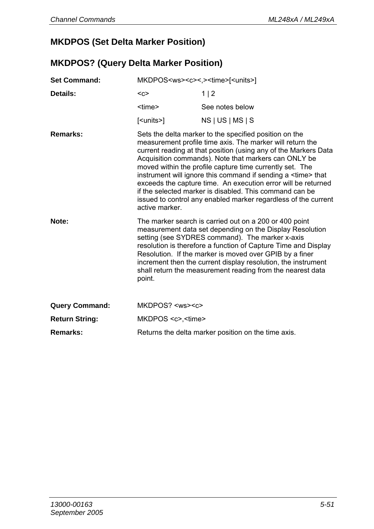### **MKDPOS (Set Delta Marker Position)**

#### **MKDPOS? (Query Delta Marker Position)**

| <b>Set Command:</b>   | MKDPOS <ws><c>&lt;,&gt;<time>[<units>]</units></time></c></ws> |                                                                                                                                                                                                                                                                                                                                                                                                                                                                                                                                                                                    |
|-----------------------|----------------------------------------------------------------|------------------------------------------------------------------------------------------------------------------------------------------------------------------------------------------------------------------------------------------------------------------------------------------------------------------------------------------------------------------------------------------------------------------------------------------------------------------------------------------------------------------------------------------------------------------------------------|
| Details:              | $C$                                                            | 1 2                                                                                                                                                                                                                                                                                                                                                                                                                                                                                                                                                                                |
|                       | <time></time>                                                  | See notes below                                                                                                                                                                                                                                                                                                                                                                                                                                                                                                                                                                    |
|                       | [ <units>]</units>                                             | NS   US   MS   S                                                                                                                                                                                                                                                                                                                                                                                                                                                                                                                                                                   |
| Remarks:              | active marker.                                                 | Sets the delta marker to the specified position on the<br>measurement profile time axis. The marker will return the<br>current reading at that position (using any of the Markers Data<br>Acquisition commands). Note that markers can ONLY be<br>moved within the profile capture time currently set. The<br>instrument will ignore this command if sending a <time> that<br/>exceeds the capture time. An execution error will be returned<br/>if the selected marker is disabled. This command can be<br/>issued to control any enabled marker regardless of the current</time> |
| Note:                 | point.                                                         | The marker search is carried out on a 200 or 400 point<br>measurement data set depending on the Display Resolution<br>setting (see SYDRES command). The marker x-axis<br>resolution is therefore a function of Capture Time and Display<br>Resolution. If the marker is moved over GPIB by a finer<br>increment then the current display resolution, the instrument<br>shall return the measurement reading from the nearest data                                                                                                                                                  |
| <b>Query Command:</b> | $MKDPOS? <$ $<$ ws> $<$ c>                                     |                                                                                                                                                                                                                                                                                                                                                                                                                                                                                                                                                                                    |
| <b>Return String:</b> | MKDPOS <c>,<time></time></c>                                   |                                                                                                                                                                                                                                                                                                                                                                                                                                                                                                                                                                                    |
| Remarks:              |                                                                | Returns the delta marker position on the time axis.                                                                                                                                                                                                                                                                                                                                                                                                                                                                                                                                |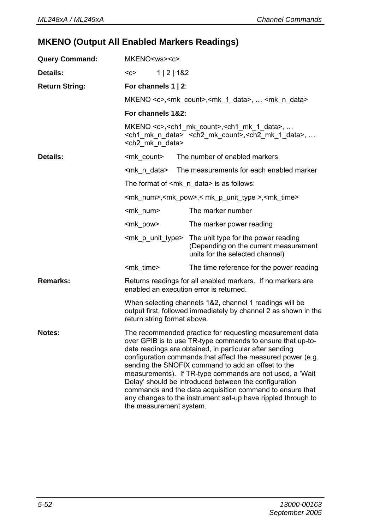# **MKENO (Output All Enabled Markers Readings)**

| <b>Query Command:</b> | MKENO <ws><c></c></ws>                  |                                                                                                                                                                                                                                                                                                                                                                                                                                                                                                                                                         |
|-----------------------|-----------------------------------------|---------------------------------------------------------------------------------------------------------------------------------------------------------------------------------------------------------------------------------------------------------------------------------------------------------------------------------------------------------------------------------------------------------------------------------------------------------------------------------------------------------------------------------------------------------|
| Details:              | 1   2   182<br>$C$                      |                                                                                                                                                                                                                                                                                                                                                                                                                                                                                                                                                         |
| <b>Return String:</b> | For channels $1 \mid 2$ :               |                                                                                                                                                                                                                                                                                                                                                                                                                                                                                                                                                         |
|                       |                                         | MKENO <c>,<mk count="">,<mk 1="" data="">,  <mk data="" n=""></mk></mk></mk></c>                                                                                                                                                                                                                                                                                                                                                                                                                                                                        |
|                       | For channels 1&2:                       |                                                                                                                                                                                                                                                                                                                                                                                                                                                                                                                                                         |
|                       | <ch2 data="" mk="" n=""></ch2>          | MKENO $\lt c$ >, $\lt ch1$ mk count>, $\lt ch1$ mk 1 data>,<br><ch1 data="" mk="" n=""> <ch2 count="" mk="">,<ch2 1="" data="" mk="">, </ch2></ch2></ch1>                                                                                                                                                                                                                                                                                                                                                                                               |
| Details:              | <mk count=""></mk>                      | The number of enabled markers                                                                                                                                                                                                                                                                                                                                                                                                                                                                                                                           |
|                       | <mk data="" n=""></mk>                  | The measurements for each enabled marker                                                                                                                                                                                                                                                                                                                                                                                                                                                                                                                |
|                       |                                         | The format of $\leq m$ k n data> is as follows:                                                                                                                                                                                                                                                                                                                                                                                                                                                                                                         |
|                       |                                         | <mk_num>,<mk_pow>,<mk_p_unit_type>,<mk_time></mk_time></mk_p_unit_type></mk_pow></mk_num>                                                                                                                                                                                                                                                                                                                                                                                                                                                               |
|                       | <mk num=""></mk>                        | The marker number                                                                                                                                                                                                                                                                                                                                                                                                                                                                                                                                       |
|                       | <mk pow=""></mk>                        | The marker power reading                                                                                                                                                                                                                                                                                                                                                                                                                                                                                                                                |
|                       | <mk_p_unit_type></mk_p_unit_type>       | The unit type for the power reading<br>(Depending on the current measurement<br>units for the selected channel)                                                                                                                                                                                                                                                                                                                                                                                                                                         |
|                       | <mk time=""></mk>                       | The time reference for the power reading                                                                                                                                                                                                                                                                                                                                                                                                                                                                                                                |
| Remarks:              | enabled an execution error is returned. | Returns readings for all enabled markers. If no markers are                                                                                                                                                                                                                                                                                                                                                                                                                                                                                             |
|                       | return string format above.             | When selecting channels 1&2, channel 1 readings will be<br>output first, followed immediately by channel 2 as shown in the                                                                                                                                                                                                                                                                                                                                                                                                                              |
| Notes:                | the measurement system.                 | The recommended practice for requesting measurement data<br>over GPIB is to use TR-type commands to ensure that up-to-<br>date readings are obtained, in particular after sending<br>configuration commands that affect the measured power (e.g.<br>sending the SNOFIX command to add an offset to the<br>measurements). If TR-type commands are not used, a 'Wait<br>Delay' should be introduced between the configuration<br>commands and the data acquisition command to ensure that<br>any changes to the instrument set-up have rippled through to |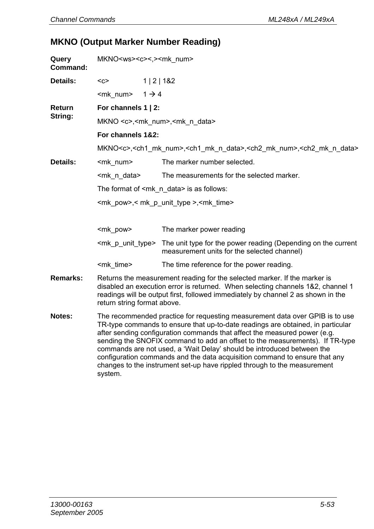### **MKNO (Output Marker Number Reading)**

| Query<br>Command: | MKNO <ws><c>&lt;,&gt;<mk num=""></mk></c></ws>                                                                                                                                                                                                                                                                                                                                                                                                                                       |                                                                                                                                    |  |  |
|-------------------|--------------------------------------------------------------------------------------------------------------------------------------------------------------------------------------------------------------------------------------------------------------------------------------------------------------------------------------------------------------------------------------------------------------------------------------------------------------------------------------|------------------------------------------------------------------------------------------------------------------------------------|--|--|
| Details:          | $C$                                                                                                                                                                                                                                                                                                                                                                                                                                                                                  | 1   2   182                                                                                                                        |  |  |
|                   | <mk num=""><br/><math>1 \rightarrow 4</math></mk>                                                                                                                                                                                                                                                                                                                                                                                                                                    |                                                                                                                                    |  |  |
| Return            | For channels 1   2:                                                                                                                                                                                                                                                                                                                                                                                                                                                                  |                                                                                                                                    |  |  |
| String:           |                                                                                                                                                                                                                                                                                                                                                                                                                                                                                      | MKNO <c>,<mk num="">,<mk data="" n=""></mk></mk></c>                                                                               |  |  |
|                   | For channels 1&2:                                                                                                                                                                                                                                                                                                                                                                                                                                                                    |                                                                                                                                    |  |  |
|                   |                                                                                                                                                                                                                                                                                                                                                                                                                                                                                      | MKNO <c>,<ch1 mk="" num="">,<ch1 data="" mk="" n="">,<ch2 mk="" num="">,<ch2 data="" mk="" n=""></ch2></ch2></ch1></ch1></c>       |  |  |
| Details:          | <mk_num></mk_num>                                                                                                                                                                                                                                                                                                                                                                                                                                                                    | The marker number selected.                                                                                                        |  |  |
|                   | <mk data="" n=""></mk>                                                                                                                                                                                                                                                                                                                                                                                                                                                               | The measurements for the selected marker.                                                                                          |  |  |
|                   |                                                                                                                                                                                                                                                                                                                                                                                                                                                                                      | The format of <mk_n_data> is as follows:</mk_n_data>                                                                               |  |  |
|                   |                                                                                                                                                                                                                                                                                                                                                                                                                                                                                      | <mk pow="">,<mk p="" type="" unit="">,<mk time=""></mk></mk></mk>                                                                  |  |  |
|                   |                                                                                                                                                                                                                                                                                                                                                                                                                                                                                      |                                                                                                                                    |  |  |
|                   | <mk_pow></mk_pow>                                                                                                                                                                                                                                                                                                                                                                                                                                                                    | The marker power reading                                                                                                           |  |  |
|                   |                                                                                                                                                                                                                                                                                                                                                                                                                                                                                      | $\leq$ mk p unit type The unit type for the power reading (Depending on the current<br>measurement units for the selected channel) |  |  |
|                   | <mk time=""></mk>                                                                                                                                                                                                                                                                                                                                                                                                                                                                    | The time reference for the power reading.                                                                                          |  |  |
| Remarks:          | Returns the measurement reading for the selected marker. If the marker is<br>disabled an execution error is returned. When selecting channels 1&2, channel 1<br>readings will be output first, followed immediately by channel 2 as shown in the<br>return string format above.                                                                                                                                                                                                      |                                                                                                                                    |  |  |
| Notes:            | The recommended practice for requesting measurement data over GPIB is to use<br>TR-type commands to ensure that up-to-date readings are obtained, in particular<br>after sending configuration commands that affect the measured power (e.g.<br>sending the SNOFIX command to add an offset to the measurements). If TR-type<br>commands are not used, a 'Wait Delay' should be introduced between the<br>configuration commands and the data acquisition command to ensure that any |                                                                                                                                    |  |  |

changes to the instrument set-up have rippled through to the measurement

system.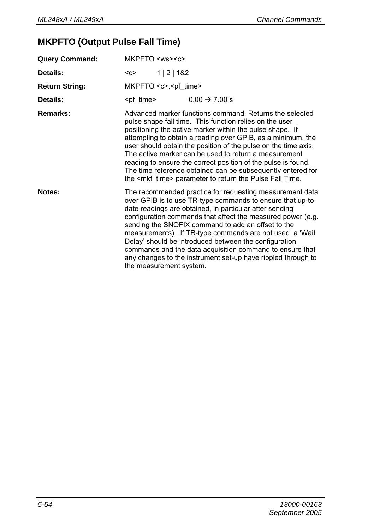# **MKPFTO (Output Pulse Fall Time)**

| <b>Query Command:</b> | MKPFTO <ws><c></c></ws>                                                                                                                                                                                                                                                                                                                                                                                                                                                                                                                                                            |
|-----------------------|------------------------------------------------------------------------------------------------------------------------------------------------------------------------------------------------------------------------------------------------------------------------------------------------------------------------------------------------------------------------------------------------------------------------------------------------------------------------------------------------------------------------------------------------------------------------------------|
| Details:              | 1   2   182<br>$<$ C $>$                                                                                                                                                                                                                                                                                                                                                                                                                                                                                                                                                           |
| <b>Return String:</b> | MKPFTO <c>,<pf_time></pf_time></c>                                                                                                                                                                                                                                                                                                                                                                                                                                                                                                                                                 |
| Details:              | $0.00 \rightarrow 7.00 s$<br><pf time=""></pf>                                                                                                                                                                                                                                                                                                                                                                                                                                                                                                                                     |
| Remarks:              | Advanced marker functions command. Returns the selected<br>pulse shape fall time. This function relies on the user<br>positioning the active marker within the pulse shape. If<br>attempting to obtain a reading over GPIB, as a minimum, the<br>user should obtain the position of the pulse on the time axis.<br>The active marker can be used to return a measurement<br>reading to ensure the correct position of the pulse is found.<br>The time reference obtained can be subsequently entered for<br>the <mkf_time> parameter to return the Pulse Fall Time.</mkf_time>     |
| Notes:                | The recommended practice for requesting measurement data<br>over GPIB is to use TR-type commands to ensure that up-to-<br>date readings are obtained, in particular after sending<br>configuration commands that affect the measured power (e.g.<br>sending the SNOFIX command to add an offset to the<br>measurements). If TR-type commands are not used, a 'Wait<br>Delay' should be introduced between the configuration<br>commands and the data acquisition command to ensure that<br>any changes to the instrument set-up have rippled through to<br>the measurement system. |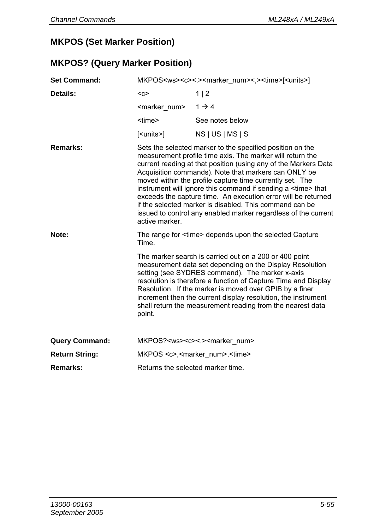### **MKPOS (Set Marker Position)**

## **MKPOS? (Query Marker Position)**

| <b>Set Command:</b>   | MKPOS <ws><c>&lt;.&gt;<marker num="">&lt;.&gt;<time>[<units>]</units></time></marker></c></ws> |                                                                                                                                                                                                                                                                                                                                                                                                                                                                                                                                                                                       |  |
|-----------------------|------------------------------------------------------------------------------------------------|---------------------------------------------------------------------------------------------------------------------------------------------------------------------------------------------------------------------------------------------------------------------------------------------------------------------------------------------------------------------------------------------------------------------------------------------------------------------------------------------------------------------------------------------------------------------------------------|--|
| Details:              | $C$                                                                                            | 1 2                                                                                                                                                                                                                                                                                                                                                                                                                                                                                                                                                                                   |  |
|                       | <marker num=""></marker>                                                                       | $1 \rightarrow 4$                                                                                                                                                                                                                                                                                                                                                                                                                                                                                                                                                                     |  |
|                       | <time></time>                                                                                  | See notes below                                                                                                                                                                                                                                                                                                                                                                                                                                                                                                                                                                       |  |
|                       | [ <units>]</units>                                                                             | NS   US   MS   S                                                                                                                                                                                                                                                                                                                                                                                                                                                                                                                                                                      |  |
| Remarks:              | active marker.                                                                                 | Sets the selected marker to the specified position on the<br>measurement profile time axis. The marker will return the<br>current reading at that position (using any of the Markers Data<br>Acquisition commands). Note that markers can ONLY be<br>moved within the profile capture time currently set. The<br>instrument will ignore this command if sending a <time> that<br/>exceeds the capture time. An execution error will be returned<br/>if the selected marker is disabled. This command can be<br/>issued to control any enabled marker regardless of the current</time> |  |
| Note:                 | <b>Time</b>                                                                                    | The range for <time> depends upon the selected Capture</time>                                                                                                                                                                                                                                                                                                                                                                                                                                                                                                                         |  |
|                       | point.                                                                                         | The marker search is carried out on a 200 or 400 point<br>measurement data set depending on the Display Resolution<br>setting (see SYDRES command). The marker x-axis<br>resolution is therefore a function of Capture Time and Display<br>Resolution. If the marker is moved over GPIB by a finer<br>increment then the current display resolution, the instrument<br>shall return the measurement reading from the nearest data                                                                                                                                                     |  |
| <b>Query Command:</b> |                                                                                                | MKPOS? <ws><c>&lt;.&gt;<marker num=""></marker></c></ws>                                                                                                                                                                                                                                                                                                                                                                                                                                                                                                                              |  |
| <b>Return String:</b> |                                                                                                | MKPOS <c>,<marker num="">,<time></time></marker></c>                                                                                                                                                                                                                                                                                                                                                                                                                                                                                                                                  |  |
| Remarks:              | Returns the selected marker time.                                                              |                                                                                                                                                                                                                                                                                                                                                                                                                                                                                                                                                                                       |  |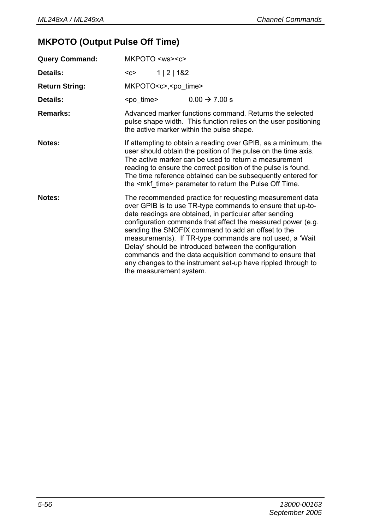# **MKPOTO (Output Pulse Off Time)**

| <b>Query Command:</b> | MKPOTO <ws><c></c></ws>                                                                                                                                                                                                                                                                                                                                                                                                                                                                                                                                                            |  |  |
|-----------------------|------------------------------------------------------------------------------------------------------------------------------------------------------------------------------------------------------------------------------------------------------------------------------------------------------------------------------------------------------------------------------------------------------------------------------------------------------------------------------------------------------------------------------------------------------------------------------------|--|--|
| Details:              | 1   2   182<br>$C$                                                                                                                                                                                                                                                                                                                                                                                                                                                                                                                                                                 |  |  |
| <b>Return String:</b> | MKPOTO <c>,<po time=""></po></c>                                                                                                                                                                                                                                                                                                                                                                                                                                                                                                                                                   |  |  |
| Details:              | $0.00 \rightarrow 7.00 s$<br><po time=""></po>                                                                                                                                                                                                                                                                                                                                                                                                                                                                                                                                     |  |  |
| Remarks:              | Advanced marker functions command. Returns the selected<br>pulse shape width. This function relies on the user positioning<br>the active marker within the pulse shape.                                                                                                                                                                                                                                                                                                                                                                                                            |  |  |
| Notes:                | If attempting to obtain a reading over GPIB, as a minimum, the<br>user should obtain the position of the pulse on the time axis.<br>The active marker can be used to return a measurement<br>reading to ensure the correct position of the pulse is found.<br>The time reference obtained can be subsequently entered for<br>the <mkf time=""> parameter to return the Pulse Off Time.</mkf>                                                                                                                                                                                       |  |  |
| Notes:                | The recommended practice for requesting measurement data<br>over GPIB is to use TR-type commands to ensure that up-to-<br>date readings are obtained, in particular after sending<br>configuration commands that affect the measured power (e.g.<br>sending the SNOFIX command to add an offset to the<br>measurements). If TR-type commands are not used, a 'Wait<br>Delay' should be introduced between the configuration<br>commands and the data acquisition command to ensure that<br>any changes to the instrument set-up have rippled through to<br>the measurement system. |  |  |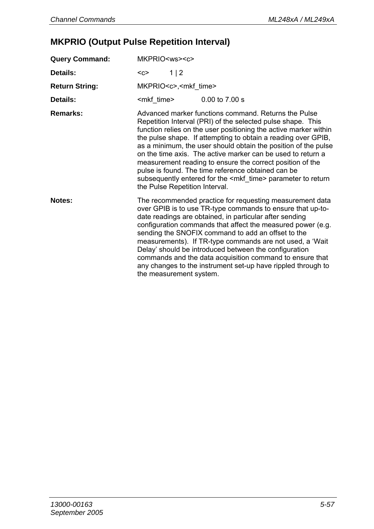# **MKPRIO (Output Pulse Repetition Interval)**

| <b>Query Command:</b> | MKPRIO <ws><c></c></ws>                                                                                                                                                                                                                                                                                                                                                                                                                                                                                                                                                                                                 |
|-----------------------|-------------------------------------------------------------------------------------------------------------------------------------------------------------------------------------------------------------------------------------------------------------------------------------------------------------------------------------------------------------------------------------------------------------------------------------------------------------------------------------------------------------------------------------------------------------------------------------------------------------------------|
| Details:              | 1 2<br>$C$                                                                                                                                                                                                                                                                                                                                                                                                                                                                                                                                                                                                              |
| <b>Return String:</b> | MKPRIO <c>,<mkf_time></mkf_time></c>                                                                                                                                                                                                                                                                                                                                                                                                                                                                                                                                                                                    |
| Details:              | <mkf time=""><br/>0.00 to 7.00 s</mkf>                                                                                                                                                                                                                                                                                                                                                                                                                                                                                                                                                                                  |
| Remarks:              | Advanced marker functions command. Returns the Pulse<br>Repetition Interval (PRI) of the selected pulse shape. This<br>function relies on the user positioning the active marker within<br>the pulse shape. If attempting to obtain a reading over GPIB,<br>as a minimum, the user should obtain the position of the pulse<br>on the time axis. The active marker can be used to return a<br>measurement reading to ensure the correct position of the<br>pulse is found. The time reference obtained can be<br>subsequently entered for the <mkf time=""> parameter to return<br/>the Pulse Repetition Interval.</mkf> |
| Notes:                | The recommended practice for requesting measurement data<br>over GPIB is to use TR-type commands to ensure that up-to-<br>date readings are obtained, in particular after sending<br>configuration commands that affect the measured power (e.g.<br>sending the SNOFIX command to add an offset to the<br>measurements). If TR-type commands are not used, a 'Wait<br>Delay' should be introduced between the configuration<br>commands and the data acquisition command to ensure that<br>any changes to the instrument set-up have rippled through to<br>the measurement system.                                      |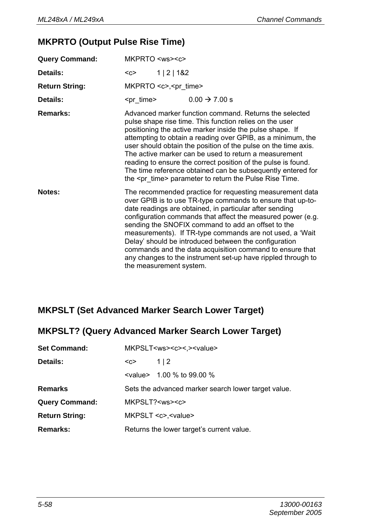### **MKPRTO (Output Pulse Rise Time)**

| <b>Query Command:</b> | MKPRTO <ws><c></c></ws>                                                                                                                                                                                                                                                                                                                                                                                                                                                                                                                                                            |
|-----------------------|------------------------------------------------------------------------------------------------------------------------------------------------------------------------------------------------------------------------------------------------------------------------------------------------------------------------------------------------------------------------------------------------------------------------------------------------------------------------------------------------------------------------------------------------------------------------------------|
| Details:              | 1   2   182<br>$C$                                                                                                                                                                                                                                                                                                                                                                                                                                                                                                                                                                 |
| <b>Return String:</b> | MKPRTO <c>,<pr time=""></pr></c>                                                                                                                                                                                                                                                                                                                                                                                                                                                                                                                                                   |
| Details:              | $0.00 \rightarrow 7.00 s$<br><pr_time></pr_time>                                                                                                                                                                                                                                                                                                                                                                                                                                                                                                                                   |
| Remarks:              | Advanced marker function command. Returns the selected<br>pulse shape rise time. This function relies on the user<br>positioning the active marker inside the pulse shape. If<br>attempting to obtain a reading over GPIB, as a minimum, the<br>user should obtain the position of the pulse on the time axis.<br>The active marker can be used to return a measurement<br>reading to ensure the correct position of the pulse is found.<br>The time reference obtained can be subsequently entered for<br>the <pr time=""> parameter to return the Pulse Rise Time.</pr>          |
| Notes:                | The recommended practice for requesting measurement data<br>over GPIB is to use TR-type commands to ensure that up-to-<br>date readings are obtained, in particular after sending<br>configuration commands that affect the measured power (e.g.<br>sending the SNOFIX command to add an offset to the<br>measurements). If TR-type commands are not used, a 'Wait<br>Delay' should be introduced between the configuration<br>commands and the data acquisition command to ensure that<br>any changes to the instrument set-up have rippled through to<br>the measurement system. |

### **MKPSLT (Set Advanced Marker Search Lower Target)**

| <b>MKPSLT? (Query Advanced Marker Search Lower Target)</b> |                                                 |  |
|------------------------------------------------------------|-------------------------------------------------|--|
| <b>Set Command:</b>                                        | MKPSLT <ws><c>&lt;.&gt;<value></value></c></ws> |  |

| Details:              | $C$                                                 | 112                               |
|-----------------------|-----------------------------------------------------|-----------------------------------|
|                       |                                                     | <value> 1.00 % to 99.00 %</value> |
| <b>Remarks</b>        | Sets the advanced marker search lower target value. |                                   |
| <b>Query Command:</b> | MKPSLT? <ws><c></c></ws>                            |                                   |
| <b>Return String:</b> | MKPSLT <c>,<value></value></c>                      |                                   |
| Remarks:              | Returns the lower target's current value.           |                                   |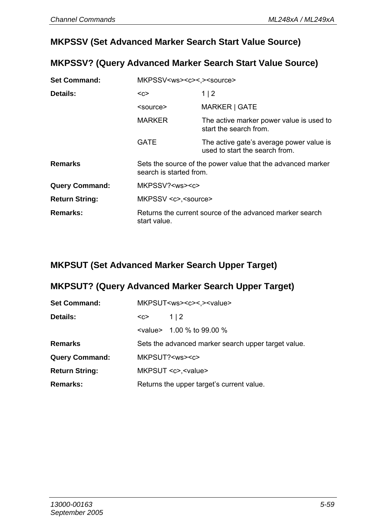#### **MKPSSV (Set Advanced Marker Search Start Value Source)**

#### **MKPSSV? (Query Advanced Marker Search Start Value Source)**

| <b>Set Command:</b>   | MKPSSV <ws><c>&lt;.&gt;<source/></c></ws>                                              |                                                                            |  |
|-----------------------|----------------------------------------------------------------------------------------|----------------------------------------------------------------------------|--|
| Details:              | <c></c>                                                                                | 1 2                                                                        |  |
|                       | <source/>                                                                              | MARKER   GATE                                                              |  |
|                       | <b>MARKER</b>                                                                          | The active marker power value is used to<br>start the search from.         |  |
|                       | GATE                                                                                   | The active gate's average power value is<br>used to start the search from. |  |
| <b>Remarks</b>        | Sets the source of the power value that the advanced marker<br>search is started from. |                                                                            |  |
| <b>Query Command:</b> | MKPSSV? <ws><c></c></ws>                                                               |                                                                            |  |
| <b>Return String:</b> | MKPSSV <c>,<source/></c>                                                               |                                                                            |  |
| Remarks:              | Returns the current source of the advanced marker search<br>start value.               |                                                                            |  |

#### **MKPSUT (Set Advanced Marker Search Upper Target)**

#### **MKPSUT? (Query Advanced Marker Search Upper Target)**

| <b>Set Command:</b>   | MKPSUT <ws><c>&lt;.&gt;<value></value></c></ws> |                                                     |
|-----------------------|-------------------------------------------------|-----------------------------------------------------|
| Details:              | $C$                                             | 112                                                 |
|                       |                                                 | $\le$ value > 1.00 % to 99.00 %                     |
| Remarks               |                                                 | Sets the advanced marker search upper target value. |
| <b>Query Command:</b> | MKPSUT? <ws><c></c></ws>                        |                                                     |
| <b>Return String:</b> | MKPSUT <c>.<value></value></c>                  |                                                     |
| <b>Remarks:</b>       | Returns the upper target's current value.       |                                                     |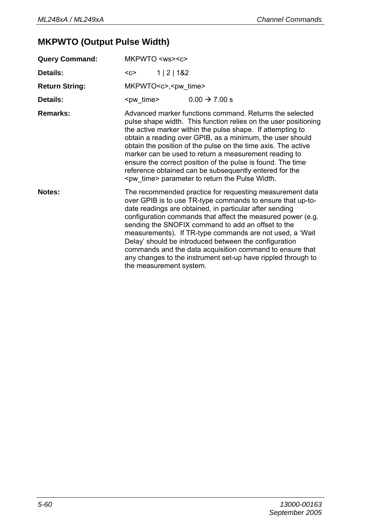## **MKPWTO (Output Pulse Width)**

| <b>Query Command:</b> | MKPWTO <ws><c></c></ws>                                                                                                                                                                                                                                                                                                                                                                                                                                                                                                                                                            |  |  |
|-----------------------|------------------------------------------------------------------------------------------------------------------------------------------------------------------------------------------------------------------------------------------------------------------------------------------------------------------------------------------------------------------------------------------------------------------------------------------------------------------------------------------------------------------------------------------------------------------------------------|--|--|
| Details:              | 1   2   182<br>$C$                                                                                                                                                                                                                                                                                                                                                                                                                                                                                                                                                                 |  |  |
| <b>Return String:</b> | MKPWTO <c>,<pw time=""></pw></c>                                                                                                                                                                                                                                                                                                                                                                                                                                                                                                                                                   |  |  |
| Details:              | <pw_time><br/><math>0.00 \rightarrow 7.00 s</math></pw_time>                                                                                                                                                                                                                                                                                                                                                                                                                                                                                                                       |  |  |
| Remarks:              | Advanced marker functions command. Returns the selected<br>pulse shape width. This function relies on the user positioning<br>the active marker within the pulse shape. If attempting to<br>obtain a reading over GPIB, as a minimum, the user should<br>obtain the position of the pulse on the time axis. The active<br>marker can be used to return a measurement reading to<br>ensure the correct position of the pulse is found. The time<br>reference obtained can be subsequently entered for the<br><pw time=""> parameter to return the Pulse Width.</pw>                 |  |  |
| Notes:                | The recommended practice for requesting measurement data<br>over GPIB is to use TR-type commands to ensure that up-to-<br>date readings are obtained, in particular after sending<br>configuration commands that affect the measured power (e.g.<br>sending the SNOFIX command to add an offset to the<br>measurements). If TR-type commands are not used, a 'Wait<br>Delay' should be introduced between the configuration<br>commands and the data acquisition command to ensure that<br>any changes to the instrument set-up have rippled through to<br>the measurement system. |  |  |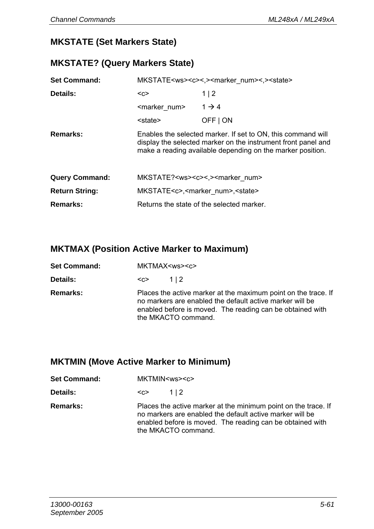#### **MKSTATE (Set Markers State)**

#### **MKSTATE? (Query Markers State)**

| <b>Set Command:</b>   | MKSTATE <ws><c>&lt;.&gt;<marker num="">&lt;.&gt;<state></state></marker></c></ws>                                                                                                           |                                                            |  |
|-----------------------|---------------------------------------------------------------------------------------------------------------------------------------------------------------------------------------------|------------------------------------------------------------|--|
| Details:              | $C$                                                                                                                                                                                         | 1 2                                                        |  |
|                       | <marker num=""></marker>                                                                                                                                                                    | $1 \rightarrow 4$                                          |  |
|                       | <state></state>                                                                                                                                                                             | OFF   ON                                                   |  |
| Remarks:              | Enables the selected marker. If set to ON, this command will<br>display the selected marker on the instrument front panel and<br>make a reading available depending on the marker position. |                                                            |  |
| <b>Query Command:</b> |                                                                                                                                                                                             | MKSTATE? <ws><c>&lt;.&gt;<marker num=""></marker></c></ws> |  |
| <b>Return String:</b> |                                                                                                                                                                                             | MKSTATE <c>,<marker num="">,<state></state></marker></c>   |  |
| Remarks:              | Returns the state of the selected marker.                                                                                                                                                   |                                                            |  |

## **MKTMAX (Position Active Marker to Maximum)**

| <b>Set Command:</b> | MKTMAX <ws><c></c></ws>                                                                                                                                                                                        |  |  |
|---------------------|----------------------------------------------------------------------------------------------------------------------------------------------------------------------------------------------------------------|--|--|
| Details:            | 112<br>$C$                                                                                                                                                                                                     |  |  |
| <b>Remarks:</b>     | Places the active marker at the maximum point on the trace. If<br>no markers are enabled the default active marker will be<br>enabled before is moved. The reading can be obtained with<br>the MKACTO command. |  |  |

## **MKTMIN (Move Active Marker to Minimum)**

| <b>Set Command:</b> | MKTMIN <ws><c></c></ws>                                                                                                                                                                                        |     |
|---------------------|----------------------------------------------------------------------------------------------------------------------------------------------------------------------------------------------------------------|-----|
| Details:            | <c></c>                                                                                                                                                                                                        | 112 |
| <b>Remarks:</b>     | Places the active marker at the minimum point on the trace. If<br>no markers are enabled the default active marker will be<br>enabled before is moved. The reading can be obtained with<br>the MKACTO command. |     |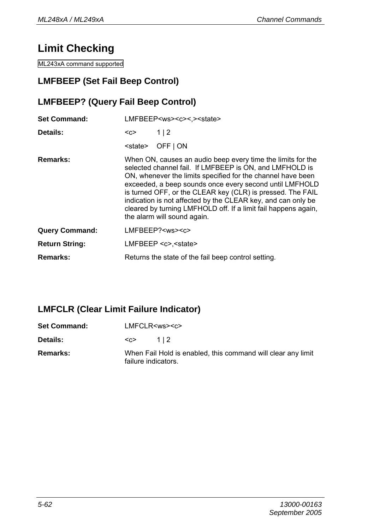## **Limit Checking**

ML243xA command supported

## **LMFBEEP (Set Fail Beep Control)**

## **LMFBEEP? (Query Fail Beep Control)**

| <b>Set Command:</b>   | LMFBEEP <ws><c>&lt;.&gt;<state></state></c></ws> |                                                                                                                                                                                                                                                                                                                                                                                                                                                                                 |  |
|-----------------------|--------------------------------------------------|---------------------------------------------------------------------------------------------------------------------------------------------------------------------------------------------------------------------------------------------------------------------------------------------------------------------------------------------------------------------------------------------------------------------------------------------------------------------------------|--|
| Details:              | <c></c>                                          | 1 2                                                                                                                                                                                                                                                                                                                                                                                                                                                                             |  |
|                       | <state></state>                                  | OFF   ON                                                                                                                                                                                                                                                                                                                                                                                                                                                                        |  |
| Remarks:              |                                                  | When ON, causes an audio beep every time the limits for the<br>selected channel fail. If LMFBEEP is ON, and LMFHOLD is<br>ON, whenever the limits specified for the channel have been<br>exceeded, a beep sounds once every second until LMFHOLD<br>is turned OFF, or the CLEAR key (CLR) is pressed. The FAIL<br>indication is not affected by the CLEAR key, and can only be<br>cleared by turning LMFHOLD off. If a limit fail happens again,<br>the alarm will sound again. |  |
| <b>Query Command:</b> |                                                  | LMFBEEP? <ws><c></c></ws>                                                                                                                                                                                                                                                                                                                                                                                                                                                       |  |
| <b>Return String:</b> |                                                  | LMFBEEP << < sstate                                                                                                                                                                                                                                                                                                                                                                                                                                                             |  |
| Remarks:              |                                                  | Returns the state of the fail beep control setting.                                                                                                                                                                                                                                                                                                                                                                                                                             |  |

#### **LMFCLR (Clear Limit Failure Indicator)**

| <b>Set Command:</b> | LMFCLR <ws><c></c></ws> |                                                              |
|---------------------|-------------------------|--------------------------------------------------------------|
| <b>Details:</b>     | $C$                     | 112                                                          |
| <b>Remarks:</b>     | failure indicators.     | When Fail Hold is enabled, this command will clear any limit |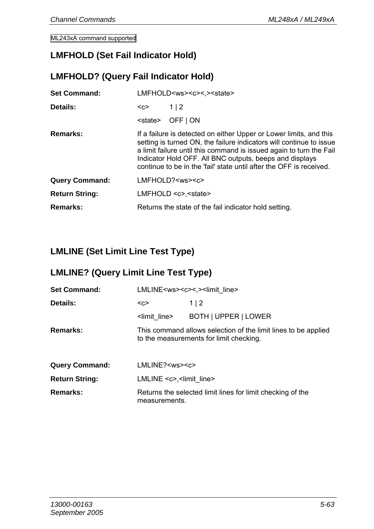ML243xA command supported

#### **LMFHOLD (Set Fail Indicator Hold)**

#### **LMFHOLD? (Query Fail Indicator Hold)**

| <b>Set Command:</b>   | LMFHOLD <ws><c>&lt;.&gt;<state></state></c></ws> |                                                                                                                                                                                                                                                                                                                                                    |
|-----------------------|--------------------------------------------------|----------------------------------------------------------------------------------------------------------------------------------------------------------------------------------------------------------------------------------------------------------------------------------------------------------------------------------------------------|
| Details:              | $C$                                              | 1 2                                                                                                                                                                                                                                                                                                                                                |
|                       | <state></state>                                  | OFF   ON                                                                                                                                                                                                                                                                                                                                           |
| Remarks:              |                                                  | If a failure is detected on either Upper or Lower limits, and this<br>setting is turned ON, the failure indicators will continue to issue<br>a limit failure until this command is issued again to turn the Fail<br>Indicator Hold OFF. All BNC outputs, beeps and displays<br>continue to be in the 'fail' state until after the OFF is received. |
| <b>Query Command:</b> |                                                  | LMFHOLD? <ws><c></c></ws>                                                                                                                                                                                                                                                                                                                          |
| <b>Return String:</b> | $LMFHOLD \lll>> \ll t \lll>>$                    |                                                                                                                                                                                                                                                                                                                                                    |
| Remarks:              |                                                  | Returns the state of the fail indicator hold setting.                                                                                                                                                                                                                                                                                              |
|                       |                                                  |                                                                                                                                                                                                                                                                                                                                                    |

## **LMLINE (Set Limit Line Test Type)**

## **LMLINE? (Query Limit Line Test Type)**

| <b>Set Command:</b>   |                          | LMLINE <ws><c>&lt;.&gt;<limit_line></limit_line></c></ws>                                                 |  |
|-----------------------|--------------------------|-----------------------------------------------------------------------------------------------------------|--|
| Details:              | $C$                      | 1   2                                                                                                     |  |
|                       | <limit line=""></limit>  | BOTH   UPPER   LOWER                                                                                      |  |
| Remarks:              |                          | This command allows selection of the limit lines to be applied<br>to the measurements for limit checking. |  |
| <b>Query Command:</b> | LMLINE? <ws><c></c></ws> |                                                                                                           |  |
| <b>Return String:</b> |                          | $LMLINE $ -limit line                                                                                     |  |
| Remarks:              | measurements.            | Returns the selected limit lines for limit checking of the                                                |  |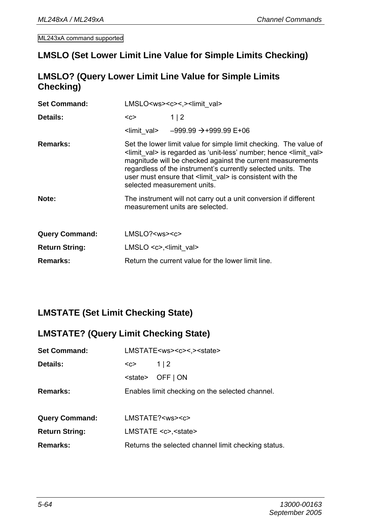#### **LMSLO (Set Lower Limit Line Value for Simple Limits Checking)**

#### **LMSLO? (Query Lower Limit Line Value for Simple Limits Checking)**

| <b>Set Command:</b>   | LMSLO <ws><c>&lt;.&gt;<limit_val></limit_val></c></ws> |                                                                                                                                                                                                                                                                                                                                                                                                 |
|-----------------------|--------------------------------------------------------|-------------------------------------------------------------------------------------------------------------------------------------------------------------------------------------------------------------------------------------------------------------------------------------------------------------------------------------------------------------------------------------------------|
| Details:              | <c></c>                                                | 1 2                                                                                                                                                                                                                                                                                                                                                                                             |
|                       |                                                        | $\frac{1}{2}$ -999.99 $\rightarrow +999.99 E + 06$                                                                                                                                                                                                                                                                                                                                              |
| Remarks:              |                                                        | Set the lower limit value for simple limit checking. The value of<br><limit val=""> is regarded as 'unit-less' number; hence <limit val=""><br/>magnitude will be checked against the current measurements<br/>regardless of the instrument's currently selected units. The<br/>user must ensure that &lt; limit val&gt; is consistent with the<br/>selected measurement units.</limit></limit> |
| Note:                 |                                                        | The instrument will not carry out a unit conversion if different<br>measurement units are selected.                                                                                                                                                                                                                                                                                             |
| <b>Query Command:</b> | $LMSLO? <$ ws> $<$                                     |                                                                                                                                                                                                                                                                                                                                                                                                 |
| <b>Return String:</b> | LMSLO <c>,<limit val=""></limit></c>                   |                                                                                                                                                                                                                                                                                                                                                                                                 |
| Remarks:              |                                                        | Return the current value for the lower limit line.                                                                                                                                                                                                                                                                                                                                              |

## **LMSTATE (Set Limit Checking State)**

#### **LMSTATE? (Query Limit Checking State)**

| <b>Set Command:</b>   | LMSTATE <ws><c>&lt;.&gt;<state></state></c></ws> |                                                     |
|-----------------------|--------------------------------------------------|-----------------------------------------------------|
| Details:              | $C$                                              | 1 2                                                 |
|                       |                                                  | <state> OFF   ON</state>                            |
| Remarks:              | Enables limit checking on the selected channel.  |                                                     |
|                       |                                                  |                                                     |
| <b>Query Command:</b> |                                                  | LMSTATE? <ws><c></c></ws>                           |
| <b>Return String:</b> |                                                  | LMSTATE <c>,<state></state></c>                     |
| Remarks:              |                                                  | Returns the selected channel limit checking status. |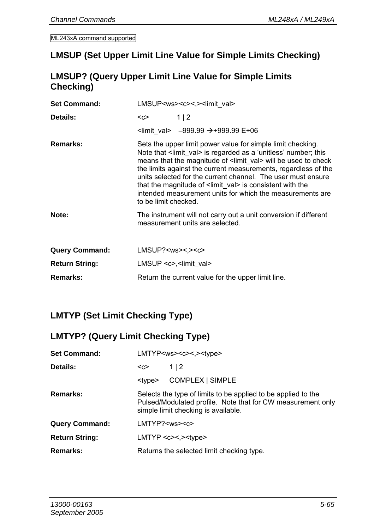#### **LMSUP (Set Upper Limit Line Value for Simple Limits Checking)**

### **LMSUP? (Query Upper Limit Line Value for Simple Limits Checking)**

| <b>Set Command:</b>   | LMSUP <ws><c>&lt;.&gt;<limit val=""></limit></c></ws> |                                                                                                                                                                                                                                                                                                                                                                                                                                                                                                 |  |
|-----------------------|-------------------------------------------------------|-------------------------------------------------------------------------------------------------------------------------------------------------------------------------------------------------------------------------------------------------------------------------------------------------------------------------------------------------------------------------------------------------------------------------------------------------------------------------------------------------|--|
| Details:              | $C$                                                   | 1 2                                                                                                                                                                                                                                                                                                                                                                                                                                                                                             |  |
|                       |                                                       | $\frac{1}{2}$ -999.99 $\rightarrow$ +999.99 E+06                                                                                                                                                                                                                                                                                                                                                                                                                                                |  |
| Remarks:              | to be limit checked.                                  | Sets the upper limit power value for simple limit checking.<br>Note that <limit val=""> is regarded as a 'unitless' number; this<br/>means that the magnitude of <limit val=""> will be used to check<br/>the limits against the current measurements, regardless of the<br/>units selected for the current channel. The user must ensure<br/>that the magnitude of <limit val=""> is consistent with the<br/>intended measurement units for which the measurements are</limit></limit></limit> |  |
| Note:                 |                                                       | The instrument will not carry out a unit conversion if different<br>measurement units are selected.                                                                                                                                                                                                                                                                                                                                                                                             |  |
| <b>Query Command:</b> | $LMSUP? <$ ws><,>< $c$ >                              |                                                                                                                                                                                                                                                                                                                                                                                                                                                                                                 |  |
| <b>Return String:</b> | LMSUP $\langle c \rangle$ , $\langle$ limit val       |                                                                                                                                                                                                                                                                                                                                                                                                                                                                                                 |  |
| Remarks:              |                                                       | Return the current value for the upper limit line.                                                                                                                                                                                                                                                                                                                                                                                                                                              |  |

## **LMTYP (Set Limit Checking Type)**

#### **LMTYP? (Query Limit Checking Type)**

| <b>Set Command:</b>   | LMTYP <ws><c>&lt;.&gt;<type></type></c></ws>                                                                                                                        |                  |
|-----------------------|---------------------------------------------------------------------------------------------------------------------------------------------------------------------|------------------|
| Details:              | 1 2<br>$C$                                                                                                                                                          |                  |
|                       | <tvpe></tvpe>                                                                                                                                                       | COMPLEX   SIMPLE |
| <b>Remarks:</b>       | Selects the type of limits to be applied to be applied to the<br>Pulsed/Modulated profile. Note that for CW measurement only<br>simple limit checking is available. |                  |
| <b>Query Command:</b> | $LMTYP? <$ ws>< $c$ >                                                                                                                                               |                  |
| Return String:        | $LMTYP < c><$ , $> < type>$                                                                                                                                         |                  |
| Remarks:              | Returns the selected limit checking type.                                                                                                                           |                  |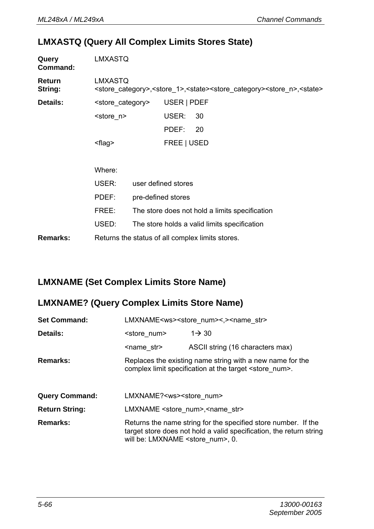#### **LMXASTQ (Query All Complex Limits Stores State)**

| Query<br>Command:        | LMXASTQ                     |                                                                                                                                 |  |
|--------------------------|-----------------------------|---------------------------------------------------------------------------------------------------------------------------------|--|
| <b>Return</b><br>String: | LMXASTQ                     | <store category="">,<store 1="">,<state><store category=""><store n="">,<state></state></store></store></state></store></store> |  |
| Details:                 | <store category=""></store> | USER   PDEF                                                                                                                     |  |
|                          | <store n=""></store>        | USER:<br>30                                                                                                                     |  |
|                          |                             | PDEF:<br>- 20                                                                                                                   |  |
|                          | <flaq></flaq>               | FREE   USED                                                                                                                     |  |
|                          |                             |                                                                                                                                 |  |
|                          | Where:                      |                                                                                                                                 |  |
|                          | USER:                       | user defined stores                                                                                                             |  |
|                          | PDEF:                       | pre-defined stores                                                                                                              |  |
|                          | FREE:                       | The store does not hold a limits specification                                                                                  |  |
|                          | USED:                       | The store holds a valid limits specification                                                                                    |  |
| Remarks:                 |                             | Returns the status of all complex limits stores.                                                                                |  |

#### **LMXNAME (Set Complex Limits Store Name)**

## **LMXNAME? (Query Complex Limits Store Name)**

| <b>Set Command:</b>   |                                                     | LMXNAME <ws><store num="">&lt;,&gt;<name str=""></name></store></ws>                                                                  |
|-----------------------|-----------------------------------------------------|---------------------------------------------------------------------------------------------------------------------------------------|
| Details:              | <store num=""></store>                              | $1 \rightarrow 30$                                                                                                                    |
|                       | <name str=""></name>                                | ASCII string (16 characters max)                                                                                                      |
| Remarks:              |                                                     | Replaces the existing name string with a new name for the<br>complex limit specification at the target <store num="">.</store>        |
| <b>Query Command:</b> | LMXNAME? <ws><store num=""></store></ws>            |                                                                                                                                       |
| <b>Return String:</b> | LMXNAME <store num="">,<name str=""></name></store> |                                                                                                                                       |
| Remarks:              | will be: LMXNAME <store num="">, 0.</store>         | Returns the name string for the specified store number. If the<br>target store does not hold a valid specification, the return string |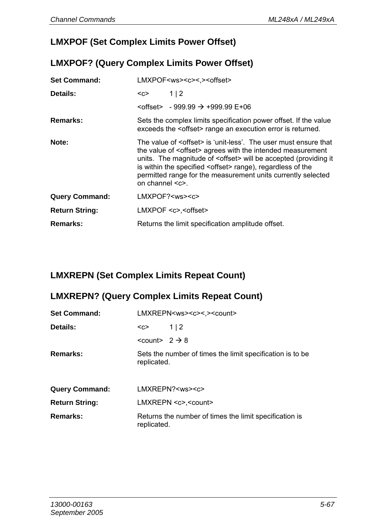## **LMXPOF (Set Complex Limits Power Offset)**

#### **LMXPOF? (Query Complex Limits Power Offset)**

| <b>Set Command:</b>   | LMXPOF <ws><c>&lt;.&gt;<offset></offset></c></ws>                                                                                                                                                                                                                                                                                                                                                          |
|-----------------------|------------------------------------------------------------------------------------------------------------------------------------------------------------------------------------------------------------------------------------------------------------------------------------------------------------------------------------------------------------------------------------------------------------|
| Details:              | 1 2<br><c></c>                                                                                                                                                                                                                                                                                                                                                                                             |
|                       | $\leq$ offset> - 999.99 $\rightarrow$ +999.99 E+06                                                                                                                                                                                                                                                                                                                                                         |
| Remarks:              | Sets the complex limits specification power offset. If the value<br>exceeds the <offset> range an execution error is returned.</offset>                                                                                                                                                                                                                                                                    |
| Note:                 | The value of <offset> is 'unit-less'. The user must ensure that<br/>the value of <offset> agrees with the intended measurement<br/>units. The magnitude of <offset> will be accepted (providing it<br/>is within the specified <offset> range), regardless of the<br/>permitted range for the measurement units currently selected<br/>on channel <math>\leq c</math>.</offset></offset></offset></offset> |
| <b>Query Command:</b> | $LMXPOF? <$ ws> $<<$ c>                                                                                                                                                                                                                                                                                                                                                                                    |
| <b>Return String:</b> | $LMXPOF < c$ >. <offset></offset>                                                                                                                                                                                                                                                                                                                                                                          |
| Remarks:              | Returns the limit specification amplitude offset.                                                                                                                                                                                                                                                                                                                                                          |

## **LMXREPN (Set Complex Limits Repeat Count)**

## **LMXREPN? (Query Complex Limits Repeat Count)**

| <b>Set Command:</b>   | LMXREPN <ws><c>&lt;.&gt;<count></count></c></ws>                          |
|-----------------------|---------------------------------------------------------------------------|
| Details:              | 1 2<br><c></c>                                                            |
|                       | $<$ count> 2 $\rightarrow$ 8                                              |
| Remarks:              | Sets the number of times the limit specification is to be.<br>replicated. |
| <b>Query Command:</b> | LMXREPN? <ws><c></c></ws>                                                 |
| <b>Return String:</b> | LMXREPN <c>.<count></count></c>                                           |
| Remarks:              | Returns the number of times the limit specification is<br>replicated.     |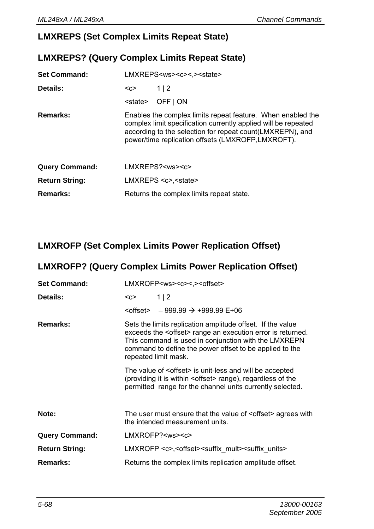### **LMXREPS (Set Complex Limits Repeat State)**

## **LMXREPS? (Query Complex Limits Repeat State)**

| <b>Set Command:</b>   | LMXREPS <ws><c>&lt;.&gt;<state></state></c></ws> |                                                                                                                                                                                                                                                  |
|-----------------------|--------------------------------------------------|--------------------------------------------------------------------------------------------------------------------------------------------------------------------------------------------------------------------------------------------------|
| Details:              | $C$                                              | 1 2                                                                                                                                                                                                                                              |
|                       | <state></state>                                  | OFF I ON                                                                                                                                                                                                                                         |
| Remarks:              |                                                  | Enables the complex limits repeat feature. When enabled the<br>complex limit specification currently applied will be repeated<br>according to the selection for repeat count (LMXREPN), and<br>power/time replication offsets (LMXROFP,LMXROFT). |
| <b>Query Command:</b> |                                                  | LMXREPS? <ws><c></c></ws>                                                                                                                                                                                                                        |
| <b>Return String:</b> |                                                  | LMXREPS <c>.<state></state></c>                                                                                                                                                                                                                  |
| Remarks:              |                                                  | Returns the complex limits repeat state.                                                                                                                                                                                                         |

### **LMXROFP (Set Complex Limits Power Replication Offset)**

# **LMXROFP? (Query Complex Limits Power Replication Offset)**

| <b>Set Command:</b>   | LMXROFP <ws><c>&lt;,&gt;<offset></offset></c></ws>                                                                                                                                                                                                                              |  |  |
|-----------------------|---------------------------------------------------------------------------------------------------------------------------------------------------------------------------------------------------------------------------------------------------------------------------------|--|--|
| Details:              | 1 2<br><c></c>                                                                                                                                                                                                                                                                  |  |  |
|                       | $\leftarrow$ Soffset > - 999.99 $\rightarrow$ +999.99 E+06                                                                                                                                                                                                                      |  |  |
| Remarks:              | Sets the limits replication amplitude offset. If the value<br>exceeds the <offset> range an execution error is returned.<br/>This command is used in conjunction with the LMXREPN<br/>command to define the power offset to be applied to the<br/>repeated limit mask.</offset> |  |  |
|                       | The value of <offset> is unit-less and will be accepted<br/>(providing it is within <offset> range), regardless of the<br/>permitted range for the channel units currently selected.</offset></offset>                                                                          |  |  |
| Note:                 | The user must ensure that the value of <offset> agrees with<br/>the intended measurement units.</offset>                                                                                                                                                                        |  |  |
| <b>Query Command:</b> | LMXROFP? <ws><c></c></ws>                                                                                                                                                                                                                                                       |  |  |
| <b>Return String:</b> | LMXROFP <c>,<offset><suffix mult=""><suffix units=""></suffix></suffix></offset></c>                                                                                                                                                                                            |  |  |
| Remarks:              | Returns the complex limits replication amplitude offset.                                                                                                                                                                                                                        |  |  |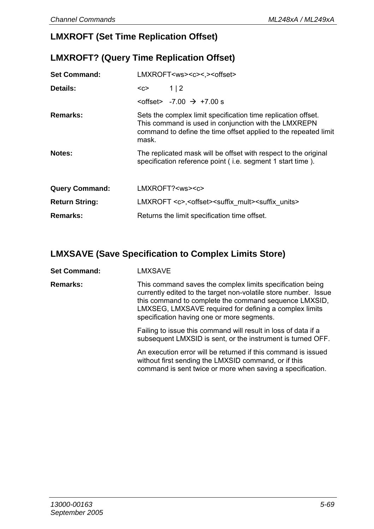## **LMXROFT (Set Time Replication Offset)**

## **LMXROFT? (Query Time Replication Offset)**

| <b>Set Command:</b>   | LMXROFT <ws><c>&lt;.&gt;<offset></offset></c></ws>                                                                                                                                                |
|-----------------------|---------------------------------------------------------------------------------------------------------------------------------------------------------------------------------------------------|
| Details:              | 1 2<br><c></c>                                                                                                                                                                                    |
|                       | $\leq$ offset> -7.00 $\rightarrow$ +7.00 s                                                                                                                                                        |
| Remarks:              | Sets the complex limit specification time replication offset.<br>This command is used in conjunction with the LMXREPN<br>command to define the time offset applied to the repeated limit<br>mask. |
| Notes:                | The replicated mask will be offset with respect to the original<br>specification reference point (i.e. segment 1 start time).                                                                     |
| <b>Query Command:</b> | LMXROFT? <ws><c></c></ws>                                                                                                                                                                         |
| <b>Return String:</b> | LMXROFT <c>,<offset><suffix mult=""><suffix units=""></suffix></suffix></offset></c>                                                                                                              |
| Remarks:              | Returns the limit specification time offset.                                                                                                                                                      |

## **LMXSAVE (Save Specification to Complex Limits Store)**

#### Set Command: **LMXSAVE**

**Remarks:** This command saves the complex limits specification being currently edited to the target non-volatile store number. Issue this command to complete the command sequence LMXSID, LMXSEG, LMXSAVE required for defining a complex limits specification having one or more segments.

> Failing to issue this command will result in loss of data if a subsequent LMXSID is sent, or the instrument is turned OFF.

An execution error will be returned if this command is issued without first sending the LMXSID command, or if this command is sent twice or more when saving a specification.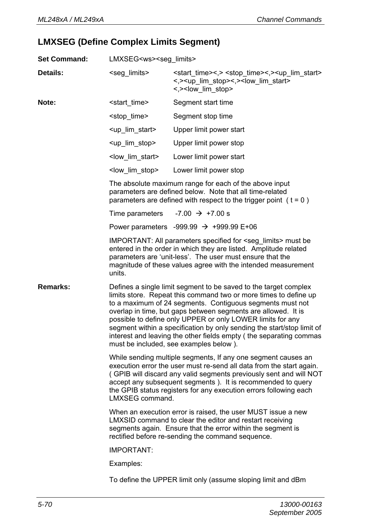## **LMXSEG (Define Complex Limits Segment)**

| <b>Set Command:</b> | LMXSEG <ws><seg_limits></seg_limits></ws>                                                                                                                                                                                                    |                                                                                                                                                                                                                                                                                                                                                                                                                                                                                                                            |  |
|---------------------|----------------------------------------------------------------------------------------------------------------------------------------------------------------------------------------------------------------------------------------------|----------------------------------------------------------------------------------------------------------------------------------------------------------------------------------------------------------------------------------------------------------------------------------------------------------------------------------------------------------------------------------------------------------------------------------------------------------------------------------------------------------------------------|--|
| Details:            | <seg_limits></seg_limits>                                                                                                                                                                                                                    | <start time="">&lt;,&gt; <stop time="">&lt;,&gt; <up lim="" start=""><br/>&lt;,&gt;<up lim="" stop="">&lt;,&gt;<low lim="" start=""><br/>&lt;,&gt;<low_lim_stop></low_lim_stop></low></up></up></stop></start>                                                                                                                                                                                                                                                                                                             |  |
| Note:               | <start time=""></start>                                                                                                                                                                                                                      | Segment start time                                                                                                                                                                                                                                                                                                                                                                                                                                                                                                         |  |
|                     | <stop time=""></stop>                                                                                                                                                                                                                        | Segment stop time                                                                                                                                                                                                                                                                                                                                                                                                                                                                                                          |  |
|                     | <up_lim_start></up_lim_start>                                                                                                                                                                                                                | Upper limit power start                                                                                                                                                                                                                                                                                                                                                                                                                                                                                                    |  |
|                     | <up lim="" stop=""></up>                                                                                                                                                                                                                     | Upper limit power stop                                                                                                                                                                                                                                                                                                                                                                                                                                                                                                     |  |
|                     | <low lim="" start=""></low>                                                                                                                                                                                                                  | Lower limit power start                                                                                                                                                                                                                                                                                                                                                                                                                                                                                                    |  |
|                     | <low lim="" stop=""></low>                                                                                                                                                                                                                   | Lower limit power stop                                                                                                                                                                                                                                                                                                                                                                                                                                                                                                     |  |
|                     |                                                                                                                                                                                                                                              | The absolute maximum range for each of the above input<br>parameters are defined below. Note that all time-related<br>parameters are defined with respect to the trigger point $(t = 0)$                                                                                                                                                                                                                                                                                                                                   |  |
|                     | Time parameters                                                                                                                                                                                                                              | $-7.00 \rightarrow +7.00 s$                                                                                                                                                                                                                                                                                                                                                                                                                                                                                                |  |
|                     |                                                                                                                                                                                                                                              | Power parameters -999.99 $\rightarrow$ +999.99 E+06                                                                                                                                                                                                                                                                                                                                                                                                                                                                        |  |
|                     | units.                                                                                                                                                                                                                                       | IMPORTANT: All parameters specified for <seg_limits> must be<br/>entered in the order in which they are listed. Amplitude related<br/>parameters are 'unit-less'. The user must ensure that the<br/>magnitude of these values agree with the intended measurement</seg_limits>                                                                                                                                                                                                                                             |  |
| Remarks:            |                                                                                                                                                                                                                                              | Defines a single limit segment to be saved to the target complex<br>limits store. Repeat this command two or more times to define up<br>to a maximum of 24 segments. Contiguous segments must not<br>overlap in time, but gaps between segments are allowed. It is<br>possible to define only UPPER or only LOWER limits for any<br>segment within a specification by only sending the start/stop limit of<br>interest and leaving the other fields empty (the separating commas<br>must be included, see examples below). |  |
|                     | LMXSEG command.                                                                                                                                                                                                                              | While sending multiple segments, If any one segment causes an<br>execution error the user must re-send all data from the start again.<br>(GPIB will discard any valid segments previously sent and will NOT<br>accept any subsequent segments). It is recommended to query<br>the GPIB status registers for any execution errors following each                                                                                                                                                                            |  |
|                     | When an execution error is raised, the user MUST issue a new<br>LMXSID command to clear the editor and restart receiving<br>segments again. Ensure that the error within the segment is<br>rectified before re-sending the command sequence. |                                                                                                                                                                                                                                                                                                                                                                                                                                                                                                                            |  |
|                     | IMPORTANT:                                                                                                                                                                                                                                   |                                                                                                                                                                                                                                                                                                                                                                                                                                                                                                                            |  |
|                     | Examples:                                                                                                                                                                                                                                    |                                                                                                                                                                                                                                                                                                                                                                                                                                                                                                                            |  |
|                     |                                                                                                                                                                                                                                              | To define the UPPER limit only (assume sloping limit and dBm                                                                                                                                                                                                                                                                                                                                                                                                                                                               |  |
|                     |                                                                                                                                                                                                                                              |                                                                                                                                                                                                                                                                                                                                                                                                                                                                                                                            |  |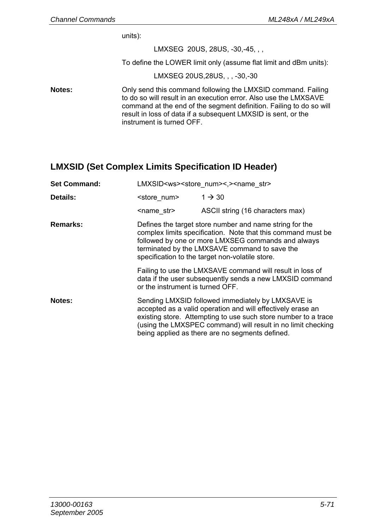units):

LMXSEG 20US, 28US, -30,-45, , ,

To define the LOWER limit only (assume flat limit and dBm units):

LMXSEG 20US,28US, , , -30,-30

**Notes:** Only send this command following the LMXSID command. Failing to do so will result in an execution error. Also use the LMXSAVE command at the end of the segment definition. Failing to do so will result in loss of data if a subsequent LMXSID is sent, or the instrument is turned OFF.

### **LMXSID (Set Complex Limits Specification ID Header)**

| <b>Set Command:</b> |                                  | LMXSID <ws><store num="">&lt;,&gt;<name str=""></name></store></ws>                                                                                                                                                                                                                                   |  |  |
|---------------------|----------------------------------|-------------------------------------------------------------------------------------------------------------------------------------------------------------------------------------------------------------------------------------------------------------------------------------------------------|--|--|
| Details:            | <store num=""></store>           | $1 \rightarrow 30$                                                                                                                                                                                                                                                                                    |  |  |
|                     | <name str=""></name>             | ASCII string (16 characters max)                                                                                                                                                                                                                                                                      |  |  |
| Remarks:            |                                  | Defines the target store number and name string for the<br>complex limits specification. Note that this command must be<br>followed by one or more LMXSEG commands and always<br>terminated by the LMXSAVE command to save the<br>specification to the target non-volatile store.                     |  |  |
|                     | or the instrument is turned OFF. | Failing to use the LMXSAVE command will result in loss of<br>data if the user subsequently sends a new LMXSID command                                                                                                                                                                                 |  |  |
| Notes:              |                                  | Sending LMXSID followed immediately by LMXSAVE is<br>accepted as a valid operation and will effectively erase an<br>existing store. Attempting to use such store number to a trace<br>(using the LMXSPEC command) will result in no limit checking<br>being applied as there are no segments defined. |  |  |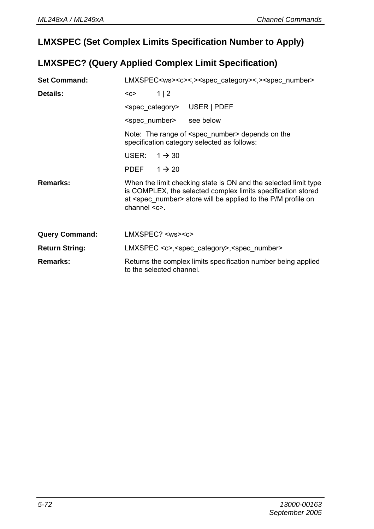## **LMXSPEC (Set Complex Limits Specification Number to Apply)**

## **LMXSPEC? (Query Applied Complex Limit Specification)**

| <b>Set Command:</b>   | LMXSPEC <ws><c>&lt;,&gt;<spec category="">&lt;,&gt;<spec number=""></spec></spec></c></ws>                                                                                                                                                 |  |  |  |
|-----------------------|--------------------------------------------------------------------------------------------------------------------------------------------------------------------------------------------------------------------------------------------|--|--|--|
| Details:              | $1 \mid 2$<br>$C$                                                                                                                                                                                                                          |  |  |  |
|                       | <spec category=""> USER   PDEF</spec>                                                                                                                                                                                                      |  |  |  |
|                       | see below<br><spec number=""></spec>                                                                                                                                                                                                       |  |  |  |
|                       | Note: The range of <spec number=""> depends on the<br/>specification category selected as follows:</spec>                                                                                                                                  |  |  |  |
|                       | USER:<br>$1 \rightarrow 30$                                                                                                                                                                                                                |  |  |  |
|                       | PDEF<br>$1 \rightarrow 20$                                                                                                                                                                                                                 |  |  |  |
| Remarks:              | When the limit checking state is ON and the selected limit type<br>is COMPLEX, the selected complex limits specification stored<br>at <spec number=""> store will be applied to the P/M profile on<br/><math>channel &lt; c</math>.</spec> |  |  |  |
| <b>Query Command:</b> | $LMXSPEC? <$ $<$ ws> $<$ c>                                                                                                                                                                                                                |  |  |  |
| <b>Return String:</b> | LMXSPEC <c>,<spec category="">,<spec number=""></spec></spec></c>                                                                                                                                                                          |  |  |  |
| Remarks:              | Returns the complex limits specification number being applied<br>to the selected channel.                                                                                                                                                  |  |  |  |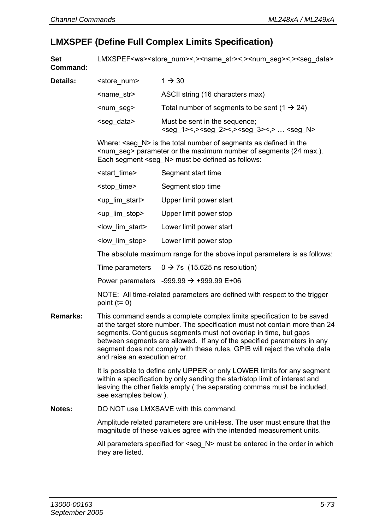Details:

#### **LMXSPEF (Define Full Complex Limits Specification)**

**Set Command:**  LMXSPEF<ws><store\_num><.><name\_str><.><num\_seg><.><seg\_data>

| <store num=""></store> | $1 \rightarrow 30$                                                                                                         |
|------------------------|----------------------------------------------------------------------------------------------------------------------------|
| <name str=""></name>   | ASCII string (16 characters max)                                                                                           |
| $\leq$ num seg>        | Total number of segments to be sent (1 $\rightarrow$ 24)                                                                   |
| <seg data=""></seg>    | Must be sent in the sequence:<br><seg_1>&lt;,&gt;<seg_2>&lt;,&gt;<seg_3>&lt;,&gt;  <seg_n></seg_n></seg_3></seg_2></seg_1> |

Where:  $\leq$ seg  $N$  is the total number of segments as defined in the  $\leq$ num seg> parameter or the maximum number of segments (24 max.). Each segment <seg\_N> must be defined as follows:

| <start time=""></start>       | Segment start time      |
|-------------------------------|-------------------------|
| <stop time=""></stop>         | Segment stop time       |
| <up_lim_start></up_lim_start> | Upper limit power start |
| <up lim="" stop=""></up>      | Upper limit power stop  |
| <low lim="" start=""></low>   | Lower limit power start |
| <low lim="" stop=""></low>    | Lower limit power stop  |

The absolute maximum range for the above input parameters is as follows:

Time parameters  $0 \rightarrow 7s$  (15.625 ns resolution)

Power parameters -999.99  $\rightarrow$  +999.99 E+06

NOTE: All time-related parameters are defined with respect to the trigger point  $(t=0)$ 

**Remarks:** This command sends a complete complex limits specification to be saved at the target store number. The specification must not contain more than 24 segments. Contiguous segments must not overlap in time, but gaps between segments are allowed. If any of the specified parameters in any segment does not comply with these rules, GPIB will reject the whole data and raise an execution error.

> It is possible to define only UPPER or only LOWER limits for any segment within a specification by only sending the start/stop limit of interest and leaving the other fields empty ( the separating commas must be included, see examples below ).

**Notes:** DO NOT use LMXSAVE with this command.

Amplitude related parameters are unit-less. The user must ensure that the magnitude of these values agree with the intended measurement units.

All parameters specified for <seg\_N> must be entered in the order in which they are listed.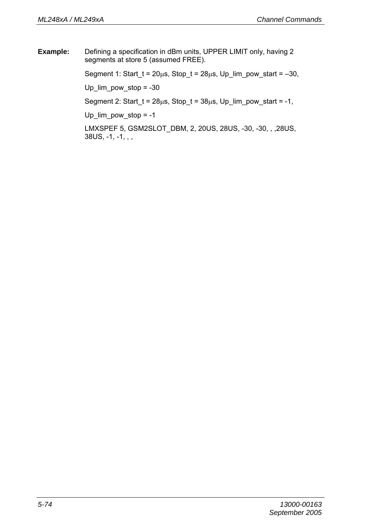**Example:** Defining a specification in dBm units, UPPER LIMIT only, having 2 segments at store 5 (assumed FREE).

Segment 1: Start\_t =  $20\mu s$ , Stop\_t =  $28\mu s$ , Up\_lim\_pow\_start =  $-30$ ,

Up  $lim_{1}$  pow  $stop = -30$ 

Segment 2: Start\_t =  $28\mu s$ , Stop\_t =  $38\mu s$ , Up\_lim\_pow\_start = -1,

Up  $lim_{x \to 0}$  pow stop = -1

LMXSPEF 5, GSM2SLOT\_DBM, 2, 20US, 28US, -30, -30, , ,28US,  $38US, -1, -1, , ,$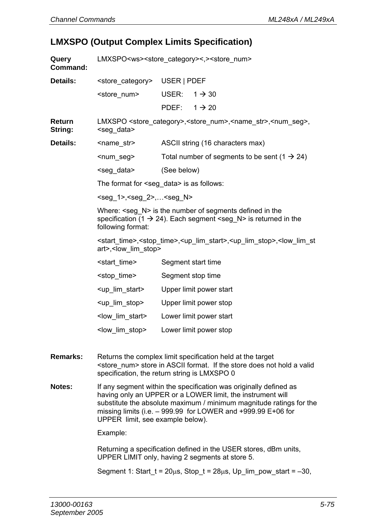## **LMXSPO (Output Complex Limits Specification)**

| Query<br>Command: | LMXSPO <ws><store_category>&lt;,&gt;<store_num></store_num></store_category></ws> |                                                                                                                                                                                                                                                                        |  |
|-------------------|-----------------------------------------------------------------------------------|------------------------------------------------------------------------------------------------------------------------------------------------------------------------------------------------------------------------------------------------------------------------|--|
| Details:          | <store_category></store_category>                                                 | USER   PDEF                                                                                                                                                                                                                                                            |  |
|                   | <store num=""></store>                                                            | USER:<br>$1 \rightarrow 30$                                                                                                                                                                                                                                            |  |
|                   |                                                                                   | PDEF:<br>$1 \rightarrow 20$                                                                                                                                                                                                                                            |  |
| Return<br>String: | <seg_data></seg_data>                                                             | LMXSPO <store_category>, <store_num>, <name_str>, <num_seg>,</num_seg></name_str></store_num></store_category>                                                                                                                                                         |  |
| Details:          | <name_str></name_str>                                                             | ASCII string (16 characters max)                                                                                                                                                                                                                                       |  |
|                   | <num seg=""></num>                                                                | Total number of segments to be sent (1 $\rightarrow$ 24)                                                                                                                                                                                                               |  |
|                   | <seg data=""></seg>                                                               | (See below)                                                                                                                                                                                                                                                            |  |
|                   |                                                                                   | The format for <seg_data> is as follows:</seg_data>                                                                                                                                                                                                                    |  |
|                   | $<$ seg 1>, $<$ seg 2>, $<$ seg N>                                                |                                                                                                                                                                                                                                                                        |  |
|                   | following format:                                                                 | Where: <seg_n> is the number of segments defined in the<br/>specification (1 <math>\rightarrow</math> 24). Each segment <seg_n> is returned in the</seg_n></seg_n>                                                                                                     |  |
|                   | art>, <low lim="" stop=""></low>                                                  | <start_time>,<stop_time>,<up_lim_start>,<up_lim_stop>,<low_lim_st< th=""></low_lim_st<></up_lim_stop></up_lim_start></stop_time></start_time>                                                                                                                          |  |
|                   | <start time=""></start>                                                           | Segment start time                                                                                                                                                                                                                                                     |  |
|                   | <stop time=""></stop>                                                             | Segment stop time                                                                                                                                                                                                                                                      |  |
|                   | <up_lim_start></up_lim_start>                                                     | Upper limit power start                                                                                                                                                                                                                                                |  |
|                   | <up lim="" stop=""></up>                                                          | Upper limit power stop                                                                                                                                                                                                                                                 |  |
|                   | <low_lim_start></low_lim_start>                                                   | Lower limit power start                                                                                                                                                                                                                                                |  |
|                   | <low lim="" stop=""></low>                                                        | Lower limit power stop                                                                                                                                                                                                                                                 |  |
| Remarks:          |                                                                                   | Returns the complex limit specification held at the target<br><store_num> store in ASCII format. If the store does not hold a valid<br/>specification, the return string is LMXSPO 0</store_num>                                                                       |  |
| Notes:            | UPPER limit, see example below).                                                  | If any segment within the specification was originally defined as<br>having only an UPPER or a LOWER limit, the instrument will<br>substitute the absolute maximum / minimum magnitude ratings for the<br>missing limits (i.e. - 999.99 for LOWER and +999.99 E+06 for |  |
|                   | Example:                                                                          |                                                                                                                                                                                                                                                                        |  |
|                   |                                                                                   | Returning a specification defined in the USER stores, dBm units,<br>UPPER LIMIT only, having 2 segments at store 5.                                                                                                                                                    |  |
|                   |                                                                                   |                                                                                                                                                                                                                                                                        |  |

Segment 1: Start\_t =  $20\mu s$ , Stop\_t =  $28\mu s$ , Up\_lim\_pow\_start =  $-30$ ,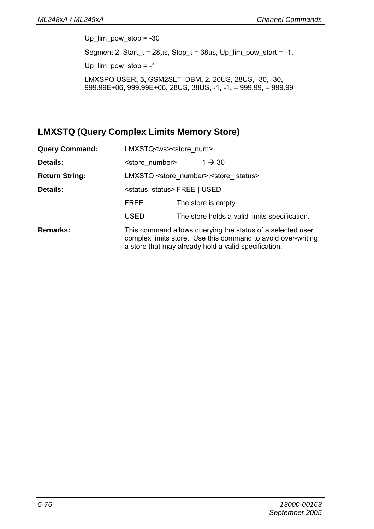Up  $lim_{1}$  pow stop = -30 Segment 2: Start\_t =  $28\mu s$ , Stop\_t =  $38\mu s$ , Up\_lim\_pow\_start = -1, Up  $lim_{x \to 0}$  pow stop = -1 LMXSPO USER**,** 5**,** GSM2SLT\_DBM**,** 2**,** 20US**,** 28US**,** -30**,** -30**,**  999.99E+06**,** 999.99E+06**,** 28US**,** 38US**,** -1**,** -1**,** – 999.99**,** – 999.99

#### **LMXSTQ (Query Complex Limits Memory Store)**

| <b>Query Command:</b> | LMXSTQ <ws><store num=""></store></ws> |                                                                                                                                                                                    |  |  |
|-----------------------|----------------------------------------|------------------------------------------------------------------------------------------------------------------------------------------------------------------------------------|--|--|
| Details:              | <store number=""></store>              | $1 \rightarrow 30$                                                                                                                                                                 |  |  |
| <b>Return String:</b> |                                        | LMXSTQ <store number="">, <store status=""></store></store>                                                                                                                        |  |  |
| Details:              | <status status="">FREE   USED</status> |                                                                                                                                                                                    |  |  |
|                       | <b>FREE</b>                            | The store is empty.                                                                                                                                                                |  |  |
|                       | <b>USED</b>                            | The store holds a valid limits specification.                                                                                                                                      |  |  |
| Remarks:              |                                        | This command allows querying the status of a selected user<br>complex limits store. Use this command to avoid over-writing<br>a store that may already hold a valid specification. |  |  |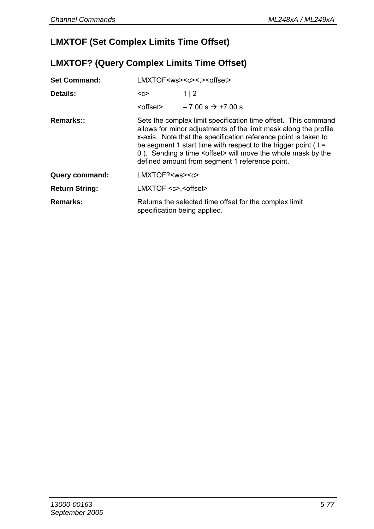## **LMXTOF (Set Complex Limits Time Offset)**

## **LMXTOF? (Query Complex Limits Time Offset)**

| <b>Set Command:</b>   | LMXTOF <ws><c>&lt;.&gt;<offset></offset></c></ws>                                                                                                                                                                                                                                                                                                                                                    |                                                        |  |
|-----------------------|------------------------------------------------------------------------------------------------------------------------------------------------------------------------------------------------------------------------------------------------------------------------------------------------------------------------------------------------------------------------------------------------------|--------------------------------------------------------|--|
| Details:              | $C$                                                                                                                                                                                                                                                                                                                                                                                                  | 1 2                                                    |  |
|                       | <offset></offset>                                                                                                                                                                                                                                                                                                                                                                                    | $-7.00$ s $\rightarrow +7.00$ s                        |  |
| Remarks::             | Sets the complex limit specification time offset. This command<br>allows for minor adjustments of the limit mask along the profile<br>x-axis. Note that the specification reference point is taken to<br>be segment 1 start time with respect to the trigger point $(t =$<br>0). Sending a time <offset> will move the whole mask by the<br/>defined amount from segment 1 reference point.</offset> |                                                        |  |
| Query command:        | LMXTOF? <ws><c></c></ws>                                                                                                                                                                                                                                                                                                                                                                             |                                                        |  |
| <b>Return String:</b> | LMXTOF <c>.<offset></offset></c>                                                                                                                                                                                                                                                                                                                                                                     |                                                        |  |
| Remarks:              | specification being applied.                                                                                                                                                                                                                                                                                                                                                                         | Returns the selected time offset for the complex limit |  |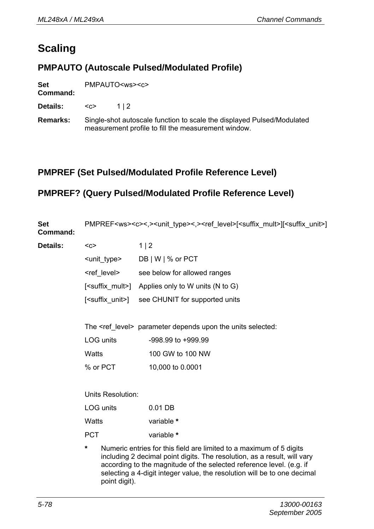## **Scaling**

#### **PMPAUTO (Autoscale Pulsed/Modulated Profile)**

| Set | PMPAUTO <ws><c></c></ws> |
|-----|--------------------------|
|-----|--------------------------|

#### **Command:**

**Details:** <c> 1 | 2

**Remarks:** Single-shot autoscale function to scale the displayed Pulsed/Modulated measurement profile to fill the measurement window.

#### **PMPREF (Set Pulsed/Modulated Profile Reference Level)**

#### **PMPREF? (Query Pulsed/Modulated Profile Reference Level)**

| Set<br>Command: | PMPREF <ws><c>&lt;,&gt;<unit_type>&lt;,&gt;<ref_level>[<suffix_mult>][<suffix_unit>]</suffix_unit></suffix_mult></ref_level></unit_type></c></ws> |                                                                     |  |
|-----------------|---------------------------------------------------------------------------------------------------------------------------------------------------|---------------------------------------------------------------------|--|
| Details:        | $C$                                                                                                                                               | 1 2                                                                 |  |
|                 | <unit_type></unit_type>                                                                                                                           | DB   W   % or PCT                                                   |  |
|                 | <ref level=""></ref>                                                                                                                              | see below for allowed ranges                                        |  |
|                 | [ <suffix mult="">]</suffix>                                                                                                                      | Applies only to W units (N to G)                                    |  |
|                 | [ <suffix unit="">]</suffix>                                                                                                                      | see CHUNIT for supported units                                      |  |
|                 |                                                                                                                                                   |                                                                     |  |
|                 | The <ref level=""> parameter depends upon the units selected:</ref>                                                                               |                                                                     |  |
|                 | LOG units                                                                                                                                         | $-998.99$ to $+999.99$                                              |  |
|                 | Watts                                                                                                                                             | 100 GW to 100 NW                                                    |  |
|                 | % or PCT                                                                                                                                          | 10,000 to 0.0001                                                    |  |
|                 |                                                                                                                                                   |                                                                     |  |
|                 | Units Resolution:                                                                                                                                 |                                                                     |  |
|                 | LOG units                                                                                                                                         | 0.01 DB                                                             |  |
|                 | Watts                                                                                                                                             | variable *                                                          |  |
|                 | <b>PCT</b>                                                                                                                                        | variable *                                                          |  |
|                 | *                                                                                                                                                 | Numeric entries for this field are limited to a maximum of 5 digits |  |

including 2 decimal point digits. The resolution, as a result, will vary according to the magnitude of the selected reference level. (e.g. if selecting a 4-digit integer value, the resolution will be to one decimal point digit).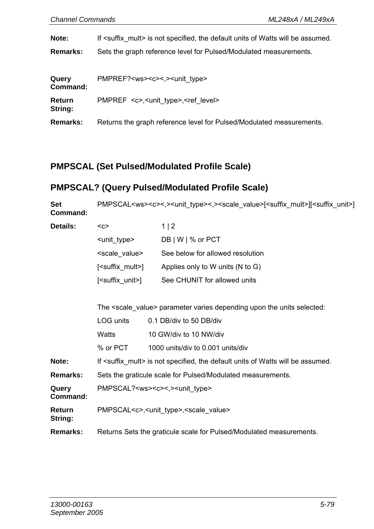Details:

**Note:** If <suffix mult> is not specified, the default units of Watts will be assumed.

**Remarks:** Sets the graph reference level for Pulsed/Modulated measurements.

| Query<br>Command: | PMPREF? <ws><c>&lt;.&gt;<unit_type></unit_type></c></ws>             |
|-------------------|----------------------------------------------------------------------|
| Return<br>String: | PMPREF <c>,<unit type="">,<ref level=""></ref></unit></c>            |
| <b>Remarks:</b>   | Returns the graph reference level for Pulsed/Modulated measurements. |

#### **PMPSCAL (Set Pulsed/Modulated Profile Scale)**

#### **PMPSCAL? (Query Pulsed/Modulated Profile Scale)**

**Set Command:**  PMPSCAL<ws><c><,><unit\_type><,><scale\_value>[<suffix\_mult>][<suffix\_unit>]

| <c></c>                        | 1 2                              |
|--------------------------------|----------------------------------|
| <unit type=""></unit>          | DB   W   % or PCT                |
| <scale value=""></scale>       | See below for allowed resolution |
| [ <suffix mult="">]</suffix>   | Applies only to W units (N to G) |
| [ <suffix_unit>]</suffix_unit> | See CHUNIT for allowed units     |

The <scale\_value> parameter varies depending upon the units selected:

|                   | LOG units                                                           | 0.1 DB/div to 50 DB/div                                                                    |  |
|-------------------|---------------------------------------------------------------------|--------------------------------------------------------------------------------------------|--|
|                   | Watts                                                               | 10 GW/div to 10 NW/div                                                                     |  |
|                   | % or PCT                                                            | 1000 units/div to 0.001 units/div                                                          |  |
| Note:             |                                                                     | If <suffix mult=""> is not specified, the default units of Watts will be assumed.</suffix> |  |
| Remarks:          | Sets the graticule scale for Pulsed/Modulated measurements.         |                                                                                            |  |
| Query<br>Command: | PMPSCAL? <ws><c>&lt;.&gt;<unit_type></unit_type></c></ws>           |                                                                                            |  |
| Return<br>String: | PMPSCAL <c>,<unit type="">,<scale value=""></scale></unit></c>      |                                                                                            |  |
| Remarks:          | Returns Sets the graticule scale for Pulsed/Modulated measurements. |                                                                                            |  |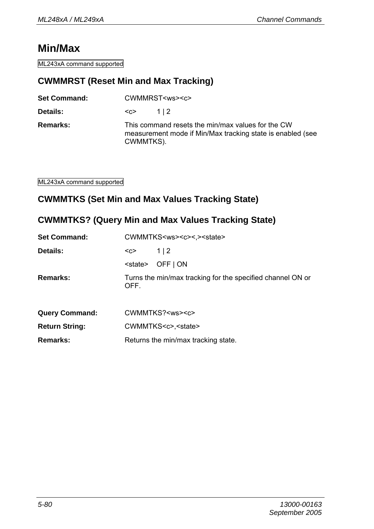## **Min/Max**

ML243xA command supported

#### **CWMMRST (Reset Min and Max Tracking)**

| <b>Set Command:</b> | CWMMRST <ws><c></c></ws> |                                                                                                                 |
|---------------------|--------------------------|-----------------------------------------------------------------------------------------------------------------|
| <b>Details:</b>     | <c></c>                  | 112                                                                                                             |
| Remarks:            | CWMMTKS).                | This command resets the min/max values for the CW<br>measurement mode if Min/Max tracking state is enabled (see |

ML243xA command supported

#### **CWMMTKS (Set Min and Max Values Tracking State)**

## **CWMMTKS? (Query Min and Max Values Tracking State)**

| <b>Set Command:</b>   | CWMMTKS <ws><c>&lt;.&gt;<state></state></c></ws>                   |  |  |
|-----------------------|--------------------------------------------------------------------|--|--|
| Details:              | 1 2<br>$C$                                                         |  |  |
|                       | OFF   ON<br><state></state>                                        |  |  |
| Remarks:              | Turns the min/max tracking for the specified channel ON or<br>OFF. |  |  |
| <b>Query Command:</b> | CWMMTKS? <ws><c></c></ws>                                          |  |  |
| <b>Return String:</b> | CWMMTKS <c>,<state></state></c>                                    |  |  |
| Remarks:              | Returns the min/max tracking state.                                |  |  |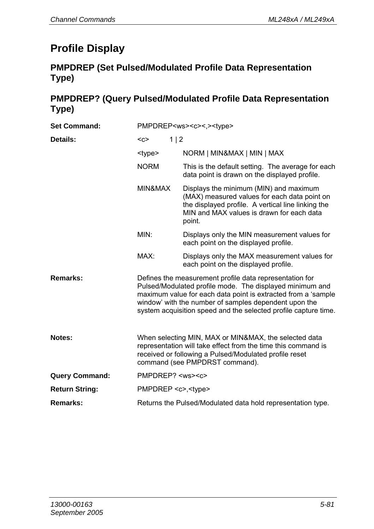## **Profile Display**

## **PMPDREP (Set Pulsed/Modulated Profile Data Representation Type)**

## **PMPDREP? (Query Pulsed/Modulated Profile Data Representation Type)**

| <b>Set Command:</b>   | PMPDREP <ws><c>&lt;.&gt;<type></type></c></ws>                                                                                                                                                                                                                                                                   |                                                                                                                                                                                                     |  |
|-----------------------|------------------------------------------------------------------------------------------------------------------------------------------------------------------------------------------------------------------------------------------------------------------------------------------------------------------|-----------------------------------------------------------------------------------------------------------------------------------------------------------------------------------------------------|--|
| Details:              | 1 2<br>$C$                                                                                                                                                                                                                                                                                                       |                                                                                                                                                                                                     |  |
|                       | <type></type>                                                                                                                                                                                                                                                                                                    | NORM   MIN&MAX   MIN   MAX                                                                                                                                                                          |  |
|                       | <b>NORM</b>                                                                                                                                                                                                                                                                                                      | This is the default setting. The average for each<br>data point is drawn on the displayed profile.                                                                                                  |  |
|                       | MIN&MAX                                                                                                                                                                                                                                                                                                          | Displays the minimum (MIN) and maximum<br>(MAX) measured values for each data point on<br>the displayed profile. A vertical line linking the<br>MIN and MAX values is drawn for each data<br>point. |  |
|                       | MIN:                                                                                                                                                                                                                                                                                                             | Displays only the MIN measurement values for<br>each point on the displayed profile.                                                                                                                |  |
|                       | $MAX+$                                                                                                                                                                                                                                                                                                           | Displays only the MAX measurement values for<br>each point on the displayed profile.                                                                                                                |  |
| Remarks:              | Defines the measurement profile data representation for<br>Pulsed/Modulated profile mode. The displayed minimum and<br>maximum value for each data point is extracted from a 'sample<br>window' with the number of samples dependent upon the<br>system acquisition speed and the selected profile capture time. |                                                                                                                                                                                                     |  |
| Notes:                | When selecting MIN, MAX or MIN&MAX, the selected data<br>representation will take effect from the time this command is<br>received or following a Pulsed/Modulated profile reset<br>command (see PMPDRST command).                                                                                               |                                                                                                                                                                                                     |  |
| <b>Query Command:</b> | PMPDREP? <ws><c></c></ws>                                                                                                                                                                                                                                                                                        |                                                                                                                                                                                                     |  |
| <b>Return String:</b> | PMPDREP <c>,<type></type></c>                                                                                                                                                                                                                                                                                    |                                                                                                                                                                                                     |  |
| Remarks:              | Returns the Pulsed/Modulated data hold representation type.                                                                                                                                                                                                                                                      |                                                                                                                                                                                                     |  |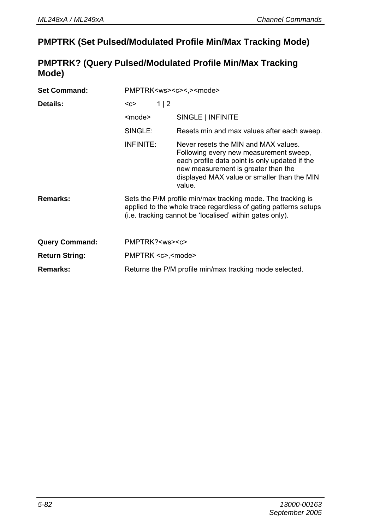### **PMPTRK (Set Pulsed/Modulated Profile Min/Max Tracking Mode)**

#### **PMPTRK? (Query Pulsed/Modulated Profile Min/Max Tracking Mode)**

| <b>Set Command:</b>   | PMPTRK <ws><c>&lt;.&gt;<mode></mode></c></ws>                                                                                                                                              |                                                                                                                                                                                                                                  |  |
|-----------------------|--------------------------------------------------------------------------------------------------------------------------------------------------------------------------------------------|----------------------------------------------------------------------------------------------------------------------------------------------------------------------------------------------------------------------------------|--|
| Details:              | 1 2<br>$<$ C $>$                                                                                                                                                                           |                                                                                                                                                                                                                                  |  |
|                       | <mode></mode>                                                                                                                                                                              | SINGLE   INFINITE                                                                                                                                                                                                                |  |
|                       | SINGLE:                                                                                                                                                                                    | Resets min and max values after each sweep.                                                                                                                                                                                      |  |
|                       | INFINITE:                                                                                                                                                                                  | Never resets the MIN and MAX values.<br>Following every new measurement sweep,<br>each profile data point is only updated if the<br>new measurement is greater than the<br>displayed MAX value or smaller than the MIN<br>value. |  |
| Remarks:              | Sets the P/M profile min/max tracking mode. The tracking is<br>applied to the whole trace regardless of gating patterns setups<br>(i.e. tracking cannot be 'localised' within gates only). |                                                                                                                                                                                                                                  |  |
| <b>Query Command:</b> | PMPTRK? <ws><c></c></ws>                                                                                                                                                                   |                                                                                                                                                                                                                                  |  |
| <b>Return String:</b> | PMPTRK <c>,<mode></mode></c>                                                                                                                                                               |                                                                                                                                                                                                                                  |  |
| Remarks:              | Returns the P/M profile min/max tracking mode selected.                                                                                                                                    |                                                                                                                                                                                                                                  |  |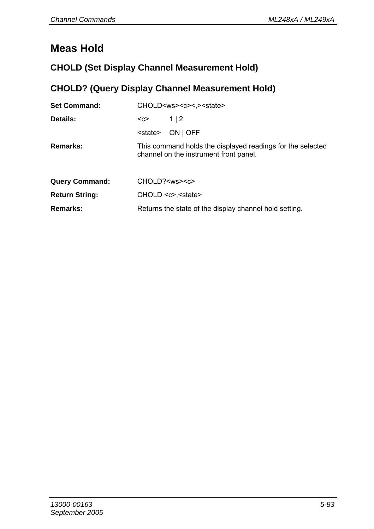## **Meas Hold**

## **CHOLD (Set Display Channel Measurement Hold)**

## **CHOLD? (Query Display Channel Measurement Hold)**

| <b>Set Command:</b>   | CHOLD <ws><c>&lt;.&gt;<state></state></c></ws> |                                                                                                      |  |
|-----------------------|------------------------------------------------|------------------------------------------------------------------------------------------------------|--|
| Details:              | $C$                                            | 1   2                                                                                                |  |
|                       | <state></state>                                | ON   OFF                                                                                             |  |
| Remarks:              |                                                | This command holds the displayed readings for the selected<br>channel on the instrument front panel. |  |
| <b>Query Command:</b> | CHOLD? <ws><c></c></ws>                        |                                                                                                      |  |
| <b>Return String:</b> |                                                | CHOLD <c>,<state></state></c>                                                                        |  |
| Remarks:              |                                                | Returns the state of the display channel hold setting.                                               |  |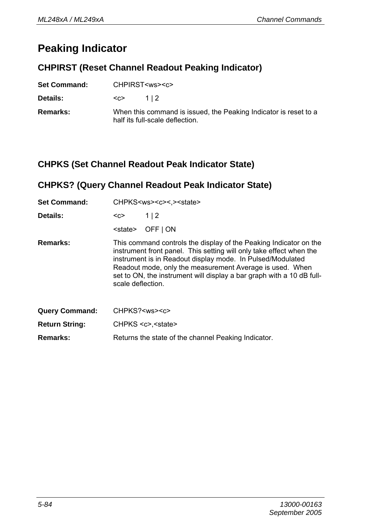## **Peaking Indicator**

#### **CHPIRST (Reset Channel Readout Peaking Indicator)**

| <b>Set Command:</b> | CHPIRST <ws><c></c></ws> |                                                                                                     |  |
|---------------------|--------------------------|-----------------------------------------------------------------------------------------------------|--|
| <b>Details:</b>     | $C$                      | 112                                                                                                 |  |
| <b>Remarks:</b>     |                          | When this command is issued, the Peaking Indicator is reset to a<br>half its full-scale deflection. |  |

#### **CHPKS (Set Channel Readout Peak Indicator State)**

## **CHPKS? (Query Channel Readout Peak Indicator State)**

| <b>Set Command:</b>   | CHPKS <ws><c>&lt;.&gt;<state></state></c></ws>                                                                                                                                                                                                                                                                                                                   |                                                     |  |
|-----------------------|------------------------------------------------------------------------------------------------------------------------------------------------------------------------------------------------------------------------------------------------------------------------------------------------------------------------------------------------------------------|-----------------------------------------------------|--|
| Details:              | <c></c>                                                                                                                                                                                                                                                                                                                                                          | 1 2                                                 |  |
|                       | <state></state>                                                                                                                                                                                                                                                                                                                                                  | OFF   ON                                            |  |
| <b>Remarks:</b>       | This command controls the display of the Peaking Indicator on the<br>instrument front panel. This setting will only take effect when the<br>instrument is in Readout display mode. In Pulsed/Modulated<br>Readout mode, only the measurement Average is used. When<br>set to ON, the instrument will display a bar graph with a 10 dB full-<br>scale deflection. |                                                     |  |
| <b>Query Command:</b> | CHPKS? <ws><c></c></ws>                                                                                                                                                                                                                                                                                                                                          |                                                     |  |
| <b>Return String:</b> |                                                                                                                                                                                                                                                                                                                                                                  | $CHPKS < c$ , $<$ state                             |  |
| Remarks:              |                                                                                                                                                                                                                                                                                                                                                                  | Returns the state of the channel Peaking Indicator. |  |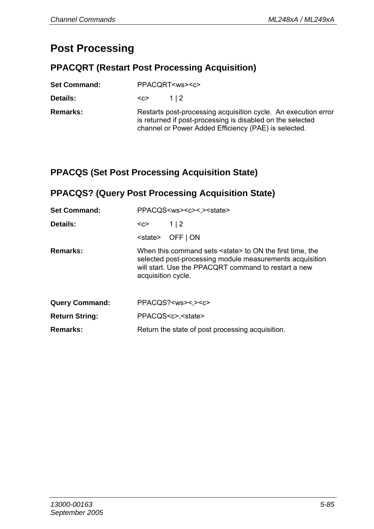## **Post Processing**

## **PPACQRT (Restart Post Processing Acquisition)**

| <b>Set Command:</b> | PPACQRT <ws><c></c></ws>                                                                                                                                                             |  |  |
|---------------------|--------------------------------------------------------------------------------------------------------------------------------------------------------------------------------------|--|--|
| Details:            | 112<br><೧>                                                                                                                                                                           |  |  |
| Remarks:            | Restarts post-processing acquisition cycle. An execution error<br>is returned if post-processing is disabled on the selected<br>channel or Power Added Efficiency (PAE) is selected. |  |  |

### **PPACQS (Set Post Processing Acquisition State)**

#### **PPACQS? (Query Post Processing Acquisition State)**

| <b>Set Command:</b>   | PPACQS <ws><c>&lt;.&gt;<state></state></c></ws> |                                                                                                                                                                                        |  |
|-----------------------|-------------------------------------------------|----------------------------------------------------------------------------------------------------------------------------------------------------------------------------------------|--|
| Details:              | <c></c>                                         | 1 2                                                                                                                                                                                    |  |
|                       | <state></state>                                 | OFF   ON                                                                                                                                                                               |  |
| Remarks:              | acquisition cycle.                              | When this command sets <state> to ON the first time, the<br/>selected post-processing module measurements acquisition<br/>will start. Use the PPACORT command to restart a new</state> |  |
| <b>Query Command:</b> |                                                 | $PPACQS? <$ ws><.> $<<$                                                                                                                                                                |  |
| <b>Return String:</b> |                                                 | PPACQS <c>.<state></state></c>                                                                                                                                                         |  |
| Remarks:              |                                                 | Return the state of post processing acquisition.                                                                                                                                       |  |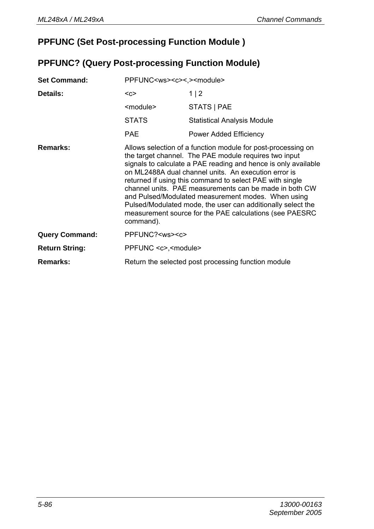## **PPFUNC (Set Post-processing Function Module )**

#### **PPFUNC? (Query Post-processing Function Module)**

| <b>Set Command:</b>   | PPFUNC <ws><c>&lt;.&gt;<module></module></c></ws> |                                                                                                                                                                                                                                                                                                                                                                                                                                                                                                                                                       |
|-----------------------|---------------------------------------------------|-------------------------------------------------------------------------------------------------------------------------------------------------------------------------------------------------------------------------------------------------------------------------------------------------------------------------------------------------------------------------------------------------------------------------------------------------------------------------------------------------------------------------------------------------------|
| Details:              | $C$                                               | 1   2                                                                                                                                                                                                                                                                                                                                                                                                                                                                                                                                                 |
|                       | <module></module>                                 | STATS   PAE                                                                                                                                                                                                                                                                                                                                                                                                                                                                                                                                           |
|                       | <b>STATS</b>                                      | <b>Statistical Analysis Module</b>                                                                                                                                                                                                                                                                                                                                                                                                                                                                                                                    |
|                       | <b>PAE</b>                                        | Power Added Efficiency                                                                                                                                                                                                                                                                                                                                                                                                                                                                                                                                |
| Remarks:              | command).                                         | Allows selection of a function module for post-processing on<br>the target channel. The PAE module requires two input<br>signals to calculate a PAE reading and hence is only available<br>on ML2488A dual channel units. An execution error is<br>returned if using this command to select PAE with single<br>channel units. PAE measurements can be made in both CW<br>and Pulsed/Modulated measurement modes. When using<br>Pulsed/Modulated mode, the user can additionally select the<br>measurement source for the PAE calculations (see PAESRC |
| <b>Query Command:</b> | PPFUNC? <ws><c></c></ws>                          |                                                                                                                                                                                                                                                                                                                                                                                                                                                                                                                                                       |
| <b>Return String:</b> | PPFUNC <c>,<module></module></c>                  |                                                                                                                                                                                                                                                                                                                                                                                                                                                                                                                                                       |
| Remarks:              |                                                   | Return the selected post processing function module                                                                                                                                                                                                                                                                                                                                                                                                                                                                                                   |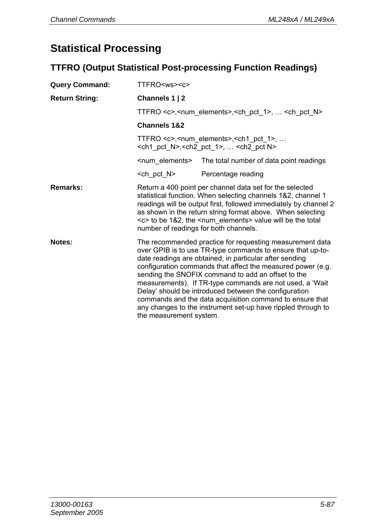## **Statistical Processing**

## **TTFRO (Output Statistical Post-processing Function Readings)**

| <b>Query Command:</b> | TTFRO <ws><c></c></ws>  |                                                                                                                                                                                                                                                                                                                                                                                                                                                                                                                                                         |  |  |  |
|-----------------------|-------------------------|---------------------------------------------------------------------------------------------------------------------------------------------------------------------------------------------------------------------------------------------------------------------------------------------------------------------------------------------------------------------------------------------------------------------------------------------------------------------------------------------------------------------------------------------------------|--|--|--|
| <b>Return String:</b> | Channels 1   2          |                                                                                                                                                                                                                                                                                                                                                                                                                                                                                                                                                         |  |  |  |
|                       |                         | TTFRO <c>, <num elements="">, <ch 1="" pct="">,  <ch n="" pct=""></ch></ch></num></c>                                                                                                                                                                                                                                                                                                                                                                                                                                                                   |  |  |  |
|                       | <b>Channels 1&amp;2</b> |                                                                                                                                                                                                                                                                                                                                                                                                                                                                                                                                                         |  |  |  |
|                       |                         | TTFRO $\lt c$ >, $\lt$ num elements>, $\lt$ ch1 pct 1>,<br><ch1_pct_n>,<ch2_pct_1>,  <ch2_pct n=""></ch2_pct></ch2_pct_1></ch1_pct_n>                                                                                                                                                                                                                                                                                                                                                                                                                   |  |  |  |
|                       |                         | <num elements=""> The total number of data point readings</num>                                                                                                                                                                                                                                                                                                                                                                                                                                                                                         |  |  |  |
|                       | <ch n="" pct=""></ch>   | Percentage reading                                                                                                                                                                                                                                                                                                                                                                                                                                                                                                                                      |  |  |  |
| Remarks:              |                         | Return a 400 point per channel data set for the selected<br>statistical function. When selecting channels 1&2, channel 1<br>readings will be output first, followed immediately by channel 2<br>as shown in the return string format above. When selecting<br><c> to be 1&amp;2, the <num_elements> value will be the total<br/>number of readings for both channels.</num_elements></c>                                                                                                                                                                |  |  |  |
| Notes:                | the measurement system. | The recommended practice for requesting measurement data<br>over GPIB is to use TR-type commands to ensure that up-to-<br>date readings are obtained, in particular after sending<br>configuration commands that affect the measured power (e.g.<br>sending the SNOFIX command to add an offset to the<br>measurements). If TR-type commands are not used, a 'Wait<br>Delay' should be introduced between the configuration<br>commands and the data acquisition command to ensure that<br>any changes to the instrument set-up have rippled through to |  |  |  |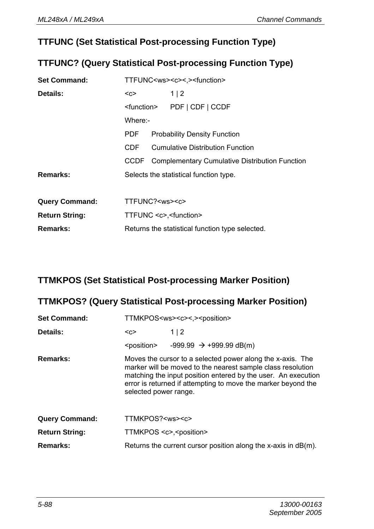## **TTFUNC (Set Statistical Post-processing Function Type)**

#### **TTFUNC? (Query Statistical Post-processing Function Type)**

| <b>Set Command:</b>   | TTFUNC <ws><c>&lt;.&gt;<function></function></c></ws> |  |                                                     |
|-----------------------|-------------------------------------------------------|--|-----------------------------------------------------|
| Details:              | <c></c>                                               |  | 1 2                                                 |
|                       | <function></function>                                 |  | PDF   CDF   CCDF                                    |
|                       | Where -                                               |  |                                                     |
|                       | <b>PDF</b>                                            |  | <b>Probability Density Function</b>                 |
|                       | CDE                                                   |  | <b>Cumulative Distribution Function</b>             |
|                       |                                                       |  | CCDF Complementary Cumulative Distribution Function |
| Remarks:              | Selects the statistical function type.                |  |                                                     |
|                       |                                                       |  |                                                     |
| <b>Query Command:</b> | TTFUNC? <ws><c></c></ws>                              |  |                                                     |
| <b>Return String:</b> | TTFUNC <c>,<function></function></c>                  |  |                                                     |
| Remarks:              | Returns the statistical function type selected.       |  |                                                     |

#### **TTMKPOS (Set Statistical Post-processing Marker Position)**

#### **TTMKPOS? (Query Statistical Post-processing Marker Position)**

| <b>Set Command:</b>   | TTMKPOS <ws><c>&lt;.&gt;<position></position></c></ws> |                                                                                                                                                                                                                                                             |  |
|-----------------------|--------------------------------------------------------|-------------------------------------------------------------------------------------------------------------------------------------------------------------------------------------------------------------------------------------------------------------|--|
| Details:              | <c></c>                                                | 1 2                                                                                                                                                                                                                                                         |  |
|                       |                                                        | $\epsilon$ <position> <math>-999.99 \rightarrow +999.99 \text{ dB(m)}</math></position>                                                                                                                                                                     |  |
| Remarks:              | selected power range.                                  | Moves the cursor to a selected power along the x-axis. The<br>marker will be moved to the nearest sample class resolution<br>matching the input position entered by the user. An execution<br>error is returned if attempting to move the marker beyond the |  |
| <b>Query Command:</b> | TTMKPOS? <ws><c></c></ws>                              |                                                                                                                                                                                                                                                             |  |
| <b>Return String:</b> | TTMKPOS <c>,<position></position></c>                  |                                                                                                                                                                                                                                                             |  |
| Remarks:              |                                                        | Returns the current cursor position along the x-axis in $dB(m)$ .                                                                                                                                                                                           |  |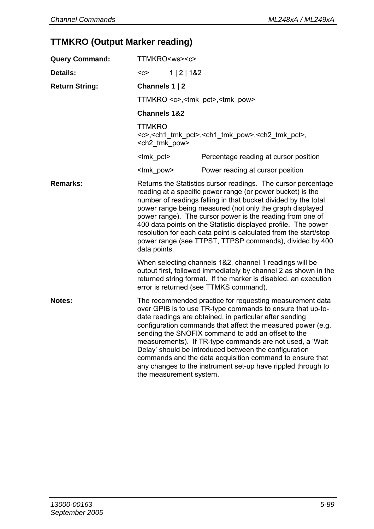## **TTMKRO (Output Marker reading)**

| <b>Query Command:</b> | TTMKRO <ws><c></c></ws>                                                                                                                                                                                                                                                                                                                                                                                                                                                                                                                |                                                                                                                                                                                                                                                                                                                                                                                                                                                                                                                                                         |  |
|-----------------------|----------------------------------------------------------------------------------------------------------------------------------------------------------------------------------------------------------------------------------------------------------------------------------------------------------------------------------------------------------------------------------------------------------------------------------------------------------------------------------------------------------------------------------------|---------------------------------------------------------------------------------------------------------------------------------------------------------------------------------------------------------------------------------------------------------------------------------------------------------------------------------------------------------------------------------------------------------------------------------------------------------------------------------------------------------------------------------------------------------|--|
| Details:              | 1   2   182<br>$C$                                                                                                                                                                                                                                                                                                                                                                                                                                                                                                                     |                                                                                                                                                                                                                                                                                                                                                                                                                                                                                                                                                         |  |
| <b>Return String:</b> | Channels 1   2                                                                                                                                                                                                                                                                                                                                                                                                                                                                                                                         |                                                                                                                                                                                                                                                                                                                                                                                                                                                                                                                                                         |  |
|                       | TTMKRO <c>,<tmk pct="">,<tmk pow=""></tmk></tmk></c>                                                                                                                                                                                                                                                                                                                                                                                                                                                                                   |                                                                                                                                                                                                                                                                                                                                                                                                                                                                                                                                                         |  |
|                       | <b>Channels 1&amp;2</b>                                                                                                                                                                                                                                                                                                                                                                                                                                                                                                                |                                                                                                                                                                                                                                                                                                                                                                                                                                                                                                                                                         |  |
|                       | <b>TTMKRO</b><br><c>,<ch1 pct="" tmk="">,<ch1 pow="" tmk="">,<ch2 pct="" tmk="">,<br/><ch2 pow="" tmk=""></ch2></ch2></ch1></ch1></c>                                                                                                                                                                                                                                                                                                                                                                                                  |                                                                                                                                                                                                                                                                                                                                                                                                                                                                                                                                                         |  |
|                       | <tmk pct=""></tmk>                                                                                                                                                                                                                                                                                                                                                                                                                                                                                                                     | Percentage reading at cursor position                                                                                                                                                                                                                                                                                                                                                                                                                                                                                                                   |  |
|                       | <tmk pow=""></tmk>                                                                                                                                                                                                                                                                                                                                                                                                                                                                                                                     | Power reading at cursor position                                                                                                                                                                                                                                                                                                                                                                                                                                                                                                                        |  |
| Remarks:              | Returns the Statistics cursor readings. The cursor percentage<br>reading at a specific power range (or power bucket) is the<br>number of readings falling in that bucket divided by the total<br>power range being measured (not only the graph displayed<br>power range). The cursor power is the reading from one of<br>400 data points on the Statistic displayed profile. The power<br>resolution for each data point is calculated from the start/stop<br>power range (see TTPST, TTPSP commands), divided by 400<br>data points. |                                                                                                                                                                                                                                                                                                                                                                                                                                                                                                                                                         |  |
|                       | When selecting channels 1&2, channel 1 readings will be<br>output first, followed immediately by channel 2 as shown in the<br>returned string format. If the marker is disabled, an execution<br>error is returned (see TTMKS command).                                                                                                                                                                                                                                                                                                |                                                                                                                                                                                                                                                                                                                                                                                                                                                                                                                                                         |  |
| Notes:                | the measurement system.                                                                                                                                                                                                                                                                                                                                                                                                                                                                                                                | The recommended practice for requesting measurement data<br>over GPIB is to use TR-type commands to ensure that up-to-<br>date readings are obtained, in particular after sending<br>configuration commands that affect the measured power (e.g.<br>sending the SNOFIX command to add an offset to the<br>measurements). If TR-type commands are not used, a 'Wait<br>Delay' should be introduced between the configuration<br>commands and the data acquisition command to ensure that<br>any changes to the instrument set-up have rippled through to |  |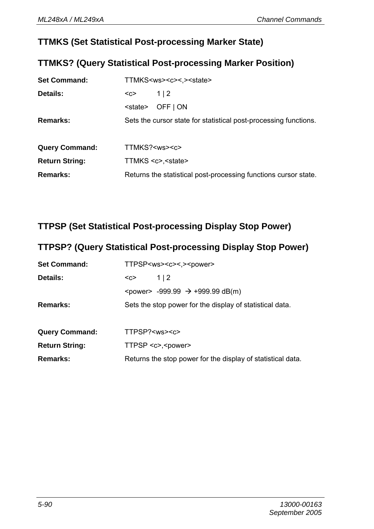### **TTMKS (Set Statistical Post-processing Marker State)**

#### **TTMKS? (Query Statistical Post-processing Marker Position)**

| <b>Set Command:</b>   |                         | TTMKS <ws><c>&lt;.&gt;<state></state></c></ws>                   |
|-----------------------|-------------------------|------------------------------------------------------------------|
| Details:              | $C$                     | 1 2                                                              |
|                       | <state></state>         | OFF   ON                                                         |
| Remarks:              |                         | Sets the cursor state for statistical post-processing functions. |
|                       |                         |                                                                  |
| <b>Query Command:</b> | TTMKS? <ws><c></c></ws> |                                                                  |
| <b>Return String:</b> |                         | TTMKS <c>,<state></state></c>                                    |
| Remarks:              |                         | Returns the statistical post-processing functions cursor state.  |

#### **TTPSP (Set Statistical Post-processing Display Stop Power)**

## **TTPSP? (Query Statistical Post-processing Display Stop Power)**

| <b>Set Command:</b>   | TTPSP <ws><c>&lt;.&gt;<power></power></c></ws>                    |
|-----------------------|-------------------------------------------------------------------|
| Details:              | 1 2<br>$C$                                                        |
|                       | <power> <math>-999.99</math> → <math>+999.99</math> dB(m)</power> |
| Remarks:              | Sets the stop power for the display of statistical data.          |
| <b>Query Command:</b> | TTPSP? <ws><c></c></ws>                                           |
| <b>Return String:</b> | TTPSP <c>,<power></power></c>                                     |
| Remarks:              | Returns the stop power for the display of statistical data.       |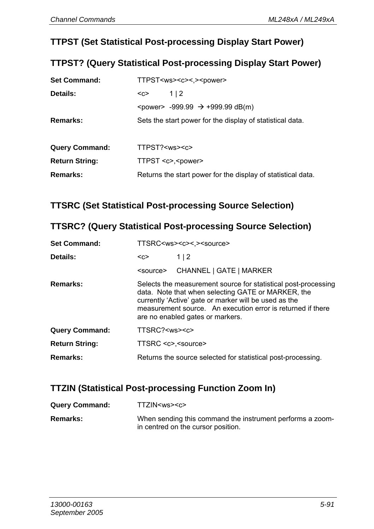#### **TTPST (Set Statistical Post-processing Display Start Power)**

#### **TTPST? (Query Statistical Post-processing Display Start Power)**

| <b>Set Command:</b>   |                         | TTPST <ws><c>&lt;.&gt;<power></power></c></ws>                 |
|-----------------------|-------------------------|----------------------------------------------------------------|
| Details:              | $C$                     | 1 2                                                            |
|                       |                         | <power> -999.99 <math>\rightarrow</math> +999.99 dB(m)</power> |
| Remarks:              |                         | Sets the start power for the display of statistical data.      |
|                       |                         |                                                                |
| <b>Query Command:</b> | TTPST? <ws><c></c></ws> |                                                                |
| <b>Return String:</b> |                         | TTPST <c>,<power></power></c>                                  |
|                       |                         |                                                                |

### **TTSRC (Set Statistical Post-processing Source Selection)**

#### **TTSRC? (Query Statistical Post-processing Source Selection)**

| <b>Set Command:</b>   |                         | TTSRC <ws><c>&lt;.&gt;<source/></c></ws>                                                                                                                                                                                                                                         |
|-----------------------|-------------------------|----------------------------------------------------------------------------------------------------------------------------------------------------------------------------------------------------------------------------------------------------------------------------------|
| Details:              | <c></c>                 | 1 2                                                                                                                                                                                                                                                                              |
|                       | <source/>               | CHANNEL   GATE   MARKER                                                                                                                                                                                                                                                          |
| Remarks:              |                         | Selects the measurement source for statistical post-processing<br>data. Note that when selecting GATE or MARKER, the<br>currently 'Active' gate or marker will be used as the<br>measurement source. An execution error is returned if there<br>are no enabled gates or markers. |
| <b>Query Command:</b> | TTSRC? <ws><c></c></ws> |                                                                                                                                                                                                                                                                                  |
| <b>Return String:</b> | TTSRC <c>,<source/></c> |                                                                                                                                                                                                                                                                                  |
| Remarks:              |                         | Returns the source selected for statistical post-processing.                                                                                                                                                                                                                     |

## **TTZIN (Statistical Post-processing Function Zoom In)**

| <b>Query Command:</b> | TTZIN <ws><c></c></ws>                                                                          |
|-----------------------|-------------------------------------------------------------------------------------------------|
| Remarks:              | When sending this command the instrument performs a zoom-<br>in centred on the cursor position. |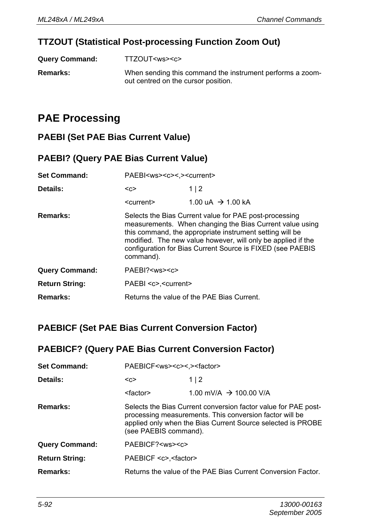## **TTZOUT (Statistical Post-processing Function Zoom Out)**

| <b>Query Command:</b> | TTZOUT <ws><c></c></ws> |
|-----------------------|-------------------------|
|                       |                         |

**Remarks:** When sending this command the instrument performs a zoomout centred on the cursor position.

## **PAE Processing**

#### **PAEBI (Set PAE Bias Current Value)**

#### **PAEBI? (Query PAE Bias Current Value)**

| <b>Set Command:</b>   | PAEBI <ws><c>&lt;.&gt;<current></current></c></ws> |                                                                                                                                                                                                                                                                                                              |
|-----------------------|----------------------------------------------------|--------------------------------------------------------------------------------------------------------------------------------------------------------------------------------------------------------------------------------------------------------------------------------------------------------------|
| Details:              | $C$                                                | 1 2                                                                                                                                                                                                                                                                                                          |
|                       | <current></current>                                | $1.00 \text{ uA} \rightarrow 1.00 \text{ kA}$                                                                                                                                                                                                                                                                |
| Remarks:              | command).                                          | Selects the Bias Current value for PAE post-processing<br>measurements. When changing the Bias Current value using<br>this command, the appropriate instrument setting will be<br>modified. The new value however, will only be applied if the<br>configuration for Bias Current Source is FIXED (see PAEBIS |
| <b>Query Command:</b> | PAEBI? <ws><c></c></ws>                            |                                                                                                                                                                                                                                                                                                              |
| <b>Return String:</b> | PAEBI <c>,<current></current></c>                  |                                                                                                                                                                                                                                                                                                              |
| Remarks:              |                                                    | Returns the value of the PAE Bias Current.                                                                                                                                                                                                                                                                   |

## **PAEBICF (Set PAE Bias Current Conversion Factor)**

#### **PAEBICF? (Query PAE Bias Current Conversion Factor)**

| <b>Set Command:</b>   | PAEBICF <ws><c>&lt; &gt;<factor></factor></c></ws> |                                                                                                                                                                                          |
|-----------------------|----------------------------------------------------|------------------------------------------------------------------------------------------------------------------------------------------------------------------------------------------|
| Details:              | $C$                                                | 1 2                                                                                                                                                                                      |
|                       | <factor></factor>                                  | 1.00 mV/A $\rightarrow$ 100.00 V/A                                                                                                                                                       |
| Remarks:              | (see PAEBIS command).                              | Selects the Bias Current conversion factor value for PAE post-<br>processing measurements. This conversion factor will be<br>applied only when the Bias Current Source selected is PROBE |
| <b>Query Command:</b> | PAEBICF? <ws><c></c></ws>                          |                                                                                                                                                                                          |
| <b>Return String:</b> | PAEBICF <c>,<factor></factor></c>                  |                                                                                                                                                                                          |
| Remarks:              |                                                    | Returns the value of the PAE Bias Current Conversion Factor.                                                                                                                             |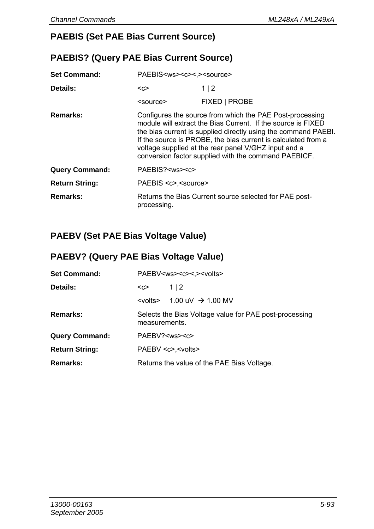### **PAEBIS (Set PAE Bias Current Source)**

#### **PAEBIS? (Query PAE Bias Current Source)**

| <b>Set Command:</b>   | PAEBIS <ws><c>&lt;.&gt;<source/></c></ws> |                                                                                                                                                                                                                                                                                                                                                                             |
|-----------------------|-------------------------------------------|-----------------------------------------------------------------------------------------------------------------------------------------------------------------------------------------------------------------------------------------------------------------------------------------------------------------------------------------------------------------------------|
| Details:              | <c></c>                                   | 1 2                                                                                                                                                                                                                                                                                                                                                                         |
|                       | <source/>                                 | FIXED   PROBE                                                                                                                                                                                                                                                                                                                                                               |
| Remarks:              |                                           | Configures the source from which the PAE Post-processing<br>module will extract the Bias Current. If the source is FIXED<br>the bias current is supplied directly using the command PAEBI.<br>If the source is PROBE, the bias current is calculated from a<br>voltage supplied at the rear panel V/GHZ input and a<br>conversion factor supplied with the command PAEBICF. |
| <b>Query Command:</b> | PAEBIS? <ws><c></c></ws>                  |                                                                                                                                                                                                                                                                                                                                                                             |
| <b>Return String:</b> | PAEBIS <c>.<source/></c>                  |                                                                                                                                                                                                                                                                                                                                                                             |
| Remarks:              | processing.                               | Returns the Bias Current source selected for PAE post-                                                                                                                                                                                                                                                                                                                      |

### **PAEBV (Set PAE Bias Voltage Value)**

#### **PAEBV? (Query PAE Bias Voltage Value)**

| <b>Set Command:</b>   | PAEBV <ws><c>&lt;.&gt;<volts></volts></c></ws> |                                                        |
|-----------------------|------------------------------------------------|--------------------------------------------------------|
| Details:              | $C$                                            | 112                                                    |
|                       | <volts></volts>                                | $1.00 \text{ uV} \rightarrow 1.00 \text{ MV}$          |
| <b>Remarks:</b>       | measurements.                                  | Selects the Bias Voltage value for PAE post-processing |
| <b>Query Command:</b> |                                                | PAEBV? <ws><c></c></ws>                                |
| <b>Return String:</b> |                                                | PAEBV <c>.<volts></volts></c>                          |
| <b>Remarks:</b>       |                                                | Returns the value of the PAE Bias Voltage.             |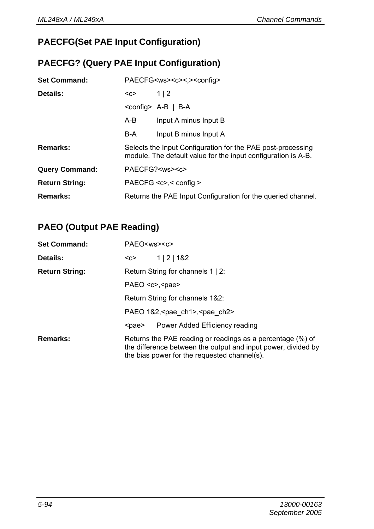## **PAECFG(Set PAE Input Configuration)**

## **PAECFG? (Query PAE Input Configuration)**

| <b>Set Command:</b>   |     | PAECFG <ws><c>&lt;.&gt;<config></config></c></ws>                                                                            |
|-----------------------|-----|------------------------------------------------------------------------------------------------------------------------------|
| Details:              | $C$ | $1 \mid 2$                                                                                                                   |
|                       |     | $\leq$ config> A-B   B-A                                                                                                     |
|                       | A-B | Input A minus Input B                                                                                                        |
|                       | B-A | Input B minus Input A                                                                                                        |
| Remarks:              |     | Selects the Input Configuration for the PAE post-processing<br>module. The default value for the input configuration is A-B. |
| <b>Query Command:</b> |     | PAECFG? <ws><c></c></ws>                                                                                                     |
| <b>Return String:</b> |     | PAECFG $<$ c>, $<$ config >                                                                                                  |
| Remarks:              |     | Returns the PAE Input Configuration for the queried channel.                                                                 |

## **PAEO (Output PAE Reading)**

| <b>Set Command:</b>   | PAEO <ws><c></c></ws>                                                                                                                                                       |  |  |
|-----------------------|-----------------------------------------------------------------------------------------------------------------------------------------------------------------------------|--|--|
| Details:              | 1   2   182<br><c></c>                                                                                                                                                      |  |  |
| <b>Return String:</b> | Return String for channels 1   2:                                                                                                                                           |  |  |
|                       | PAEO $<$ c>, $<$ pae>                                                                                                                                                       |  |  |
|                       | Return String for channels 1&2:                                                                                                                                             |  |  |
|                       | PAEO 1&2, <pae ch1="">, <pae ch2=""></pae></pae>                                                                                                                            |  |  |
|                       | Power Added Efficiency reading<br><pae></pae>                                                                                                                               |  |  |
| Remarks:              | Returns the PAE reading or readings as a percentage (%) of<br>the difference between the output and input power, divided by<br>the bias power for the requested channel(s). |  |  |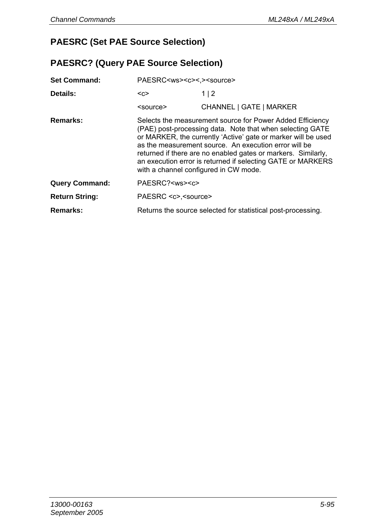## **PAESRC (Set PAE Source Selection)**

#### **PAESRC? (Query PAE Source Selection)**

| <b>Set Command:</b>   | PAESRC <ws><c>&lt;.&gt;<source/></c></ws>                                                                                                                                                                                                                                                                                                                                                                                 |                                                              |
|-----------------------|---------------------------------------------------------------------------------------------------------------------------------------------------------------------------------------------------------------------------------------------------------------------------------------------------------------------------------------------------------------------------------------------------------------------------|--------------------------------------------------------------|
| Details:              | $C$                                                                                                                                                                                                                                                                                                                                                                                                                       | 1 2                                                          |
|                       | <source/>                                                                                                                                                                                                                                                                                                                                                                                                                 | CHANNEL   GATE   MARKER                                      |
| Remarks:              | Selects the measurement source for Power Added Efficiency<br>(PAE) post-processing data. Note that when selecting GATE<br>or MARKER, the currently 'Active' gate or marker will be used<br>as the measurement source. An execution error will be<br>returned if there are no enabled gates or markers. Similarly,<br>an execution error is returned if selecting GATE or MARKERS<br>with a channel configured in CW mode. |                                                              |
| <b>Query Command:</b> | PAESRC? <ws><c></c></ws>                                                                                                                                                                                                                                                                                                                                                                                                  |                                                              |
| <b>Return String:</b> | PAESRC <c>,<source/></c>                                                                                                                                                                                                                                                                                                                                                                                                  |                                                              |
| Remarks:              |                                                                                                                                                                                                                                                                                                                                                                                                                           | Returns the source selected for statistical post-processing. |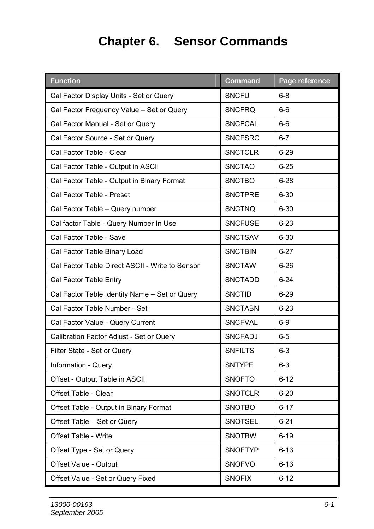# **Chapter 6. Sensor Commands**

| <b>Function</b>                                 | <b>Command</b> | Page reference |
|-------------------------------------------------|----------------|----------------|
| Cal Factor Display Units - Set or Query         | <b>SNCFU</b>   | $6 - 8$        |
| Cal Factor Frequency Value - Set or Query       | <b>SNCFRO</b>  | $6-6$          |
| Cal Factor Manual - Set or Query                | <b>SNCFCAL</b> | $6 - 6$        |
| Cal Factor Source - Set or Query                | <b>SNCFSRC</b> | $6 - 7$        |
| Cal Factor Table - Clear                        | <b>SNCTCLR</b> | $6 - 29$       |
| Cal Factor Table - Output in ASCII              | <b>SNCTAO</b>  | $6 - 25$       |
| Cal Factor Table - Output in Binary Format      | <b>SNCTBO</b>  | $6 - 28$       |
| Cal Factor Table - Preset                       | <b>SNCTPRE</b> | $6 - 30$       |
| Cal Factor Table - Query number                 | <b>SNCTNQ</b>  | $6 - 30$       |
| Cal factor Table - Query Number In Use          | <b>SNCFUSE</b> | $6 - 23$       |
| Cal Factor Table - Save                         | <b>SNCTSAV</b> | $6 - 30$       |
| Cal Factor Table Binary Load                    | <b>SNCTBIN</b> | $6 - 27$       |
| Cal Factor Table Direct ASCII - Write to Sensor | <b>SNCTAW</b>  | $6 - 26$       |
| Cal Factor Table Entry                          | <b>SNCTADD</b> | $6 - 24$       |
| Cal Factor Table Identity Name - Set or Query   | <b>SNCTID</b>  | $6 - 29$       |
| Cal Factor Table Number - Set                   | <b>SNCTABN</b> | $6 - 23$       |
| Cal Factor Value - Query Current                | <b>SNCFVAL</b> | $6-9$          |
| Calibration Factor Adjust - Set or Query        | <b>SNCFADJ</b> | $6 - 5$        |
| Filter State - Set or Query                     | <b>SNFILTS</b> | $6 - 3$        |
| Information - Query                             | <b>SNTYPE</b>  | $6 - 3$        |
| Offset - Output Table in ASCII                  | <b>SNOFTO</b>  | $6 - 12$       |
| Offset Table - Clear                            | <b>SNOTCLR</b> | $6 - 20$       |
| Offset Table - Output in Binary Format          | <b>SNOTBO</b>  | $6 - 17$       |
| Offset Table - Set or Query                     | <b>SNOTSEL</b> | $6 - 21$       |
| Offset Table - Write                            | <b>SNOTBW</b>  | $6 - 19$       |
| Offset Type - Set or Query                      | <b>SNOFTYP</b> | $6 - 13$       |
| Offset Value - Output                           | <b>SNOFVO</b>  | $6 - 13$       |
| Offset Value - Set or Query Fixed               | <b>SNOFIX</b>  | $6 - 12$       |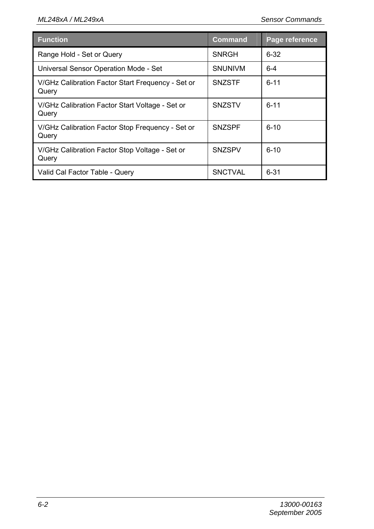| <b>Function</b>                                            | Command        | Page reference |
|------------------------------------------------------------|----------------|----------------|
| Range Hold - Set or Query                                  | <b>SNRGH</b>   | $6 - 32$       |
| Universal Sensor Operation Mode - Set                      | <b>SNUNIVM</b> | $6 - 4$        |
| V/GHz Calibration Factor Start Frequency - Set or<br>Query | <b>SNZSTF</b>  | $6 - 11$       |
| V/GHz Calibration Factor Start Voltage - Set or<br>Query   | <b>SNZSTV</b>  | $6 - 11$       |
| V/GHz Calibration Factor Stop Frequency - Set or<br>Query  | <b>SNZSPF</b>  | $6 - 10$       |
| V/GHz Calibration Factor Stop Voltage - Set or<br>Query    | <b>SNZSPV</b>  | $6 - 10$       |
| Valid Cal Factor Table - Query                             | <b>SNCTVAL</b> | $6 - 31$       |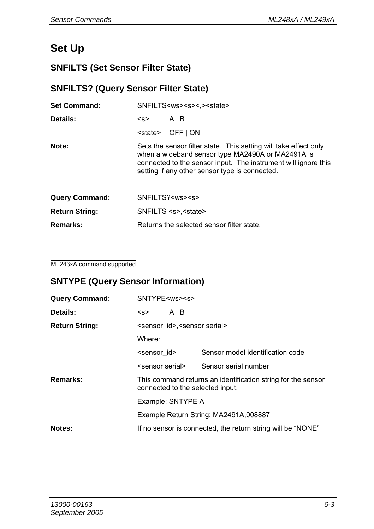# **Set Up**

## **SNFILTS (Set Sensor Filter State)**

#### **SNFILTS? (Query Sensor Filter State)**

| <b>Set Command:</b>   |         | SNFILTS <ws><s>&lt;.&gt;<state></state></s></ws>                                                                                                                                                                                          |
|-----------------------|---------|-------------------------------------------------------------------------------------------------------------------------------------------------------------------------------------------------------------------------------------------|
| Details:              | <s></s> | $A \mid B$                                                                                                                                                                                                                                |
|                       |         | $\leq$ state> OFF   ON                                                                                                                                                                                                                    |
| Note:                 |         | Sets the sensor filter state. This setting will take effect only<br>when a wideband sensor type MA2490A or MA2491A is<br>connected to the sensor input. The instrument will ignore this<br>setting if any other sensor type is connected. |
| <b>Query Command:</b> |         | SNFILTS? <ws><s></s></ws>                                                                                                                                                                                                                 |
| <b>Return String:</b> |         | SNFILTS <s>,<state></state></s>                                                                                                                                                                                                           |
| Remarks:              |         | Returns the selected sensor filter state.                                                                                                                                                                                                 |
|                       |         |                                                                                                                                                                                                                                           |

#### ML243xA command supported

#### **SNTYPE (Query Sensor Information)**

| <b>Query Command:</b> | SNTYPE <ws><s></s></ws>                                                                                                                                        |            |                                  |
|-----------------------|----------------------------------------------------------------------------------------------------------------------------------------------------------------|------------|----------------------------------|
| Details:              | <s></s>                                                                                                                                                        | $A \mid B$ |                                  |
| <b>Return String:</b> | <sensor id="">,<sensor serial=""></sensor></sensor>                                                                                                            |            |                                  |
|                       | Where:                                                                                                                                                         |            |                                  |
|                       | <sensor id=""></sensor>                                                                                                                                        |            | Sensor model identification code |
|                       | <sensor serial=""></sensor>                                                                                                                                    |            | Sensor serial number             |
| Remarks:              | This command returns an identification string for the sensor<br>connected to the selected input.<br>Example: SNTYPE A<br>Example Return String: MA2491A,008887 |            |                                  |
|                       |                                                                                                                                                                |            |                                  |
|                       |                                                                                                                                                                |            |                                  |
| Notes:                | If no sensor is connected, the return string will be "NONE"                                                                                                    |            |                                  |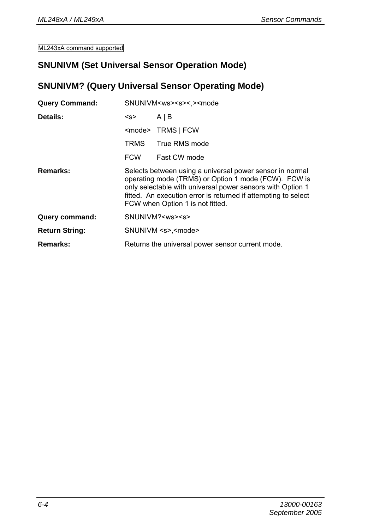#### **SNUNIVM (Set Universal Sensor Operation Mode)**

#### **SNUNIVM? (Query Universal Sensor Operating Mode)**

| <b>Query Command:</b> | SNUNIVM <ws><s>&lt;.&gt;<mode< th=""></mode<></s></ws>                                                                                                                                                                                                                               |                               |
|-----------------------|--------------------------------------------------------------------------------------------------------------------------------------------------------------------------------------------------------------------------------------------------------------------------------------|-------------------------------|
| Details:              | < s                                                                                                                                                                                                                                                                                  | $A \mid B$                    |
|                       |                                                                                                                                                                                                                                                                                      | <mode> TRMS   FCW</mode>      |
|                       | <b>TRMS</b>                                                                                                                                                                                                                                                                          | True RMS mode                 |
|                       | <b>FCW</b>                                                                                                                                                                                                                                                                           | Fast CW mode                  |
| Remarks:              | Selects between using a universal power sensor in normal<br>operating mode (TRMS) or Option 1 mode (FCW). FCW is<br>only selectable with universal power sensors with Option 1<br>fitted. An execution error is returned if attempting to select<br>FCW when Option 1 is not fitted. |                               |
| Query command:        |                                                                                                                                                                                                                                                                                      | SNUNIVM? <ws><s></s></ws>     |
| <b>Return String:</b> |                                                                                                                                                                                                                                                                                      | SNUNIVM <s>,<mode></mode></s> |
| Remarks:              | Returns the universal power sensor current mode.                                                                                                                                                                                                                                     |                               |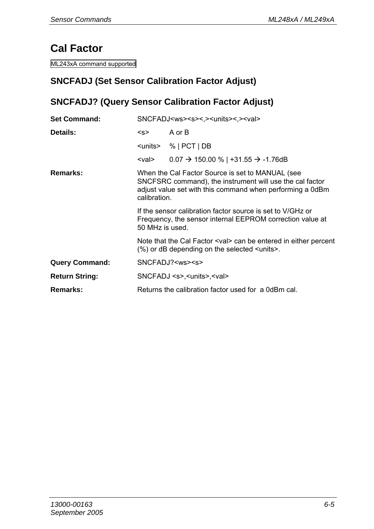# **Cal Factor**

ML243xA command supported

## **SNCFADJ (Set Sensor Calibration Factor Adjust)**

## **SNCFADJ? (Query Sensor Calibration Factor Adjust)**

| <b>Set Command:</b>   | SNCFADJ <ws><s>&lt;.&gt;<units>&lt;.&gt;<val></val></units></s></ws>                                                                                                                      |                                                                                                                                                        |
|-----------------------|-------------------------------------------------------------------------------------------------------------------------------------------------------------------------------------------|--------------------------------------------------------------------------------------------------------------------------------------------------------|
| Details:              | <s></s>                                                                                                                                                                                   | A or B                                                                                                                                                 |
|                       |                                                                                                                                                                                           | $\le$ units> %   PCT   DB                                                                                                                              |
|                       | <val></val>                                                                                                                                                                               | $0.07 \rightarrow 150.00 \%$   +31.55 $\rightarrow$ -1.76dB                                                                                            |
| Remarks:              | When the Cal Factor Source is set to MANUAL (see<br>SNCFSRC command), the instrument will use the cal factor<br>adjust value set with this command when performing a 0dBm<br>calibration. |                                                                                                                                                        |
|                       | 50 MHz is used.                                                                                                                                                                           | If the sensor calibration factor source is set to V/GHz or<br>Frequency, the sensor internal EEPROM correction value at                                |
|                       |                                                                                                                                                                                           | Note that the Cal Factor <val> can be entered in either percent<br/><math>(\%)</math> or dB depending on the selected <math>\le</math>units&gt;.</val> |
| <b>Query Command:</b> |                                                                                                                                                                                           | SNCFADJ? <ws><s></s></ws>                                                                                                                              |
| <b>Return String:</b> |                                                                                                                                                                                           | SNCFADJ <s>,<units>,<val></val></units></s>                                                                                                            |
| Remarks:              |                                                                                                                                                                                           | Returns the calibration factor used for a 0dBm cal.                                                                                                    |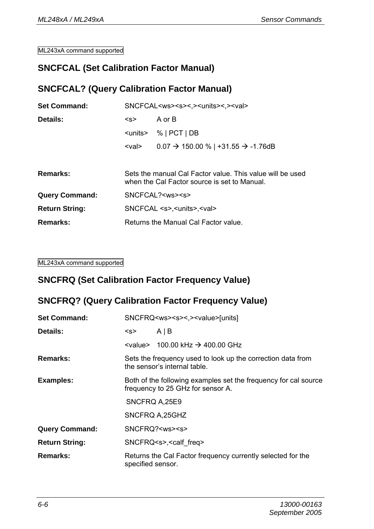#### **SNCFCAL (Set Calibration Factor Manual)**

#### **SNCFCAL? (Query Calibration Factor Manual)**

| <b>Set Command:</b>   | SNCFCAL <ws><s>&lt;.&gt;<units>&lt;.&gt;<val></val></units></s></ws> |                                                                                                           |
|-----------------------|----------------------------------------------------------------------|-----------------------------------------------------------------------------------------------------------|
| Details:              | < s                                                                  | A or B                                                                                                    |
|                       |                                                                      | $\le$ units> %   PCT   DB                                                                                 |
|                       | <val></val>                                                          | $0.07 \rightarrow 150.00 \%$   +31.55 $\rightarrow$ -1.76dB                                               |
|                       |                                                                      |                                                                                                           |
| Remarks:              |                                                                      | Sets the manual Cal Factor value. This value will be used<br>when the Cal Factor source is set to Manual. |
| <b>Query Command:</b> |                                                                      | SNCFCAL ? <ws><s></s></ws>                                                                                |
| <b>Return String:</b> |                                                                      | SNCFCAL <s>.<units>.<val></val></units></s>                                                               |
| Remarks:              | Returns the Manual Cal Factor value.                                 |                                                                                                           |

#### ML243xA command supported

#### **SNCFRQ (Set Calibration Factor Frequency Value)**

#### **SNCFRQ? (Query Calibration Factor Frequency Value)**

| <b>Set Command:</b>   | SNCFRQ <ws><s>&lt;,&gt;<value>[units]</value></s></ws>                                               |                                                                                            |  |
|-----------------------|------------------------------------------------------------------------------------------------------|--------------------------------------------------------------------------------------------|--|
| Details:              | < s                                                                                                  | AIB                                                                                        |  |
|                       |                                                                                                      | $\le$ value> 100.00 kHz $\rightarrow$ 400.00 GHz                                           |  |
| Remarks:              |                                                                                                      | Sets the frequency used to look up the correction data from<br>the sensor's internal table |  |
| Examples:             | Both of the following examples set the frequency for cal source<br>frequency to 25 GHz for sensor A. |                                                                                            |  |
|                       | SNCFRQ A, 25E9                                                                                       |                                                                                            |  |
|                       |                                                                                                      | SNCFRQ A.25GHZ                                                                             |  |
| <b>Query Command:</b> |                                                                                                      | SNCFRQ? <ws><s></s></ws>                                                                   |  |
| <b>Return String:</b> | SNCFRQ <s>,<calf freq=""></calf></s>                                                                 |                                                                                            |  |
| Remarks:              | specified sensor.                                                                                    | Returns the Cal Factor frequency currently selected for the                                |  |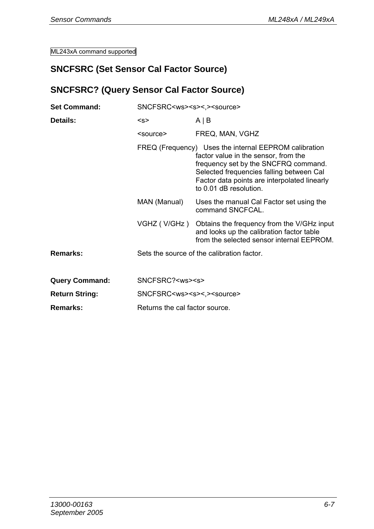#### **SNCFSRC (Set Sensor Cal Factor Source)**

#### **SNCFSRC? (Query Sensor Cal Factor Source)**

| <b>Set Command:</b>   | SNCFSRC <ws><s>&lt;,&gt;<source/></s></ws> |                                                                                                                                                                                                                                                             |  |
|-----------------------|--------------------------------------------|-------------------------------------------------------------------------------------------------------------------------------------------------------------------------------------------------------------------------------------------------------------|--|
| Details:              | < s                                        | $A \mid B$                                                                                                                                                                                                                                                  |  |
|                       | <source/>                                  | FREQ, MAN, VGHZ                                                                                                                                                                                                                                             |  |
|                       |                                            | FREQ (Frequency) Uses the internal EEPROM calibration<br>factor value in the sensor, from the<br>frequency set by the SNCFRQ command.<br>Selected frequencies falling between Cal<br>Factor data points are interpolated linearly<br>to 0.01 dB resolution. |  |
|                       | MAN (Manual)                               | Uses the manual Cal Factor set using the<br>command SNCFCAL.                                                                                                                                                                                                |  |
|                       | VGHZ (V/GHz )                              | Obtains the frequency from the V/GHz input<br>and looks up the calibration factor table<br>from the selected sensor internal EEPROM.                                                                                                                        |  |
| Remarks:              |                                            | Sets the source of the calibration factor.                                                                                                                                                                                                                  |  |
| <b>Query Command:</b> | SNCFSRC? <ws><s></s></ws>                  |                                                                                                                                                                                                                                                             |  |
| <b>Return String:</b> | SNCFSRC <ws><s>&lt;.&gt;<source/></s></ws> |                                                                                                                                                                                                                                                             |  |
| Remarks:              | Returns the cal factor source.             |                                                                                                                                                                                                                                                             |  |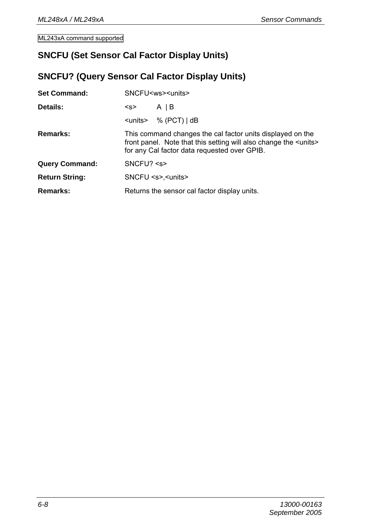#### **SNCFU (Set Sensor Cal Factor Display Units)**

## **SNCFU? (Query Sensor Cal Factor Display Units)**

| <b>Set Command:</b>   | SNCFU <ws><units></units></ws>                                                                                                                                                          |                                              |
|-----------------------|-----------------------------------------------------------------------------------------------------------------------------------------------------------------------------------------|----------------------------------------------|
| Details:              | <s></s>                                                                                                                                                                                 | $A \mid B$                                   |
|                       |                                                                                                                                                                                         | $\le$ units> % (PCT)   dB                    |
| Remarks:              | This command changes the cal factor units displayed on the<br>front panel. Note that this setting will also change the <units><br/>for any Cal factor data requested over GPIB.</units> |                                              |
| <b>Query Command:</b> | SNCFU? < s                                                                                                                                                                              |                                              |
| <b>Return String:</b> | SNCFU <s>,<units></units></s>                                                                                                                                                           |                                              |
| Remarks:              |                                                                                                                                                                                         | Returns the sensor cal factor display units. |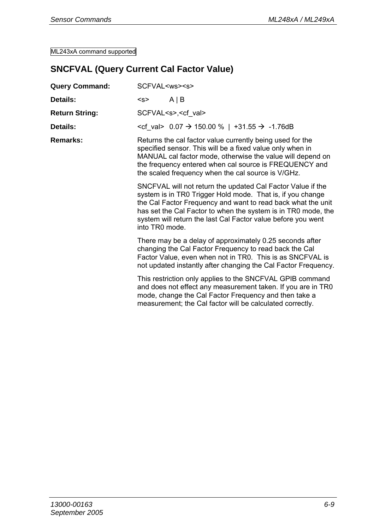## **SNCFVAL (Query Current Cal Factor Value)**

| <b>Query Command:</b> | SCFVAL <ws><s></s></ws>                                                                                                                                                                                                                                                                                                                      |                                                                                                                                                                                                                                                                                                      |  |
|-----------------------|----------------------------------------------------------------------------------------------------------------------------------------------------------------------------------------------------------------------------------------------------------------------------------------------------------------------------------------------|------------------------------------------------------------------------------------------------------------------------------------------------------------------------------------------------------------------------------------------------------------------------------------------------------|--|
| Details:              | < s                                                                                                                                                                                                                                                                                                                                          | $A \mid B$                                                                                                                                                                                                                                                                                           |  |
| <b>Return String:</b> |                                                                                                                                                                                                                                                                                                                                              | SCFVAL <s>,<cf val=""></cf></s>                                                                                                                                                                                                                                                                      |  |
| Details:              |                                                                                                                                                                                                                                                                                                                                              | <cf val=""> <math>0.07</math> → 150.00 %   +31.55 → -1.76dB</cf>                                                                                                                                                                                                                                     |  |
| Remarks:              |                                                                                                                                                                                                                                                                                                                                              | Returns the cal factor value currently being used for the<br>specified sensor. This will be a fixed value only when in<br>MANUAL cal factor mode, otherwise the value will depend on<br>the frequency entered when cal source is FREQUENCY and<br>the scaled frequency when the cal source is V/GHz. |  |
|                       | SNCFVAL will not return the updated Cal Factor Value if the<br>system is in TR0 Trigger Hold mode. That is, if you change<br>the Cal Factor Frequency and want to read back what the unit<br>has set the Cal Factor to when the system is in TR0 mode, the<br>system will return the last Cal Factor value before you went<br>into TR0 mode. |                                                                                                                                                                                                                                                                                                      |  |
|                       |                                                                                                                                                                                                                                                                                                                                              | There may be a delay of approximately 0.25 seconds after<br>changing the Cal Factor Frequency to read back the Cal<br>Factor Value, even when not in TR0. This is as SNCFVAL is<br>not updated instantly after changing the Cal Factor Frequency.                                                    |  |
|                       |                                                                                                                                                                                                                                                                                                                                              | This restriction only applies to the SNCFVAL GPIB command<br>and does not effect any measurement taken. If you are in TRO<br>mode, change the Cal Factor Frequency and then take a<br>measurement; the Cal factor will be calculated correctly.                                                      |  |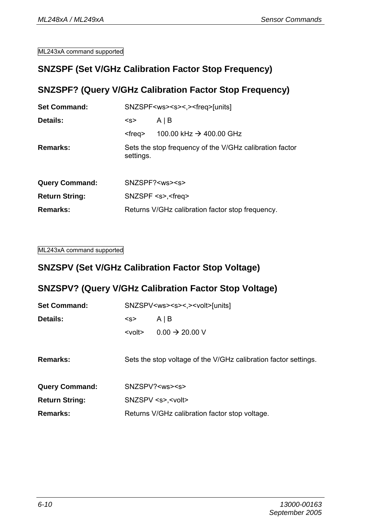#### **SNZSPF (Set V/GHz Calibration Factor Stop Frequency)**

#### **SNZSPF? (Query V/GHz Calibration Factor Stop Frequency)**

| <b>Set Command:</b>   | SNZSPF <ws><s>&lt;.&gt;<freq>[units]</freq></s></ws> |                                                         |
|-----------------------|------------------------------------------------------|---------------------------------------------------------|
| Details:              | AIB<br><s></s>                                       |                                                         |
|                       | <frea></frea>                                        | 100.00 kHz $\rightarrow$ 400.00 GHz                     |
| Remarks:              | settings.                                            | Sets the stop frequency of the V/GHz calibration factor |
| <b>Query Command:</b> |                                                      | SNZSPF? <ws><s></s></ws>                                |
| <b>Return String:</b> | SNZSPF <s>,<freq></freq></s>                         |                                                         |
| Remarks:              | Returns V/GHz calibration factor stop frequency.     |                                                         |

ML243xA command supported

#### **SNZSPV (Set V/GHz Calibration Factor Stop Voltage)**

#### **SNZSPV? (Query V/GHz Calibration Factor Stop Voltage)**

| <b>Set Command:</b>   | SNZSPV <ws><s>&lt;.&gt;<volt>[units]</volt></s></ws>            |                            |
|-----------------------|-----------------------------------------------------------------|----------------------------|
| Details:              | AIB<br>< s                                                      |                            |
|                       | <volt></volt>                                                   | $0.00 \rightarrow 20.00 V$ |
| Remarks:              | Sets the stop voltage of the V/GHz calibration factor settings. |                            |
| <b>Query Command:</b> | SNZSPV? <ws><s></s></ws>                                        |                            |
| <b>Return String:</b> | SNZSPV <s>,<volt></volt></s>                                    |                            |
| Remarks:              | Returns V/GHz calibration factor stop voltage.                  |                            |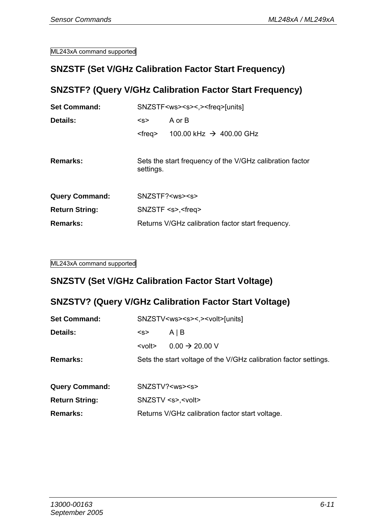#### **SNZSTF (Set V/GHz Calibration Factor Start Frequency)**

#### **SNZSTF? (Query V/GHz Calibration Factor Start Frequency)**

| <b>Set Command:</b>   | SNZSTF <ws><s>&lt;.&gt;<freq>[units]</freq></s></ws>                  |                                     |  |
|-----------------------|-----------------------------------------------------------------------|-------------------------------------|--|
| Details:              | A or B<br>< s                                                         |                                     |  |
|                       | <frea></frea>                                                         | 100.00 kHz $\rightarrow$ 400.00 GHz |  |
| Remarks:              | Sets the start frequency of the V/GHz calibration factor<br>settings. |                                     |  |
| <b>Query Command:</b> |                                                                       | SNZSTF? <ws><s></s></ws>            |  |
| <b>Return String:</b> | SNZSTF <s>,<freq></freq></s>                                          |                                     |  |
| Remarks:              | Returns V/GHz calibration factor start frequency.                     |                                     |  |

ML243xA command supported

#### **SNZSTV (Set V/GHz Calibration Factor Start Voltage)**

#### **SNZSTV? (Query V/GHz Calibration Factor Start Voltage)**

| <b>Set Command:</b>   | SNZSTV <ws><s>&lt;.&gt;<volt>[units]</volt></s></ws>             |                                                 |
|-----------------------|------------------------------------------------------------------|-------------------------------------------------|
| Details:              | <s></s>                                                          | AIB                                             |
|                       | $<$ volt $>$                                                     | $0.00 \rightarrow 20.00 V$                      |
| Remarks:              | Sets the start voltage of the V/GHz calibration factor settings. |                                                 |
|                       |                                                                  |                                                 |
| <b>Query Command:</b> |                                                                  | SNZSTV? <ws><s></s></ws>                        |
| <b>Return String:</b> |                                                                  | SNZSTV <s>,<volt></volt></s>                    |
| Remarks:              |                                                                  | Returns V/GHz calibration factor start voltage. |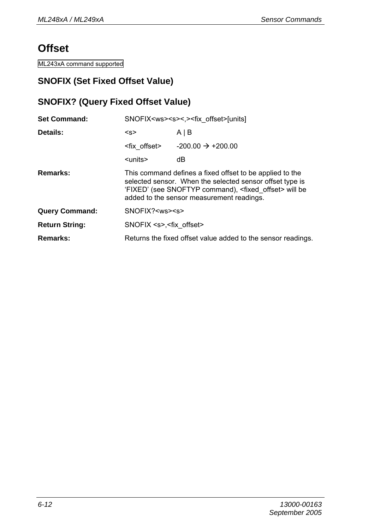## **Offset**

ML243xA command supported

## **SNOFIX (Set Fixed Offset Value)**

#### **SNOFIX? (Query Fixed Offset Value)**

| <b>Set Command:</b>   | SNOFIX <ws><s>&lt;.&gt;<fix offset="">[units]</fix></s></ws> |                                                                                                                                                                                                                                        |
|-----------------------|--------------------------------------------------------------|----------------------------------------------------------------------------------------------------------------------------------------------------------------------------------------------------------------------------------------|
| Details:              | < s                                                          | $A \mid B$                                                                                                                                                                                                                             |
|                       | <fix offset=""></fix>                                        | $-200.00 \rightarrow +200.00$                                                                                                                                                                                                          |
|                       | <units></units>                                              | dB                                                                                                                                                                                                                                     |
| Remarks:              |                                                              | This command defines a fixed offset to be applied to the<br>selected sensor. When the selected sensor offset type is<br>'FIXED' (see SNOFTYP command), <fixed offset=""> will be<br/>added to the sensor measurement readings.</fixed> |
| <b>Query Command:</b> | SNOFIX? <ws><s></s></ws>                                     |                                                                                                                                                                                                                                        |
| <b>Return String:</b> | SNOFIX <s>, <fix offset=""></fix></s>                        |                                                                                                                                                                                                                                        |
| Remarks:              |                                                              | Returns the fixed offset value added to the sensor readings.                                                                                                                                                                           |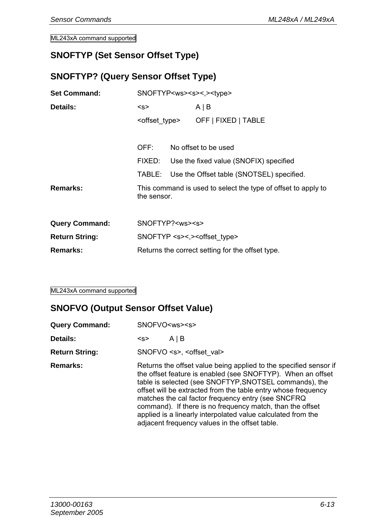#### **SNOFTYP (Set Sensor Offset Type)**

## **SNOFTYP? (Query Sensor Offset Type)**

| <b>Set Command:</b>   | SNOFTYP <ws><s>&lt;.&gt;<type></type></s></ws> |  |                                                               |
|-----------------------|------------------------------------------------|--|---------------------------------------------------------------|
| Details:              | < s                                            |  | AIB                                                           |
|                       |                                                |  | <offset type=""> OFF   FIXED   TABLE</offset>                 |
|                       | OFF:                                           |  | No offset to be used                                          |
|                       |                                                |  |                                                               |
|                       | FIXED:                                         |  | Use the fixed value (SNOFIX) specified                        |
|                       |                                                |  | TABLE: Use the Offset table (SNOTSEL) specified.              |
| Remarks:              | the sensor.                                    |  | This command is used to select the type of offset to apply to |
|                       |                                                |  |                                                               |
| <b>Query Command:</b> | SNOFTYP? <ws><s></s></ws>                      |  |                                                               |
| <b>Return String:</b> |                                                |  | SNOFTYP <s>&lt;.&gt;<offset type=""></offset></s>             |
| Remarks:              |                                                |  | Returns the correct setting for the offset type.              |

ML243xA command supported

#### **SNOFVO (Output Sensor Offset Value)**

| <b>Query Command:</b> | SNOFVO <ws><s></s></ws>                                                                                                                                                                                                                                                                                                                                                                                                                                                                          |  |  |
|-----------------------|--------------------------------------------------------------------------------------------------------------------------------------------------------------------------------------------------------------------------------------------------------------------------------------------------------------------------------------------------------------------------------------------------------------------------------------------------------------------------------------------------|--|--|
| Details:              | AIB<br>< s                                                                                                                                                                                                                                                                                                                                                                                                                                                                                       |  |  |
| <b>Return String:</b> | SNOFVO <s>, <offset val=""></offset></s>                                                                                                                                                                                                                                                                                                                                                                                                                                                         |  |  |
| Remarks:              | Returns the offset value being applied to the specified sensor if<br>the offset feature is enabled (see SNOFTYP). When an offset<br>table is selected (see SNOFTYP, SNOTSEL commands), the<br>offset will be extracted from the table entry whose frequency<br>matches the cal factor frequency entry (see SNCFRQ<br>command). If there is no frequency match, than the offset<br>applied is a linearly interpolated value calculated from the<br>adjacent frequency values in the offset table. |  |  |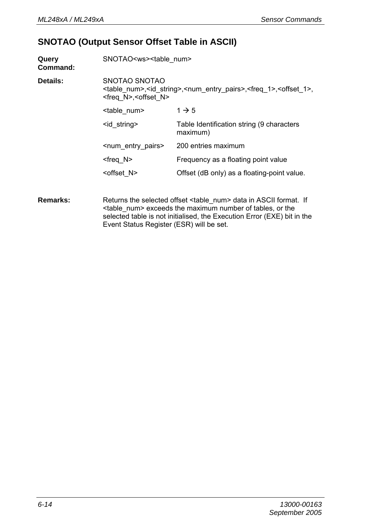#### **SNOTAO (Output Sensor Offset Table in ASCII)**

| Query<br>Command: | SNOTAO <ws><table num=""></table></ws>                                                                                                                                                  |                                                       |  |
|-------------------|-----------------------------------------------------------------------------------------------------------------------------------------------------------------------------------------|-------------------------------------------------------|--|
| Details:          | SNOTAO SNOTAO<br><table num="">, <id string="">, <num entry="" pairs="">, <freq 1="">, <offset 1="">,<br/><freq n="">, <offset n=""></offset></freq></offset></freq></num></id></table> |                                                       |  |
|                   | <table num=""></table>                                                                                                                                                                  | $1 \rightarrow 5$                                     |  |
|                   | <id string=""></id>                                                                                                                                                                     | Table Identification string (9 characters<br>maximum) |  |
|                   | <num entry="" pairs=""></num>                                                                                                                                                           | 200 entries maximum                                   |  |
|                   | $<$ freg N $>$                                                                                                                                                                          | Frequency as a floating point value                   |  |
|                   | <offset n=""></offset>                                                                                                                                                                  | Offset (dB only) as a floating-point value.           |  |
|                   |                                                                                                                                                                                         |                                                       |  |

**Remarks:** Returns the selected offset <table\_num> data in ASCII format. If <table\_num> exceeds the maximum number of tables, or the selected table is not initialised, the Execution Error (EXE) bit in the Event Status Register (ESR) will be set.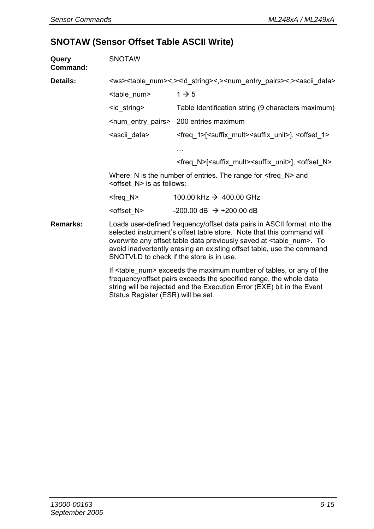#### **SNOTAW (Sensor Offset Table ASCII Write)**

| Query<br>Command: | <b>SNOTAW</b>                                                                                                                                                                                                                                                                                                                                             |                                                                                                                                                      |  |
|-------------------|-----------------------------------------------------------------------------------------------------------------------------------------------------------------------------------------------------------------------------------------------------------------------------------------------------------------------------------------------------------|------------------------------------------------------------------------------------------------------------------------------------------------------|--|
| Details:          | <ws><table num="">&lt;,&gt;&gt;id string&gt;&lt;,&gt;<num entry="" pairs="">&lt;,&gt;<ascii data=""></ascii></num></table></ws>                                                                                                                                                                                                                           |                                                                                                                                                      |  |
|                   | <table num=""></table>                                                                                                                                                                                                                                                                                                                                    | $1 \rightarrow 5$                                                                                                                                    |  |
|                   | <id string=""></id>                                                                                                                                                                                                                                                                                                                                       | Table Identification string (9 characters maximum)                                                                                                   |  |
|                   |                                                                                                                                                                                                                                                                                                                                                           | <num entry="" pairs=""> 200 entries maximum</num>                                                                                                    |  |
|                   | <ascii data=""></ascii>                                                                                                                                                                                                                                                                                                                                   | <freq 1="">[<suffix mult=""><suffix unit="">], <offset 1=""></offset></suffix></suffix></freq>                                                       |  |
|                   |                                                                                                                                                                                                                                                                                                                                                           | $\cdots$                                                                                                                                             |  |
|                   |                                                                                                                                                                                                                                                                                                                                                           | <freq n="">[<suffix mult=""><suffix unit="">], <offset n=""></offset></suffix></suffix></freq>                                                       |  |
|                   | Where: N is the number of entries. The range for $\leq$ freq N $>$ and<br><offset n=""> is as follows:</offset>                                                                                                                                                                                                                                           |                                                                                                                                                      |  |
|                   | <freq n=""></freq>                                                                                                                                                                                                                                                                                                                                        | 100.00 kHz $\rightarrow$ 400.00 GHz                                                                                                                  |  |
|                   | <offset n=""></offset>                                                                                                                                                                                                                                                                                                                                    | $-200.00$ dB $\rightarrow +200.00$ dB                                                                                                                |  |
| Remarks:          | Loads user-defined frequency/offset data pairs in ASCII format into the<br>selected instrument's offset table store. Note that this command will<br>overwrite any offset table data previously saved at <table num="">. To<br/>avoid inadvertently erasing an existing offset table, use the command<br/>SNOTVLD to check if the store is in use.</table> |                                                                                                                                                      |  |
|                   |                                                                                                                                                                                                                                                                                                                                                           | If <table num=""> exceeds the maximum number of tables, or any of the<br/>froquenou/offect noire overade the enceified renge, the whole data</table> |  |

frequency/offset pairs exceeds the specified range, the whole data string will be rejected and the Execution Error (EXE) bit in the Event Status Register (ESR) will be set.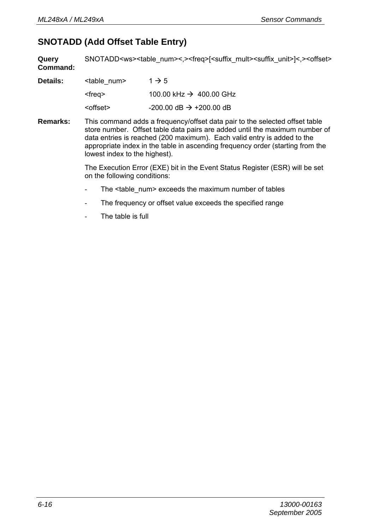#### **SNOTADD (Add Offset Table Entry)**

**Query Command:**  SNOTADD<ws><table\_num><.><freq>[<suffix\_mult><suffix\_unit>]<.><offset>

| Details: | <table num=""></table> | $1 \rightarrow 5$                     |
|----------|------------------------|---------------------------------------|
|          | <frea></frea>          | 100.00 kHz $\rightarrow$ 400.00 GHz   |
|          | <offset></offset>      | $-200.00$ dB $\rightarrow +200.00$ dB |

**Remarks:** This command adds a frequency/offset data pair to the selected offset table store number. Offset table data pairs are added until the maximum number of data entries is reached (200 maximum). Each valid entry is added to the appropriate index in the table in ascending frequency order (starting from the lowest index to the highest).

> The Execution Error (EXE) bit in the Event Status Register (ESR) will be set on the following conditions:

- The <table\_num> exceeds the maximum number of tables
- The frequency or offset value exceeds the specified range
- The table is full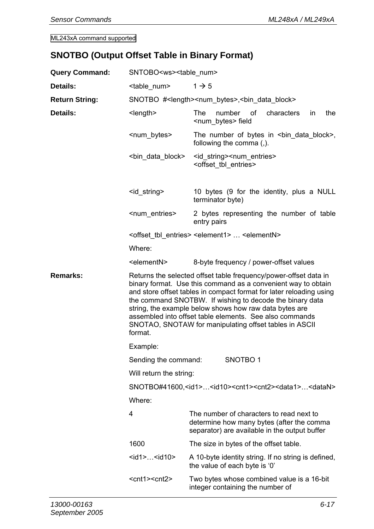## **SNOTBO (Output Offset Table in Binary Format)**

| <b>Query Command:</b> | SNTOBO <ws><table_num></table_num></ws>                                                                                                                                                                                                                                                                                                                                                                                                                        |                                                                                                                                        |  |
|-----------------------|----------------------------------------------------------------------------------------------------------------------------------------------------------------------------------------------------------------------------------------------------------------------------------------------------------------------------------------------------------------------------------------------------------------------------------------------------------------|----------------------------------------------------------------------------------------------------------------------------------------|--|
| Details:              | <table num=""><br/><math>1 \rightarrow 5</math></table>                                                                                                                                                                                                                                                                                                                                                                                                        |                                                                                                                                        |  |
| <b>Return String:</b> | SNOTBO # <length><num_bytes>,<bin_data_block></bin_data_block></num_bytes></length>                                                                                                                                                                                                                                                                                                                                                                            |                                                                                                                                        |  |
| Details:              | <length></length>                                                                                                                                                                                                                                                                                                                                                                                                                                              | of<br>the<br>The<br>number<br>characters<br>in.<br><num bytes=""> field</num>                                                          |  |
|                       | <num_bytes></num_bytes>                                                                                                                                                                                                                                                                                                                                                                                                                                        | The number of bytes in $\leq$ bin data block>,<br>following the comma (,).                                                             |  |
|                       | <bin block="" data=""></bin>                                                                                                                                                                                                                                                                                                                                                                                                                                   | <id_string><num_entries><br/><offset_tbl_entries></offset_tbl_entries></num_entries></id_string>                                       |  |
|                       | <id_string></id_string>                                                                                                                                                                                                                                                                                                                                                                                                                                        | 10 bytes (9 for the identity, plus a NULL<br>terminator byte)                                                                          |  |
|                       | <num entries=""></num>                                                                                                                                                                                                                                                                                                                                                                                                                                         | 2 bytes representing the number of table<br>entry pairs                                                                                |  |
|                       |                                                                                                                                                                                                                                                                                                                                                                                                                                                                | <offset entries="" tbl=""> <element1> <elementn></elementn></element1></offset>                                                        |  |
|                       | Where:                                                                                                                                                                                                                                                                                                                                                                                                                                                         |                                                                                                                                        |  |
|                       | <elementn></elementn>                                                                                                                                                                                                                                                                                                                                                                                                                                          | 8-byte frequency / power-offset values                                                                                                 |  |
| Remarks:              | Returns the selected offset table frequency/power-offset data in<br>binary format. Use this command as a convenient way to obtain<br>and store offset tables in compact format for later reloading using<br>the command SNOTBW. If wishing to decode the binary data<br>string, the example below shows how raw data bytes are<br>assembled into offset table elements. See also commands<br>SNOTAO, SNOTAW for manipulating offset tables in ASCII<br>format. |                                                                                                                                        |  |
|                       | Example:                                                                                                                                                                                                                                                                                                                                                                                                                                                       |                                                                                                                                        |  |
|                       | Sending the command:                                                                                                                                                                                                                                                                                                                                                                                                                                           | SNOTBO <sub>1</sub>                                                                                                                    |  |
|                       | Will return the string:                                                                                                                                                                                                                                                                                                                                                                                                                                        |                                                                                                                                        |  |
|                       | SNOTBO#41600, <id1><id10><cnt1><cnt2><data1><datan><br/>Where:</datan></data1></cnt2></cnt1></id10></id1>                                                                                                                                                                                                                                                                                                                                                      |                                                                                                                                        |  |
|                       |                                                                                                                                                                                                                                                                                                                                                                                                                                                                |                                                                                                                                        |  |
|                       | 4                                                                                                                                                                                                                                                                                                                                                                                                                                                              | The number of characters to read next to<br>determine how many bytes (after the comma<br>separator) are available in the output buffer |  |
|                       | 1600                                                                                                                                                                                                                                                                                                                                                                                                                                                           | The size in bytes of the offset table.                                                                                                 |  |
|                       | <id1><id10></id10></id1>                                                                                                                                                                                                                                                                                                                                                                                                                                       | A 10-byte identity string. If no string is defined,<br>the value of each byte is '0'                                                   |  |
|                       | <cnt1><cnt2></cnt2></cnt1>                                                                                                                                                                                                                                                                                                                                                                                                                                     | Two bytes whose combined value is a 16-bit<br>integer containing the number of                                                         |  |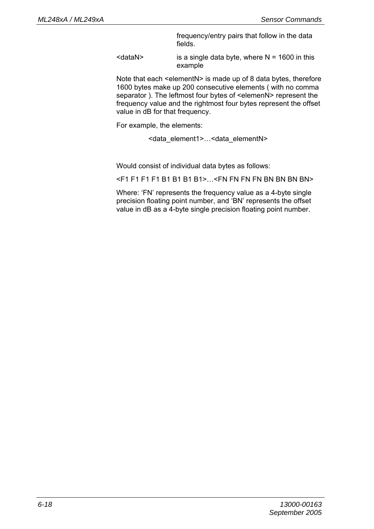frequency/entry pairs that follow in the data fields.

 $\leq$ dataN $>$  is a single data byte, where N = 1600 in this example

Note that each <elementN> is made up of 8 data bytes, therefore 1600 bytes make up 200 consecutive elements ( with no comma separator ). The leftmost four bytes of <elemenN> represent the frequency value and the rightmost four bytes represent the offset value in dB for that frequency.

For example, the elements:

<data\_element1>…<data\_elementN>

Would consist of individual data bytes as follows:

<F1 F1 F1 F1 B1 B1 B1 B1>…<FN FN FN FN BN BN BN BN>

Where: 'FN' represents the frequency value as a 4-byte single precision floating point number, and 'BN' represents the offset value in dB as a 4-byte single precision floating point number.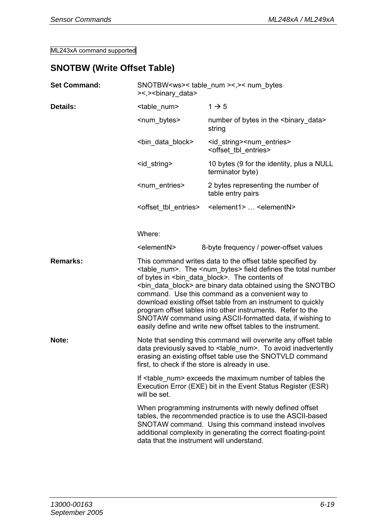#### **SNOTBW (Write Offset Table)**

| <b>Set Command:</b> | SNOTBW <ws>&lt; table num &gt;&lt;,&gt;&lt; num bytes<br/>&gt;&lt;,&gt;<br/>binary data&gt;</ws>                                                                                                                                                                                                                                                                                                                                                                                                                                                                                                             |                                                                                                                                                                                                                                               |
|---------------------|--------------------------------------------------------------------------------------------------------------------------------------------------------------------------------------------------------------------------------------------------------------------------------------------------------------------------------------------------------------------------------------------------------------------------------------------------------------------------------------------------------------------------------------------------------------------------------------------------------------|-----------------------------------------------------------------------------------------------------------------------------------------------------------------------------------------------------------------------------------------------|
| Details:            | <table num=""></table>                                                                                                                                                                                                                                                                                                                                                                                                                                                                                                                                                                                       | $1 \rightarrow 5$                                                                                                                                                                                                                             |
|                     | <num bytes=""></num>                                                                                                                                                                                                                                                                                                                                                                                                                                                                                                                                                                                         | number of bytes in the<br>binary data><br>string                                                                                                                                                                                              |
|                     | <bin block="" data=""></bin>                                                                                                                                                                                                                                                                                                                                                                                                                                                                                                                                                                                 | <id string=""><num entries=""><br/><offset entries="" tbl=""></offset></num></id>                                                                                                                                                             |
|                     | <id string=""></id>                                                                                                                                                                                                                                                                                                                                                                                                                                                                                                                                                                                          | 10 bytes (9 for the identity, plus a NULL<br>terminator byte)                                                                                                                                                                                 |
|                     | <num entries=""></num>                                                                                                                                                                                                                                                                                                                                                                                                                                                                                                                                                                                       | 2 bytes representing the number of<br>table entry pairs                                                                                                                                                                                       |
|                     | <offset entries="" tbl=""></offset>                                                                                                                                                                                                                                                                                                                                                                                                                                                                                                                                                                          | <element1> <elementn></elementn></element1>                                                                                                                                                                                                   |
|                     | Where:                                                                                                                                                                                                                                                                                                                                                                                                                                                                                                                                                                                                       |                                                                                                                                                                                                                                               |
|                     | <elementn></elementn>                                                                                                                                                                                                                                                                                                                                                                                                                                                                                                                                                                                        | 8-byte frequency / power-offset values                                                                                                                                                                                                        |
| Remarks:            | This command writes data to the offset table specified by<br><table_num>. The <num_bytes> field defines the total number<br/>of bytes in <bin block="" data="">. The contents of<br/><bin block="" data=""> are binary data obtained using the SNOTBO<br/>command. Use this command as a convenient way to<br/>download existing offset table from an instrument to quickly<br/>program offset tables into other instruments. Refer to the<br/>SNOTAW command using ASCII-formatted data, if wishing to<br/>easily define and write new offset tables to the instrument.</bin></bin></num_bytes></table_num> |                                                                                                                                                                                                                                               |
| Note:               | first, to check if the store is already in use.                                                                                                                                                                                                                                                                                                                                                                                                                                                                                                                                                              | Note that sending this command will overwrite any offset table<br>data previously saved to <table_num>. To avoid inadvertently<br/>erasing an existing offset table use the SNOTVLD command</table_num>                                       |
|                     | will be set.                                                                                                                                                                                                                                                                                                                                                                                                                                                                                                                                                                                                 | If <table num=""> exceeds the maximum number of tables the<br/>Execution Error (EXE) bit in the Event Status Register (ESR)</table>                                                                                                           |
|                     | data that the instrument will understand.                                                                                                                                                                                                                                                                                                                                                                                                                                                                                                                                                                    | When programming instruments with newly defined offset<br>tables, the recommended practice is to use the ASCII-based<br>SNOTAW command. Using this command instead involves<br>additional complexity in generating the correct floating-point |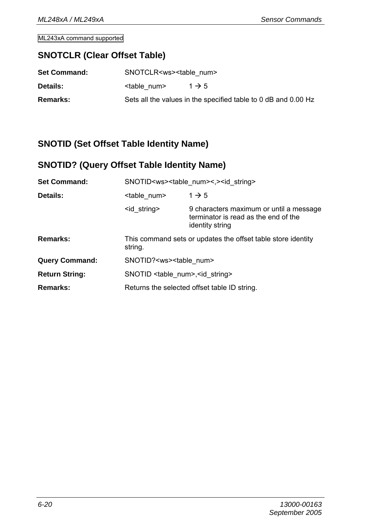#### **SNOTCLR (Clear Offset Table)**

| <b>Set Command:</b> | SNOTCLR <ws><table num=""></table></ws> |                                                                |
|---------------------|-----------------------------------------|----------------------------------------------------------------|
| <b>Details:</b>     | <table num=""></table>                  | $1 \rightarrow 5$                                              |
| Remarks:            |                                         | Sets all the values in the specified table to 0 dB and 0.00 Hz |

#### **SNOTID (Set Offset Table Identity Name)**

## **SNOTID? (Query Offset Table Identity Name)**

| <b>Set Command:</b>   | SNOTID <ws><table num="">&lt;,&gt;<id string=""></id></table></ws>      |                                                                                                    |  |
|-----------------------|-------------------------------------------------------------------------|----------------------------------------------------------------------------------------------------|--|
| Details:              | <table num=""></table>                                                  | $1 \rightarrow 5$                                                                                  |  |
|                       | <id string=""></id>                                                     | 9 characters maximum or until a message<br>terminator is read as the end of the<br>identity string |  |
| Remarks:              | This command sets or updates the offset table store identity<br>string. |                                                                                                    |  |
| <b>Query Command:</b> | SNOTID? <ws><table num=""></table></ws>                                 |                                                                                                    |  |
| <b>Return String:</b> | SNOTID <table num="">, <id string=""></id></table>                      |                                                                                                    |  |
| Remarks:              | Returns the selected offset table ID string.                            |                                                                                                    |  |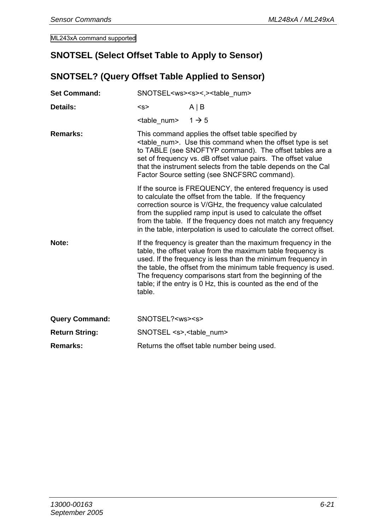#### **SNOTSEL (Select Offset Table to Apply to Sensor)**

## **SNOTSEL? (Query Offset Table Applied to Sensor)**

| <b>Set Command:</b>   | SNOTSEL <ws><s>&lt;.&gt;<table num=""></table></s></ws>                                                                                                                                                                                                                                                                                                                    |                                                                                                                                                                                                                                                                                                                                                                                                |  |
|-----------------------|----------------------------------------------------------------------------------------------------------------------------------------------------------------------------------------------------------------------------------------------------------------------------------------------------------------------------------------------------------------------------|------------------------------------------------------------------------------------------------------------------------------------------------------------------------------------------------------------------------------------------------------------------------------------------------------------------------------------------------------------------------------------------------|--|
| Details:              | < s                                                                                                                                                                                                                                                                                                                                                                        | $A \mid B$                                                                                                                                                                                                                                                                                                                                                                                     |  |
|                       | $\lt$ table num> 1 $\gt$ 5                                                                                                                                                                                                                                                                                                                                                 |                                                                                                                                                                                                                                                                                                                                                                                                |  |
| Remarks:              | This command applies the offset table specified by<br><table num="">. Use this command when the offset type is set<br/>to TABLE (see SNOFTYP command). The offset tables are a<br/>set of frequency vs. dB offset value pairs. The offset value<br/>that the instrument selects from the table depends on the Cal<br/>Factor Source setting (see SNCFSRC command).</table> |                                                                                                                                                                                                                                                                                                                                                                                                |  |
|                       |                                                                                                                                                                                                                                                                                                                                                                            | If the source is FREQUENCY, the entered frequency is used<br>to calculate the offset from the table. If the frequency<br>correction source is V/GHz, the frequency value calculated<br>from the supplied ramp input is used to calculate the offset<br>from the table. If the frequency does not match any frequency<br>in the table, interpolation is used to calculate the correct offset.   |  |
| Note:                 | table.                                                                                                                                                                                                                                                                                                                                                                     | If the frequency is greater than the maximum frequency in the<br>table, the offset value from the maximum table frequency is<br>used. If the frequency is less than the minimum frequency in<br>the table, the offset from the minimum table frequency is used.<br>The frequency comparisons start from the beginning of the<br>table; if the entry is 0 Hz, this is counted as the end of the |  |
| <b>Query Command:</b> | SNOTSEL? <ws><s></s></ws>                                                                                                                                                                                                                                                                                                                                                  |                                                                                                                                                                                                                                                                                                                                                                                                |  |
| <b>Return String:</b> | SNOTSEL <s>,<table num=""></table></s>                                                                                                                                                                                                                                                                                                                                     |                                                                                                                                                                                                                                                                                                                                                                                                |  |
| Remarks:              |                                                                                                                                                                                                                                                                                                                                                                            | Returns the offset table number being used.                                                                                                                                                                                                                                                                                                                                                    |  |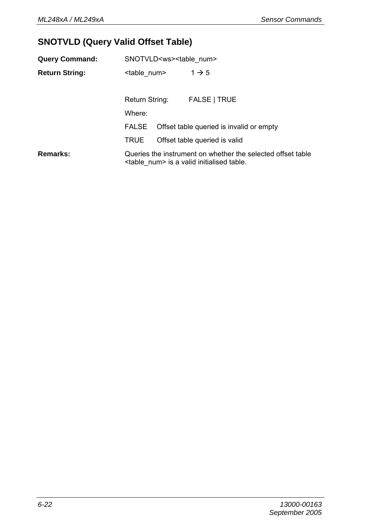## **SNOTVLD (Query Valid Offset Table)**

| <b>Query Command:</b> | SNOTVLD <ws><table num=""></table></ws> |  |                                                                                                                     |
|-----------------------|-----------------------------------------|--|---------------------------------------------------------------------------------------------------------------------|
| <b>Return String:</b> | <table num=""></table>                  |  | $1 \rightarrow 5$                                                                                                   |
|                       | Return String:                          |  | FALSE   TRUE                                                                                                        |
|                       | Where:                                  |  |                                                                                                                     |
|                       |                                         |  | FALSE Offset table queried is invalid or empty                                                                      |
|                       | <b>TRUE</b>                             |  | Offset table queried is valid                                                                                       |
| Remarks:              |                                         |  | Queries the instrument on whether the selected offset table<br><table num=""> is a valid initialised table.</table> |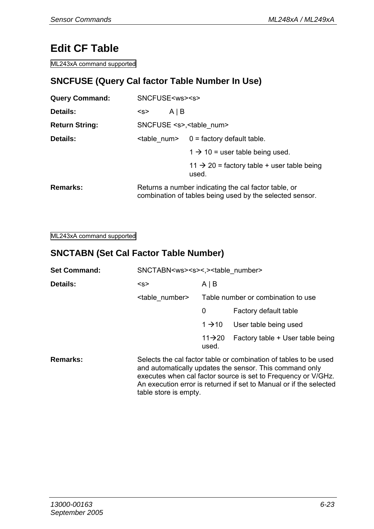# **Edit CF Table**

ML243xA command supported

## **SNCFUSE (Query Cal factor Table Number In Use)**

| <b>Query Command:</b> | SNCFUSE <ws><s></s></ws>                                                                                         |                                        |                                                                 |  |
|-----------------------|------------------------------------------------------------------------------------------------------------------|----------------------------------------|-----------------------------------------------------------------|--|
| <b>Details:</b>       | <s></s>                                                                                                          | $A \mid B$                             |                                                                 |  |
| <b>Return String:</b> |                                                                                                                  | SNCFUSE <s>,<table num=""></table></s> |                                                                 |  |
| Details:              | $\leq$ table num> 0 = factory default table.                                                                     |                                        |                                                                 |  |
|                       |                                                                                                                  |                                        | $1 \rightarrow 10$ = user table being used.                     |  |
|                       |                                                                                                                  |                                        | $11 \rightarrow 20$ = factory table + user table being<br>used. |  |
| <b>Remarks:</b>       | Returns a number indicating the cal factor table, or<br>combination of tables being used by the selected sensor. |                                        |                                                                 |  |

ML243xA command supported

#### **SNCTABN (Set Cal Factor Table Number)**

| <b>Set Command:</b> | SNCTABN <ws><s>&lt;.&gt;<table number=""></table></s></ws> |                              |                                                                                                                                                                                                                                                                    |
|---------------------|------------------------------------------------------------|------------------------------|--------------------------------------------------------------------------------------------------------------------------------------------------------------------------------------------------------------------------------------------------------------------|
| Details:            | < s                                                        | $A \mid B$                   |                                                                                                                                                                                                                                                                    |
|                     | <table number=""></table>                                  |                              | Table number or combination to use                                                                                                                                                                                                                                 |
|                     |                                                            | 0                            | Factory default table                                                                                                                                                                                                                                              |
|                     |                                                            | $1 \rightarrow 10$           | User table being used                                                                                                                                                                                                                                              |
|                     |                                                            | $11 \rightarrow 20$<br>used. | Factory table + User table being                                                                                                                                                                                                                                   |
| Remarks:            | table store is empty.                                      |                              | Selects the cal factor table or combination of tables to be used<br>and automatically updates the sensor. This command only<br>executes when cal factor source is set to Frequency or V/GHz.<br>An execution error is returned if set to Manual or if the selected |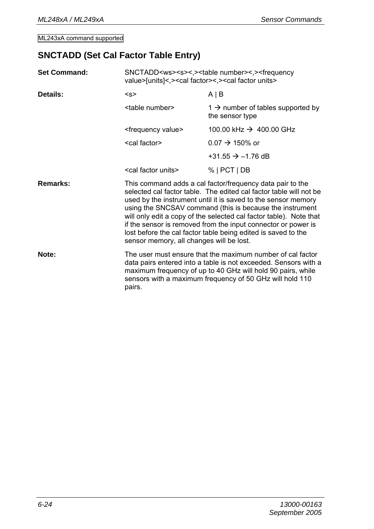#### **SNCTADD (Set Cal Factor Table Entry)**

| <b>Set Command:</b> | SNCTADD <ws><s>&lt;,&gt;<table number="">&lt;,&gt;<frequency<br>value&gt;[units]&lt;,&gt;<cal factor="">&lt;,&gt;<cal factor="" units=""></cal></cal></frequency<br></table></s></ws> |                                                                                                                                                                                                                                                                                                                                                                                                                                                                      |  |
|---------------------|---------------------------------------------------------------------------------------------------------------------------------------------------------------------------------------|----------------------------------------------------------------------------------------------------------------------------------------------------------------------------------------------------------------------------------------------------------------------------------------------------------------------------------------------------------------------------------------------------------------------------------------------------------------------|--|
| Details:            | < s                                                                                                                                                                                   | $A \mid B$                                                                                                                                                                                                                                                                                                                                                                                                                                                           |  |
|                     | <table number=""></table>                                                                                                                                                             | $1 \rightarrow$ number of tables supported by<br>the sensor type                                                                                                                                                                                                                                                                                                                                                                                                     |  |
|                     | <frequency value=""></frequency>                                                                                                                                                      | 100.00 kHz $\rightarrow$ 400.00 GHz                                                                                                                                                                                                                                                                                                                                                                                                                                  |  |
|                     | <cal factor=""></cal>                                                                                                                                                                 | $0.07 \rightarrow 150\%$ or                                                                                                                                                                                                                                                                                                                                                                                                                                          |  |
|                     |                                                                                                                                                                                       | +31.55 $\rightarrow$ -1.76 dB                                                                                                                                                                                                                                                                                                                                                                                                                                        |  |
|                     | <cal factor="" units=""></cal>                                                                                                                                                        | $%$   PCT   DB                                                                                                                                                                                                                                                                                                                                                                                                                                                       |  |
| Remarks:            | sensor memory, all changes will be lost.                                                                                                                                              | This command adds a cal factor/frequency data pair to the<br>selected cal factor table. The edited cal factor table will not be<br>used by the instrument until it is saved to the sensor memory<br>using the SNCSAV command (this is because the instrument<br>will only edit a copy of the selected cal factor table). Note that<br>if the sensor is removed from the input connector or power is<br>lost before the cal factor table being edited is saved to the |  |
| Note:               | pairs.                                                                                                                                                                                | The user must ensure that the maximum number of cal factor<br>data pairs entered into a table is not exceeded. Sensors with a<br>maximum frequency of up to 40 GHz will hold 90 pairs, while<br>sensors with a maximum frequency of 50 GHz will hold 110                                                                                                                                                                                                             |  |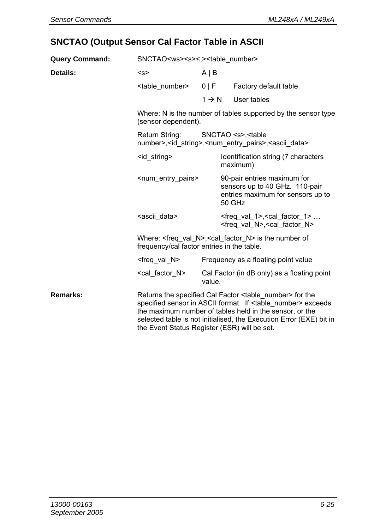## **SNCTAO (Output Sensor Cal Factor Table in ASCII**

| <b>Query Command:</b> | SNCTAO <ws><s>&lt;.&gt;<table number=""></table></s></ws>                                                                                   |                                     |                                                       |                                                                                                                                                                                                                                                                                   |
|-----------------------|---------------------------------------------------------------------------------------------------------------------------------------------|-------------------------------------|-------------------------------------------------------|-----------------------------------------------------------------------------------------------------------------------------------------------------------------------------------------------------------------------------------------------------------------------------------|
| Details:              | < s<br>$A \mid B$                                                                                                                           |                                     |                                                       |                                                                                                                                                                                                                                                                                   |
|                       | <table number=""></table>                                                                                                                   | 0   F                               |                                                       | Factory default table                                                                                                                                                                                                                                                             |
|                       |                                                                                                                                             | $1 \rightarrow N$                   |                                                       | User tables                                                                                                                                                                                                                                                                       |
|                       | (sensor dependent).                                                                                                                         |                                     |                                                       | Where: N is the number of tables supported by the sensor type                                                                                                                                                                                                                     |
|                       | Return String:<br>SNCTAO <s>, <table<br>number&gt;,<id string="">,<num entry="" pairs="">,<ascii data=""></ascii></num></id></table<br></s> |                                     |                                                       |                                                                                                                                                                                                                                                                                   |
|                       | <id string=""></id>                                                                                                                         |                                     | Identification string (7 characters<br>maximum)       |                                                                                                                                                                                                                                                                                   |
|                       | <num_entry_pairs></num_entry_pairs>                                                                                                         |                                     |                                                       | 90-pair entries maximum for<br>sensors up to 40 GHz. 110-pair<br>entries maximum for sensors up to<br>50 GHz                                                                                                                                                                      |
|                       | <ascii data=""></ascii>                                                                                                                     |                                     |                                                       | $<$ freg val 1>, $<$ cal factor 1><br><freq n="" val="">, <cal factor="" n=""></cal></freq>                                                                                                                                                                                       |
|                       | Where: $\leq$ freq val N>, $\leq$ cal factor N> is the number of<br>frequency/cal factor entries in the table.                              |                                     |                                                       |                                                                                                                                                                                                                                                                                   |
|                       | <freq n="" val=""></freq>                                                                                                                   | Frequency as a floating point value |                                                       |                                                                                                                                                                                                                                                                                   |
|                       | <cal factor="" n=""></cal>                                                                                                                  |                                     | Cal Factor (in dB only) as a floating point<br>value. |                                                                                                                                                                                                                                                                                   |
| Remarks:              | the Event Status Register (ESR) will be set.                                                                                                |                                     |                                                       | Returns the specified Cal Factor <table number=""> for the<br/>specified sensor in ASCII format. If <table number=""> exceeds<br/>the maximum number of tables held in the sensor, or the<br/>selected table is not initialised, the Execution Error (EXE) bit in</table></table> |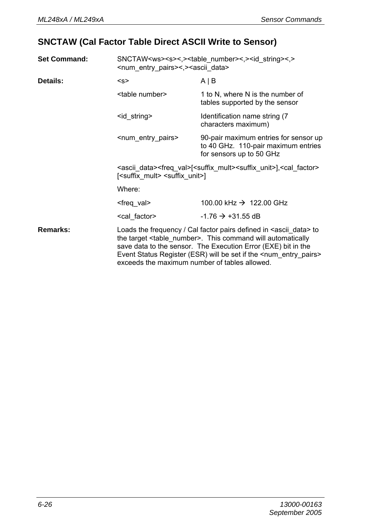## **SNCTAW (Cal Factor Table Direct ASCII Write to Sensor)**

| <b>Set Command:</b> |                                                                                                                                                                                                                                                                                                                                                                   | SNCTAW <ws><s>&lt;,&gt;<table number="">&lt;,&gt;<id string="">&lt;,&gt;<br/><num entry="" pairs="">&lt;,&gt;<ascii data=""></ascii></num></id></table></s></ws>                |  |  |
|---------------------|-------------------------------------------------------------------------------------------------------------------------------------------------------------------------------------------------------------------------------------------------------------------------------------------------------------------------------------------------------------------|---------------------------------------------------------------------------------------------------------------------------------------------------------------------------------|--|--|
| Details:            | < s                                                                                                                                                                                                                                                                                                                                                               | $A \mid B$                                                                                                                                                                      |  |  |
|                     | <table number=""></table>                                                                                                                                                                                                                                                                                                                                         | 1 to N, where N is the number of<br>tables supported by the sensor                                                                                                              |  |  |
|                     | <id string=""></id>                                                                                                                                                                                                                                                                                                                                               | Identification name string (7)<br>characters maximum)                                                                                                                           |  |  |
|                     | <num_entry_pairs></num_entry_pairs>                                                                                                                                                                                                                                                                                                                               | 90-pair maximum entries for sensor up<br>to 40 GHz. 110-pair maximum entries<br>for sensors up to 50 GHz                                                                        |  |  |
|                     |                                                                                                                                                                                                                                                                                                                                                                   | <ascii data=""><freq val="">[<suffix mult=""><suffix unit="">],<cal factor=""><br/>[<suffix mult=""> <suffix unit="">]</suffix></suffix></cal></suffix></suffix></freq></ascii> |  |  |
|                     | Where:                                                                                                                                                                                                                                                                                                                                                            |                                                                                                                                                                                 |  |  |
|                     | <freq val=""></freq>                                                                                                                                                                                                                                                                                                                                              | 100.00 kHz $\rightarrow$ 122.00 GHz                                                                                                                                             |  |  |
|                     | <cal factor=""></cal>                                                                                                                                                                                                                                                                                                                                             | $-1.76 \rightarrow +31.55$ dB                                                                                                                                                   |  |  |
| Remarks:            | Loads the frequency / Cal factor pairs defined in <ascii data=""> to<br/>the target <table number="">. This command will automatically<br/>save data to the sensor. The Execution Error (EXE) bit in the<br/>Event Status Register (ESR) will be set if the <num_entry_pairs><br/>exceeds the maximum number of tables allowed.</num_entry_pairs></table></ascii> |                                                                                                                                                                                 |  |  |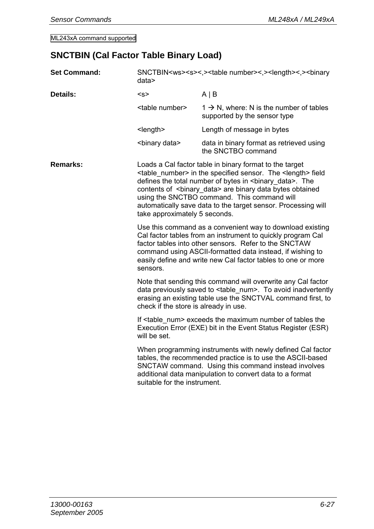## **SNCTBIN (Cal Factor Table Binary Load)**

| <b>Set Command:</b> | SNCTBIN <ws><s>&lt;.&gt;<table number="">&lt;.&gt;<length>&lt;.&gt;<br/>&gt;binary<br/>data</length></table></s></ws>                                                                                                                                                                                                      |                                                                                                                                                                                                                                                                                                                                                                                                               |  |
|---------------------|----------------------------------------------------------------------------------------------------------------------------------------------------------------------------------------------------------------------------------------------------------------------------------------------------------------------------|---------------------------------------------------------------------------------------------------------------------------------------------------------------------------------------------------------------------------------------------------------------------------------------------------------------------------------------------------------------------------------------------------------------|--|
| Details:            | < s                                                                                                                                                                                                                                                                                                                        | $A \mid B$                                                                                                                                                                                                                                                                                                                                                                                                    |  |
|                     | <table number=""></table>                                                                                                                                                                                                                                                                                                  | $1 \rightarrow N$ , where: N is the number of tables<br>supported by the sensor type                                                                                                                                                                                                                                                                                                                          |  |
|                     | $<$ length $>$                                                                                                                                                                                                                                                                                                             | Length of message in bytes                                                                                                                                                                                                                                                                                                                                                                                    |  |
|                     | <binary data=""></binary>                                                                                                                                                                                                                                                                                                  | data in binary format as retrieved using<br>the SNCTBO command                                                                                                                                                                                                                                                                                                                                                |  |
| Remarks:            | take approximately 5 seconds.                                                                                                                                                                                                                                                                                              | Loads a Cal factor table in binary format to the target<br><table number=""> in the specified sensor. The <length> field<br/>defines the total number of bytes in <br/>binary data&gt;. The<br/>contents of <binary_data> are binary data bytes obtained<br/>using the SNCTBO command. This command will<br>automatically save data to the target sensor. Processing will</br></binary_data></length></table> |  |
|                     | Use this command as a convenient way to download existing<br>Cal factor tables from an instrument to quickly program Cal<br>factor tables into other sensors. Refer to the SNCTAW<br>command using ASCII-formatted data instead, if wishing to<br>easily define and write new Cal factor tables to one or more<br>sensors. |                                                                                                                                                                                                                                                                                                                                                                                                               |  |
|                     | Note that sending this command will overwrite any Cal factor<br>data previously saved to <table num="">. To avoid inadvertently<br/>erasing an existing table use the SNCTVAL command first, to<br/>check if the store is already in use.</table>                                                                          |                                                                                                                                                                                                                                                                                                                                                                                                               |  |
|                     | If <table num=""> exceeds the maximum number of tables the<br/>Execution Error (EXE) bit in the Event Status Register (ESR)<br/>will be set.</table>                                                                                                                                                                       |                                                                                                                                                                                                                                                                                                                                                                                                               |  |
|                     | When programming instruments with newly defined Cal factor<br>tables, the recommended practice is to use the ASCII-based<br>SNCTAW command. Using this command instead involves<br>additional data manipulation to convert data to a format<br>suitable for the instrument.                                                |                                                                                                                                                                                                                                                                                                                                                                                                               |  |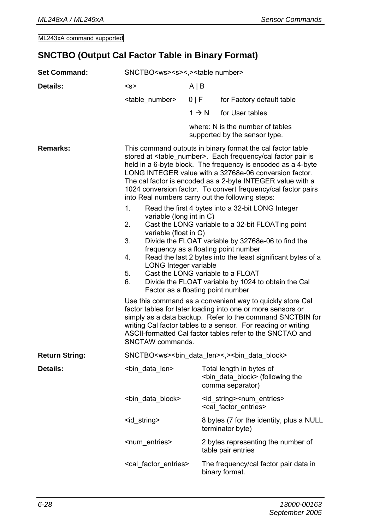#### **SNCTBO (Output Cal Factor Table in Binary Format)**

| <b>Set Command:</b>   | SNCTBO <ws><s>&lt;.&gt;<table number=""></table></s></ws>                                                |                                                                                                                                                                                                                                                                                                                                                                                                       |                                                                                                                                                                                                                                                                                                                                                                                                      |  |
|-----------------------|----------------------------------------------------------------------------------------------------------|-------------------------------------------------------------------------------------------------------------------------------------------------------------------------------------------------------------------------------------------------------------------------------------------------------------------------------------------------------------------------------------------------------|------------------------------------------------------------------------------------------------------------------------------------------------------------------------------------------------------------------------------------------------------------------------------------------------------------------------------------------------------------------------------------------------------|--|
| Details:              | < s                                                                                                      | $A \mid B$                                                                                                                                                                                                                                                                                                                                                                                            |                                                                                                                                                                                                                                                                                                                                                                                                      |  |
|                       | <table number=""></table>                                                                                | 0   F                                                                                                                                                                                                                                                                                                                                                                                                 | for Factory default table                                                                                                                                                                                                                                                                                                                                                                            |  |
|                       |                                                                                                          | $1 \rightarrow N$                                                                                                                                                                                                                                                                                                                                                                                     | for User tables                                                                                                                                                                                                                                                                                                                                                                                      |  |
|                       |                                                                                                          |                                                                                                                                                                                                                                                                                                                                                                                                       | where: N is the number of tables<br>supported by the sensor type.                                                                                                                                                                                                                                                                                                                                    |  |
| Remarks:              | into Real numbers carry out the following steps:<br>1.                                                   | This command outputs in binary format the cal factor table<br>stored at <table_number>. Each frequency/cal factor pair is<br/>held in a 6-byte block. The frequency is encoded as a 4-byte<br/>LONG INTEGER value with a 32768e-06 conversion factor.<br/>The cal factor is encoded as a 2-byte INTEGER value with a<br/>1024 conversion factor. To convert frequency/cal factor pairs</table_number> |                                                                                                                                                                                                                                                                                                                                                                                                      |  |
|                       | variable (long int in C)<br>2.<br>variable (float in C)<br>3.<br>4.<br>LONG Integer variable<br>5.<br>6. |                                                                                                                                                                                                                                                                                                                                                                                                       | Read the first 4 bytes into a 32-bit LONG Integer<br>Cast the LONG variable to a 32-bit FLOATing point<br>Divide the FLOAT variable by 32768e-06 to find the<br>frequency as a floating point number<br>Read the last 2 bytes into the least significant bytes of a<br>Cast the LONG variable to a FLOAT<br>Divide the FLOAT variable by 1024 to obtain the Cal<br>Factor as a floating point number |  |
|                       | SNCTAW commands.                                                                                         | Use this command as a convenient way to quickly store Cal<br>factor tables for later loading into one or more sensors or<br>simply as a data backup. Refer to the command SNCTBIN for<br>writing Cal factor tables to a sensor. For reading or writing<br>ASCII-formatted Cal factor tables refer to the SNCTAO and                                                                                   |                                                                                                                                                                                                                                                                                                                                                                                                      |  |
| <b>Return String:</b> |                                                                                                          |                                                                                                                                                                                                                                                                                                                                                                                                       | SNCTBO <ws><bin_data_len>&lt;,&gt;<bin_data_block></bin_data_block></bin_data_len></ws>                                                                                                                                                                                                                                                                                                              |  |
| Details:              | <bin_data_len></bin_data_len>                                                                            |                                                                                                                                                                                                                                                                                                                                                                                                       | Total length in bytes of<br><br>look> (following the<br>comma separator)                                                                                                                                                                                                                                                                                                                             |  |
|                       | <bin_data_block></bin_data_block>                                                                        |                                                                                                                                                                                                                                                                                                                                                                                                       | <id string=""><num entries=""><br/><cal entries="" factor=""></cal></num></id>                                                                                                                                                                                                                                                                                                                       |  |
|                       | <id_string></id_string>                                                                                  |                                                                                                                                                                                                                                                                                                                                                                                                       | 8 bytes (7 for the identity, plus a NULL<br>terminator byte)                                                                                                                                                                                                                                                                                                                                         |  |
|                       | <num entries=""></num>                                                                                   |                                                                                                                                                                                                                                                                                                                                                                                                       | 2 bytes representing the number of<br>table pair entries                                                                                                                                                                                                                                                                                                                                             |  |
|                       | <cal_factor_entries></cal_factor_entries>                                                                |                                                                                                                                                                                                                                                                                                                                                                                                       | The frequency/cal factor pair data in<br>binary format.                                                                                                                                                                                                                                                                                                                                              |  |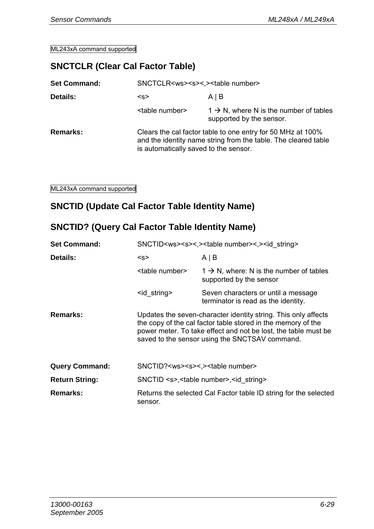#### **SNCTCLR (Clear Cal Factor Table)**

| <b>Set Command:</b> | SNCTCLR <ws><s>&lt;.&gt;<table number=""></table></s></ws>                                                                                                             |                                                                                 |  |
|---------------------|------------------------------------------------------------------------------------------------------------------------------------------------------------------------|---------------------------------------------------------------------------------|--|
| Details:            | < s                                                                                                                                                                    | AB                                                                              |  |
|                     | <table number=""></table>                                                                                                                                              | $1 \rightarrow N$ , where N is the number of tables<br>supported by the sensor. |  |
| Remarks:            | Clears the cal factor table to one entry for 50 MHz at 100%<br>and the identity name string from the table. The cleared table<br>is automatically saved to the sensor. |                                                                                 |  |

ML243xA command supported

#### **SNCTID (Update Cal Factor Table Identity Name)**

#### **SNCTID? (Query Cal Factor Table Identity Name)**

| <b>Set Command:</b>   | SNCTID <ws><s>&lt;.&gt;<table number="">&lt;.&gt;<id string=""></id></table></s></ws> |                                                                                                                                                                                                                                                    |
|-----------------------|---------------------------------------------------------------------------------------|----------------------------------------------------------------------------------------------------------------------------------------------------------------------------------------------------------------------------------------------------|
| Details:              | < s                                                                                   | $A \mid B$                                                                                                                                                                                                                                         |
|                       | <table number=""></table>                                                             | $1 \rightarrow N$ , where: N is the number of tables<br>supported by the sensor                                                                                                                                                                    |
|                       | <id string=""></id>                                                                   | Seven characters or until a message<br>terminator is read as the identity.                                                                                                                                                                         |
| Remarks:              |                                                                                       | Updates the seven-character identity string. This only affects<br>the copy of the cal factor table stored in the memory of the<br>power meter. To take effect and not be lost, the table must be<br>saved to the sensor using the SNCTSAV command. |
| <b>Query Command:</b> | SNCTID? <ws><s>&lt;.&gt;<table number=""></table></s></ws>                            |                                                                                                                                                                                                                                                    |
| <b>Return String:</b> |                                                                                       | SNCTID <s>,<table number="">,<id string=""></id></table></s>                                                                                                                                                                                       |
| Remarks:              | sensor.                                                                               | Returns the selected Cal Factor table ID string for the selected                                                                                                                                                                                   |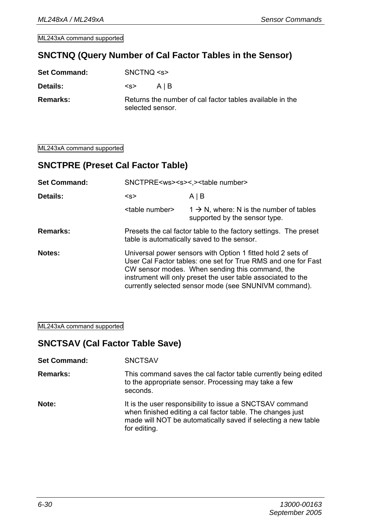#### **SNCTNQ (Query Number of Cal Factor Tables in the Sensor)**

| <b>Set Command:</b> | SNCTNO < s       |                                                          |
|---------------------|------------------|----------------------------------------------------------|
| Details:            | < s              | AIB                                                      |
| Remarks:            | selected sensor. | Returns the number of cal factor tables available in the |

ML243xA command supported

#### **SNCTPRE (Preset Cal Factor Table)**

| <b>Set Command:</b> | SNCTPRE <ws><s>&lt;,&gt;<table number=""></table></s></ws> |                                                                                                                                                                                                                                                                                                          |
|---------------------|------------------------------------------------------------|----------------------------------------------------------------------------------------------------------------------------------------------------------------------------------------------------------------------------------------------------------------------------------------------------------|
| Details:            | < s                                                        | $A \mid B$                                                                                                                                                                                                                                                                                               |
|                     | <table number=""></table>                                  | $1 \rightarrow N$ , where: N is the number of tables<br>supported by the sensor type.                                                                                                                                                                                                                    |
| Remarks:            |                                                            | Presets the cal factor table to the factory settings. The preset<br>table is automatically saved to the sensor.                                                                                                                                                                                          |
| Notes:              |                                                            | Universal power sensors with Option 1 fitted hold 2 sets of<br>User Cal Factor tables: one set for True RMS and one for Fast<br>CW sensor modes. When sending this command, the<br>instrument will only preset the user table associated to the<br>currently selected sensor mode (see SNUNIVM command). |

ML243xA command supported

#### **SNCTSAV (Cal Factor Table Save)**

| <b>Set Command:</b> | <b>SNCTSAV</b>                                                                                                                     |
|---------------------|------------------------------------------------------------------------------------------------------------------------------------|
| <b>Remarks:</b>     | This command saves the cal factor table currently being edited<br>to the appropriate sensor. Processing may take a few<br>seconds. |

**Note: It is the user responsibility to issue a SNCTSAV command** when finished editing a cal factor table. The changes just made will NOT be automatically saved if selecting a new table for editing.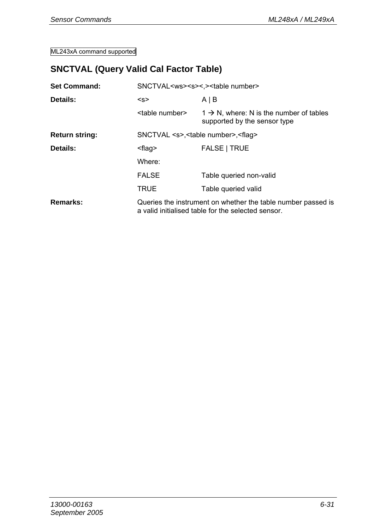## **SNCTVAL (Query Valid Cal Factor Table)**

| <b>Set Command:</b> | SNCTVAL <ws><s>&lt;.&gt;<table number=""></table></s></ws> |                                                                                                                    |  |
|---------------------|------------------------------------------------------------|--------------------------------------------------------------------------------------------------------------------|--|
| Details:            | < s                                                        | $A \mid B$                                                                                                         |  |
|                     | <table number=""></table>                                  | $1 \rightarrow N$ , where: N is the number of tables<br>supported by the sensor type                               |  |
| Return string:      |                                                            | SNCTVAL <s>,<table number="">,<flaq></flaq></table></s>                                                            |  |
| Details:            | <flaq></flaq>                                              | <b>FALSE   TRUE</b>                                                                                                |  |
|                     | Where:                                                     |                                                                                                                    |  |
|                     | <b>FALSE</b>                                               | Table queried non-valid                                                                                            |  |
|                     | TRUE                                                       | Table queried valid                                                                                                |  |
| Remarks:            |                                                            | Queries the instrument on whether the table number passed is<br>a valid initialised table for the selected sensor. |  |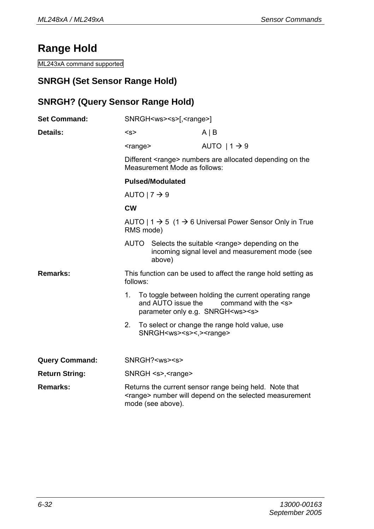## **Range Hold**

ML243xA command supported

#### **SNRGH (Set Sensor Range Hold)**

#### **SNRGH? (Query Sensor Range Hold)**

| <b>Set Command:</b>   | SNRGH <ws><s>[,<range>]</range></s></ws>                                                                                                       |                                                |                                                                                                                                 |  |
|-----------------------|------------------------------------------------------------------------------------------------------------------------------------------------|------------------------------------------------|---------------------------------------------------------------------------------------------------------------------------------|--|
| Details:              | < s                                                                                                                                            |                                                | $A \mid B$                                                                                                                      |  |
|                       | <range></range>                                                                                                                                |                                                | AUTO $11 \rightarrow 9$                                                                                                         |  |
|                       | Different <range> numbers are allocated depending on the<br/>Measurement Mode as follows:</range>                                              |                                                |                                                                                                                                 |  |
|                       | <b>Pulsed/Modulated</b>                                                                                                                        |                                                |                                                                                                                                 |  |
|                       | AUTO   $7 \rightarrow 9$                                                                                                                       |                                                |                                                                                                                                 |  |
|                       | <b>CW</b>                                                                                                                                      |                                                |                                                                                                                                 |  |
|                       | AUTO   $1 \rightarrow 5$ (1 $\rightarrow$ 6 Universal Power Sensor Only in True<br>RMS mode)                                                   |                                                |                                                                                                                                 |  |
|                       | AUTO                                                                                                                                           | above)                                         | Selects the suitable <range> depending on the<br/>incoming signal level and measurement mode (see</range>                       |  |
| Remarks:              | This function can be used to affect the range hold setting as<br>follows:                                                                      |                                                |                                                                                                                                 |  |
|                       | 1.                                                                                                                                             | and AUTO issue the                             | To toggle between holding the current operating range<br>command with the <s><br/>parameter only e.g. SNRGH<ws><s></s></ws></s> |  |
|                       | 2.                                                                                                                                             | SNRGH <ws><s>&lt;,&gt;<range></range></s></ws> | To select or change the range hold value, use                                                                                   |  |
| <b>Query Command:</b> |                                                                                                                                                | SNRGH? <ws><s></s></ws>                        |                                                                                                                                 |  |
| <b>Return String:</b> | $SNRGH < s$ >, $<$ range>                                                                                                                      |                                                |                                                                                                                                 |  |
| Remarks:              | Returns the current sensor range being held. Note that<br><range> number will depend on the selected measurement<br/>mode (see above).</range> |                                                |                                                                                                                                 |  |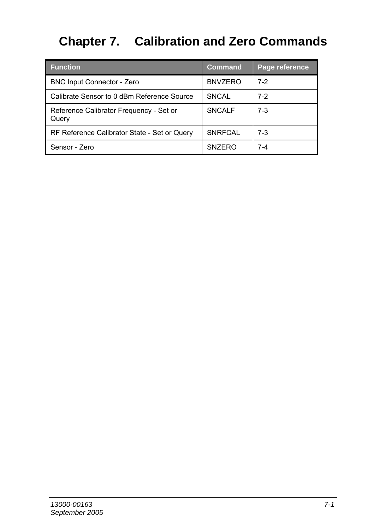# **Chapter 7. Calibration and Zero Commands**

| <b>Function</b>                                  | Command        | Page reference |
|--------------------------------------------------|----------------|----------------|
| <b>BNC Input Connector - Zero</b>                | <b>BNVZERO</b> | $7-2$          |
| Calibrate Sensor to 0 dBm Reference Source       | <b>SNCAL</b>   | $7-2$          |
| Reference Calibrator Frequency - Set or<br>Query | <b>SNCALF</b>  | $7-3$          |
| RF Reference Calibrator State - Set or Query     | <b>SNRFCAL</b> | $7-3$          |
| Sensor - Zero                                    | <b>SNZERO</b>  | 7-4            |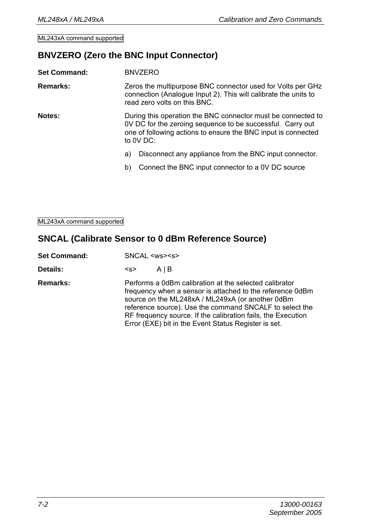#### **BNVZERO (Zero the BNC Input Connector)**

| <b>Set Command:</b> |                                                                                                                                                                                                            | <b>BNVZERO</b>                                                                                                                                                 |
|---------------------|------------------------------------------------------------------------------------------------------------------------------------------------------------------------------------------------------------|----------------------------------------------------------------------------------------------------------------------------------------------------------------|
| Remarks:            |                                                                                                                                                                                                            | Zeros the multipurpose BNC connector used for Volts per GHz<br>connection (Analogue Input 2). This will calibrate the units to<br>read zero volts on this BNC. |
| Notes:              | During this operation the BNC connector must be connected to<br>OV DC for the zeroing sequence to be successful. Carry out<br>one of following actions to ensure the BNC input is connected<br>to $0V$ DC: |                                                                                                                                                                |
|                     | a)                                                                                                                                                                                                         | Disconnect any appliance from the BNC input connector.                                                                                                         |
|                     | b)                                                                                                                                                                                                         | Connect the BNC input connector to a 0V DC source                                                                                                              |
|                     |                                                                                                                                                                                                            |                                                                                                                                                                |

ML243xA command supported

#### **SNCAL (Calibrate Sensor to 0 dBm Reference Source)**

| <b>Set Command:</b> | SNCAL <ws><s></s></ws>                                                                                                                                                                                                                                                                                                                                     |
|---------------------|------------------------------------------------------------------------------------------------------------------------------------------------------------------------------------------------------------------------------------------------------------------------------------------------------------------------------------------------------------|
| Details:            | AIB<br><s></s>                                                                                                                                                                                                                                                                                                                                             |
| Remarks:            | Performs a 0dBm calibration at the selected calibrator<br>frequency when a sensor is attached to the reference 0dBm<br>source on the ML248xA / ML249xA (or another 0dBm<br>reference source). Use the command SNCALF to select the<br>RF frequency source. If the calibration fails, the Execution<br>Error (EXE) bit in the Event Status Register is set. |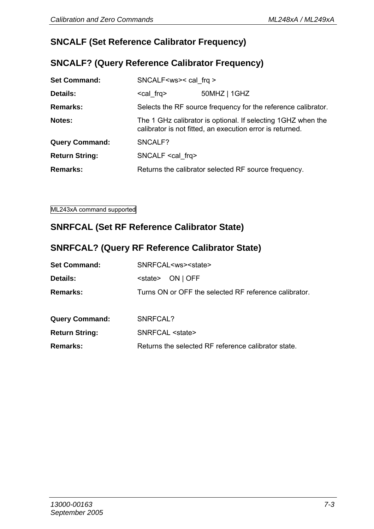#### **SNCALF (Set Reference Calibrator Frequency)**

#### **SNCALF? (Query Reference Calibrator Frequency)**

| <b>Set Command:</b>   | SNCALF <ws>&lt; cal frq &gt;</ws>                                                                                          |              |
|-----------------------|----------------------------------------------------------------------------------------------------------------------------|--------------|
| Details:              | <cal frq=""></cal>                                                                                                         | 50MHZ   1GHZ |
| Remarks:              | Selects the RF source frequency for the reference calibrator.                                                              |              |
| Notes:                | The 1 GHz calibrator is optional. If selecting 1 GHZ when the<br>calibrator is not fitted, an execution error is returned. |              |
| <b>Query Command:</b> | SNCALF?                                                                                                                    |              |
| <b>Return String:</b> | SNCALF <cal frg=""></cal>                                                                                                  |              |
| Remarks:              | Returns the calibrator selected RF source frequency.                                                                       |              |

ML243xA command supported

## **SNRFCAL (Set RF Reference Calibrator State)**

## **SNRFCAL? (Query RF Reference Calibrator State)**

| <b>Set Command:</b>   | SNRFCAL <ws><state></state></ws>                      |
|-----------------------|-------------------------------------------------------|
| Details:              | ON   OFF<br><state></state>                           |
| Remarks:              | Turns ON or OFF the selected RF reference calibrator. |
|                       |                                                       |
| <b>Query Command:</b> | SNRFCAL?                                              |
| <b>Return String:</b> | SNRFCAL <state></state>                               |
| Remarks:              | Returns the selected RF reference calibrator state.   |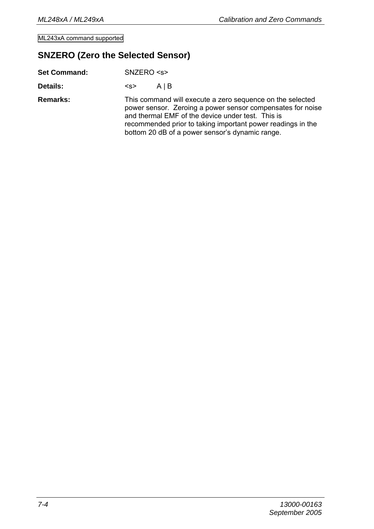#### **SNZERO (Zero the Selected Sensor)**

| <b>Set Command:</b> | SNZERO < s                                                                                                                                                                                                                                                                                     |
|---------------------|------------------------------------------------------------------------------------------------------------------------------------------------------------------------------------------------------------------------------------------------------------------------------------------------|
| Details:            | AIB<br><s></s>                                                                                                                                                                                                                                                                                 |
| Remarks:            | This command will execute a zero sequence on the selected<br>power sensor. Zeroing a power sensor compensates for noise<br>and thermal EMF of the device under test. This is<br>recommended prior to taking important power readings in the<br>bottom 20 dB of a power sensor's dynamic range. |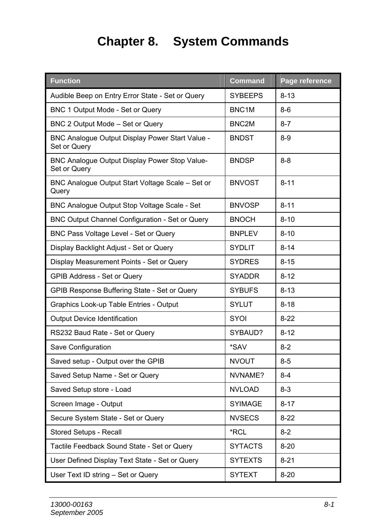## **Chapter 8. System Commands**

| <b>Function</b>                                                 | <b>Command</b>     | Page reference |
|-----------------------------------------------------------------|--------------------|----------------|
| Audible Beep on Entry Error State - Set or Query                | <b>SYBEEPS</b>     | $8 - 13$       |
| BNC 1 Output Mode - Set or Query                                | BNC <sub>1</sub> M | $8-6$          |
| BNC 2 Output Mode - Set or Query                                | BNC <sub>2</sub> M | $8-7$          |
| BNC Analogue Output Display Power Start Value -<br>Set or Query | <b>BNDST</b>       | $8-9$          |
| BNC Analogue Output Display Power Stop Value-<br>Set or Query   | <b>BNDSP</b>       | $8 - 8$        |
| BNC Analogue Output Start Voltage Scale - Set or<br>Query       | <b>BNVOST</b>      | $8 - 11$       |
| <b>BNC Analoque Output Stop Voltage Scale - Set</b>             | <b>BNVOSP</b>      | $8 - 11$       |
| BNC Output Channel Configuration - Set or Query                 | <b>BNOCH</b>       | $8 - 10$       |
| BNC Pass Voltage Level - Set or Query                           | <b>BNPLEV</b>      | $8 - 10$       |
| Display Backlight Adjust - Set or Query                         | <b>SYDLIT</b>      | $8 - 14$       |
| Display Measurement Points - Set or Query                       | <b>SYDRES</b>      | $8 - 15$       |
| GPIB Address - Set or Query                                     | <b>SYADDR</b>      | $8 - 12$       |
| GPIB Response Buffering State - Set or Query                    | <b>SYBUFS</b>      | $8 - 13$       |
| Graphics Look-up Table Entries - Output                         | SYLUT              | 8-18           |
| <b>Output Device Identification</b>                             | SYOI               | $8-22$         |
| RS232 Baud Rate - Set or Query                                  | SYBAUD?            | $8 - 12$       |
| Save Configuration                                              | *SAV               | $8-2$          |
| Saved setup - Output over the GPIB                              | <b>NVOUT</b>       | 8-5            |
| Saved Setup Name - Set or Query                                 | NVNAME?            | 8-4            |
| Saved Setup store - Load                                        | <b>NVLOAD</b>      | $8-3$          |
| Screen Image - Output                                           | <b>SYIMAGE</b>     | $8 - 17$       |
| Secure System State - Set or Query                              | <b>NVSECS</b>      | $8-22$         |
| Stored Setups - Recall                                          | *RCL               | $8 - 2$        |
| Tactile Feedback Sound State - Set or Query                     | <b>SYTACTS</b>     | $8 - 20$       |
| User Defined Display Text State - Set or Query                  | <b>SYTEXTS</b>     | $8 - 21$       |
| User Text ID string - Set or Query                              | <b>SYTEXT</b>      | $8 - 20$       |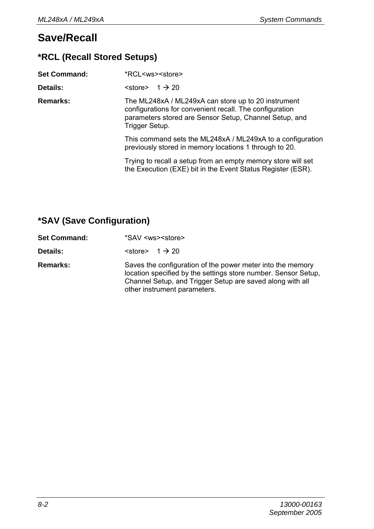## **Save/Recall**

## **\*RCL (Recall Stored Setups)**

| <b>Set Command:</b> | *RCL <ws><store></store></ws>                                                                                                                                                              |  |
|---------------------|--------------------------------------------------------------------------------------------------------------------------------------------------------------------------------------------|--|
| Details:            | $\text{~c}$ store $\text{~}$ 1 $\text{~}$ 20                                                                                                                                               |  |
| <b>Remarks:</b>     | The ML248xA / ML249xA can store up to 20 instrument<br>configurations for convenient recall. The configuration<br>parameters stored are Sensor Setup, Channel Setup, and<br>Trigger Setup. |  |
|                     | This command sets the ML248xA / ML249xA to a configuration<br>previously stored in memory locations 1 through to 20.                                                                       |  |
|                     | Trying to recall a setup from an empty memory store will set<br>the Execution (EXE) bit in the Event Status Register (ESR).                                                                |  |

## **\*SAV (Save Configuration)**

| <b>Set Command:</b> | *SAV <ws><store></store></ws>                                                                                                                                                                                             |
|---------------------|---------------------------------------------------------------------------------------------------------------------------------------------------------------------------------------------------------------------------|
| Details:            | $\text{~:}$ $\rightarrow$ 20                                                                                                                                                                                              |
| Remarks:            | Saves the configuration of the power meter into the memory<br>location specified by the settings store number. Sensor Setup.<br>Channel Setup, and Trigger Setup are saved along with all<br>other instrument parameters. |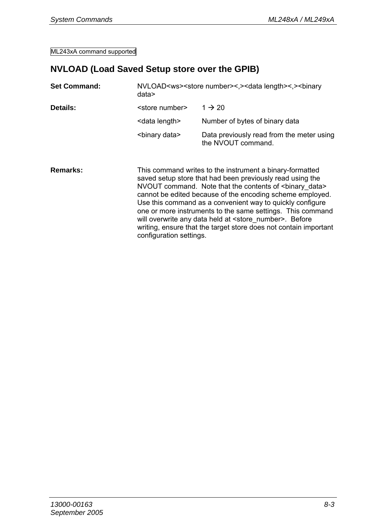## **NVLOAD (Load Saved Setup store over the GPIB)**

| <b>Set Command:</b> | data>                     | NVLOAD <ws><store number="">&lt;.&gt;<data length="">&lt;.&gt;<br/>&gt;binary</data></store></ws>                                                                                                                                                                                                               |
|---------------------|---------------------------|-----------------------------------------------------------------------------------------------------------------------------------------------------------------------------------------------------------------------------------------------------------------------------------------------------------------|
| Details:            | <store number=""></store> | $1 \rightarrow 20$                                                                                                                                                                                                                                                                                              |
|                     | <data length=""></data>   | Number of bytes of binary data                                                                                                                                                                                                                                                                                  |
|                     | <binary data=""></binary> | Data previously read from the meter using<br>the NVOUT command.                                                                                                                                                                                                                                                 |
| Remarks:            | configuration settings.   | This command writes to the instrument a binary-formatted<br>saved setup store that had been previously read using the<br>NVOUT command. Note that the contents of<br>binary data><br>cannot be edited because of the encoding scheme employed.<br>Use this command as a convenient way to quickly configure<br> |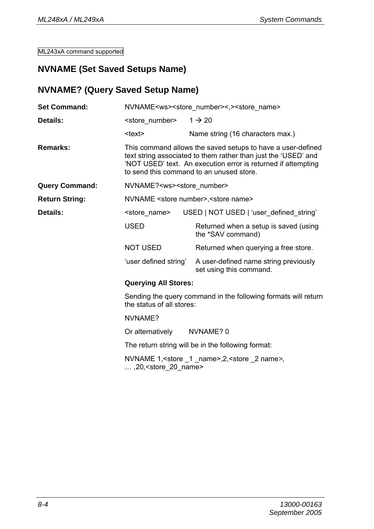#### **NVNAME (Set Saved Setups Name)**

#### **NVNAME? (Query Saved Setup Name)**

| <b>Set Command:</b>   | NVNAME <ws><store number="">&lt;,&gt;<store name=""></store></store></ws>                   |                                                                                                                                                                                                                                            |  |  |  |
|-----------------------|---------------------------------------------------------------------------------------------|--------------------------------------------------------------------------------------------------------------------------------------------------------------------------------------------------------------------------------------------|--|--|--|
| Details:              | <store number=""></store>                                                                   | $1 \rightarrow 20$                                                                                                                                                                                                                         |  |  |  |
|                       | <text></text>                                                                               | Name string (16 characters max.)                                                                                                                                                                                                           |  |  |  |
| Remarks:              |                                                                                             | This command allows the saved setups to have a user-defined<br>text string associated to them rather than just the 'USED' and<br>'NOT USED' text. An execution error is returned if attempting<br>to send this command to an unused store. |  |  |  |
| <b>Query Command:</b> | NVNAME? <ws><store number=""></store></ws>                                                  |                                                                                                                                                                                                                                            |  |  |  |
| <b>Return String:</b> |                                                                                             | NVNAME <store number="">, <store name=""></store></store>                                                                                                                                                                                  |  |  |  |
| Details:              | <store name=""></store>                                                                     | USED   NOT USED   'user defined string'                                                                                                                                                                                                    |  |  |  |
|                       | <b>USED</b>                                                                                 | Returned when a setup is saved (using<br>the *SAV command)                                                                                                                                                                                 |  |  |  |
|                       | NOT USED                                                                                    | Returned when querying a free store.                                                                                                                                                                                                       |  |  |  |
|                       | 'user defined string'                                                                       | A user-defined name string previously<br>set using this command.                                                                                                                                                                           |  |  |  |
|                       |                                                                                             | <b>Querying All Stores:</b>                                                                                                                                                                                                                |  |  |  |
|                       | Sending the query command in the following formats will return<br>the status of all stores: |                                                                                                                                                                                                                                            |  |  |  |
|                       | NVNAME?                                                                                     |                                                                                                                                                                                                                                            |  |  |  |
|                       |                                                                                             | Or alternatively NVNAME? 0                                                                                                                                                                                                                 |  |  |  |
|                       |                                                                                             | The return string will be in the following format:                                                                                                                                                                                         |  |  |  |
|                       |                                                                                             | NVNAME 1, < store 1 name>, 2, < store 2 name>,                                                                                                                                                                                             |  |  |  |

*… ,*20*,<*store\_20\_name>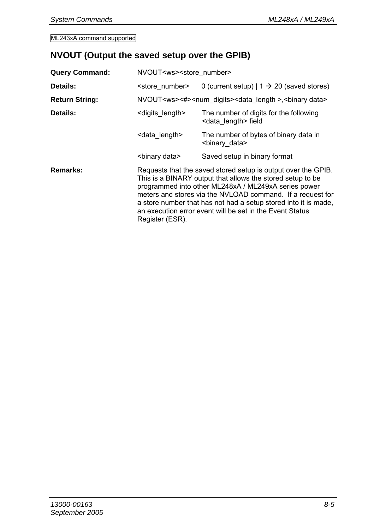## **NVOUT (Output the saved setup over the GPIB)**

| <b>Query Command:</b> | NVOUT <ws><store number=""></store></ws>                                                                                                                                                                                                                                                                                                                                                             |                                                                                               |  |
|-----------------------|------------------------------------------------------------------------------------------------------------------------------------------------------------------------------------------------------------------------------------------------------------------------------------------------------------------------------------------------------------------------------------------------------|-----------------------------------------------------------------------------------------------|--|
| Details:              | <store number=""></store>                                                                                                                                                                                                                                                                                                                                                                            | 0 (current setup) $  1 \rightarrow 20$ (saved stores)                                         |  |
| <b>Return String:</b> |                                                                                                                                                                                                                                                                                                                                                                                                      | NVOUT <ws>&lt;#&gt;<num digits=""><data length="">,<br/>&gt;binary data&gt;</data></num></ws> |  |
| Details:              | <digits length=""></digits>                                                                                                                                                                                                                                                                                                                                                                          | The number of digits for the following<br><data length=""> field</data>                       |  |
|                       | <data length=""></data>                                                                                                                                                                                                                                                                                                                                                                              | The number of bytes of binary data in<br><binary data=""></binary>                            |  |
|                       | <binary data=""></binary>                                                                                                                                                                                                                                                                                                                                                                            | Saved setup in binary format                                                                  |  |
| Remarks:              | Requests that the saved stored setup is output over the GPIB.<br>This is a BINARY output that allows the stored setup to be.<br>programmed into other ML248xA / ML249xA series power<br>meters and stores via the NVLOAD command. If a request for<br>a store number that has not had a setup stored into it is made.<br>an execution error event will be set in the Event Status<br>Register (ESR). |                                                                                               |  |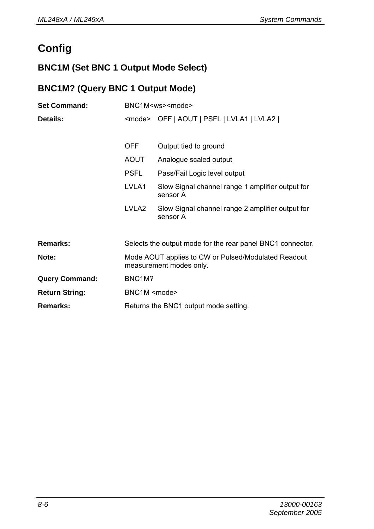## **Config**

## **BNC1M (Set BNC 1 Output Mode Select)**

## **BNC1M? (Query BNC 1 Output Mode)**

| <b>Set Command:</b>   | BNC1M <ws><mode></mode></ws>                                                   |                                                              |
|-----------------------|--------------------------------------------------------------------------------|--------------------------------------------------------------|
| Details:              | <mode> OFF   AOUT   PSFL   LVLA1   LVLA2  </mode>                              |                                                              |
|                       |                                                                                |                                                              |
|                       | <b>OFF</b>                                                                     | Output tied to ground                                        |
|                       | AOUT                                                                           | Analogue scaled output                                       |
|                       | <b>PSFL</b>                                                                    | Pass/Fail Logic level output                                 |
|                       | LVLA1                                                                          | Slow Signal channel range 1 amplifier output for<br>sensor A |
|                       | LVLA <sub>2</sub>                                                              | Slow Signal channel range 2 amplifier output for<br>sensor A |
| Remarks:              |                                                                                | Selects the output mode for the rear panel BNC1 connector.   |
| Note:                 | Mode AOUT applies to CW or Pulsed/Modulated Readout<br>measurement modes only. |                                                              |
| <b>Query Command:</b> | BNC <sub>1</sub> M?                                                            |                                                              |
| <b>Return String:</b> | BNC1M <mode></mode>                                                            |                                                              |
| Remarks:              | Returns the BNC1 output mode setting.                                          |                                                              |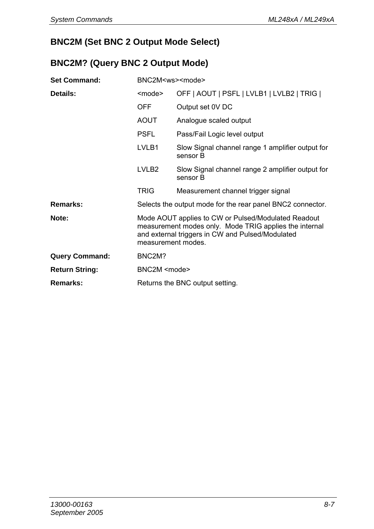## **BNC2M (Set BNC 2 Output Mode Select)**

#### **BNC2M? (Query BNC 2 Output Mode)**

| <b>Set Command:</b>   | BNC2M <ws><mode></mode></ws>                                                                                                                                                            |                                                              |
|-----------------------|-----------------------------------------------------------------------------------------------------------------------------------------------------------------------------------------|--------------------------------------------------------------|
| Details:              | <mode></mode>                                                                                                                                                                           | OFF   AOUT   PSFL   LVLB1   LVLB2   TRIG                     |
|                       | <b>OFF</b>                                                                                                                                                                              | Output set 0V DC                                             |
|                       | AOUT                                                                                                                                                                                    | Analogue scaled output                                       |
|                       | <b>PSFL</b>                                                                                                                                                                             | Pass/Fail Logic level output                                 |
|                       | LVLB1                                                                                                                                                                                   | Slow Signal channel range 1 amplifier output for<br>sensor B |
|                       | LVLB <sub>2</sub>                                                                                                                                                                       | Slow Signal channel range 2 amplifier output for<br>sensor B |
|                       | <b>TRIG</b>                                                                                                                                                                             | Measurement channel trigger signal                           |
| Remarks:              | Selects the output mode for the rear panel BNC2 connector.                                                                                                                              |                                                              |
| Note:                 | Mode AOUT applies to CW or Pulsed/Modulated Readout<br>measurement modes only. Mode TRIG applies the internal<br>and external triggers in CW and Pulsed/Modulated<br>measurement modes. |                                                              |
| <b>Query Command:</b> | BNC2M?                                                                                                                                                                                  |                                                              |
| <b>Return String:</b> | BNC2M <mode></mode>                                                                                                                                                                     |                                                              |
| Remarks:              | Returns the BNC output setting.                                                                                                                                                         |                                                              |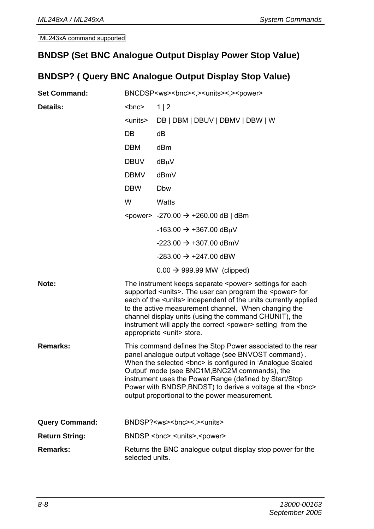#### **BNDSP (Set BNC Analogue Output Display Power Stop Value)**

## **BNDSP? ( Query BNC Analogue Output Display Stop Value)**

| <b>Set Command:</b>   | BNCDSP <ws><bnc>&lt;,&gt;<units>&lt;,&gt;<power></power></units></bnc></ws> |                                                                                                                                                                                                                                                                                                                                                                                                                                                       |
|-----------------------|-----------------------------------------------------------------------------|-------------------------------------------------------------------------------------------------------------------------------------------------------------------------------------------------------------------------------------------------------------------------------------------------------------------------------------------------------------------------------------------------------------------------------------------------------|
| Details:              | <bnc></bnc>                                                                 | 1   2                                                                                                                                                                                                                                                                                                                                                                                                                                                 |
|                       | <units></units>                                                             | DB   DBM   DBUV   DBMV   DBW   W                                                                                                                                                                                                                                                                                                                                                                                                                      |
|                       | DB.                                                                         | dВ                                                                                                                                                                                                                                                                                                                                                                                                                                                    |
|                       | <b>DBM</b>                                                                  | dBm                                                                                                                                                                                                                                                                                                                                                                                                                                                   |
|                       | <b>DBUV</b>                                                                 | dBµV                                                                                                                                                                                                                                                                                                                                                                                                                                                  |
|                       | <b>DBMV</b>                                                                 | dBmV                                                                                                                                                                                                                                                                                                                                                                                                                                                  |
|                       | <b>DBW</b>                                                                  | Dbw                                                                                                                                                                                                                                                                                                                                                                                                                                                   |
|                       | W                                                                           | Watts                                                                                                                                                                                                                                                                                                                                                                                                                                                 |
|                       |                                                                             | <power> -270.00 <math>\rightarrow</math> +260.00 dB   dBm</power>                                                                                                                                                                                                                                                                                                                                                                                     |
|                       |                                                                             | $-163.00 \rightarrow +367.00$ dB $\mu$ V                                                                                                                                                                                                                                                                                                                                                                                                              |
|                       |                                                                             | $-223.00 \rightarrow +307.00$ dBmV                                                                                                                                                                                                                                                                                                                                                                                                                    |
|                       |                                                                             | $-283.00 \rightarrow +247.00$ dBW                                                                                                                                                                                                                                                                                                                                                                                                                     |
|                       |                                                                             | $0.00 \rightarrow 999.99$ MW (clipped)                                                                                                                                                                                                                                                                                                                                                                                                                |
| Note:                 |                                                                             | The instrument keeps separate <power> settings for each<br/>supported <units>. The user can program the <power> for<br/>each of the <units> independent of the units currently applied<br/>to the active measurement channel. When changing the<br/>channel display units (using the command CHUNIT), the<br/>instrument will apply the correct <power> setting from the<br/>appropriate <unit> store.</unit></power></units></power></units></power> |
| Remarks:              |                                                                             | This command defines the Stop Power associated to the rear<br>panel analogue output voltage (see BNVOST command).<br>When the selected <bnc> is configured in 'Analogue Scaled<br/>Output' mode (see BNC1M, BNC2M commands), the<br/>instrument uses the Power Range (defined by Start/Stop<br/>Power with BNDSP, BNDST) to derive a voltage at the <bnc><br/>output proportional to the power measurement.</bnc></bnc>                               |
| <b>Query Command:</b> |                                                                             | BNDSP? <ws><bnc>&lt;.&gt;<units></units></bnc></ws>                                                                                                                                                                                                                                                                                                                                                                                                   |
| <b>Return String:</b> |                                                                             | BNDSP <bnc>,<units>,<power></power></units></bnc>                                                                                                                                                                                                                                                                                                                                                                                                     |
| Remarks:              | selected units.                                                             | Returns the BNC analogue output display stop power for the                                                                                                                                                                                                                                                                                                                                                                                            |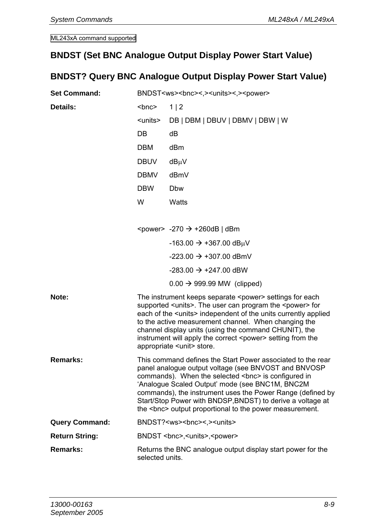#### **BNDST (Set BNC Analogue Output Display Power Start Value)**

## **BNDST? Query BNC Analogue Output Display Power Start Value)**

| <b>Set Command:</b>   | BNDST <ws><bnc>&lt;,&gt;<units>&lt;,&gt;<power></power></units></bnc></ws> |                                                                                                                                                                                                                                                                                                                                                                                                                                                       |
|-----------------------|----------------------------------------------------------------------------|-------------------------------------------------------------------------------------------------------------------------------------------------------------------------------------------------------------------------------------------------------------------------------------------------------------------------------------------------------------------------------------------------------------------------------------------------------|
| Details:              | $<$ bnc $>$                                                                | 1   2                                                                                                                                                                                                                                                                                                                                                                                                                                                 |
|                       | <units></units>                                                            | DB   DBM   DBUV   DBMV   DBW   W                                                                                                                                                                                                                                                                                                                                                                                                                      |
|                       | DB.                                                                        | dВ                                                                                                                                                                                                                                                                                                                                                                                                                                                    |
|                       | <b>DBM</b>                                                                 | dBm                                                                                                                                                                                                                                                                                                                                                                                                                                                   |
|                       | <b>DBUV</b>                                                                | dBµV                                                                                                                                                                                                                                                                                                                                                                                                                                                  |
|                       | <b>DBMV</b>                                                                | dBmV                                                                                                                                                                                                                                                                                                                                                                                                                                                  |
|                       | <b>DBW</b>                                                                 | <b>Dbw</b>                                                                                                                                                                                                                                                                                                                                                                                                                                            |
|                       | W                                                                          | Watts                                                                                                                                                                                                                                                                                                                                                                                                                                                 |
|                       |                                                                            |                                                                                                                                                                                                                                                                                                                                                                                                                                                       |
|                       |                                                                            | <power> -270 <math>\rightarrow</math> +260dB   dBm</power>                                                                                                                                                                                                                                                                                                                                                                                            |
|                       |                                                                            | $-163.00 \rightarrow +367.00$ dB <sub>u</sub> V                                                                                                                                                                                                                                                                                                                                                                                                       |
|                       |                                                                            | $-223.00 \rightarrow +307.00$ dBmV                                                                                                                                                                                                                                                                                                                                                                                                                    |
|                       |                                                                            | $-283.00 \rightarrow +247.00$ dBW                                                                                                                                                                                                                                                                                                                                                                                                                     |
|                       |                                                                            | $0.00 \rightarrow 999.99$ MW (clipped)                                                                                                                                                                                                                                                                                                                                                                                                                |
| Note:                 |                                                                            | The instrument keeps separate <power> settings for each<br/>supported <units>. The user can program the <power> for<br/>each of the <units> independent of the units currently applied<br/>to the active measurement channel. When changing the<br/>channel display units (using the command CHUNIT), the<br/>instrument will apply the correct <power> setting from the<br/>appropriate <unit> store.</unit></power></units></power></units></power> |
| Remarks:              |                                                                            | This command defines the Start Power associated to the rear<br>panel analogue output voltage (see BNVOST and BNVOSP<br>commands). When the selected <bnc> is configured in<br/>'Analogue Scaled Output' mode (see BNC1M, BNC2M<br/>commands), the instrument uses the Power Range (defined by<br/>Start/Stop Power with BNDSP, BNDST) to derive a voltage at<br/>the <bnc> output proportional to the power measurement.</bnc></bnc>                  |
| <b>Query Command:</b> |                                                                            | BNDST? <ws><bnc>&lt;.&gt;&gt;<units></units></bnc></ws>                                                                                                                                                                                                                                                                                                                                                                                               |
| <b>Return String:</b> |                                                                            | BNDST<br>state>, <units>,<power></power></units>                                                                                                                                                                                                                                                                                                                                                                                                      |
| Remarks:              | selected units.                                                            | Returns the BNC analogue output display start power for the                                                                                                                                                                                                                                                                                                                                                                                           |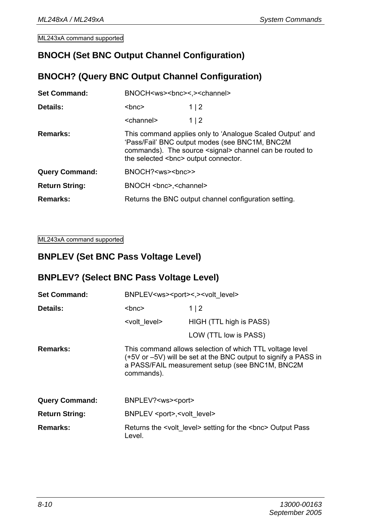### **BNOCH (Set BNC Output Channel Configuration)**

#### **BNOCH? (Query BNC Output Channel Configuration)**

| <b>Set Command:</b>   | BNOCH <ws><bnc>&lt;.&gt;<channel></channel></bnc></ws>                                                                                                                                                                                                                                                                                                                                                           |                                                       |  |
|-----------------------|------------------------------------------------------------------------------------------------------------------------------------------------------------------------------------------------------------------------------------------------------------------------------------------------------------------------------------------------------------------------------------------------------------------|-------------------------------------------------------|--|
| Details:              | $<$ bnc $>$                                                                                                                                                                                                                                                                                                                                                                                                      | 1 2                                                   |  |
|                       | <channel></channel>                                                                                                                                                                                                                                                                                                                                                                                              | 1 2                                                   |  |
| Remarks:              | This command applies only to 'Analogue Scaled Output' and<br>'Pass/Fail' BNC output modes (see BNC1M, BNC2M<br>commands). The source <signal> channel can be routed to<br/>the selected <br/> selected <br/> selected <br/> selected<br/> selected<br/> selected<br/> selected<br/> selected<br/> selected<br/> selected<br> selected<br> selected<br> selected<br/> selected<br/> selec</br></br></br></signal> |                                                       |  |
| <b>Query Command:</b> | BNOCH? <ws><br/>&gt;bnc&gt;&gt;</ws>                                                                                                                                                                                                                                                                                                                                                                             |                                                       |  |
| <b>Return String:</b> | BNOCH<br>schannel>                                                                                                                                                                                                                                                                                                                                                                                               |                                                       |  |
| Remarks:              |                                                                                                                                                                                                                                                                                                                                                                                                                  | Returns the BNC output channel configuration setting. |  |

ML243xA command supported

#### **BNPLEV (Set BNC Pass Voltage Level)**

#### **BNPLEV? (Select BNC Pass Voltage Level)**

| <b>Set Command:</b>   | BNPLEV <ws><port>&lt;.&gt;<volt_level></volt_level></port></ws> |                                                                                                                                                                                |  |
|-----------------------|-----------------------------------------------------------------|--------------------------------------------------------------------------------------------------------------------------------------------------------------------------------|--|
| Details:              | $<$ bnc $>$                                                     | 1 2                                                                                                                                                                            |  |
|                       | <volt level=""></volt>                                          | HIGH (TTL high is PASS)                                                                                                                                                        |  |
|                       |                                                                 | LOW (TTL low is PASS)                                                                                                                                                          |  |
| Remarks:              | commands).                                                      | This command allows selection of which TTL voltage level<br>(+5V or -5V) will be set at the BNC output to signify a PASS in<br>a PASS/FAIL measurement setup (see BNC1M, BNC2M |  |
| <b>Query Command:</b> | BNPLEV? <ws><port></port></ws>                                  |                                                                                                                                                                                |  |
| <b>Return String:</b> | BNPLEV <port>,<volt level=""></volt></port>                     |                                                                                                                                                                                |  |
| Remarks:              | Level.                                                          | Returns the <volt level=""> setting for the <br/>&gt;hor&gt; Output Pass</volt>                                                                                                |  |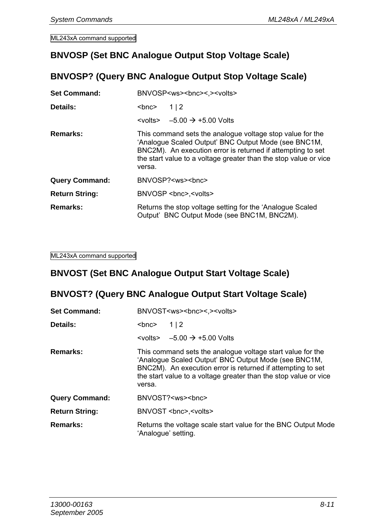#### **BNVOSP (Set BNC Analogue Output Stop Voltage Scale)**

#### **BNVOSP? (Query BNC Analogue Output Stop Voltage Scale)**

| <b>Set Command:</b>   | BNVOSP <ws><bnc>&lt;.&gt;&gt;&gt;&gt;&gt;</bnc></ws>                                                                                                                                                                                                           |  |  |
|-----------------------|----------------------------------------------------------------------------------------------------------------------------------------------------------------------------------------------------------------------------------------------------------------|--|--|
| Details:              | $<$ bnc $>$<br>112                                                                                                                                                                                                                                             |  |  |
|                       | $\left\{\times \text{volts} \right\}$ $-5.00 \rightarrow +5.00$ Volts                                                                                                                                                                                          |  |  |
| Remarks:              | This command sets the analogue voltage stop value for the<br>'Analoque Scaled Output' BNC Output Mode (see BNC1M,<br>BNC2M). An execution error is returned if attempting to set<br>the start value to a voltage greater than the stop value or vice<br>versa. |  |  |
| <b>Query Command:</b> | BNVOSP? <ws><br/>&gt;bnc&gt;</ws>                                                                                                                                                                                                                              |  |  |
| <b>Return String:</b> | BNVOSP<br>senc>, <volts></volts>                                                                                                                                                                                                                               |  |  |
| Remarks:              | Returns the stop voltage setting for the 'Analogue Scaled'<br>Output' BNC Output Mode (see BNC1M, BNC2M).                                                                                                                                                      |  |  |

ML243xA command supported

#### **BNVOST (Set BNC Analogue Output Start Voltage Scale)**

#### **BNVOST? (Query BNC Analogue Output Start Voltage Scale)**

| <b>Set Command:</b>   | BNVOST <ws><bnc>&lt;&gt;&lt;&gt;&gt;&gt;&gt;&lt;&gt;&gt;&gt;</bnc></ws>                                                                                                                                                                                         |  |  |
|-----------------------|-----------------------------------------------------------------------------------------------------------------------------------------------------------------------------------------------------------------------------------------------------------------|--|--|
| Details:              | $<$ bnc $>$<br>1 2                                                                                                                                                                                                                                              |  |  |
|                       | $\left\{\times \text{volts} \right\}$ -5.00 $\rightarrow$ +5.00 Volts                                                                                                                                                                                           |  |  |
| Remarks:              | This command sets the analogue voltage start value for the<br>'Analoque Scaled Output' BNC Output Mode (see BNC1M,<br>BNC2M). An execution error is returned if attempting to set<br>the start value to a voltage greater than the stop value or vice<br>versa. |  |  |
| <b>Query Command:</b> | BNVOST? <ws><br/>&gt;bnc&gt;</ws>                                                                                                                                                                                                                               |  |  |
| <b>Return String:</b> | BNVOST<br>state>.<br>                                                                                                                                                                                                                                           |  |  |
| Remarks:              | Returns the voltage scale start value for the BNC Output Mode<br>'Analoque' setting.                                                                                                                                                                            |  |  |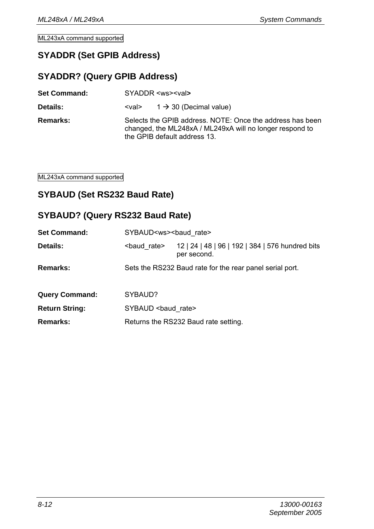#### **SYADDR (Set GPIB Address)**

#### **SYADDR? (Query GPIB Address)**

| <b>Set Command:</b> | SYADDR <ws><val></val></ws> |
|---------------------|-----------------------------|
|                     |                             |

**Details:**  $\langle \text{val} \rangle$  1  $\rightarrow$  30 (Decimal value)

**Remarks:** Selects the GPIB address. NOTE: Once the address has been changed, the ML248xA / ML249xA will no longer respond to the GPIB default address 13.

ML243xA command supported

#### **SYBAUD (Set RS232 Baud Rate)**

#### **SYBAUD? (Query RS232 Baud Rate)**

| <b>Set Command:</b>   |                       | SYBAUD <ws><baud rate=""></baud></ws>                           |  |  |
|-----------------------|-----------------------|-----------------------------------------------------------------|--|--|
| Details:              | <baud rate=""></baud> | 12   24   48   96   192   384   576 hundred bits<br>per second. |  |  |
| Remarks:              |                       | Sets the RS232 Baud rate for the rear panel serial port.        |  |  |
| <b>Query Command:</b> | SYBAUD?               |                                                                 |  |  |
| <b>Return String:</b> | SYBAUD<br>baud rate>  |                                                                 |  |  |
| Remarks:              |                       | Returns the RS232 Baud rate setting.                            |  |  |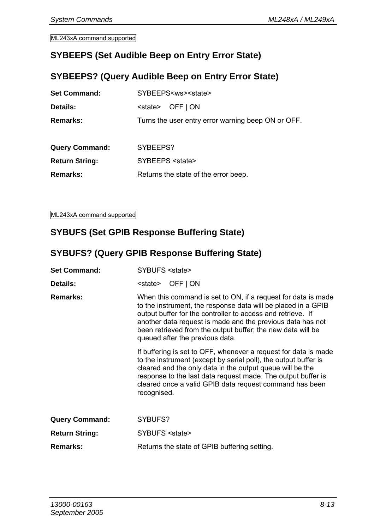#### **SYBEEPS (Set Audible Beep on Entry Error State)**

#### **SYBEEPS? (Query Audible Beep on Entry Error State)**

| <b>Set Command:</b>   | SYBEEPS <ws><state></state></ws>                   |  |  |
|-----------------------|----------------------------------------------------|--|--|
| Details:              | OFF   ON<br><state></state>                        |  |  |
| Remarks:              | Turns the user entry error warning beep ON or OFF. |  |  |
|                       |                                                    |  |  |
| <b>Query Command:</b> | SYBEEPS?                                           |  |  |
| <b>Return String:</b> | SYBEEPS <state></state>                            |  |  |
| Remarks:              | Returns the state of the error beep.               |  |  |
|                       |                                                    |  |  |

ML243xA command supported

#### **SYBUFS (Set GPIB Response Buffering State)**

#### **SYBUFS? (Query GPIB Response Buffering State)**

- Set Command: **SYBUES** <state>
- **Details:**  $\leq$  < state> OFF | ON
- **Remarks:** When this command is set to ON, if a request for data is made to the instrument, the response data will be placed in a GPIB output buffer for the controller to access and retrieve. If another data request is made and the previous data has not been retrieved from the output buffer; the new data will be queued after the previous data.

If buffering is set to OFF, whenever a request for data is made to the instrument (except by serial poll), the output buffer is cleared and the only data in the output queue will be the response to the last data request made. The output buffer is cleared once a valid GPIB data request command has been recognised.

| <b>Query Command:</b> | SYBUFS?                                      |
|-----------------------|----------------------------------------------|
| <b>Return String:</b> | SYBUFS <state></state>                       |
| <b>Remarks:</b>       | Returns the state of GPIB buffering setting. |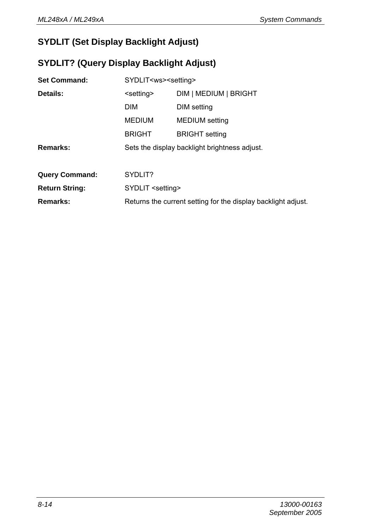## **SYDLIT (Set Display Backlight Adjust)**

## **SYDLIT? (Query Display Backlight Adjust)**

| <b>Set Command:</b>   | SYDLIT <ws><setting></setting></ws> |                                                               |  |
|-----------------------|-------------------------------------|---------------------------------------------------------------|--|
| Details:              | <setting></setting>                 | DIM   MEDIUM   BRIGHT                                         |  |
|                       | <b>DIM</b>                          | DIM setting                                                   |  |
|                       | <b>MEDIUM</b>                       | <b>MEDIUM</b> setting                                         |  |
|                       | <b>BRIGHT</b>                       | <b>BRIGHT</b> setting                                         |  |
| Remarks:              |                                     | Sets the display backlight brightness adjust.                 |  |
|                       |                                     |                                                               |  |
| <b>Query Command:</b> | SYDLIT?                             |                                                               |  |
| <b>Return String:</b> | SYDLIT <setting></setting>          |                                                               |  |
| Remarks:              |                                     | Returns the current setting for the display backlight adjust. |  |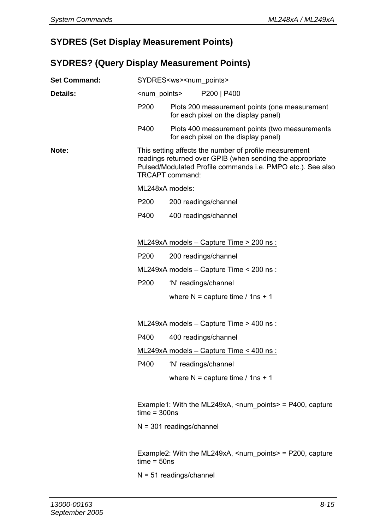#### **SYDRES (Set Display Measurement Points)**

#### **SYDRES? (Query Display Measurement Points)**

| <b>Set Command:</b> | SYDRES <ws><num_points></num_points></ws>                                                                                                                                                             |                                       |                                                                                        |
|---------------------|-------------------------------------------------------------------------------------------------------------------------------------------------------------------------------------------------------|---------------------------------------|----------------------------------------------------------------------------------------|
| Details:            |                                                                                                                                                                                                       | <num points=""><br/>P200   P400</num> |                                                                                        |
|                     | P200                                                                                                                                                                                                  |                                       | Plots 200 measurement points (one measurement<br>for each pixel on the display panel)  |
|                     | P400                                                                                                                                                                                                  |                                       | Plots 400 measurement points (two measurements<br>for each pixel on the display panel) |
| Note:               | This setting affects the number of profile measurement<br>readings returned over GPIB (when sending the appropriate<br>Pulsed/Modulated Profile commands i.e. PMPO etc.). See also<br>TRCAPT command: |                                       |                                                                                        |
|                     | ML248xA models:                                                                                                                                                                                       |                                       |                                                                                        |
|                     | P <sub>200</sub>                                                                                                                                                                                      |                                       | 200 readings/channel                                                                   |
|                     | P400                                                                                                                                                                                                  |                                       | 400 readings/channel                                                                   |
|                     |                                                                                                                                                                                                       |                                       |                                                                                        |
|                     |                                                                                                                                                                                                       |                                       | $ML249xA$ models – Capture Time > 200 ns :                                             |
|                     | P <sub>200</sub>                                                                                                                                                                                      |                                       | 200 readings/channel                                                                   |
|                     |                                                                                                                                                                                                       |                                       | ML249xA models $-$ Capture Time $\leq$ 200 ns :                                        |
|                     | P200                                                                                                                                                                                                  |                                       | 'N' readings/channel                                                                   |
|                     |                                                                                                                                                                                                       |                                       | where $N =$ capture time / 1ns + 1                                                     |
|                     |                                                                                                                                                                                                       |                                       |                                                                                        |
|                     |                                                                                                                                                                                                       |                                       | ML249xA models $-$ Capture Time $>$ 400 ns :                                           |
|                     | P400                                                                                                                                                                                                  |                                       | 400 readings/channel                                                                   |
|                     | ML249xA models - Capture Time < 400 ns :                                                                                                                                                              |                                       |                                                                                        |
|                     | P400                                                                                                                                                                                                  |                                       | 'N' readings/channel                                                                   |
|                     |                                                                                                                                                                                                       |                                       | where $N =$ capture time / 1ns + 1                                                     |
|                     |                                                                                                                                                                                                       |                                       |                                                                                        |
|                     | Example1: With the ML249xA, $\leq$ num points $\geq$ = P400, capture<br>$time = 300ns$                                                                                                                |                                       |                                                                                        |
|                     | $N = 301$ readings/channel                                                                                                                                                                            |                                       |                                                                                        |
|                     |                                                                                                                                                                                                       |                                       |                                                                                        |
|                     | Example2: With the ML249xA, $\leq$ num points $\geq$ = P200, capture<br>$time = 50$ ns                                                                                                                |                                       |                                                                                        |
|                     | $N = 51$ readings/channel                                                                                                                                                                             |                                       |                                                                                        |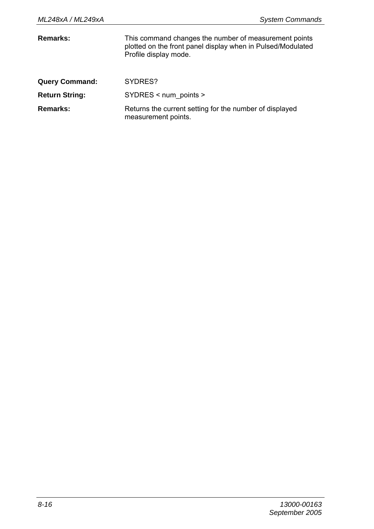| Remarks:              | This command changes the number of measurement points<br>plotted on the front panel display when in Pulsed/Modulated<br>Profile display mode. |
|-----------------------|-----------------------------------------------------------------------------------------------------------------------------------------------|
| <b>Query Command:</b> | SYDRES?                                                                                                                                       |
| <b>Return String:</b> | $SYDRES$ < num points >                                                                                                                       |
| Remarks:              | Returns the current setting for the number of displayed<br>measurement points.                                                                |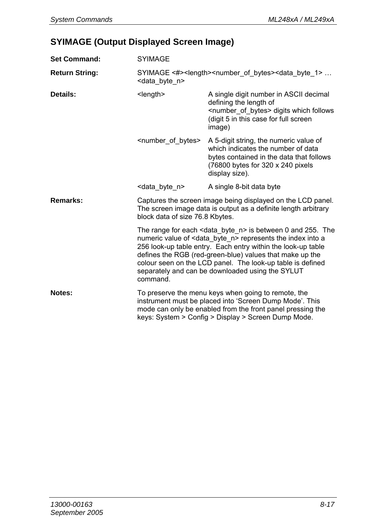## **SYIMAGE (Output Displayed Screen Image)**

| <b>Set Command:</b>                                          | <b>SYIMAGE</b>                                                                                                                                                                                                                      |                                                                                                                                                                                                                                                                                                                                         |
|--------------------------------------------------------------|-------------------------------------------------------------------------------------------------------------------------------------------------------------------------------------------------------------------------------------|-----------------------------------------------------------------------------------------------------------------------------------------------------------------------------------------------------------------------------------------------------------------------------------------------------------------------------------------|
| <b>Return String:</b>                                        | SYIMAGE <#> <length><number bytes="" of=""><data 1="" byte=""> <br/><data byte="" n=""></data></data></number></length>                                                                                                             |                                                                                                                                                                                                                                                                                                                                         |
| Details:                                                     | $<$ length $>$                                                                                                                                                                                                                      | A single digit number in ASCII decimal<br>defining the length of<br><number bytes="" of=""> digits which follows<br/>(digit 5 in this case for full screen<br/>image)</number>                                                                                                                                                          |
|                                                              | <number_of_bytes></number_of_bytes>                                                                                                                                                                                                 | A 5-digit string, the numeric value of<br>which indicates the number of data<br>bytes contained in the data that follows<br>(76800 bytes for 320 x 240 pixels<br>display size).                                                                                                                                                         |
|                                                              | <data byte="" n=""></data>                                                                                                                                                                                                          | A single 8-bit data byte                                                                                                                                                                                                                                                                                                                |
| Remarks:                                                     | Captures the screen image being displayed on the LCD panel.<br>The screen image data is output as a definite length arbitrary<br>block data of size 76.8 Kbytes.                                                                    |                                                                                                                                                                                                                                                                                                                                         |
| separately and can be downloaded using the SYLUT<br>command. |                                                                                                                                                                                                                                     | The range for each $<$ data byte $n>$ is between 0 and 255. The<br>numeric value of <data byte="" n=""> represents the index into a<br/>256 look-up table entry. Each entry within the look-up table<br/>defines the RGB (red-green-blue) values that make up the<br/>colour seen on the LCD panel. The look-up table is defined</data> |
| Notes:                                                       | To preserve the menu keys when going to remote, the<br>instrument must be placed into 'Screen Dump Mode'. This<br>mode can only be enabled from the front panel pressing the<br>keys: System > Config > Display > Screen Dump Mode. |                                                                                                                                                                                                                                                                                                                                         |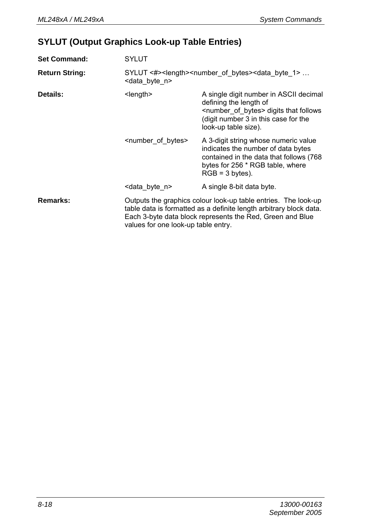## **SYLUT (Output Graphics Look-up Table Entries)**

| <b>Set Command:</b>   | <b>SYLUT</b>                                                                                                                                                                                                                             |                                                                                                                                                                                            |
|-----------------------|------------------------------------------------------------------------------------------------------------------------------------------------------------------------------------------------------------------------------------------|--------------------------------------------------------------------------------------------------------------------------------------------------------------------------------------------|
| <b>Return String:</b> | SYLUT <#> <length><number bytes="" of=""><data 1="" byte=""> <br/><data byte="" n=""></data></data></number></length>                                                                                                                    |                                                                                                                                                                                            |
| Details:              | $<$ length $>$                                                                                                                                                                                                                           | A single digit number in ASCII decimal<br>defining the length of<br><number bytes="" of=""> digits that follows<br/>(digit number 3 in this case for the<br/>look-up table size).</number> |
|                       | <number bytes="" of=""></number>                                                                                                                                                                                                         | A 3-digit string whose numeric value<br>indicates the number of data bytes<br>contained in the data that follows (768)<br>bytes for 256 * RGB table, where<br>$RGB = 3 bytes$ ).           |
|                       | <data byte="" n=""></data>                                                                                                                                                                                                               | A single 8-bit data byte.                                                                                                                                                                  |
| Remarks:              | Outputs the graphics colour look-up table entries. The look-up<br>table data is formatted as a definite length arbitrary block data.<br>Each 3-byte data block represents the Red, Green and Blue<br>values for one look-up table entry. |                                                                                                                                                                                            |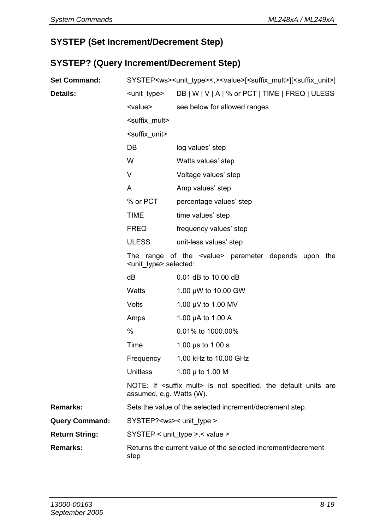#### **SYSTEP (Set Increment/Decrement Step)**

## **SYSTEP? (Query Increment/Decrement Step)**

| <b>Set Command:</b>   | SYSTEP <ws><unit_type>&lt;,&gt;<value>[<suffix_mult>][<suffix_unit>]</suffix_unit></suffix_mult></value></unit_type></ws> |                                                                            |
|-----------------------|---------------------------------------------------------------------------------------------------------------------------|----------------------------------------------------------------------------|
| Details:              | <unit type=""></unit>                                                                                                     | DB   W   V   A   % or PCT   TIME   FREQ   ULESS                            |
|                       | <value></value>                                                                                                           | see below for allowed ranges                                               |
|                       | <suffix mult=""></suffix>                                                                                                 |                                                                            |
|                       | <suffix unit=""></suffix>                                                                                                 |                                                                            |
|                       | DB                                                                                                                        | log values' step                                                           |
|                       | W                                                                                                                         | Watts values' step                                                         |
|                       | V                                                                                                                         | Voltage values' step                                                       |
|                       | A                                                                                                                         | Amp values' step                                                           |
|                       | % or PCT                                                                                                                  | percentage values' step                                                    |
|                       | <b>TIME</b>                                                                                                               | time values' step                                                          |
|                       | <b>FREQ</b>                                                                                                               | frequency values' step                                                     |
|                       | <b>ULESS</b>                                                                                                              | unit-less values' step                                                     |
|                       | <unit type=""> selected:</unit>                                                                                           | The range of the <value> parameter depends upon the</value>                |
|                       | dВ                                                                                                                        | 0.01 dB to 10.00 dB                                                        |
|                       | Watts                                                                                                                     | 1.00 µW to 10.00 GW                                                        |
|                       | Volts                                                                                                                     | 1.00 µV to 1.00 MV                                                         |
|                       | Amps                                                                                                                      | 1.00 µA to 1.00 A                                                          |
|                       | $\frac{0}{0}$                                                                                                             | 0.01% to 1000.00%                                                          |
|                       | Time                                                                                                                      | 1.00 $\mu$ s to 1.00 s                                                     |
|                       | Frequency                                                                                                                 | 1.00 kHz to 10.00 GHz                                                      |
|                       | <b>Unitless</b>                                                                                                           | 1.00 $\mu$ to 1.00 M                                                       |
|                       | assumed, e.g. Watts (W).                                                                                                  | NOTE: If <suffix mult=""> is not specified, the default units are</suffix> |
| Remarks:              |                                                                                                                           | Sets the value of the selected increment/decrement step.                   |
| <b>Query Command:</b> | SYSTEP? <ws>&lt; unit type &gt;</ws>                                                                                      |                                                                            |
| <b>Return String:</b> |                                                                                                                           | $SYSTEP$ < unit type >,< value >                                           |
| Remarks:              | Returns the current value of the selected increment/decrement<br>step                                                     |                                                                            |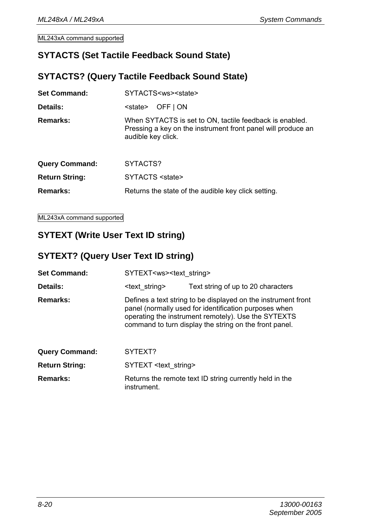#### **SYTACTS (Set Tactile Feedback Sound State)**

#### **SYTACTS? (Query Tactile Feedback Sound State)**

| <b>Set Command:</b>   | SYTACTS <ws><state></state></ws>                                                                                                              |
|-----------------------|-----------------------------------------------------------------------------------------------------------------------------------------------|
| Details:              | OFF   ON<br><state></state>                                                                                                                   |
| Remarks:              | When SYTACTS is set to ON, tactile feedback is enabled.<br>Pressing a key on the instrument front panel will produce an<br>audible key click. |
| <b>Query Command:</b> | SYTACTS?                                                                                                                                      |
| <b>Return String:</b> | SYTACTS <state></state>                                                                                                                       |
| Remarks:              | Returns the state of the audible key click setting.                                                                                           |

ML243xA command supported

## **SYTEXT (Write User Text ID string)**

#### **SYTEXT? (Query User Text ID string)**

| <b>Set Command:</b>   | SYTEXT <ws><text string=""></text></ws> |                                                                                                                                                                                                                                         |
|-----------------------|-----------------------------------------|-----------------------------------------------------------------------------------------------------------------------------------------------------------------------------------------------------------------------------------------|
| Details:              | <text string=""></text>                 | Text string of up to 20 characters                                                                                                                                                                                                      |
| <b>Remarks:</b>       |                                         | Defines a text string to be displayed on the instrument front<br>panel (normally used for identification purposes when<br>operating the instrument remotely). Use the SYTEXTS<br>command to turn display the string on the front panel. |
| <b>Query Command:</b> | SYTEXT?                                 |                                                                                                                                                                                                                                         |
| Return String:        | SYTEXT <text string=""></text>          |                                                                                                                                                                                                                                         |
| Remarks:              | instrument.                             | Returns the remote text ID string currently held in the                                                                                                                                                                                 |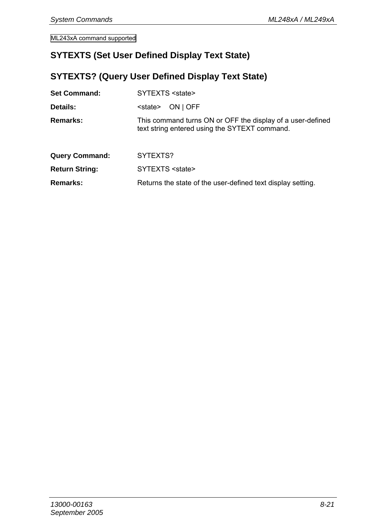#### **SYTEXTS (Set User Defined Display Text State)**

## **SYTEXTS? (Query User Defined Display Text State)**

| <b>Set Command:</b>   | SYTEXTS <state></state>                                                                                     |
|-----------------------|-------------------------------------------------------------------------------------------------------------|
| Details:              | ON   OFF<br><state></state>                                                                                 |
| <b>Remarks:</b>       | This command turns ON or OFF the display of a user-defined<br>text string entered using the SYTEXT command. |
| <b>Query Command:</b> | SYTEXTS?                                                                                                    |
| <b>Return String:</b> | SYTEXTS <state></state>                                                                                     |
| <b>Remarks:</b>       | Returns the state of the user-defined text display setting.                                                 |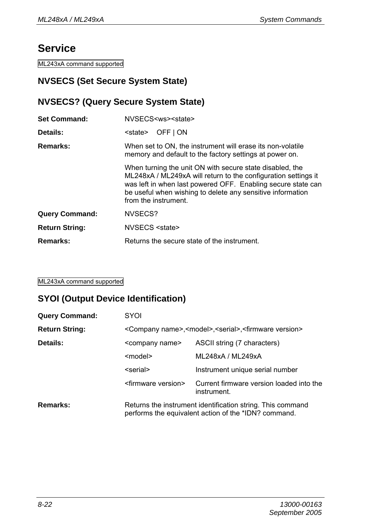## **Service**

ML243xA command supported

#### **NVSECS (Set Secure System State)**

#### **NVSECS? (Query Secure System State)**

| <b>Set Command:</b>   | NVSECS <ws><state></state></ws>                                                                                                                                                                                                                                                  |
|-----------------------|----------------------------------------------------------------------------------------------------------------------------------------------------------------------------------------------------------------------------------------------------------------------------------|
| Details:              | OFF   ON<br><state></state>                                                                                                                                                                                                                                                      |
| Remarks:              | When set to ON, the instrument will erase its non-volatile<br>memory and default to the factory settings at power on.                                                                                                                                                            |
|                       | When turning the unit ON with secure state disabled, the<br>ML248xA / ML249xA will return to the configuration settings it<br>was left in when last powered OFF. Enabling secure state can<br>be useful when wishing to delete any sensitive information<br>from the instrument. |
| <b>Query Command:</b> | NVSECS?                                                                                                                                                                                                                                                                          |
| <b>Return String:</b> | NVSECS <state></state>                                                                                                                                                                                                                                                           |
| Remarks:              | Returns the secure state of the instrument.                                                                                                                                                                                                                                      |

ML243xA command supported

#### **SYOI (Output Device Identification)**

| <b>Query Command:</b> | SYOI                                                                                                               |                                                         |  |
|-----------------------|--------------------------------------------------------------------------------------------------------------------|---------------------------------------------------------|--|
| <b>Return String:</b> | <company name="">,<model>,<serial>,<firmware version=""></firmware></serial></model></company>                     |                                                         |  |
| Details:              | <company name=""></company>                                                                                        | ASCII string (7 characters)                             |  |
|                       | <model></model>                                                                                                    | ML248xA / ML249xA                                       |  |
|                       | <serial></serial>                                                                                                  | Instrument unique serial number                         |  |
|                       | <firmware version=""></firmware>                                                                                   | Current firmware version loaded into the<br>instrument. |  |
| Remarks:              | Returns the instrument identification string. This command<br>performs the equivalent action of the *IDN? command. |                                                         |  |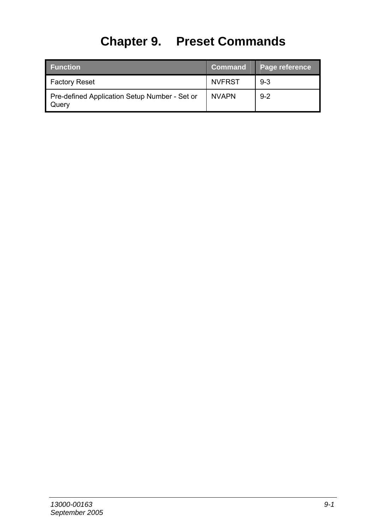# **Chapter 9. Preset Commands**

| <b>Function</b>                                        | <b>Command</b> | Page reference |
|--------------------------------------------------------|----------------|----------------|
| <b>Factory Reset</b>                                   | <b>NVFRST</b>  | $9 - 3$        |
| Pre-defined Application Setup Number - Set or<br>Query | <b>NVAPN</b>   | $9 - 2$        |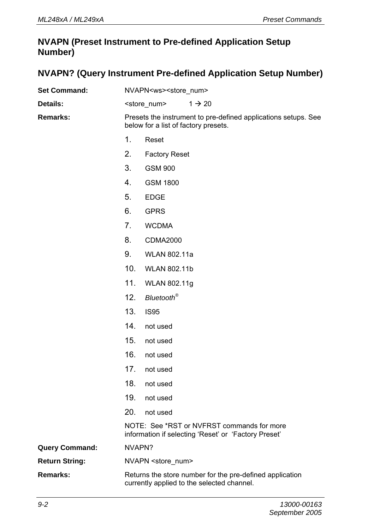#### **NVAPN (Preset Instrument to Pre-defined Application Setup Number)**

#### **NVAPN? (Query Instrument Pre-defined Application Setup Number)**

| <b>Set Command:</b>   |                                                                                                        | NVAPN <ws><store num=""></store></ws>                                                                  |
|-----------------------|--------------------------------------------------------------------------------------------------------|--------------------------------------------------------------------------------------------------------|
| Details:              |                                                                                                        | <store num=""><br/><math>1 \rightarrow 20</math></store>                                               |
| Remarks:              | Presets the instrument to pre-defined applications setups. See<br>below for a list of factory presets. |                                                                                                        |
|                       | 1.                                                                                                     | Reset                                                                                                  |
|                       | 2.                                                                                                     | <b>Factory Reset</b>                                                                                   |
|                       | 3.                                                                                                     | <b>GSM 900</b>                                                                                         |
|                       | 4.                                                                                                     | <b>GSM 1800</b>                                                                                        |
|                       | 5.                                                                                                     | <b>EDGE</b>                                                                                            |
|                       | 6.                                                                                                     | <b>GPRS</b>                                                                                            |
|                       | 7.                                                                                                     | <b>WCDMA</b>                                                                                           |
|                       | 8.                                                                                                     | <b>CDMA2000</b>                                                                                        |
|                       | 9.                                                                                                     | <b>WLAN 802.11a</b>                                                                                    |
|                       | 10 <sub>1</sub>                                                                                        | <b>WLAN 802.11b</b>                                                                                    |
|                       | 11.                                                                                                    | WLAN 802.11g                                                                                           |
|                       | 12.                                                                                                    | Bluetooth <sup>®</sup>                                                                                 |
|                       | 13.                                                                                                    | <b>IS95</b>                                                                                            |
|                       | 14.                                                                                                    | not used                                                                                               |
|                       | 15.                                                                                                    | not used                                                                                               |
|                       | 16.                                                                                                    | not used                                                                                               |
|                       | 17 <sub>1</sub>                                                                                        | not used                                                                                               |
|                       | 18.                                                                                                    | not used                                                                                               |
|                       | 19.                                                                                                    | not used                                                                                               |
|                       | 20.                                                                                                    | not used                                                                                               |
|                       |                                                                                                        | NOTE: See *RST or NVFRST commands for more<br>information if selecting 'Reset' or 'Factory Preset'     |
| Query Command:        | NVAPN?                                                                                                 |                                                                                                        |
| <b>Return String:</b> |                                                                                                        | NVAPN <store num=""></store>                                                                           |
| Remarks:              |                                                                                                        | Returns the store number for the pre-defined application<br>currently applied to the selected channel. |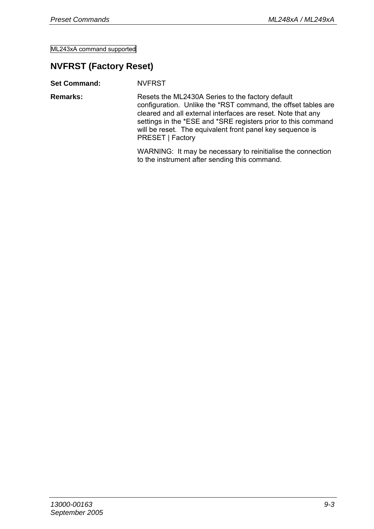#### **NVFRST (Factory Reset)**

**Set Command:** NVFRST **Remarks:** Resets the ML2430A Series to the factory default configuration. Unlike the \*RST command, the offset tables are cleared and all external interfaces are reset. Note that any settings in the \*ESE and \*SRE registers prior to this command will be reset. The equivalent front panel key sequence is PRESET | Factory WARNING: It may be necessary to reinitialise the connection to the instrument after sending this command.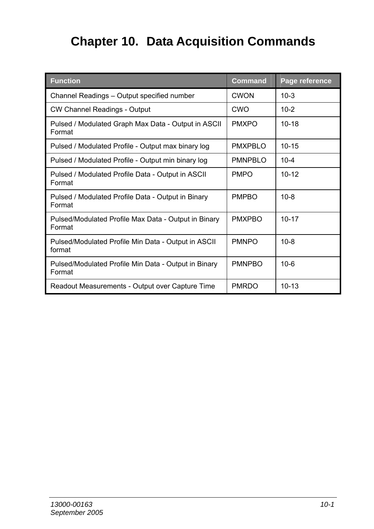## **Chapter 10. Data Acquisition Commands**

| <b>Function</b>                                                | <b>Command</b>  | Page reference |
|----------------------------------------------------------------|-----------------|----------------|
| Channel Readings - Output specified number                     | CWON            | $10-3$         |
| CW Channel Readings - Output                                   | CWO             | $10-2$         |
| Pulsed / Modulated Graph Max Data - Output in ASCII<br>Format  | <b>PMXPO</b>    | $10 - 18$      |
| Pulsed / Modulated Profile - Output max binary log             | <b>PMXPRIO</b>  | $10 - 15$      |
| Pulsed / Modulated Profile - Output min binary log             | <b>PMNPRI O</b> | $10 - 4$       |
| Pulsed / Modulated Profile Data - Output in ASCII<br>Format    | <b>PMPO</b>     | $10 - 12$      |
| Pulsed / Modulated Profile Data - Output in Binary<br>Format   | <b>PMPBO</b>    | $10 - 8$       |
| Pulsed/Modulated Profile Max Data - Output in Binary<br>Format | <b>PMXPBO</b>   | $10 - 17$      |
| Pulsed/Modulated Profile Min Data - Output in ASCII<br>format  | <b>PMNPO</b>    | $10 - 8$       |
| Pulsed/Modulated Profile Min Data - Output in Binary<br>Format | <b>PMNPRO</b>   | $10 - 6$       |
| Readout Measurements - Output over Capture Time                | <b>PMRDO</b>    | $10 - 13$      |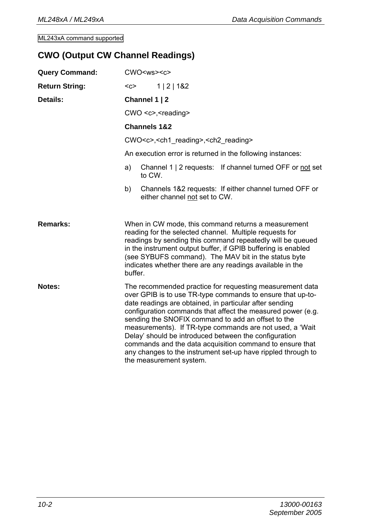#### **CWO (Output CW Channel Readings)**

| <b>Query Command:</b> | CWO < ws < c >                                                                                                                                                                                                                                                                                                                                                                                                                                                                                                                                                                     |  |
|-----------------------|------------------------------------------------------------------------------------------------------------------------------------------------------------------------------------------------------------------------------------------------------------------------------------------------------------------------------------------------------------------------------------------------------------------------------------------------------------------------------------------------------------------------------------------------------------------------------------|--|
| <b>Return String:</b> | $C$<br>1   2   182                                                                                                                                                                                                                                                                                                                                                                                                                                                                                                                                                                 |  |
| Details:              | Channel 1   2                                                                                                                                                                                                                                                                                                                                                                                                                                                                                                                                                                      |  |
|                       | CWO <c>,<reading></reading></c>                                                                                                                                                                                                                                                                                                                                                                                                                                                                                                                                                    |  |
|                       | Channels 1&2                                                                                                                                                                                                                                                                                                                                                                                                                                                                                                                                                                       |  |
|                       | CWO <c>,<ch1 reading="">,<ch2 reading=""></ch2></ch1></c>                                                                                                                                                                                                                                                                                                                                                                                                                                                                                                                          |  |
|                       | An execution error is returned in the following instances:                                                                                                                                                                                                                                                                                                                                                                                                                                                                                                                         |  |
|                       | Channel 1   2 requests: If channel turned OFF or not set<br>a)<br>to CW.                                                                                                                                                                                                                                                                                                                                                                                                                                                                                                           |  |
|                       | Channels 1&2 requests: If either channel turned OFF or<br>b)<br>either channel not set to CW.                                                                                                                                                                                                                                                                                                                                                                                                                                                                                      |  |
| Remarks:              | When in CW mode, this command returns a measurement<br>reading for the selected channel. Multiple requests for<br>readings by sending this command repeatedly will be queued<br>in the instrument output buffer, if GPIB buffering is enabled<br>(see SYBUFS command). The MAV bit in the status byte<br>indicates whether there are any readings available in the<br>buffer.                                                                                                                                                                                                      |  |
| Notes:                | The recommended practice for requesting measurement data<br>over GPIB is to use TR-type commands to ensure that up-to-<br>date readings are obtained, in particular after sending<br>configuration commands that affect the measured power (e.g.<br>sending the SNOFIX command to add an offset to the<br>measurements). If TR-type commands are not used, a 'Wait<br>Delay' should be introduced between the configuration<br>commands and the data acquisition command to ensure that<br>any changes to the instrument set-up have rippled through to<br>the measurement system. |  |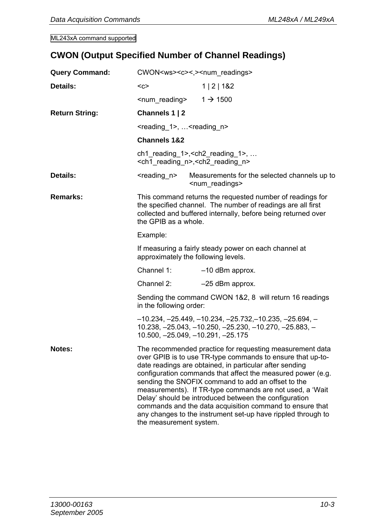## **CWON (Output Specified Number of Channel Readings)**

| <b>Query Command:</b> | CWON <ws><c>&lt;,&gt;<num readings=""></num></c></ws>                                                                                                                                                                                                                                                                                                                                                                                                                                                                                                                              |                                                                         |  |  |
|-----------------------|------------------------------------------------------------------------------------------------------------------------------------------------------------------------------------------------------------------------------------------------------------------------------------------------------------------------------------------------------------------------------------------------------------------------------------------------------------------------------------------------------------------------------------------------------------------------------------|-------------------------------------------------------------------------|--|--|
| Details:              | $C$                                                                                                                                                                                                                                                                                                                                                                                                                                                                                                                                                                                | 1   2   182                                                             |  |  |
|                       | <num reading=""></num>                                                                                                                                                                                                                                                                                                                                                                                                                                                                                                                                                             | $1 \rightarrow 1500$                                                    |  |  |
| <b>Return String:</b> | Channels 1   2                                                                                                                                                                                                                                                                                                                                                                                                                                                                                                                                                                     |                                                                         |  |  |
|                       | <reading 1="">, <reading n=""></reading></reading>                                                                                                                                                                                                                                                                                                                                                                                                                                                                                                                                 |                                                                         |  |  |
|                       | <b>Channels 1&amp;2</b>                                                                                                                                                                                                                                                                                                                                                                                                                                                                                                                                                            |                                                                         |  |  |
|                       | ch1 reading $1$ >, <ch2 <math="" reading="">1&gt;, <br/><ch1_reading_n>,<ch2_reading_n></ch2_reading_n></ch1_reading_n></ch2>                                                                                                                                                                                                                                                                                                                                                                                                                                                      |                                                                         |  |  |
| Details:              | <reading n=""></reading>                                                                                                                                                                                                                                                                                                                                                                                                                                                                                                                                                           | Measurements for the selected channels up to<br><num readings=""></num> |  |  |
| Remarks:              | This command returns the requested number of readings for<br>the specified channel. The number of readings are all first<br>collected and buffered internally, before being returned over<br>the GPIB as a whole.                                                                                                                                                                                                                                                                                                                                                                  |                                                                         |  |  |
|                       | Example:                                                                                                                                                                                                                                                                                                                                                                                                                                                                                                                                                                           |                                                                         |  |  |
|                       | If measuring a fairly steady power on each channel at<br>approximately the following levels.                                                                                                                                                                                                                                                                                                                                                                                                                                                                                       |                                                                         |  |  |
|                       | Channel 1:                                                                                                                                                                                                                                                                                                                                                                                                                                                                                                                                                                         | -10 dBm approx.                                                         |  |  |
|                       | Channel 2:                                                                                                                                                                                                                                                                                                                                                                                                                                                                                                                                                                         | $-25$ dBm approx.                                                       |  |  |
|                       | in the following order:                                                                                                                                                                                                                                                                                                                                                                                                                                                                                                                                                            | Sending the command CWON 1&2, 8 will return 16 readings                 |  |  |
|                       | $-10.234, -25.449, -10.234, -25.732, -10.235, -25.694, -$<br>$10.238, -25.043, -10.250, -25.230, -10.270, -25.883, -$<br>10.500, -25.049, -10.291, -25.175                                                                                                                                                                                                                                                                                                                                                                                                                         |                                                                         |  |  |
| Notes:                | The recommended practice for requesting measurement data<br>over GPIB is to use TR-type commands to ensure that up-to-<br>date readings are obtained, in particular after sending<br>configuration commands that affect the measured power (e.g.<br>sending the SNOFIX command to add an offset to the<br>measurements). If TR-type commands are not used, a 'Wait<br>Delay' should be introduced between the configuration<br>commands and the data acquisition command to ensure that<br>any changes to the instrument set-up have rippled through to<br>the measurement system. |                                                                         |  |  |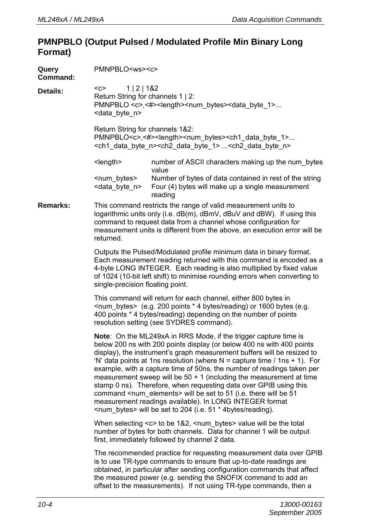#### **PMNPBLO (Output Pulsed / Modulated Profile Min Binary Long Format)**

| Query<br>Command: | PMNPBLO <ws><c></c></ws>                                                                                                                                                                                                                                                                                                                                                                                                                                                                                                                                                                                                                                                                                                                           |  |  |  |  |  |
|-------------------|----------------------------------------------------------------------------------------------------------------------------------------------------------------------------------------------------------------------------------------------------------------------------------------------------------------------------------------------------------------------------------------------------------------------------------------------------------------------------------------------------------------------------------------------------------------------------------------------------------------------------------------------------------------------------------------------------------------------------------------------------|--|--|--|--|--|
| Details:          | 1   2   1&2<br>$C$<br>Return String for channels 1   2:<br>PMNPBLO <c>,&lt;#&gt;<length><num bytes=""><data 1="" byte=""><br/><data byte="" n=""></data></data></num></length></c>                                                                                                                                                                                                                                                                                                                                                                                                                                                                                                                                                                 |  |  |  |  |  |
|                   | Return String for channels 1&2:<br>PMNPBLO <c>,&lt;#&gt;<length><num bytes=""><ch1 1="" byte="" data=""><br/><ch1 byte="" data="" n=""><ch2 1="" byte="" data=""> <ch2 byte="" data="" n=""></ch2></ch2></ch1></ch1></num></length></c>                                                                                                                                                                                                                                                                                                                                                                                                                                                                                                            |  |  |  |  |  |
|                   | number of ASCII characters making up the num_bytes<br><length><br/>value</length>                                                                                                                                                                                                                                                                                                                                                                                                                                                                                                                                                                                                                                                                  |  |  |  |  |  |
|                   | <num bytes=""><br/>Number of bytes of data contained in rest of the string<br/><data byte="" n=""><br/>Four (4) bytes will make up a single measurement<br/>reading</data></num>                                                                                                                                                                                                                                                                                                                                                                                                                                                                                                                                                                   |  |  |  |  |  |
| <b>Remarks:</b>   | This command restricts the range of valid measurement units to<br>logarithmic units only (i.e. dB(m), dBmV, dBuV and dBW). If using this<br>command to request data from a channel whose configuration for<br>measurement units is different from the above, an execution error will be<br>returned.                                                                                                                                                                                                                                                                                                                                                                                                                                               |  |  |  |  |  |
|                   | Outputs the Pulsed/Modulated profile minimum data in binary format.<br>Each measurement reading returned with this command is encoded as a<br>4-byte LONG INTEGER. Each reading is also multiplied by fixed value<br>of 1024 (10-bit left shift) to minimise rounding errors when converting to<br>single-precision floating point.                                                                                                                                                                                                                                                                                                                                                                                                                |  |  |  |  |  |
|                   | This command will return for each channel, either 800 bytes in<br><num_bytes> (e.g. 200 points * 4 bytes/reading) or 1600 bytes (e.g.<br/>400 points * 4 bytes/reading) depending on the number of points<br/>resolution setting (see SYDRES command).</num_bytes>                                                                                                                                                                                                                                                                                                                                                                                                                                                                                 |  |  |  |  |  |
|                   | <b>Note:</b> On the ML249xA in RRS Mode, if the trigger capture time is<br>below 200 ns with 200 points display (or below 400 ns with 400 points<br>display), the instrument's graph measurement buffers will be resized to<br>'N' data points at 1ns resolution (where $N =$ capture time / 1ns + 1). For<br>example, with a capture time of 50ns, the number of readings taken per<br>measurement sweep will be $50 + 1$ (including the measurement at time<br>stamp 0 ns). Therefore, when requesting data over GPIB using this<br>command <num elements=""> will be set to 51 (i.e. there will be 51<br/>measurement readings available). In LONG INTEGER format<br/><num bytes=""> will be set to 204 (i.e. 51 * 4bytes/reading).</num></num> |  |  |  |  |  |
|                   | When selecting <c> to be 1&amp;2, <num bytes=""> value will be the total<br/>number of bytes for both channels. Data for channel 1 will be output<br/>first, immediately followed by channel 2 data.</num></c>                                                                                                                                                                                                                                                                                                                                                                                                                                                                                                                                     |  |  |  |  |  |
|                   | The recommended practice for requesting measurement data over GPIB<br>is to use TR-type commands to ensure that up-to-date readings are<br>obtained, in particular after sending configuration commands that affect<br>the measured power (e.g. sending the SNOFIX command to add an<br>offset to the measurements). If not using TR-type commands, then a                                                                                                                                                                                                                                                                                                                                                                                         |  |  |  |  |  |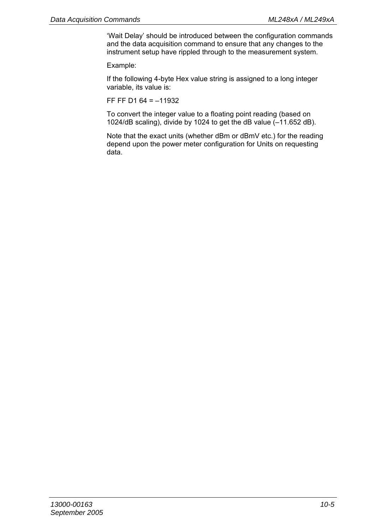'Wait Delay' should be introduced between the configuration commands and the data acquisition command to ensure that any changes to the instrument setup have rippled through to the measurement system.

Example:

If the following 4-byte Hex value string is assigned to a long integer variable, its value is:

FF FF D1  $64 = -11932$ 

To convert the integer value to a floating point reading (based on 1024/dB scaling), divide by 1024 to get the dB value (–11.652 dB).

Note that the exact units (whether dBm or dBmV etc.) for the reading depend upon the power meter configuration for Units on requesting data.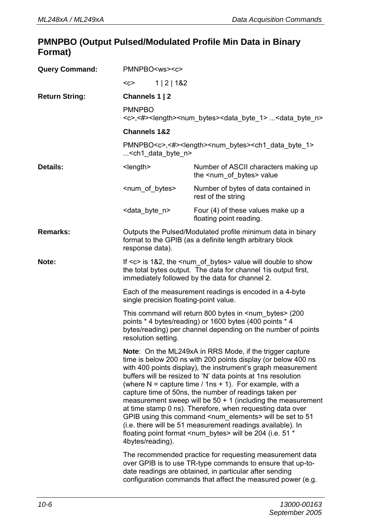#### **PMNPBO (Output Pulsed/Modulated Profile Min Data in Binary Format)**

| <b>Query Command:</b> | PMNPBO <ws><c></c></ws>                                                                                                                                                                                                                                                                                                                                                                                                                                                                                                                                                                                                                                                                                                                                |                                                                                 |  |  |  |
|-----------------------|--------------------------------------------------------------------------------------------------------------------------------------------------------------------------------------------------------------------------------------------------------------------------------------------------------------------------------------------------------------------------------------------------------------------------------------------------------------------------------------------------------------------------------------------------------------------------------------------------------------------------------------------------------------------------------------------------------------------------------------------------------|---------------------------------------------------------------------------------|--|--|--|
|                       | $C$<br>1   2   182                                                                                                                                                                                                                                                                                                                                                                                                                                                                                                                                                                                                                                                                                                                                     |                                                                                 |  |  |  |
| <b>Return String:</b> | Channels 1   2                                                                                                                                                                                                                                                                                                                                                                                                                                                                                                                                                                                                                                                                                                                                         |                                                                                 |  |  |  |
|                       | <b>PMNPBO</b><br><c>,&lt;#&gt;<length><num bytes=""><data 1="" byte=""> <data byte="" n=""></data></data></num></length></c>                                                                                                                                                                                                                                                                                                                                                                                                                                                                                                                                                                                                                           |                                                                                 |  |  |  |
|                       | <b>Channels 1&amp;2</b>                                                                                                                                                                                                                                                                                                                                                                                                                                                                                                                                                                                                                                                                                                                                |                                                                                 |  |  |  |
|                       | PMNPBO <c>,&lt;#&gt;<length><num bytes=""><ch1 1="" byte="" data=""><br/><ch1_data_byte_n></ch1_data_byte_n></ch1></num></length></c>                                                                                                                                                                                                                                                                                                                                                                                                                                                                                                                                                                                                                  |                                                                                 |  |  |  |
| Details:              | $<$ length $>$                                                                                                                                                                                                                                                                                                                                                                                                                                                                                                                                                                                                                                                                                                                                         | Number of ASCII characters making up<br>the <num_of_bytes> value</num_of_bytes> |  |  |  |
|                       | <num bytes="" of=""></num>                                                                                                                                                                                                                                                                                                                                                                                                                                                                                                                                                                                                                                                                                                                             | Number of bytes of data contained in<br>rest of the string                      |  |  |  |
|                       | <data_byte_n></data_byte_n>                                                                                                                                                                                                                                                                                                                                                                                                                                                                                                                                                                                                                                                                                                                            | Four (4) of these values make up a<br>floating point reading.                   |  |  |  |
| Remarks:              | Outputs the Pulsed/Modulated profile minimum data in binary<br>format to the GPIB (as a definite length arbitrary block<br>response data).                                                                                                                                                                                                                                                                                                                                                                                                                                                                                                                                                                                                             |                                                                                 |  |  |  |
| Note:                 | If $\leq$ is 1&2, the $\leq$ num of bytes > value will double to show<br>the total bytes output. The data for channel 1 is output first,<br>immediately followed by the data for channel 2.                                                                                                                                                                                                                                                                                                                                                                                                                                                                                                                                                            |                                                                                 |  |  |  |
|                       | Each of the measurement readings is encoded in a 4-byte<br>single precision floating-point value.                                                                                                                                                                                                                                                                                                                                                                                                                                                                                                                                                                                                                                                      |                                                                                 |  |  |  |
|                       | This command will return 800 bytes in <num_bytes> (200<br/>points * 4 bytes/reading) or 1600 bytes (400 points * 4<br/>bytes/reading) per channel depending on the number of points<br/>resolution setting.</num_bytes>                                                                                                                                                                                                                                                                                                                                                                                                                                                                                                                                |                                                                                 |  |  |  |
|                       | Note: On the ML249xA in RRS Mode, if the trigger capture<br>time is below 200 ns with 200 points display (or below 400 ns<br>with 400 points display), the instrument's graph measurement<br>buffers will be resized to 'N' data points at 1ns resolution<br>(where $N =$ capture time / 1ns + 1). For example, with a<br>capture time of 50ns, the number of readings taken per<br>measurement sweep will be $50 + 1$ (including the measurement<br>at time stamp 0 ns). Therefore, when requesting data over<br>GPIB using this command <num_elements> will be set to 51<br/>(i.e. there will be 51 measurement readings available). In<br/>floating point format <num_bytes> will be 204 (i.e. 51 *<br/>4bytes/reading).</num_bytes></num_elements> |                                                                                 |  |  |  |
|                       | The recommended practice for requesting measurement data<br>over GPIB is to use TR-type commands to ensure that up-to-<br>date readings are obtained, in particular after sending<br>configuration commands that affect the measured power (e.g.                                                                                                                                                                                                                                                                                                                                                                                                                                                                                                       |                                                                                 |  |  |  |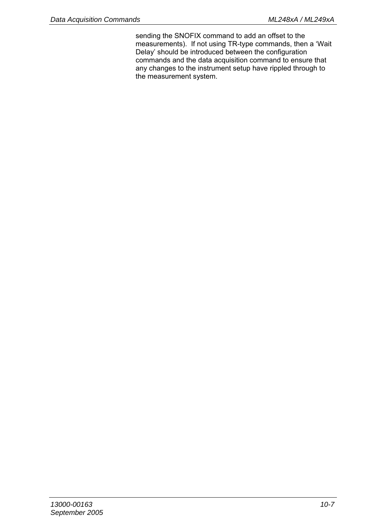sending the SNOFIX command to add an offset to the measurements). If not using TR-type commands, then a 'Wait Delay' should be introduced between the configuration commands and the data acquisition command to ensure that any changes to the instrument setup have rippled through to the measurement system.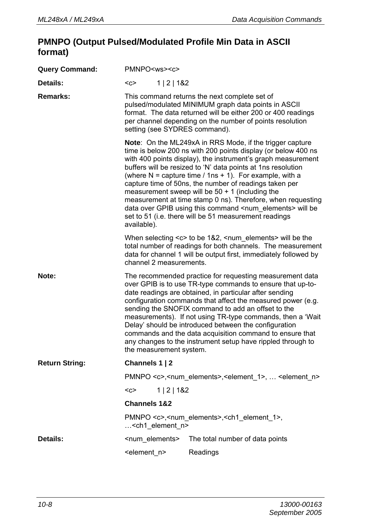#### **PMNPO (Output Pulsed/Modulated Profile Min Data in ASCII format)**

| <b>Query Command:</b> | PMNPO <ws><c></c></ws>                                                                                                                                                                                                                                                                                                                                                                                                                                                                                                                                                                                                                                                                                                                                                                                                                                                                                         |             |                                                                                                                                                                                                                                                                   |
|-----------------------|----------------------------------------------------------------------------------------------------------------------------------------------------------------------------------------------------------------------------------------------------------------------------------------------------------------------------------------------------------------------------------------------------------------------------------------------------------------------------------------------------------------------------------------------------------------------------------------------------------------------------------------------------------------------------------------------------------------------------------------------------------------------------------------------------------------------------------------------------------------------------------------------------------------|-------------|-------------------------------------------------------------------------------------------------------------------------------------------------------------------------------------------------------------------------------------------------------------------|
| Details:              | $C$                                                                                                                                                                                                                                                                                                                                                                                                                                                                                                                                                                                                                                                                                                                                                                                                                                                                                                            | 1   2   182 |                                                                                                                                                                                                                                                                   |
| Remarks:              |                                                                                                                                                                                                                                                                                                                                                                                                                                                                                                                                                                                                                                                                                                                                                                                                                                                                                                                |             | This command returns the next complete set of<br>pulsed/modulated MINIMUM graph data points in ASCII<br>format. The data returned will be either 200 or 400 readings<br>per channel depending on the number of points resolution<br>setting (see SYDRES command). |
|                       | Note: On the ML249xA in RRS Mode, if the trigger capture<br>time is below 200 ns with 200 points display (or below 400 ns<br>with 400 points display), the instrument's graph measurement<br>buffers will be resized to 'N' data points at 1ns resolution<br>(where $N =$ capture time / 1ns + 1). For example, with a<br>capture time of 50ns, the number of readings taken per<br>measurement sweep will be $50 + 1$ (including the<br>measurement at time stamp 0 ns). Therefore, when requesting<br>data over GPIB using this command <num_elements> will be<br/>set to 51 (i.e. there will be 51 measurement readings<br/>available).<br/>When selecting <c> to be 1&amp;2, <num_elements> will be the<br/>total number of readings for both channels. The measurement<br/>data for channel 1 will be output first, immediately followed by<br/>channel 2 measurements.</num_elements></c></num_elements> |             |                                                                                                                                                                                                                                                                   |
|                       |                                                                                                                                                                                                                                                                                                                                                                                                                                                                                                                                                                                                                                                                                                                                                                                                                                                                                                                |             |                                                                                                                                                                                                                                                                   |
| Note:                 | The recommended practice for requesting measurement data<br>over GPIB is to use TR-type commands to ensure that up-to-<br>date readings are obtained, in particular after sending<br>configuration commands that affect the measured power (e.g.<br>sending the SNOFIX command to add an offset to the<br>measurements). If not using TR-type commands, then a 'Wait<br>Delay' should be introduced between the configuration<br>commands and the data acquisition command to ensure that<br>any changes to the instrument setup have rippled through to<br>the measurement system.                                                                                                                                                                                                                                                                                                                            |             |                                                                                                                                                                                                                                                                   |
| <b>Return String:</b> | Channels 1   2                                                                                                                                                                                                                                                                                                                                                                                                                                                                                                                                                                                                                                                                                                                                                                                                                                                                                                 |             |                                                                                                                                                                                                                                                                   |
|                       | PMNPO <c>,<num_elements>,<element 1="">,  <element n=""></element></element></num_elements></c>                                                                                                                                                                                                                                                                                                                                                                                                                                                                                                                                                                                                                                                                                                                                                                                                                |             |                                                                                                                                                                                                                                                                   |
|                       | 1   2   182<br>$<$ c $>$                                                                                                                                                                                                                                                                                                                                                                                                                                                                                                                                                                                                                                                                                                                                                                                                                                                                                       |             |                                                                                                                                                                                                                                                                   |
|                       | <b>Channels 1&amp;2</b>                                                                                                                                                                                                                                                                                                                                                                                                                                                                                                                                                                                                                                                                                                                                                                                                                                                                                        |             |                                                                                                                                                                                                                                                                   |
|                       | <ch1 element="" n=""></ch1>                                                                                                                                                                                                                                                                                                                                                                                                                                                                                                                                                                                                                                                                                                                                                                                                                                                                                    |             | PMNPO <c>,<num_elements>,<ch1_element_1>,</ch1_element_1></num_elements></c>                                                                                                                                                                                      |
| Details:              | <num elements=""></num>                                                                                                                                                                                                                                                                                                                                                                                                                                                                                                                                                                                                                                                                                                                                                                                                                                                                                        |             | The total number of data points                                                                                                                                                                                                                                   |
|                       | <element n=""></element>                                                                                                                                                                                                                                                                                                                                                                                                                                                                                                                                                                                                                                                                                                                                                                                                                                                                                       |             | Readings                                                                                                                                                                                                                                                          |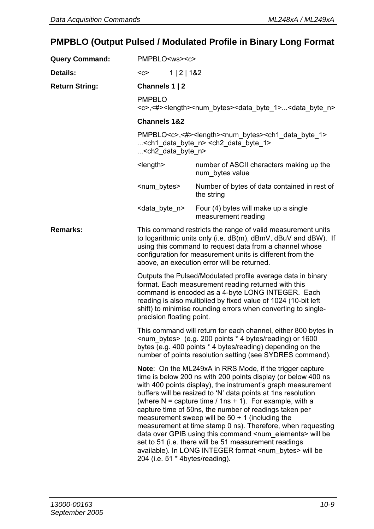# **PMPBLO (Output Pulsed / Modulated Profile in Binary Long Format**

| <b>Query Command:</b> | PMPBLO <ws><c></c></ws>                                                                                                                                                                                                                                                                                                                 |                                                                                                                                                                                                                                                                                                                                                                                                                                                                                                                                                                                                                                                                                                               |  |
|-----------------------|-----------------------------------------------------------------------------------------------------------------------------------------------------------------------------------------------------------------------------------------------------------------------------------------------------------------------------------------|---------------------------------------------------------------------------------------------------------------------------------------------------------------------------------------------------------------------------------------------------------------------------------------------------------------------------------------------------------------------------------------------------------------------------------------------------------------------------------------------------------------------------------------------------------------------------------------------------------------------------------------------------------------------------------------------------------------|--|
| Details:              | $C$<br>1   2   182                                                                                                                                                                                                                                                                                                                      |                                                                                                                                                                                                                                                                                                                                                                                                                                                                                                                                                                                                                                                                                                               |  |
| <b>Return String:</b> | Channels 1   2                                                                                                                                                                                                                                                                                                                          |                                                                                                                                                                                                                                                                                                                                                                                                                                                                                                                                                                                                                                                                                                               |  |
|                       | <b>PMPBLO</b>                                                                                                                                                                                                                                                                                                                           | <c>,&lt;#&gt;<length><num bytes=""><data 1="" byte=""><data byte="" n=""></data></data></num></length></c>                                                                                                                                                                                                                                                                                                                                                                                                                                                                                                                                                                                                    |  |
|                       | <b>Channels 1&amp;2</b>                                                                                                                                                                                                                                                                                                                 |                                                                                                                                                                                                                                                                                                                                                                                                                                                                                                                                                                                                                                                                                                               |  |
|                       | PMPBLO <c>,&lt;#&gt;<length><num bytes=""><ch1 1="" byte="" data=""><br/><ch1_data_byte_n> <ch2_data_byte_1><br/><ch2_data_byte_n></ch2_data_byte_n></ch2_data_byte_1></ch1_data_byte_n></ch1></num></length></c>                                                                                                                       |                                                                                                                                                                                                                                                                                                                                                                                                                                                                                                                                                                                                                                                                                                               |  |
|                       | $<$ length $>$                                                                                                                                                                                                                                                                                                                          | number of ASCII characters making up the<br>num bytes value                                                                                                                                                                                                                                                                                                                                                                                                                                                                                                                                                                                                                                                   |  |
|                       | <num bytes=""></num>                                                                                                                                                                                                                                                                                                                    | Number of bytes of data contained in rest of<br>the string                                                                                                                                                                                                                                                                                                                                                                                                                                                                                                                                                                                                                                                    |  |
|                       | <data_byte_n></data_byte_n>                                                                                                                                                                                                                                                                                                             | Four (4) bytes will make up a single<br>measurement reading                                                                                                                                                                                                                                                                                                                                                                                                                                                                                                                                                                                                                                                   |  |
| Remarks:              | This command restricts the range of valid measurement units<br>to logarithmic units only (i.e. dB(m), dBmV, dBuV and dBW). If<br>using this command to request data from a channel whose<br>configuration for measurement units is different from the<br>above, an execution error will be returned.                                    |                                                                                                                                                                                                                                                                                                                                                                                                                                                                                                                                                                                                                                                                                                               |  |
|                       | Outputs the Pulsed/Modulated profile average data in binary<br>format. Each measurement reading returned with this<br>command is encoded as a 4-byte LONG INTEGER. Each<br>reading is also multiplied by fixed value of 1024 (10-bit left<br>shift) to minimise rounding errors when converting to single-<br>precision floating point. |                                                                                                                                                                                                                                                                                                                                                                                                                                                                                                                                                                                                                                                                                                               |  |
|                       | This command will return for each channel, either 800 bytes in<br><num_bytes> (e.g. 200 points * 4 bytes/reading) or 1600<br/>bytes (e.g. 400 points * 4 bytes/reading) depending on the<br/>number of points resolution setting (see SYDRES command).</num_bytes>                                                                      |                                                                                                                                                                                                                                                                                                                                                                                                                                                                                                                                                                                                                                                                                                               |  |
|                       | 204 (i.e. 51 * 4bytes/reading).                                                                                                                                                                                                                                                                                                         | Note: On the ML249xA in RRS Mode, if the trigger capture<br>time is below 200 ns with 200 points display (or below 400 ns<br>with 400 points display), the instrument's graph measurement<br>buffers will be resized to 'N' data points at 1ns resolution<br>(where $N =$ capture time / 1ns + 1). For example, with a<br>capture time of 50ns, the number of readings taken per<br>measurement sweep will be $50 + 1$ (including the<br>measurement at time stamp 0 ns). Therefore, when requesting<br>data over GPIB using this command <num_elements> will be<br/>set to 51 (i.e. there will be 51 measurement readings<br/>available). In LONG INTEGER format <num bytes=""> will be</num></num_elements> |  |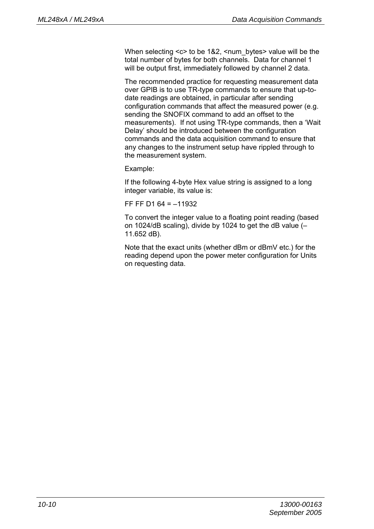When selecting <c> to be 1&2, <num\_bytes> value will be the total number of bytes for both channels. Data for channel 1 will be output first, immediately followed by channel 2 data.

The recommended practice for requesting measurement data over GPIB is to use TR-type commands to ensure that up-todate readings are obtained, in particular after sending configuration commands that affect the measured power (e.g. sending the SNOFIX command to add an offset to the measurements). If not using TR-type commands, then a 'Wait Delay' should be introduced between the configuration commands and the data acquisition command to ensure that any changes to the instrument setup have rippled through to the measurement system.

Example:

If the following 4-byte Hex value string is assigned to a long integer variable, its value is:

FF FF D1 64 = –11932

To convert the integer value to a floating point reading (based on 1024/dB scaling), divide by 1024 to get the dB value (– 11.652 dB).

Note that the exact units (whether dBm or dBmV etc.) for the reading depend upon the power meter configuration for Units on requesting data.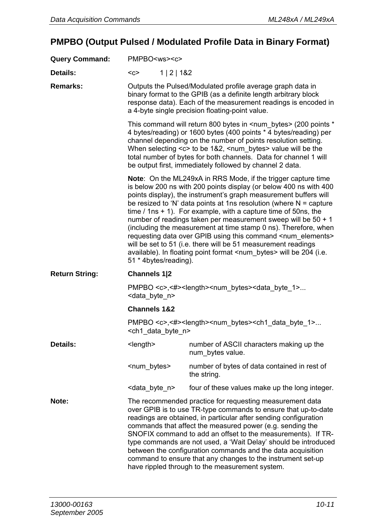# **PMPBO (Output Pulsed / Modulated Profile Data in Binary Format)**

| <b>Query Command:</b> | PMPBO <ws><c></c></ws>                                                                                                                                                                                                                                                                                                                                                                                                                    |                                  |                                                                                                                                                                                                                                                                                                                                                                                                                                                                                                                                                                                                                                                                                                                                   |
|-----------------------|-------------------------------------------------------------------------------------------------------------------------------------------------------------------------------------------------------------------------------------------------------------------------------------------------------------------------------------------------------------------------------------------------------------------------------------------|----------------------------------|-----------------------------------------------------------------------------------------------------------------------------------------------------------------------------------------------------------------------------------------------------------------------------------------------------------------------------------------------------------------------------------------------------------------------------------------------------------------------------------------------------------------------------------------------------------------------------------------------------------------------------------------------------------------------------------------------------------------------------------|
| Details:              | $C$                                                                                                                                                                                                                                                                                                                                                                                                                                       | 1   2   182                      |                                                                                                                                                                                                                                                                                                                                                                                                                                                                                                                                                                                                                                                                                                                                   |
| Remarks:              | Outputs the Pulsed/Modulated profile average graph data in<br>binary format to the GPIB (as a definite length arbitrary block<br>response data). Each of the measurement readings is encoded in<br>a 4-byte single precision floating-point value.                                                                                                                                                                                        |                                  |                                                                                                                                                                                                                                                                                                                                                                                                                                                                                                                                                                                                                                                                                                                                   |
|                       | This command will return 800 bytes in <num_bytes> (200 points *<br/>4 bytes/reading) or 1600 bytes (400 points * 4 bytes/reading) per<br/>channel depending on the number of points resolution setting.<br/>When selecting <c> to be 1&amp;2, <num_bytes> value will be the<br/>total number of bytes for both channels. Data for channel 1 will<br/>be output first, immediately followed by channel 2 data.</num_bytes></c></num_bytes> |                                  |                                                                                                                                                                                                                                                                                                                                                                                                                                                                                                                                                                                                                                                                                                                                   |
|                       |                                                                                                                                                                                                                                                                                                                                                                                                                                           | 51 * 4bytes/reading).            | <b>Note:</b> On the ML249xA in RRS Mode, if the trigger capture time<br>is below 200 ns with 200 points display (or below 400 ns with 400<br>points display), the instrument's graph measurement buffers will<br>be resized to 'N' data points at 1ns resolution (where $N =$ capture<br>time $/ 1$ ns + 1). For example, with a capture time of 50ns, the<br>number of readings taken per measurement sweep will be 50 + 1<br>(including the measurement at time stamp 0 ns). Therefore, when<br>requesting data over GPIB using this command <num_elements><br/>will be set to 51 (i.e. there will be 51 measurement readings<br/>available). In floating point format <num_bytes> will be 204 (i.e.</num_bytes></num_elements> |
| <b>Return String:</b> | Channels 1 2                                                                                                                                                                                                                                                                                                                                                                                                                              |                                  |                                                                                                                                                                                                                                                                                                                                                                                                                                                                                                                                                                                                                                                                                                                                   |
|                       | PMPBO <c>,&lt;#&gt;<length><num_bytes><data_byte_1><br/><data byte="" n=""></data></data_byte_1></num_bytes></length></c>                                                                                                                                                                                                                                                                                                                 |                                  |                                                                                                                                                                                                                                                                                                                                                                                                                                                                                                                                                                                                                                                                                                                                   |
|                       | <b>Channels 1&amp;2</b>                                                                                                                                                                                                                                                                                                                                                                                                                   |                                  |                                                                                                                                                                                                                                                                                                                                                                                                                                                                                                                                                                                                                                                                                                                                   |
|                       |                                                                                                                                                                                                                                                                                                                                                                                                                                           | <ch1 byte="" data="" n=""></ch1> | PMPBO <c>,&lt;#&gt;<length><num bytes=""><ch1 1="" byte="" data=""></ch1></num></length></c>                                                                                                                                                                                                                                                                                                                                                                                                                                                                                                                                                                                                                                      |
| Details:              | $<$ length $>$                                                                                                                                                                                                                                                                                                                                                                                                                            |                                  | number of ASCII characters making up the<br>num bytes value.                                                                                                                                                                                                                                                                                                                                                                                                                                                                                                                                                                                                                                                                      |
|                       | <num_bytes></num_bytes>                                                                                                                                                                                                                                                                                                                                                                                                                   |                                  | number of bytes of data contained in rest of<br>the string.                                                                                                                                                                                                                                                                                                                                                                                                                                                                                                                                                                                                                                                                       |
|                       | <data byte="" n=""></data>                                                                                                                                                                                                                                                                                                                                                                                                                |                                  | four of these values make up the long integer.                                                                                                                                                                                                                                                                                                                                                                                                                                                                                                                                                                                                                                                                                    |
| Note:                 |                                                                                                                                                                                                                                                                                                                                                                                                                                           |                                  | The recommended practice for requesting measurement data<br>over GPIB is to use TR-type commands to ensure that up-to-date<br>readings are obtained, in particular after sending configuration<br>commands that affect the measured power (e.g. sending the<br>SNOFIX command to add an offset to the measurements). If TR-<br>type commands are not used, a 'Wait Delay' should be introduced<br>between the configuration commands and the data acquisition<br>command to ensure that any changes to the instrument set-up<br>have rippled through to the measurement system.                                                                                                                                                   |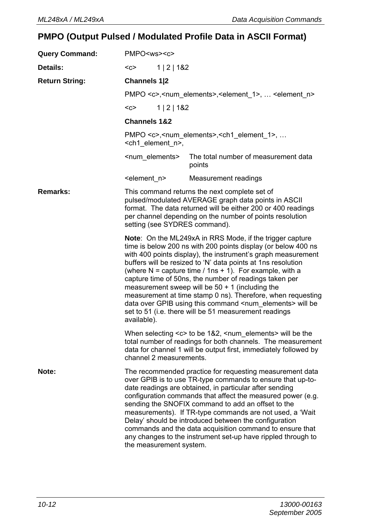# **PMPO (Output Pulsed / Modulated Profile Data in ASCII Format)**

| <b>Query Command:</b> | PMPO <ws><c></c></ws>                                                                                                                                                                                                                                                                                                                                                                                                                                                                                                                                                                                                                                            |             |                                                                                                                                                                                                                                                                                                                                                                                                                                                                                                                                                         |
|-----------------------|------------------------------------------------------------------------------------------------------------------------------------------------------------------------------------------------------------------------------------------------------------------------------------------------------------------------------------------------------------------------------------------------------------------------------------------------------------------------------------------------------------------------------------------------------------------------------------------------------------------------------------------------------------------|-------------|---------------------------------------------------------------------------------------------------------------------------------------------------------------------------------------------------------------------------------------------------------------------------------------------------------------------------------------------------------------------------------------------------------------------------------------------------------------------------------------------------------------------------------------------------------|
| Details:              | $C$                                                                                                                                                                                                                                                                                                                                                                                                                                                                                                                                                                                                                                                              | 1   2   182 |                                                                                                                                                                                                                                                                                                                                                                                                                                                                                                                                                         |
| <b>Return String:</b> | Channels 1 2                                                                                                                                                                                                                                                                                                                                                                                                                                                                                                                                                                                                                                                     |             |                                                                                                                                                                                                                                                                                                                                                                                                                                                                                                                                                         |
|                       |                                                                                                                                                                                                                                                                                                                                                                                                                                                                                                                                                                                                                                                                  |             | PMPO <c>,<num elements="">,<element 1="">,  <element n=""></element></element></num></c>                                                                                                                                                                                                                                                                                                                                                                                                                                                                |
|                       | $C$                                                                                                                                                                                                                                                                                                                                                                                                                                                                                                                                                                                                                                                              | 1   2   182 |                                                                                                                                                                                                                                                                                                                                                                                                                                                                                                                                                         |
|                       | <b>Channels 1&amp;2</b>                                                                                                                                                                                                                                                                                                                                                                                                                                                                                                                                                                                                                                          |             |                                                                                                                                                                                                                                                                                                                                                                                                                                                                                                                                                         |
|                       | <ch1 element="" n="">,</ch1>                                                                                                                                                                                                                                                                                                                                                                                                                                                                                                                                                                                                                                     |             | PMPO <c>,<num_elements>,<ch1_element_1>, </ch1_element_1></num_elements></c>                                                                                                                                                                                                                                                                                                                                                                                                                                                                            |
|                       | <num elements=""></num>                                                                                                                                                                                                                                                                                                                                                                                                                                                                                                                                                                                                                                          |             | The total number of measurement data<br>points                                                                                                                                                                                                                                                                                                                                                                                                                                                                                                          |
|                       | <element n=""></element>                                                                                                                                                                                                                                                                                                                                                                                                                                                                                                                                                                                                                                         |             | Measurement readings                                                                                                                                                                                                                                                                                                                                                                                                                                                                                                                                    |
| Remarks:              | This command returns the next complete set of<br>pulsed/modulated AVERAGE graph data points in ASCII<br>format. The data returned will be either 200 or 400 readings<br>per channel depending on the number of points resolution<br>setting (see SYDRES command).                                                                                                                                                                                                                                                                                                                                                                                                |             |                                                                                                                                                                                                                                                                                                                                                                                                                                                                                                                                                         |
|                       | <b>Note:</b> On the ML249xA in RRS Mode, if the trigger capture<br>time is below 200 ns with 200 points display (or below 400 ns<br>with 400 points display), the instrument's graph measurement<br>buffers will be resized to 'N' data points at 1ns resolution<br>(where $N =$ capture time / 1ns + 1). For example, with a<br>capture time of 50ns, the number of readings taken per<br>measurement sweep will be $50 + 1$ (including the<br>measurement at time stamp 0 ns). Therefore, when requesting<br>data over GPIB using this command <num_elements> will be<br/>set to 51 (i.e. there will be 51 measurement readings<br/>available).</num_elements> |             |                                                                                                                                                                                                                                                                                                                                                                                                                                                                                                                                                         |
|                       | channel 2 measurements.                                                                                                                                                                                                                                                                                                                                                                                                                                                                                                                                                                                                                                          |             | When selecting <c> to be 1&amp;2, <num_elements> will be the<br/>total number of readings for both channels. The measurement<br/>data for channel 1 will be output first, immediately followed by</num_elements></c>                                                                                                                                                                                                                                                                                                                                    |
| Note:                 | the measurement system.                                                                                                                                                                                                                                                                                                                                                                                                                                                                                                                                                                                                                                          |             | The recommended practice for requesting measurement data<br>over GPIB is to use TR-type commands to ensure that up-to-<br>date readings are obtained, in particular after sending<br>configuration commands that affect the measured power (e.g.<br>sending the SNOFIX command to add an offset to the<br>measurements). If TR-type commands are not used, a 'Wait<br>Delay' should be introduced between the configuration<br>commands and the data acquisition command to ensure that<br>any changes to the instrument set-up have rippled through to |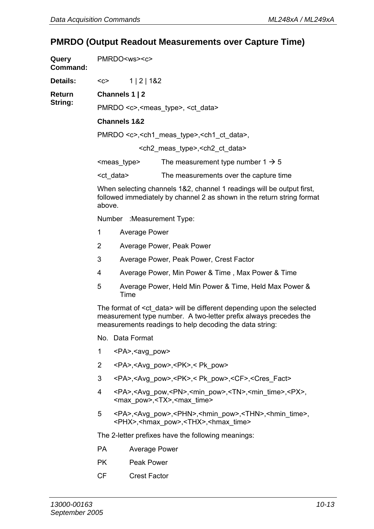# **PMRDO (Output Readout Measurements over Capture Time)**

| Query<br>Command: |                | PMRDO <ws><c></c></ws>        |                                                                                                                                                                                                                |
|-------------------|----------------|-------------------------------|----------------------------------------------------------------------------------------------------------------------------------------------------------------------------------------------------------------|
| Details:          | $C$            | 1   2   182                   |                                                                                                                                                                                                                |
| Return            |                | Channels 1   2                |                                                                                                                                                                                                                |
| String:           |                |                               | PMRDO <c>,<meas type="">, <ct data=""></ct></meas></c>                                                                                                                                                         |
|                   |                | <b>Channels 1&amp;2</b>       |                                                                                                                                                                                                                |
|                   |                |                               | PMRDO <c>, <ch1 meas="" type="">, <ch1 ct="" data="">,</ch1></ch1></c>                                                                                                                                         |
|                   |                |                               | <ch2_meas_type>, <ch2_ct_data></ch2_ct_data></ch2_meas_type>                                                                                                                                                   |
|                   |                | <meas type=""></meas>         | The measurement type number $1 \rightarrow 5$                                                                                                                                                                  |
|                   |                | <ct data=""></ct>             | The measurements over the capture time                                                                                                                                                                         |
|                   | above.         |                               | When selecting channels 1&2, channel 1 readings will be output first,<br>followed immediately by channel 2 as shown in the return string format                                                                |
|                   |                | Number : Measurement Type:    |                                                                                                                                                                                                                |
|                   | 1              | Average Power                 |                                                                                                                                                                                                                |
|                   | $\overline{2}$ |                               | Average Power, Peak Power                                                                                                                                                                                      |
|                   | 3              |                               | Average Power, Peak Power, Crest Factor                                                                                                                                                                        |
|                   | 4              |                               | Average Power, Min Power & Time, Max Power & Time                                                                                                                                                              |
|                   | 5              | Time                          | Average Power, Held Min Power & Time, Held Max Power &                                                                                                                                                         |
|                   |                |                               | The format of <ct data=""> will be different depending upon the selected<br/>measurement type number. A two-letter prefix always precedes the<br/>measurements readings to help decoding the data string:</ct> |
|                   |                | No. Data Format               |                                                                                                                                                                                                                |
|                   | 1              | <pa>,<avg_pow></avg_pow></pa> |                                                                                                                                                                                                                |
|                   | 2              |                               | <pa>,<avg pow="">,<pk>,&lt; Pk pow&gt;</pk></avg></pa>                                                                                                                                                         |
|                   | 3              |                               | <pa>,<avg pow="">,<pk>,&lt; Pk pow&gt;,<cf>,<cres fact=""></cres></cf></pk></avg></pa>                                                                                                                         |
|                   | 4              |                               | <pa>,<avg_pow,<pn>,<min_pow>,<tn>,<min_time>,<px>,<br/><max pow="">,<tx>,<max time=""></max></tx></max></px></min_time></tn></min_pow></avg_pow,<pn></pa>                                                      |
|                   | 5              |                               | <pa>,<avg pow="">,<phn>,<hmin pow="">,<thn>,<hmin time="">,<br/><phx>,<hmax pow="">,<thx>,<hmax time=""></hmax></thx></hmax></phx></hmin></thn></hmin></phn></avg></pa>                                        |
|                   |                |                               | The 2-letter prefixes have the following meanings:                                                                                                                                                             |
|                   | <b>PA</b>      | Average Power                 |                                                                                                                                                                                                                |
|                   | РK             | Peak Power                    |                                                                                                                                                                                                                |
|                   | СF             | <b>Crest Factor</b>           |                                                                                                                                                                                                                |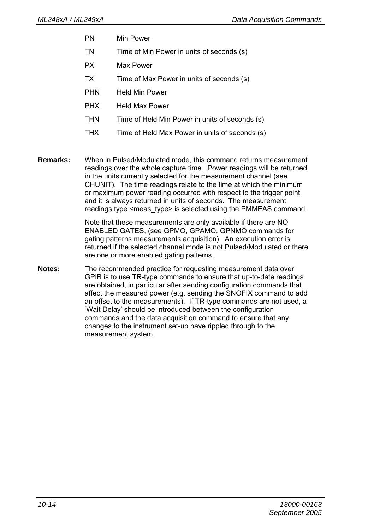- PN Min Power
- TN Time of Min Power in units of seconds (s)
- PX Max Power
- TX Time of Max Power in units of seconds (s)
- PHN Held Min Power
- PHX Held Max Power
- THN Time of Held Min Power in units of seconds (s)
- THX Time of Held Max Power in units of seconds (s)
- **Remarks:** When in Pulsed/Modulated mode, this command returns measurement readings over the whole capture time. Power readings will be returned in the units currently selected for the measurement channel (see CHUNIT). The time readings relate to the time at which the minimum or maximum power reading occurred with respect to the trigger point and it is always returned in units of seconds. The measurement readings type <meas\_type> is selected using the PMMEAS command.

Note that these measurements are only available if there are NO ENABLED GATES, (see GPMO, GPAMO, GPNMO commands for gating patterns measurements acquisition). An execution error is returned if the selected channel mode is not Pulsed/Modulated or there are one or more enabled gating patterns.

**Notes:** The recommended practice for requesting measurement data over GPIB is to use TR-type commands to ensure that up-to-date readings are obtained, in particular after sending configuration commands that affect the measured power (e.g. sending the SNOFIX command to add an offset to the measurements). If TR-type commands are not used, a 'Wait Delay' should be introduced between the configuration commands and the data acquisition command to ensure that any changes to the instrument set-up have rippled through to the measurement system.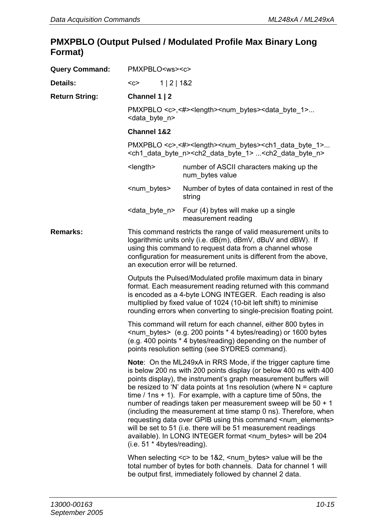### **PMXPBLO (Output Pulsed / Modulated Profile Max Binary Long Format)**

| <b>Query Command:</b> | PMXPBLO <ws><c></c></ws>                                                                                                                                                                                                                                                                                                                                                                                                                                                                                                                                                                                                                                                                                                                                 |                                                                                                                                                                                                                   |  |
|-----------------------|----------------------------------------------------------------------------------------------------------------------------------------------------------------------------------------------------------------------------------------------------------------------------------------------------------------------------------------------------------------------------------------------------------------------------------------------------------------------------------------------------------------------------------------------------------------------------------------------------------------------------------------------------------------------------------------------------------------------------------------------------------|-------------------------------------------------------------------------------------------------------------------------------------------------------------------------------------------------------------------|--|
| Details:              | $C$<br>1   2   182                                                                                                                                                                                                                                                                                                                                                                                                                                                                                                                                                                                                                                                                                                                                       |                                                                                                                                                                                                                   |  |
| <b>Return String:</b> | Channel 1   2                                                                                                                                                                                                                                                                                                                                                                                                                                                                                                                                                                                                                                                                                                                                            |                                                                                                                                                                                                                   |  |
|                       | <data byte="" n=""></data>                                                                                                                                                                                                                                                                                                                                                                                                                                                                                                                                                                                                                                                                                                                               | PMXPBLO <c>,&lt;#&gt;<length><num bytes=""><data 1="" byte=""></data></num></length></c>                                                                                                                          |  |
|                       | <b>Channel 1&amp;2</b>                                                                                                                                                                                                                                                                                                                                                                                                                                                                                                                                                                                                                                                                                                                                   |                                                                                                                                                                                                                   |  |
|                       |                                                                                                                                                                                                                                                                                                                                                                                                                                                                                                                                                                                                                                                                                                                                                          | PMXPBLO <c>,&lt;#&gt;<length><num bytes=""><ch1 1="" byte="" data=""><br/><ch1_data_byte_n><ch2_data_byte_1> <ch2_data_byte_n></ch2_data_byte_n></ch2_data_byte_1></ch1_data_byte_n></ch1></num></length></c>     |  |
|                       | $\leq$ length $\geq$                                                                                                                                                                                                                                                                                                                                                                                                                                                                                                                                                                                                                                                                                                                                     | number of ASCII characters making up the<br>num bytes value                                                                                                                                                       |  |
|                       | <num_bytes></num_bytes>                                                                                                                                                                                                                                                                                                                                                                                                                                                                                                                                                                                                                                                                                                                                  | Number of bytes of data contained in rest of the<br>string                                                                                                                                                        |  |
|                       | <data byte="" n=""></data>                                                                                                                                                                                                                                                                                                                                                                                                                                                                                                                                                                                                                                                                                                                               | Four (4) bytes will make up a single<br>measurement reading                                                                                                                                                       |  |
| Remarks:              | This command restricts the range of valid measurement units to<br>logarithmic units only (i.e. dB(m), dBmV, dBuV and dBW). If<br>using this command to request data from a channel whose<br>configuration for measurement units is different from the above.<br>an execution error will be returned.                                                                                                                                                                                                                                                                                                                                                                                                                                                     |                                                                                                                                                                                                                   |  |
|                       | Outputs the Pulsed/Modulated profile maximum data in binary<br>format. Each measurement reading returned with this command<br>is encoded as a 4-byte LONG INTEGER. Each reading is also<br>multiplied by fixed value of 1024 (10-bit left shift) to minimise<br>rounding errors when converting to single-precision floating point.                                                                                                                                                                                                                                                                                                                                                                                                                      |                                                                                                                                                                                                                   |  |
|                       | This command will return for each channel, either 800 bytes in<br><num bytes=""> (e.g. 200 points * 4 bytes/reading) or 1600 bytes<br/>(e.g. 400 points * 4 bytes/reading) depending on the number of<br/>points resolution setting (see SYDRES command).</num>                                                                                                                                                                                                                                                                                                                                                                                                                                                                                          |                                                                                                                                                                                                                   |  |
|                       | <b>Note:</b> On the ML249xA in RRS Mode, if the trigger capture time<br>is below 200 ns with 200 points display (or below 400 ns with 400<br>points display), the instrument's graph measurement buffers will<br>be resized to 'N' data points at 1ns resolution (where $N =$ capture<br>time $/$ 1ns + 1). For example, with a capture time of 50ns, the<br>number of readings taken per measurement sweep will be 50 + 1<br>(including the measurement at time stamp 0 ns). Therefore, when<br>requesting data over GPIB using this command <num_elements><br/>will be set to 51 (i.e. there will be 51 measurement readings<br/>available). In LONG INTEGER format <num_bytes> will be 204<br/>(i.e. 51 * 4bytes/reading).</num_bytes></num_elements> |                                                                                                                                                                                                                   |  |
|                       |                                                                                                                                                                                                                                                                                                                                                                                                                                                                                                                                                                                                                                                                                                                                                          | When selecting <c> to be 1&amp;2, <num_bytes> value will be the<br/>total number of bytes for both channels. Data for channel 1 will<br/>be output first, immediately followed by channel 2 data.</num_bytes></c> |  |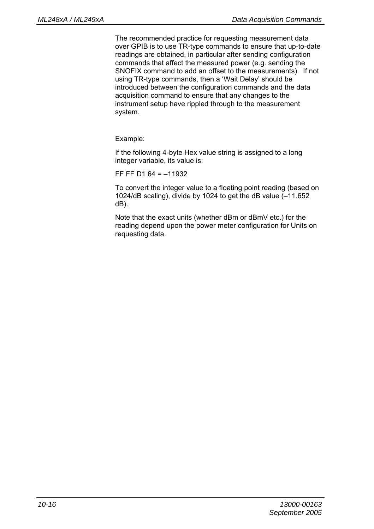The recommended practice for requesting measurement data over GPIB is to use TR-type commands to ensure that up-to-date readings are obtained, in particular after sending configuration commands that affect the measured power (e.g. sending the SNOFIX command to add an offset to the measurements). If not using TR-type commands, then a 'Wait Delay' should be introduced between the configuration commands and the data acquisition command to ensure that any changes to the instrument setup have rippled through to the measurement system.

Example:

If the following 4-byte Hex value string is assigned to a long integer variable, its value is:

FF FF D1 64 = –11932

To convert the integer value to a floating point reading (based on 1024/dB scaling), divide by 1024 to get the dB value (–11.652 dB).

Note that the exact units (whether dBm or dBmV etc.) for the reading depend upon the power meter configuration for Units on requesting data.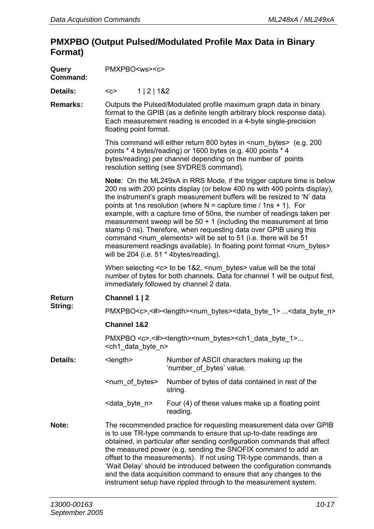### **PMXPBO (Output Pulsed/Modulated Profile Max Data in Binary Format)**

| Query<br>Command: | PMXPBO <ws><c></c></ws>                                                                                                                                                                                                                     |             |                                                                                                                                                                                                                                                                                                                                                                                                                                                                                                                                                                                                                                                                                                                                                     |  |
|-------------------|---------------------------------------------------------------------------------------------------------------------------------------------------------------------------------------------------------------------------------------------|-------------|-----------------------------------------------------------------------------------------------------------------------------------------------------------------------------------------------------------------------------------------------------------------------------------------------------------------------------------------------------------------------------------------------------------------------------------------------------------------------------------------------------------------------------------------------------------------------------------------------------------------------------------------------------------------------------------------------------------------------------------------------------|--|
| Details:          | $C$                                                                                                                                                                                                                                         | 1   2   182 |                                                                                                                                                                                                                                                                                                                                                                                                                                                                                                                                                                                                                                                                                                                                                     |  |
| Remarks:          | Outputs the Pulsed/Modulated profile maximum graph data in binary<br>format to the GPIB (as a definite length arbitrary block response data).<br>Each measurement reading is encoded in a 4-byte single-precision<br>floating point format. |             |                                                                                                                                                                                                                                                                                                                                                                                                                                                                                                                                                                                                                                                                                                                                                     |  |
|                   |                                                                                                                                                                                                                                             |             | This command will either return 800 bytes in <num bytes=""> (e.g. 200<br/>points * 4 bytes/reading) or 1600 bytes (e.g. 400 points * 4<br/>bytes/reading) per channel depending on the number of points<br/>resolution setting (see SYDRES command).</num>                                                                                                                                                                                                                                                                                                                                                                                                                                                                                          |  |
|                   |                                                                                                                                                                                                                                             |             | <b>Note:</b> On the ML249xA in RRS Mode, if the trigger capture time is below<br>200 ns with 200 points display (or below 400 ns with 400 points display),<br>the instrument's graph measurement buffers will be resized to 'N' data<br>points at 1ns resolution (where $N =$ capture time / 1ns + 1). For<br>example, with a capture time of 50ns, the number of readings taken per<br>measurement sweep will be $50 + 1$ (including the measurement at time<br>stamp 0 ns). Therefore, when requesting data over GPIB using this<br>command <num_elements> will be set to 51 (i.e. there will be 51<br/>measurement readings available). In floating point format <num bytes=""><br/>will be 204 (i.e. 51 * 4bytes/reading).</num></num_elements> |  |
|                   |                                                                                                                                                                                                                                             |             | When selecting <c> to be 1&amp;2, <num_bytes> value will be the total<br/>number of bytes for both channels. Data for channel 1 will be output first,<br/>immediately followed by channel 2 data.</num_bytes></c>                                                                                                                                                                                                                                                                                                                                                                                                                                                                                                                                   |  |
| Return            | Channel 1   2                                                                                                                                                                                                                               |             |                                                                                                                                                                                                                                                                                                                                                                                                                                                                                                                                                                                                                                                                                                                                                     |  |
| String:           | PMXPBO <c>,&lt;#&gt;<length><num_bytes><data_byte_1> <data_byte_n></data_byte_n></data_byte_1></num_bytes></length></c>                                                                                                                     |             |                                                                                                                                                                                                                                                                                                                                                                                                                                                                                                                                                                                                                                                                                                                                                     |  |
|                   | <b>Channel 1&amp;2</b>                                                                                                                                                                                                                      |             |                                                                                                                                                                                                                                                                                                                                                                                                                                                                                                                                                                                                                                                                                                                                                     |  |
|                   | <ch1 byte="" data="" n=""></ch1>                                                                                                                                                                                                            |             | PMXPBO <c>,&lt;#&gt;<length><num_bytes><ch1_data_byte_1></ch1_data_byte_1></num_bytes></length></c>                                                                                                                                                                                                                                                                                                                                                                                                                                                                                                                                                                                                                                                 |  |
| Details:          | <length></length>                                                                                                                                                                                                                           |             | Number of ASCII characters making up the<br>'number of bytes' value.                                                                                                                                                                                                                                                                                                                                                                                                                                                                                                                                                                                                                                                                                |  |
|                   | <num_of_bytes></num_of_bytes>                                                                                                                                                                                                               |             | Number of bytes of data contained in rest of the<br>string.                                                                                                                                                                                                                                                                                                                                                                                                                                                                                                                                                                                                                                                                                         |  |
|                   | <data byte="" n=""></data>                                                                                                                                                                                                                  |             | Four (4) of these values make up a floating point<br>reading.                                                                                                                                                                                                                                                                                                                                                                                                                                                                                                                                                                                                                                                                                       |  |
| Note:             |                                                                                                                                                                                                                                             |             | The recommended practice for requesting measurement data over GPIB<br>is to use TR-type commands to ensure that up-to-date readings are<br>obtained, in particular after sending configuration commands that affect<br>the measured power (e.g. sending the SNOFIX command to add an<br>offset to the measurements). If not using TR-type commands, then a<br>'Wait Delay' should be introduced between the configuration commands<br>and the data acquisition command to ensure that any changes to the<br>instrument setup have rippled through to the measurement system.                                                                                                                                                                        |  |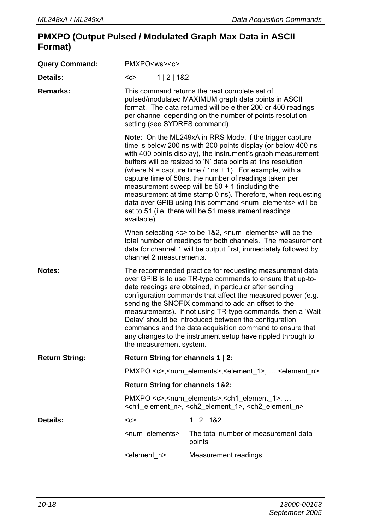### **PMXPO (Output Pulsed / Modulated Graph Max Data in ASCII Format)**

| <b>Query Command:</b> | PMXPO <ws><c></c></ws>                                                                                                                                                                                                                                                                                                                                                                                                                                                                                                                                                              |                                                                                                                                                                                                                                                                                                                                                                                                                                                                                                                                                                                                                                     |  |
|-----------------------|-------------------------------------------------------------------------------------------------------------------------------------------------------------------------------------------------------------------------------------------------------------------------------------------------------------------------------------------------------------------------------------------------------------------------------------------------------------------------------------------------------------------------------------------------------------------------------------|-------------------------------------------------------------------------------------------------------------------------------------------------------------------------------------------------------------------------------------------------------------------------------------------------------------------------------------------------------------------------------------------------------------------------------------------------------------------------------------------------------------------------------------------------------------------------------------------------------------------------------------|--|
| Details:              | 1   2   182<br>$<$ C>                                                                                                                                                                                                                                                                                                                                                                                                                                                                                                                                                               |                                                                                                                                                                                                                                                                                                                                                                                                                                                                                                                                                                                                                                     |  |
| Remarks:              | This command returns the next complete set of<br>pulsed/modulated MAXIMUM graph data points in ASCII<br>format. The data returned will be either 200 or 400 readings<br>per channel depending on the number of points resolution<br>setting (see SYDRES command).                                                                                                                                                                                                                                                                                                                   |                                                                                                                                                                                                                                                                                                                                                                                                                                                                                                                                                                                                                                     |  |
|                       | available).                                                                                                                                                                                                                                                                                                                                                                                                                                                                                                                                                                         | Note: On the ML249xA in RRS Mode, if the trigger capture<br>time is below 200 ns with 200 points display (or below 400 ns<br>with 400 points display), the instrument's graph measurement<br>buffers will be resized to 'N' data points at 1ns resolution<br>(where $N =$ capture time / 1ns + 1). For example, with a<br>capture time of 50ns, the number of readings taken per<br>measurement sweep will be $50 + 1$ (including the<br>measurement at time stamp 0 ns). Therefore, when requesting<br>data over GPIB using this command <num elements=""> will be<br/>set to 51 (i.e. there will be 51 measurement readings</num> |  |
|                       | channel 2 measurements.                                                                                                                                                                                                                                                                                                                                                                                                                                                                                                                                                             | When selecting <c> to be 1&amp;2, <num_elements> will be the<br/>total number of readings for both channels. The measurement<br/>data for channel 1 will be output first, immediately followed by</num_elements></c>                                                                                                                                                                                                                                                                                                                                                                                                                |  |
| Notes:                | The recommended practice for requesting measurement data<br>over GPIB is to use TR-type commands to ensure that up-to-<br>date readings are obtained, in particular after sending<br>configuration commands that affect the measured power (e.g.<br>sending the SNOFIX command to add an offset to the<br>measurements). If not using TR-type commands, then a 'Wait<br>Delay' should be introduced between the configuration<br>commands and the data acquisition command to ensure that<br>any changes to the instrument setup have rippled through to<br>the measurement system. |                                                                                                                                                                                                                                                                                                                                                                                                                                                                                                                                                                                                                                     |  |
| <b>Return String:</b> | Return String for channels 1   2:                                                                                                                                                                                                                                                                                                                                                                                                                                                                                                                                                   |                                                                                                                                                                                                                                                                                                                                                                                                                                                                                                                                                                                                                                     |  |
|                       |                                                                                                                                                                                                                                                                                                                                                                                                                                                                                                                                                                                     | PMXPO <c>,<num_elements>,<element_1>,  <element_n></element_n></element_1></num_elements></c>                                                                                                                                                                                                                                                                                                                                                                                                                                                                                                                                       |  |
|                       | <b>Return String for channels 1&amp;2:</b>                                                                                                                                                                                                                                                                                                                                                                                                                                                                                                                                          |                                                                                                                                                                                                                                                                                                                                                                                                                                                                                                                                                                                                                                     |  |
|                       |                                                                                                                                                                                                                                                                                                                                                                                                                                                                                                                                                                                     | PMXPO <c>,<num elements="">,<ch1 1="" element="">, <br/><ch1_element_n>, <ch2_element_1>, <ch2_element_n></ch2_element_n></ch2_element_1></ch1_element_n></ch1></num></c>                                                                                                                                                                                                                                                                                                                                                                                                                                                           |  |
| Details:              | $C$                                                                                                                                                                                                                                                                                                                                                                                                                                                                                                                                                                                 | 1   2   1&2                                                                                                                                                                                                                                                                                                                                                                                                                                                                                                                                                                                                                         |  |
|                       | <num elements=""></num>                                                                                                                                                                                                                                                                                                                                                                                                                                                                                                                                                             | The total number of measurement data<br>points                                                                                                                                                                                                                                                                                                                                                                                                                                                                                                                                                                                      |  |
|                       | <element n=""></element>                                                                                                                                                                                                                                                                                                                                                                                                                                                                                                                                                            | Measurement readings                                                                                                                                                                                                                                                                                                                                                                                                                                                                                                                                                                                                                |  |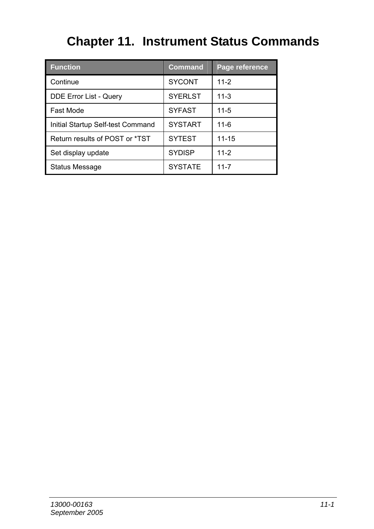# **Chapter 11. Instrument Status Commands**

| <b>Function</b>                   | <b>Command</b> | Page reference |
|-----------------------------------|----------------|----------------|
| Continue                          | <b>SYCONT</b>  | $11-2$         |
| DDE Error List - Query            | <b>SYERLST</b> | $11 - 3$       |
| Fast Mode                         | <b>SYFAST</b>  | $11 - 5$       |
| Initial Startup Self-test Command | <b>SYSTART</b> | $11 - 6$       |
| Return results of POST or *TST    | <b>SYTEST</b>  | $11 - 15$      |
| Set display update                | <b>SYDISP</b>  | $11 - 2$       |
| <b>Status Message</b>             | <b>SYSTATE</b> | $11 - 7$       |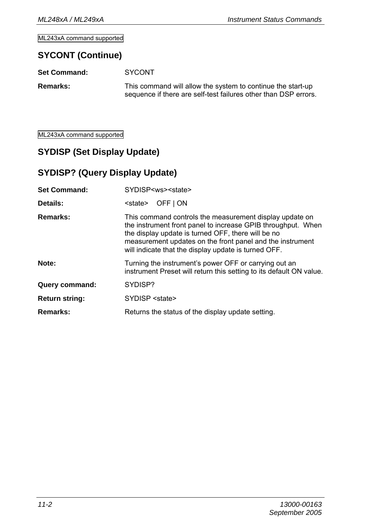ML243xA command supported

### **SYCONT (Continue)**

| <b>Set Command:</b> | <b>SYCONT</b>                                                                                                                  |
|---------------------|--------------------------------------------------------------------------------------------------------------------------------|
| <b>Remarks:</b>     | This command will allow the system to continue the start-up<br>sequence if there are self-test failures other than DSP errors. |

ML243xA command supported

# **SYDISP (Set Display Update)**

### **SYDISP? (Query Display Update)**

| <b>Set Command:</b>   | SYDISP <ws><state></state></ws>                                                                                                                                                                                                                                                                    |
|-----------------------|----------------------------------------------------------------------------------------------------------------------------------------------------------------------------------------------------------------------------------------------------------------------------------------------------|
| Details:              | OFF   ON<br><state></state>                                                                                                                                                                                                                                                                        |
| Remarks:              | This command controls the measurement display update on<br>the instrument front panel to increase GPIB throughput. When<br>the display update is turned OFF, there will be no<br>measurement updates on the front panel and the instrument<br>will indicate that the display update is turned OFF. |
| Note:                 | Turning the instrument's power OFF or carrying out an<br>instrument Preset will return this setting to its default ON value.                                                                                                                                                                       |
| Query command:        | SYDISP?                                                                                                                                                                                                                                                                                            |
| <b>Return string:</b> | SYDISP <state></state>                                                                                                                                                                                                                                                                             |
| Remarks:              | Returns the status of the display update setting.                                                                                                                                                                                                                                                  |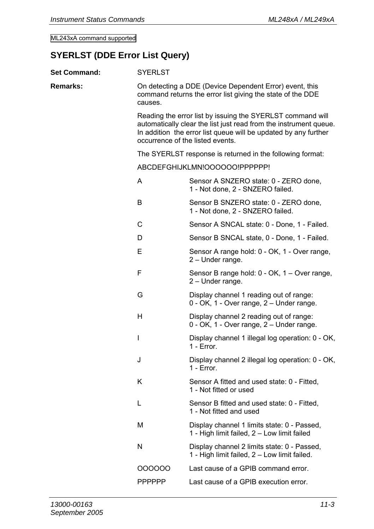ML243xA command supported

# **SYERLST (DDE Error List Query)**

| <b>Set Command:</b> | <b>SYERLST</b>                                                                                                                                                                                                                         |                                                                                                                       |  |  |
|---------------------|----------------------------------------------------------------------------------------------------------------------------------------------------------------------------------------------------------------------------------------|-----------------------------------------------------------------------------------------------------------------------|--|--|
| Remarks:            | causes.                                                                                                                                                                                                                                | On detecting a DDE (Device Dependent Error) event, this<br>command returns the error list giving the state of the DDE |  |  |
|                     | Reading the error list by issuing the SYERLST command will<br>automatically clear the list just read from the instrument queue.<br>In addition the error list queue will be updated by any further<br>occurrence of the listed events. |                                                                                                                       |  |  |
|                     | The SYERLST response is returned in the following format:                                                                                                                                                                              |                                                                                                                       |  |  |
|                     |                                                                                                                                                                                                                                        | ABCDEFGHIJKLMN!OOOOOO!PPPPPP!                                                                                         |  |  |
|                     | A                                                                                                                                                                                                                                      | Sensor A SNZERO state: 0 - ZERO done,<br>1 - Not done, 2 - SNZERO failed.                                             |  |  |
|                     | B                                                                                                                                                                                                                                      | Sensor B SNZERO state: 0 - ZERO done,<br>1 - Not done, 2 - SNZERO failed.                                             |  |  |
|                     | C                                                                                                                                                                                                                                      | Sensor A SNCAL state: 0 - Done, 1 - Failed.                                                                           |  |  |
|                     | D                                                                                                                                                                                                                                      | Sensor B SNCAL state, 0 - Done, 1 - Failed.                                                                           |  |  |
|                     | E                                                                                                                                                                                                                                      | Sensor A range hold: 0 - OK, 1 - Over range,<br>2 - Under range.                                                      |  |  |
|                     | F                                                                                                                                                                                                                                      | Sensor B range hold: 0 - OK, 1 – Over range,<br>2 - Under range.                                                      |  |  |
|                     | G                                                                                                                                                                                                                                      | Display channel 1 reading out of range:<br>0 - OK, 1 - Over range, 2 - Under range.                                   |  |  |
|                     | н                                                                                                                                                                                                                                      | Display channel 2 reading out of range:<br>0 - OK, 1 - Over range, 2 - Under range.                                   |  |  |
|                     | T                                                                                                                                                                                                                                      | Display channel 1 illegal log operation: 0 - OK,<br>$1 - Error$ .                                                     |  |  |
|                     | J                                                                                                                                                                                                                                      | Display channel 2 illegal log operation: 0 - OK,<br>1 - Frror                                                         |  |  |
|                     | Κ                                                                                                                                                                                                                                      | Sensor A fitted and used state: 0 - Fitted,<br>1 - Not fitted or used                                                 |  |  |
|                     | L                                                                                                                                                                                                                                      | Sensor B fitted and used state: 0 - Fitted,<br>1 - Not fitted and used                                                |  |  |
|                     | М                                                                                                                                                                                                                                      | Display channel 1 limits state: 0 - Passed,<br>1 - High limit failed, 2 - Low limit failed                            |  |  |
|                     | N                                                                                                                                                                                                                                      | Display channel 2 limits state: 0 - Passed,<br>1 - High limit failed, 2 - Low limit failed.                           |  |  |
|                     | 000000                                                                                                                                                                                                                                 | Last cause of a GPIB command error.                                                                                   |  |  |
|                     | PPPPPP                                                                                                                                                                                                                                 | Last cause of a GPIB execution error.                                                                                 |  |  |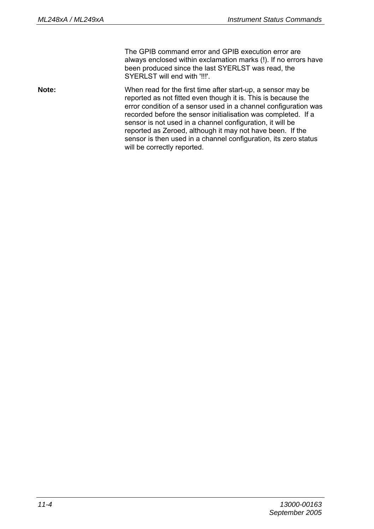The GPIB command error and GPIB execution error are always enclosed within exclamation marks (!). If no errors have been produced since the last SYERLST was read, the SYERLST will end with '!!!'.

**Note:** When read for the first time after start-up, a sensor may be reported as not fitted even though it is. This is because the error condition of a sensor used in a channel configuration was recorded before the sensor initialisation was completed. If a sensor is not used in a channel configuration, it will be reported as Zeroed, although it may not have been. If the sensor is then used in a channel configuration, its zero status will be correctly reported.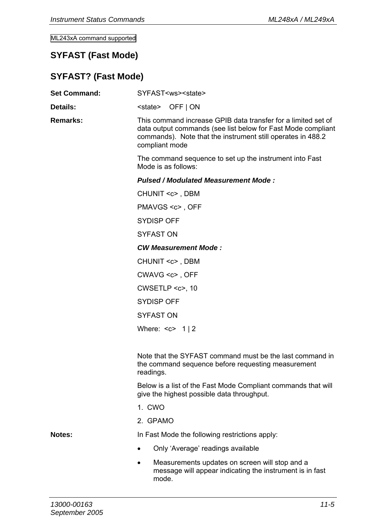ML243xA command supported

### **SYFAST (Fast Mode)**

# **SYFAST? (Fast Mode)**

| <b>Set Command:</b> | SYFAST <ws><state></state></ws>                                                                                                                                                                                |  |  |
|---------------------|----------------------------------------------------------------------------------------------------------------------------------------------------------------------------------------------------------------|--|--|
| Details:            | <state> OFF I ON</state>                                                                                                                                                                                       |  |  |
| Remarks:            | This command increase GPIB data transfer for a limited set of<br>data output commands (see list below for Fast Mode compliant<br>commands). Note that the instrument still operates in 488.2<br>compliant mode |  |  |
|                     | The command sequence to set up the instrument into Fast<br>Mode is as follows:                                                                                                                                 |  |  |
|                     | Pulsed / Modulated Measurement Mode:                                                                                                                                                                           |  |  |
|                     | CHUNIT <c>, DBM</c>                                                                                                                                                                                            |  |  |
|                     | PMAVGS <c>, OFF</c>                                                                                                                                                                                            |  |  |
|                     | SYDISP OFF                                                                                                                                                                                                     |  |  |
|                     | <b>SYFAST ON</b>                                                                                                                                                                                               |  |  |
|                     | <b>CW Measurement Mode:</b>                                                                                                                                                                                    |  |  |
|                     | CHUNIT <c>, DBM</c>                                                                                                                                                                                            |  |  |
|                     | CWAVG <c>, OFF</c>                                                                                                                                                                                             |  |  |
|                     | $CWSETLP \lll 10$                                                                                                                                                                                              |  |  |
|                     | SYDISP OFF                                                                                                                                                                                                     |  |  |
|                     | <b>SYFAST ON</b>                                                                                                                                                                                               |  |  |
|                     | Where: $< c$ > 1   2                                                                                                                                                                                           |  |  |
|                     |                                                                                                                                                                                                                |  |  |
|                     | Note that the SYFAST command must be the last command in<br>the command sequence before requesting measurement<br>readings.                                                                                    |  |  |
|                     | Below is a list of the Fast Mode Compliant commands that will<br>give the highest possible data throughput.                                                                                                    |  |  |
|                     | 1. CWO                                                                                                                                                                                                         |  |  |
|                     | 2. GPAMO                                                                                                                                                                                                       |  |  |
| Notes:              | In Fast Mode the following restrictions apply:                                                                                                                                                                 |  |  |
|                     | Only 'Average' readings available<br>٠                                                                                                                                                                         |  |  |
|                     | Measurements updates on screen will stop and a<br>٠<br>message will appear indicating the instrument is in fast<br>mode.                                                                                       |  |  |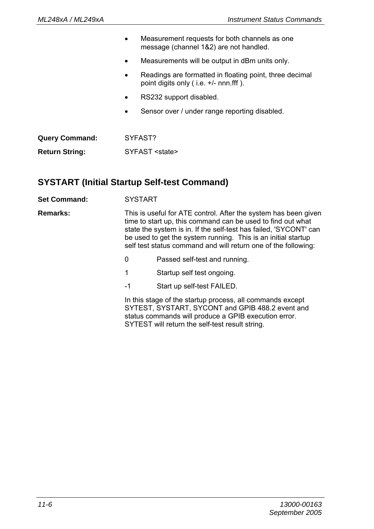|                       |   | Measurement requests for both channels as one<br>message (channel 1&2) are not handled.            |
|-----------------------|---|----------------------------------------------------------------------------------------------------|
|                       | ٠ | Measurements will be output in dBm units only.                                                     |
|                       | ٠ | Readings are formatted in floating point, three decimal<br>point digits only (i.e. $+/-$ nnn fff). |
|                       | ٠ | RS232 support disabled.                                                                            |
|                       | ٠ | Sensor over / under range reporting disabled.                                                      |
|                       |   |                                                                                                    |
| <b>Query Command:</b> |   | SYFAST?                                                                                            |
| <b>Return String:</b> |   | SYFAST <state></state>                                                                             |
|                       |   |                                                                                                    |

### **SYSTART (Initial Startup Self-test Command)**

**Set Command:** SYSTART

**Remarks:** This is useful for ATE control. After the system has been given time to start up, this command can be used to find out what state the system is in. If the self-test has failed, 'SYCONT' can be used to get the system running. This is an initial startup self test status command and will return one of the following:

- 0 Passed self-test and running.
- 1 Startup self test ongoing.
- -1 Start up self-test FAILED.

In this stage of the startup process, all commands except SYTEST, SYSTART, SYCONT and GPIB 488.2 event and status commands will produce a GPIB execution error. SYTEST will return the self-test result string.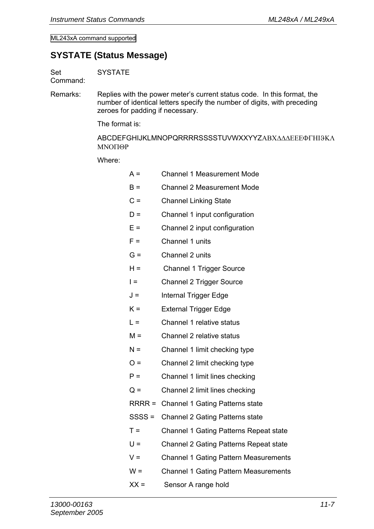ML243xA command supported

### **SYSTATE (Status Message)**

Set **SYSTATE** 

Command:

Remarks: Replies with the power meter's current status code. In this format, the number of identical letters specify the number of digits, with preceding zeroes for padding if necessary.

The format is:

ABCDEFGHIJKLMNOPQRRRRSSSSTUVWXXYYZΑΒΧ∆∆∆ΕΕΕΦΓΗΙϑΚΛ ΜΝΟΠΘΡ

Where:

| $A =$    | Channel 1 Measurement Mode                   |
|----------|----------------------------------------------|
| $B =$    | Channel 2 Measurement Mode                   |
| $C =$    | <b>Channel Linking State</b>                 |
| $D =$    | Channel 1 input configuration                |
| $F =$    | Channel 2 input configuration                |
| $F =$    | Channel 1 units                              |
| $G =$    | Channel 2 units                              |
| $H =$    | Channel 1 Trigger Source                     |
| $=$      | Channel 2 Trigger Source                     |
| J =      | Internal Trigger Edge                        |
| $K =$    | <b>External Trigger Edge</b>                 |
| $L =$    | Channel 1 relative status                    |
| $M =$    | Channel 2 relative status                    |
| $N =$    | Channel 1 limit checking type                |
| $Q =$    | Channel 2 limit checking type                |
| $P =$    | Channel 1 limit lines checking               |
| $Q =$    | Channel 2 limit lines checking               |
|          | RRRR = Channel 1 Gating Patterns state       |
| $SSSS =$ | Channel 2 Gating Patterns state              |
| $T =$    | Channel 1 Gating Patterns Repeat state       |
| $U =$    | Channel 2 Gating Patterns Repeat state       |
| v =      | Channel 1 Gating Pattern Measurements        |
| w =      | <b>Channel 1 Gating Pattern Measurements</b> |
| $XX =$   | Sensor A range hold                          |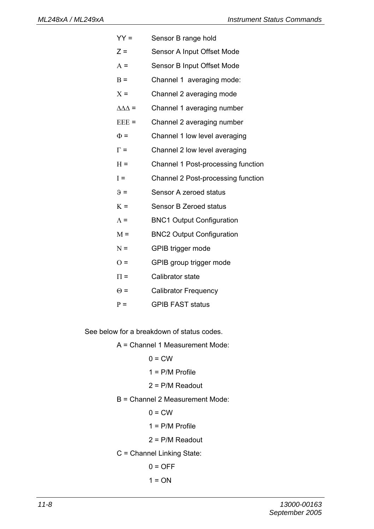- YY = Sensor B range hold
- Z = Sensor A Input Offset Mode
- Α = Sensor B Input Offset Mode
- B = Channel 1 averaging mode:
- $X =$ Channel 2 averaging mode
- ∆∆∆ = Channel 1 averaging number
- ΕΕΕ = Channel 2 averaging number
- $\Phi$  = Channel 1 low level averaging
- $\Gamma$  = Channel 2 low level averaging
- H = Channel 1 Post-processing function
- Ι = Channel 2 Post-processing function
- $\theta =$  Sensor A zeroed status
- Κ = Sensor B Zeroed status
- Λ = BNC1 Output Configuration
- Μ = BNC2 Output Configuration
- Ν = GPIB trigger mode
- Ο = GPIB group trigger mode
- $\Pi$  = Calibrator state
- Θ = Calibrator Frequency
- Ρ = GPIB FAST status

See below for a breakdown of status codes.

A = Channel 1 Measurement Mode:

- $0 = C$ W
- $1 = P/M$  Profile
- 2 = P/M Readout
- B = Channel 2 Measurement Mode:
	- $0 = C$ W
	- $1 = P/M$  Profile
	- 2 = P/M Readout
- C = Channel Linking State:
	- $0 =$ OFF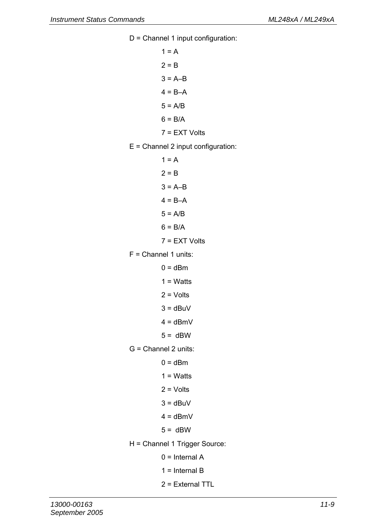D = Channel 1 input configuration:

 $1 = A$  $2 = B$  $3 = A-B$  $4 = B - A$  $5 = A/B$  $6 = B/A$ 7 = EXT Volts

- E = Channel 2 input configuration:
	- $1 = A$  $2 = R$  $3 = A-B$  $4 = B - A$  $5 = A/B$  $6 = B/A$ 7 = EXT Volts
- $F =$  Channel 1 units:
	- $0 = dBm$
	- $1 = What$
	- $2 = Volts$
	- $3 = dBuV$
	- $4 =$ dBmV
	- $5 =$  dBW
- G = Channel 2 units:
	- $0 = dBm$
	- $1 = What$
	- $2 = Volts$
	- $3 = dBuV$
	- $4 = dBmV$
	- $5 = dBW$
- H = Channel 1 Trigger Source:
	- $0 =$ Internal A
	- $1 =$ Internal B
	- 2 = External TTL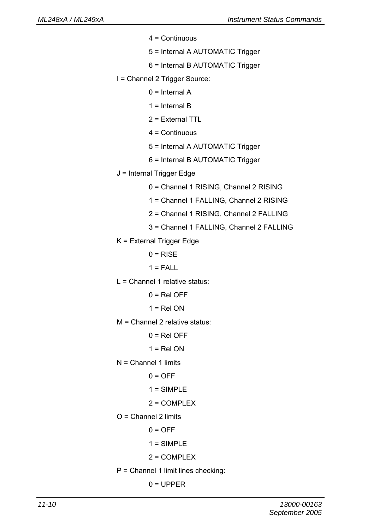- $4 =$  Continuous
- 5 = Internal A AUTOMATIC Trigger
- 6 = Internal B AUTOMATIC Trigger
- I = Channel 2 Trigger Source:
	- $0 =$ Internal A
	- $1 =$ Internal B
	- 2 = External TTL
	- $4 =$  Continuous
	- 5 = Internal A AUTOMATIC Trigger
	- 6 = Internal B AUTOMATIC Trigger
- J = Internal Trigger Edge
	- 0 = Channel 1 RISING, Channel 2 RISING
	- 1 = Channel 1 FALLING, Channel 2 RISING
	- 2 = Channel 1 RISING, Channel 2 FALLING
	- 3 = Channel 1 FALLING, Channel 2 FALLING
- K = External Trigger Edge
	- $0 = RISF$
	- $1 = FALL$
- L = Channel 1 relative status:
	- $0 =$ Rel OFF
	- $1 = Rel ON$
- M = Channel 2 relative status:
	- $0 = \text{Rel}$
	- $1 = Rel ON$
- $N =$  Channel 1 limits
	- $0 = \Omega$ FF
	- $1 = SIMPLE$
	- $2 =$  COMPLEX
- $O =$ Channel 2 limits
	- $0 = \Omega$ FF
	- $1 = SIMPLE$
	- 2 = COMPLEX
- P = Channel 1 limit lines checking:
	- $0 = UPPER$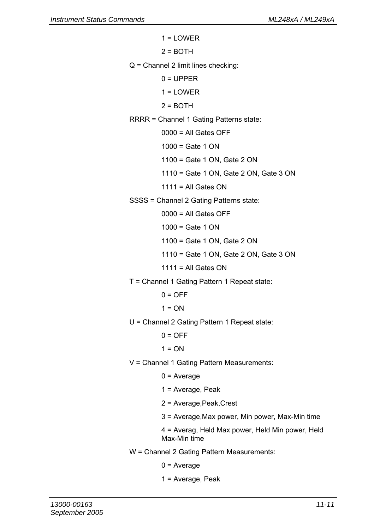- $1 = I$  OWER  $2 = R$ OTH Q = Channel 2 limit lines checking:  $0 = UPPER$  $1 = I$  OWER  $2 =$ BOTH RRRR = Channel 1 Gating Patterns state:  $0000 =$  All Gates OFF  $1000 =$  Gate 1 ON 1100 = Gate 1 ON, Gate 2 ON 1110 = Gate 1 ON, Gate 2 ON, Gate 3 ON  $1111 = All Gates ON$ SSSS = Channel 2 Gating Patterns state:  $0000 =$  All Gates OFF  $1000 =$  Gate 1 ON 1100 = Gate 1 ON, Gate 2 ON 1110 = Gate 1 ON, Gate 2 ON, Gate 3 ON  $1111 =$  All Gates ON T = Channel 1 Gating Pattern 1 Repeat state:  $0 = \Omega$ FF  $1 = ON$ U = Channel 2 Gating Pattern 1 Repeat state:  $0 = OFF$  $1 = ON$ V = Channel 1 Gating Pattern Measurements:  $0 = Average$  1 = Average, Peak 2 = Average,Peak,Crest 3 = Average,Max power, Min power, Max-Min time 4 = Averag, Held Max power, Held Min power, Held Max-Min time W = Channel 2 Gating Pattern Measurements:
	- $0 = Average$
	- 1 = Average, Peak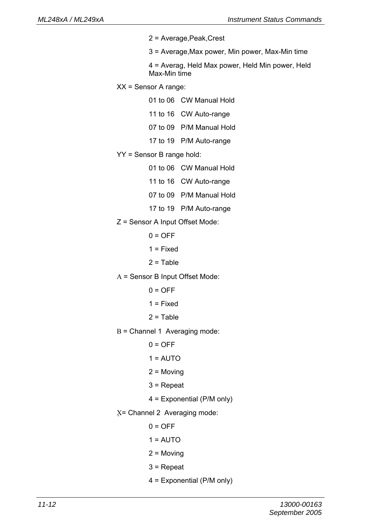- 2 = Average,Peak,Crest
- 3 = Average,Max power, Min power, Max-Min time

 4 = Averag, Held Max power, Held Min power, Held Max-Min time

- XX = Sensor A range:
	- 01 to 06 CW Manual Hold
	- 11 to 16 CW Auto-range
	- 07 to 09 P/M Manual Hold
	- 17 to 19 P/M Auto-range
- YY = Sensor B range hold:
	- 01 to 06 CW Manual Hold
	- 11 to 16 CW Auto-range
	- 07 to 09 P/M Manual Hold
	- 17 to 19 P/M Auto-range
- Z = Sensor A Input Offset Mode:
	- $0 = \Omega$ FF
	- $1 =$ Fixed
	- $2 = Table$
- Α = Sensor B Input Offset Mode:
	- $0 = \Omega$ FF
	- $1 =$ Fixed
	- $2 = Table$
- Β = Channel 1 Averaging mode:
	- $0 = \Omega$ FF
	- $1 =$  AUTO
	- 2 = Moving
	- 3 = Repeat
	- 4 = Exponential (P/M only)
- Χ= Channel 2 Averaging mode:
	- $0 = \Omega$ FF
	- $1 =$  AUTO
	- 2 = Moving
	- 3 = Repeat
	- 4 = Exponential (P/M only)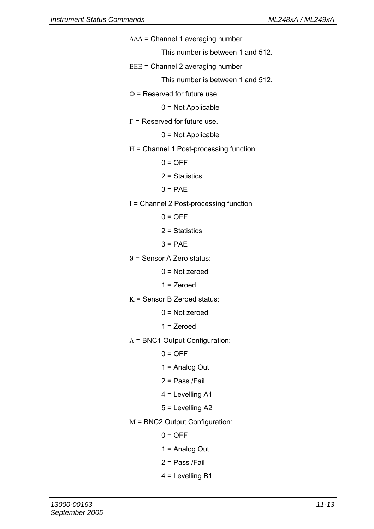- ∆∆∆ = Channel 1 averaging number This number is between 1 and 512. ΕΕΕ = Channel 2 averaging number This number is between 1 and 512. Φ = Reserved for future use. 0 = Not Applicable  $\Gamma$  = Reserved for future use. 0 = Not Applicable Η = Channel 1 Post-processing function  $0 = \Omega$ FF  $2$  = Statistics  $3 = PAF$ Ι = Channel 2 Post-processing function  $0 = \Omega$ FF 2 = Statistics  $3 = PAF$ ϑ = Sensor A Zero status:  $0 = Not$  zeroed 1 = Zeroed Κ = Sensor B Zeroed status:  $0 = Not$  zeroed  $1 =$  Zeroed Λ = BNC1 Output Configuration:  $0 = \overline{OFE}$  1 = Analog Out 2 = Pass /Fail 4 = Levelling A1 5 = Levelling A2 Μ = BNC2 Output Configuration:  $0 =$ OFF  $1 =$  Analog Out 2 = Pass /Fail
	- 4 = Levelling B1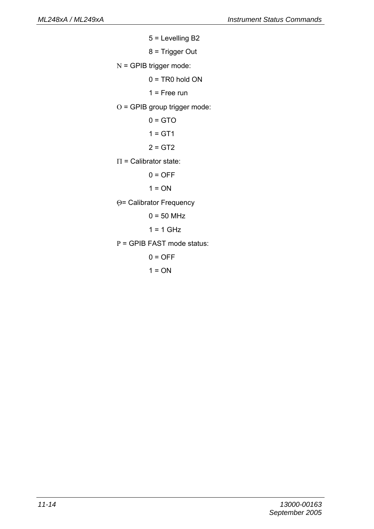```
 5 = Levelling B2 
          8 = Trigger Out 
Ν = GPIB trigger mode: 
         0 = TR0 hold ON1 = Free run
Ο = GPIB group trigger mode: 
         0 = GTO1 = GT12 = GT2Π = Calibrator state: 
         0 =OFF
         1 = ONΘ= Calibrator Frequency 
         0 = 50 MHz
         1 = 1 GHz
Ρ = GPIB FAST mode status: 
         0 =OFF
```
 $1 = ON$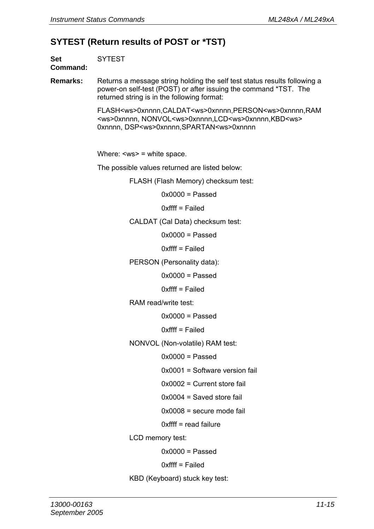### **SYTEST (Return results of POST or \*TST)**

|                 | <b>SYTEST (Return results of POST or *TST)</b>                                                                                                                                                          |  |  |  |  |
|-----------------|---------------------------------------------------------------------------------------------------------------------------------------------------------------------------------------------------------|--|--|--|--|
| Set<br>Command: | <b>SYTEST</b>                                                                                                                                                                                           |  |  |  |  |
| Remarks:        | Returns a message string holding the self test status results following a<br>power-on self-test (POST) or after issuing the command *TST. The<br>returned string is in the following format:            |  |  |  |  |
|                 | FLASH <ws>0xnnnn,CALDAT<ws>0xnnnn,PERSON<ws>0xnnnn,RAM<br/><ws>0xnnnn, NONVOL<ws>0xnnnn,LCD<ws>0xnnnn,KBD<ws><br/>0xnnnn, DSP<ws>0xnnnn, SPARTAN<ws>0xnnnn</ws></ws></ws></ws></ws></ws></ws></ws></ws> |  |  |  |  |
|                 | Where: $\langle$ ws> = white space.                                                                                                                                                                     |  |  |  |  |
|                 | The possible values returned are listed below:                                                                                                                                                          |  |  |  |  |
|                 | FLASH (Flash Memory) checksum test:                                                                                                                                                                     |  |  |  |  |
|                 | $0x0000 =$ Passed                                                                                                                                                                                       |  |  |  |  |
|                 | $0$ xffff = Failed                                                                                                                                                                                      |  |  |  |  |
|                 | CALDAT (Cal Data) checksum test:                                                                                                                                                                        |  |  |  |  |
|                 | $0x0000 =$ Passed                                                                                                                                                                                       |  |  |  |  |
|                 | 0xffff = Failed                                                                                                                                                                                         |  |  |  |  |
|                 | PERSON (Personality data):                                                                                                                                                                              |  |  |  |  |
|                 | $0x0000 =$ Passed                                                                                                                                                                                       |  |  |  |  |
|                 | $0$ xffff = Failed                                                                                                                                                                                      |  |  |  |  |
|                 | RAM read/write test:                                                                                                                                                                                    |  |  |  |  |
|                 | $0x0000 =$ Passed                                                                                                                                                                                       |  |  |  |  |
|                 | 0xffff = Failed                                                                                                                                                                                         |  |  |  |  |
|                 | NONVOL (Non-volatile) RAM test:                                                                                                                                                                         |  |  |  |  |
|                 | $0x0000 =$ Passed                                                                                                                                                                                       |  |  |  |  |
|                 | 0x0001 = Software version fail                                                                                                                                                                          |  |  |  |  |
|                 | $0x0002$ = Current store fail                                                                                                                                                                           |  |  |  |  |
|                 | $0x0004$ = Saved store fail                                                                                                                                                                             |  |  |  |  |

0x0008 = secure mode fail

0xffff = read failure

LCD memory test:

 $0x0000 =$  Passed

0xffff = Failed

KBD (Keyboard) stuck key test: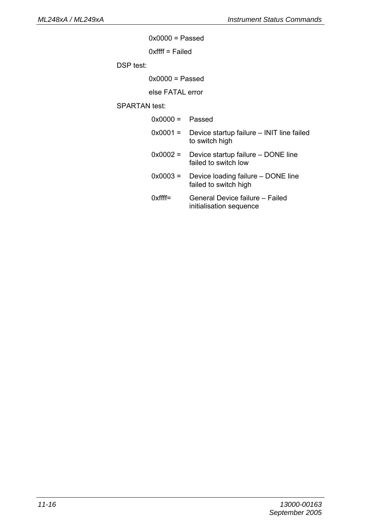$0x0000 =$  Passed

0xffff = Failed

DSP test:

 $0x0000 =$  Passed

else FATAL error

SPARTAN test:

| $0x0000 =$ Passed |                                                             |
|-------------------|-------------------------------------------------------------|
| $0x0001 =$        | Device startup failure – INIT line failed<br>to switch high |
| $0x0002 =$        | Device startup failure - DONE line<br>failed to switch low  |
| $0x0003 =$        | Device loading failure – DONE line<br>failed to switch high |
| $0$ xffff=        | General Device failure - Failed<br>initialisation sequence  |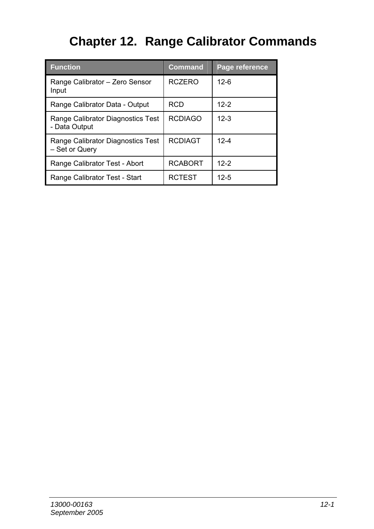# **Chapter 12. Range Calibrator Commands**

| <b>Function</b>                                     | <b>Command</b> | Page reference |
|-----------------------------------------------------|----------------|----------------|
| Range Calibrator - Zero Sensor<br>Input             | <b>RCZERO</b>  | $12 - 6$       |
| Range Calibrator Data - Output                      | <b>RCD</b>     | $12-2$         |
| Range Calibrator Diagnostics Test<br>- Data Output  | <b>RCDIAGO</b> | $12-3$         |
| Range Calibrator Diagnostics Test<br>- Set or Query | <b>RCDIAGT</b> | $12 - 4$       |
| Range Calibrator Test - Abort                       | <b>RCABORT</b> | $12-2$         |
| Range Calibrator Test - Start                       | <b>RCTEST</b>  | $12 - 5$       |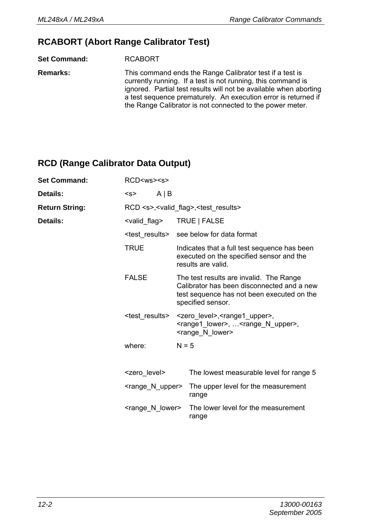### **RCABORT (Abort Range Calibrator Test)**

**Set Command:** RCABORT

**Remarks:** This command ends the Range Calibrator test if a test is currently running. If a test is not running, this command is ignored. Partial test results will not be available when aborting a test sequence prematurely. An execution error is returned if the Range Calibrator is not connected to the power meter.

### **RCD (Range Calibrator Data Output)**

| <b>Set Command:</b>   | RCD <ws><s></s></ws>                                         |         |                                                                                                                                                                |  |
|-----------------------|--------------------------------------------------------------|---------|----------------------------------------------------------------------------------------------------------------------------------------------------------------|--|
| Details:              | $A \mid B$<br><s></s>                                        |         |                                                                                                                                                                |  |
| <b>Return String:</b> | RCD <s>,<valid flag="">,<test results=""></test></valid></s> |         |                                                                                                                                                                |  |
| Details:              | <valid flag=""></valid>                                      |         | TRUE   FALSE                                                                                                                                                   |  |
|                       | <test results=""></test>                                     |         | see below for data format                                                                                                                                      |  |
|                       | <b>TRUE</b>                                                  |         | Indicates that a full test sequence has been<br>executed on the specified sensor and the<br>results are valid.                                                 |  |
|                       | <b>FALSE</b>                                                 |         | The test results are invalid. The Range<br>Calibrator has been disconnected and a new<br>test sequence has not been executed on the<br>specified sensor.       |  |
|                       | <test results=""></test>                                     |         | <zero_level>,<range1_upper>,<br/><range1_lower>, <range_n_upper>,<br/><range lower="" n=""></range></range_n_upper></range1_lower></range1_upper></zero_level> |  |
|                       | where:                                                       | $N = 5$ |                                                                                                                                                                |  |
|                       | <zero level=""></zero>                                       |         | The lowest measurable level for range 5                                                                                                                        |  |
|                       | <range_n_upper></range_n_upper>                              |         | The upper level for the measurement<br>range                                                                                                                   |  |
|                       | <range lower="" n=""></range>                                |         | The lower level for the measurement<br>range                                                                                                                   |  |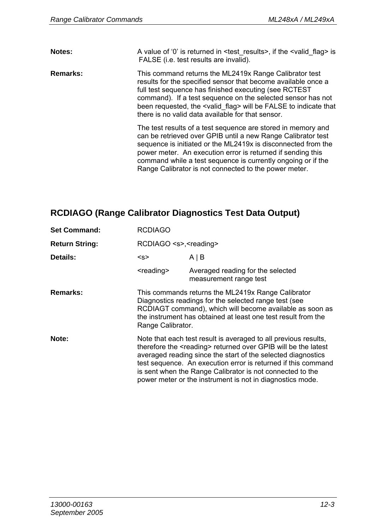| Notes:   | A value of '0' is returned in <test results="">, if the <valid flag=""> is<br/>FALSE (i.e. test results are invalid).</valid></test>                                                                                                                                                                                                                                                  |
|----------|---------------------------------------------------------------------------------------------------------------------------------------------------------------------------------------------------------------------------------------------------------------------------------------------------------------------------------------------------------------------------------------|
| Remarks: | This command returns the ML2419x Range Calibrator test<br>results for the specified sensor that become available once a<br>full test sequence has finished executing (see RCTEST<br>command). If a test sequence on the selected sensor has not<br>been requested, the <valid flag=""> will be FALSE to indicate that<br/>there is no valid data available for that sensor.</valid>   |
|          | The test results of a test sequence are stored in memory and<br>can be retrieved over GPIB until a new Range Calibrator test<br>sequence is initiated or the ML2419x is disconnected from the<br>power meter. An execution error is returned if sending this<br>command while a test sequence is currently ongoing or if the<br>Range Calibrator is not connected to the power meter. |

# **RCDIAGO (Range Calibrator Diagnostics Test Data Output)**

| <b>Set Command:</b>   | <b>RCDIAGO</b>                                                                                                                                                                                                                                                                                                                                                                                            |                                                             |  |  |
|-----------------------|-----------------------------------------------------------------------------------------------------------------------------------------------------------------------------------------------------------------------------------------------------------------------------------------------------------------------------------------------------------------------------------------------------------|-------------------------------------------------------------|--|--|
| <b>Return String:</b> |                                                                                                                                                                                                                                                                                                                                                                                                           | RCDIAGO <s>,<reading></reading></s>                         |  |  |
| Details:              | <s></s>                                                                                                                                                                                                                                                                                                                                                                                                   | AIB                                                         |  |  |
|                       | <reading></reading>                                                                                                                                                                                                                                                                                                                                                                                       | Averaged reading for the selected<br>measurement range test |  |  |
| Remarks:              | This commands returns the ML2419x Range Calibrator<br>Diagnostics readings for the selected range test (see<br>RCDIAGT command), which will become available as soon as<br>the instrument has obtained at least one test result from the<br>Range Calibrator.                                                                                                                                             |                                                             |  |  |
| Note:                 | Note that each test result is averaged to all previous results,<br>therefore the <reading> returned over GPIB will be the latest<br/>averaged reading since the start of the selected diagnostics<br/>test sequence. An execution error is returned if this command<br/>is sent when the Range Calibrator is not connected to the<br/>power meter or the instrument is not in diagnostics mode.</reading> |                                                             |  |  |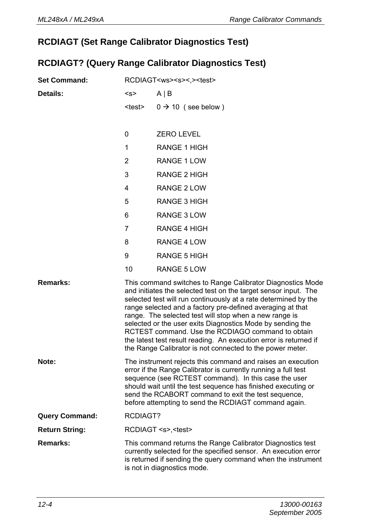# **RCDIAGT (Set Range Calibrator Diagnostics Test)**

## **RCDIAGT? (Query Range Calibrator Diagnostics Test)**

| <b>Set Command:</b>   | RCDIAGT <ws><s>&lt;.&gt;<test></test></s></ws> |                                                                                                                                                                                                                                                                                                                                                                                                                                                                                                                                                                               |
|-----------------------|------------------------------------------------|-------------------------------------------------------------------------------------------------------------------------------------------------------------------------------------------------------------------------------------------------------------------------------------------------------------------------------------------------------------------------------------------------------------------------------------------------------------------------------------------------------------------------------------------------------------------------------|
| Details:              | < s                                            | $A \mid B$                                                                                                                                                                                                                                                                                                                                                                                                                                                                                                                                                                    |
|                       | <test></test>                                  | $0 \rightarrow 10$ (see below)                                                                                                                                                                                                                                                                                                                                                                                                                                                                                                                                                |
|                       |                                                |                                                                                                                                                                                                                                                                                                                                                                                                                                                                                                                                                                               |
|                       | 0                                              | <b>ZERO LEVEL</b>                                                                                                                                                                                                                                                                                                                                                                                                                                                                                                                                                             |
|                       | 1                                              | RANGE 1 HIGH                                                                                                                                                                                                                                                                                                                                                                                                                                                                                                                                                                  |
|                       | 2                                              | RANGE 1 LOW                                                                                                                                                                                                                                                                                                                                                                                                                                                                                                                                                                   |
|                       | 3                                              | RANGE 2 HIGH                                                                                                                                                                                                                                                                                                                                                                                                                                                                                                                                                                  |
|                       | 4                                              | RANGE 2 LOW                                                                                                                                                                                                                                                                                                                                                                                                                                                                                                                                                                   |
|                       | 5                                              | RANGE 3 HIGH                                                                                                                                                                                                                                                                                                                                                                                                                                                                                                                                                                  |
|                       | 6                                              | RANGE 3 LOW                                                                                                                                                                                                                                                                                                                                                                                                                                                                                                                                                                   |
|                       | $\overline{7}$                                 | RANGE 4 HIGH                                                                                                                                                                                                                                                                                                                                                                                                                                                                                                                                                                  |
|                       | 8                                              | RANGE 4 LOW                                                                                                                                                                                                                                                                                                                                                                                                                                                                                                                                                                   |
|                       | 9                                              | RANGE 5 HIGH                                                                                                                                                                                                                                                                                                                                                                                                                                                                                                                                                                  |
|                       | 10                                             | RANGE 5 LOW                                                                                                                                                                                                                                                                                                                                                                                                                                                                                                                                                                   |
| Remarks:              |                                                | This command switches to Range Calibrator Diagnostics Mode<br>and initiates the selected test on the target sensor input. The<br>selected test will run continuously at a rate determined by the<br>range selected and a factory pre-defined averaging at that<br>range. The selected test will stop when a new range is<br>selected or the user exits Diagnostics Mode by sending the<br>RCTEST command. Use the RCDIAGO command to obtain<br>the latest test result reading. An execution error is returned if<br>the Range Calibrator is not connected to the power meter. |
| Note:                 |                                                | The instrument rejects this command and raises an execution<br>error if the Range Calibrator is currently running a full test<br>sequence (see RCTEST command). In this case the user<br>should wait until the test sequence has finished executing or<br>send the RCABORT command to exit the test sequence,<br>before attempting to send the RCDIAGT command again.                                                                                                                                                                                                         |
| <b>Query Command:</b> | RCDIAGT?                                       |                                                                                                                                                                                                                                                                                                                                                                                                                                                                                                                                                                               |
| <b>Return String:</b> |                                                | RCDIAGT <s>,<test></test></s>                                                                                                                                                                                                                                                                                                                                                                                                                                                                                                                                                 |
| Remarks:              |                                                | This command returns the Range Calibrator Diagnostics test<br>currently selected for the specified sensor. An execution error<br>is returned if sending the query command when the instrument<br>is not in diagnostics mode.                                                                                                                                                                                                                                                                                                                                                  |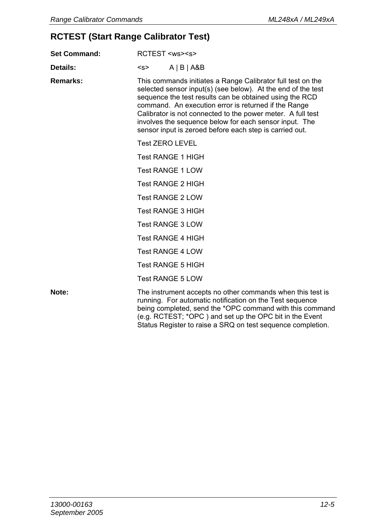# **RCTEST (Start Range Calibrator Test)**

| <b>Set Command:</b> | RCTEST <ws><s></s></ws>                                                                                                                                                                                                                                                                                                                                                                                                            |                                                                                                                                                                                                                                                                                                              |  |
|---------------------|------------------------------------------------------------------------------------------------------------------------------------------------------------------------------------------------------------------------------------------------------------------------------------------------------------------------------------------------------------------------------------------------------------------------------------|--------------------------------------------------------------------------------------------------------------------------------------------------------------------------------------------------------------------------------------------------------------------------------------------------------------|--|
| Details:            | < s                                                                                                                                                                                                                                                                                                                                                                                                                                | $A$   B   A&B                                                                                                                                                                                                                                                                                                |  |
| Remarks:            | This commands initiates a Range Calibrator full test on the<br>selected sensor input(s) (see below). At the end of the test<br>sequence the test results can be obtained using the RCD<br>command. An execution error is returned if the Range<br>Calibrator is not connected to the power meter. A full test<br>involves the sequence below for each sensor input. The<br>sensor input is zeroed before each step is carried out. |                                                                                                                                                                                                                                                                                                              |  |
|                     |                                                                                                                                                                                                                                                                                                                                                                                                                                    | <b>Test ZERO LEVEL</b>                                                                                                                                                                                                                                                                                       |  |
|                     |                                                                                                                                                                                                                                                                                                                                                                                                                                    | <b>Test RANGE 1 HIGH</b>                                                                                                                                                                                                                                                                                     |  |
|                     |                                                                                                                                                                                                                                                                                                                                                                                                                                    | <b>Test RANGE 1 LOW</b>                                                                                                                                                                                                                                                                                      |  |
|                     |                                                                                                                                                                                                                                                                                                                                                                                                                                    | <b>Test RANGE 2 HIGH</b>                                                                                                                                                                                                                                                                                     |  |
|                     |                                                                                                                                                                                                                                                                                                                                                                                                                                    | <b>Test RANGE 2 LOW</b>                                                                                                                                                                                                                                                                                      |  |
|                     |                                                                                                                                                                                                                                                                                                                                                                                                                                    | <b>Test RANGE 3 HIGH</b>                                                                                                                                                                                                                                                                                     |  |
|                     |                                                                                                                                                                                                                                                                                                                                                                                                                                    | <b>Test RANGE 3 LOW</b>                                                                                                                                                                                                                                                                                      |  |
|                     |                                                                                                                                                                                                                                                                                                                                                                                                                                    | <b>Test RANGE 4 HIGH</b>                                                                                                                                                                                                                                                                                     |  |
|                     |                                                                                                                                                                                                                                                                                                                                                                                                                                    | <b>Test RANGE 4 LOW</b>                                                                                                                                                                                                                                                                                      |  |
|                     | <b>Test RANGE 5 HIGH</b>                                                                                                                                                                                                                                                                                                                                                                                                           |                                                                                                                                                                                                                                                                                                              |  |
|                     |                                                                                                                                                                                                                                                                                                                                                                                                                                    | <b>Test RANGE 5 LOW</b>                                                                                                                                                                                                                                                                                      |  |
| Note:               |                                                                                                                                                                                                                                                                                                                                                                                                                                    | The instrument accepts no other commands when this test is<br>running. For automatic notification on the Test sequence<br>being completed, send the *OPC command with this command<br>(e.g. RCTEST; *OPC) and set up the OPC bit in the Event<br>Status Register to raise a SRQ on test sequence completion. |  |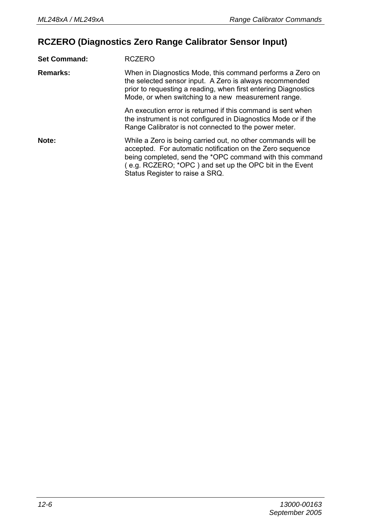# **RCZERO (Diagnostics Zero Range Calibrator Sensor Input)**

| <b>Set Command:</b> | <b>RCZERO</b>                                                                                                                                                                                                                                                                       |
|---------------------|-------------------------------------------------------------------------------------------------------------------------------------------------------------------------------------------------------------------------------------------------------------------------------------|
| Remarks:            | When in Diagnostics Mode, this command performs a Zero on<br>the selected sensor input. A Zero is always recommended<br>prior to requesting a reading, when first entering Diagnostics<br>Mode, or when switching to a new measurement range.                                       |
|                     | An execution error is returned if this command is sent when<br>the instrument is not configured in Diagnostics Mode or if the<br>Range Calibrator is not connected to the power meter.                                                                                              |
| Note:               | While a Zero is being carried out, no other commands will be<br>accepted. For automatic notification on the Zero sequence<br>being completed, send the *OPC command with this command<br>(e.g. RCZERO; *OPC) and set up the OPC bit in the Event<br>Status Register to raise a SRQ. |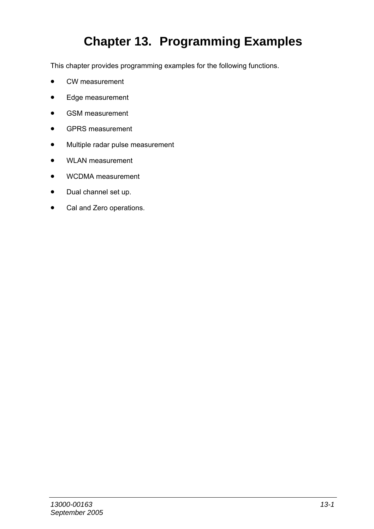# **Chapter 13. Programming Examples**

This chapter provides programming examples for the following functions.

- CW measurement
- Edge measurement
- GSM measurement
- GPRS measurement
- Multiple radar pulse measurement
- WLAN measurement
- WCDMA measurement
- Dual channel set up.
- Cal and Zero operations.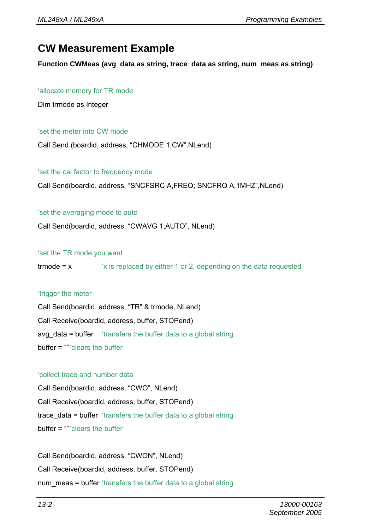# **CW Measurement Example**

**Function CWMeas (avg\_data as string, trace\_data as string, num\_meas as string)** 

### 'allocate memory for TR mode

Dim trmode as Integer

### 'set the meter into CW mode

Call Send (boardid, address, "CHMODE 1,CW",NLend)

### 'set the cal factor to frequency mode

Call Send(boardid, address, "SNCFSRC A,FREQ; SNCFRQ A,1MHZ",NLend)

### 'set the averaging mode to auto

Call Send(boardid, address, "CWAVG 1,AUTO", NLend)

'set the TR mode you want

trmode = x 'x is replaced by either 1 or 2, depending on the data requested

### 'trigger the meter

Call Send(boardid, address, "TR" & trmode, NLend) Call Receive(boardid, address, buffer, STOPend) avg data = buffer 'transfers the buffer data to a global string buffer = "" 'clears the buffer

### 'collect trace and number data

Call Send(boardid, address, "CWO", NLend) Call Receive(boardid, address, buffer, STOPend) trace data = buffer 'transfers the buffer data to a global string buffer = "" 'clears the buffer

Call Send(boardid, address, "CWON", NLend) Call Receive(boardid, address, buffer, STOPend) num meas = buffer 'transfers the buffer data to a global string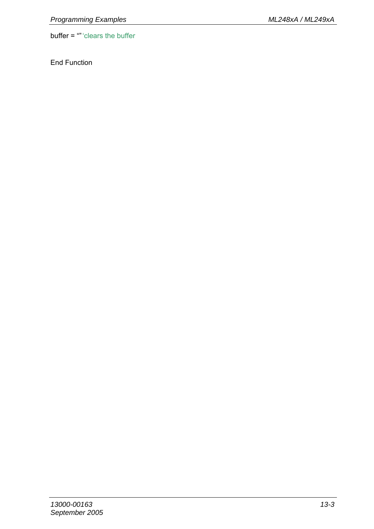buffer = "" 'clears the buffer

End Function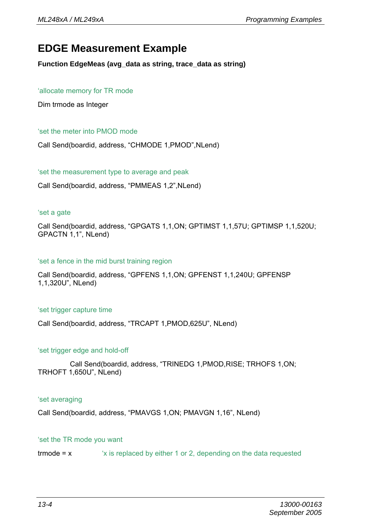# **EDGE Measurement Example**

**Function EdgeMeas (avg\_data as string, trace\_data as string)** 

### 'allocate memory for TR mode

Dim trmode as Integer

#### 'set the meter into PMOD mode

Call Send(boardid, address, "CHMODE 1,PMOD",NLend)

#### 'set the measurement type to average and peak

Call Send(boardid, address, "PMMEAS 1,2",NLend)

#### 'set a gate

Call Send(boardid, address, "GPGATS 1,1,ON; GPTIMST 1,1,57U; GPTIMSP 1,1,520U; GPACTN 1,1", NLend)

#### 'set a fence in the mid burst training region

Call Send(boardid, address, "GPFENS 1,1,ON; GPFENST 1,1,240U; GPFENSP 1,1,320U", NLend)

#### 'set trigger capture time

Call Send(boardid, address, "TRCAPT 1,PMOD,625U", NLend)

#### 'set trigger edge and hold-off

 Call Send(boardid, address, "TRINEDG 1,PMOD,RISE; TRHOFS 1,ON; TRHOFT 1,650U", NLend)

#### 'set averaging

Call Send(boardid, address, "PMAVGS 1,ON; PMAVGN 1,16", NLend)

### 'set the TR mode you want

trmode = x 'x is replaced by either 1 or 2, depending on the data requested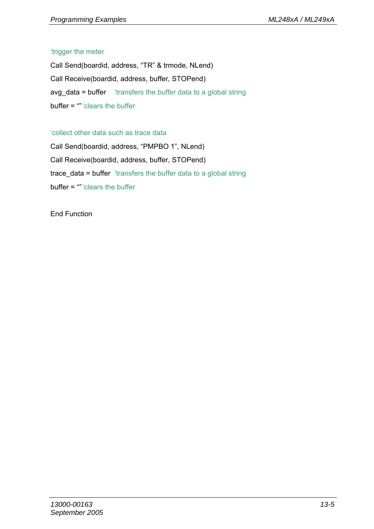#### 'trigger the meter

Call Send(boardid, address, "TR" & trmode, NLend) Call Receive(boardid, address, buffer, STOPend) avg\_data = buffer 'transfers the buffer data to a global string buffer = "" 'clears the buffer

#### 'collect other data such as trace data

Call Send(boardid, address, "PMPBO 1", NLend) Call Receive(boardid, address, buffer, STOPend) trace data = buffer 'transfers the buffer data to a global string buffer = "" 'clears the buffer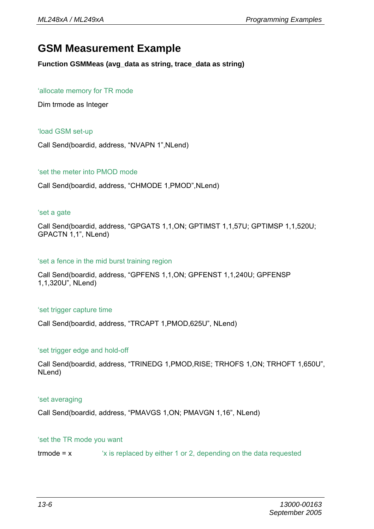### **GSM Measurement Example**

**Function GSMMeas (avg\_data as string, trace\_data as string)** 

#### 'allocate memory for TR mode

Dim trmode as Integer

#### 'load GSM set-up

Call Send(boardid, address, "NVAPN 1",NLend)

#### 'set the meter into PMOD mode

Call Send(boardid, address, "CHMODE 1,PMOD",NLend)

#### 'set a gate

Call Send(boardid, address, "GPGATS 1,1,ON; GPTIMST 1,1,57U; GPTIMSP 1,1,520U; GPACTN 1,1", NLend)

#### 'set a fence in the mid burst training region

Call Send(boardid, address, "GPFENS 1,1,ON; GPFENST 1,1,240U; GPFENSP 1,1,320U", NLend)

#### 'set trigger capture time

Call Send(boardid, address, "TRCAPT 1,PMOD,625U", NLend)

#### 'set trigger edge and hold-off

Call Send(boardid, address, "TRINEDG 1,PMOD,RISE; TRHOFS 1,ON; TRHOFT 1,650U", NLend)

#### 'set averaging

Call Send(boardid, address, "PMAVGS 1,ON; PMAVGN 1,16", NLend)

#### 'set the TR mode you want

trmode = x 'x is replaced by either 1 or 2, depending on the data requested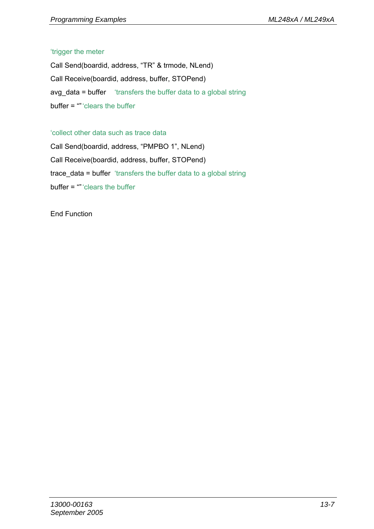#### 'trigger the meter

Call Send(boardid, address, "TR" & trmode, NLend) Call Receive(boardid, address, buffer, STOPend) avg\_data = buffer 'transfers the buffer data to a global string buffer = "" 'clears the buffer

#### 'collect other data such as trace data

Call Send(boardid, address, "PMPBO 1", NLend) Call Receive(boardid, address, buffer, STOPend) trace data = buffer 'transfers the buffer data to a global string buffer = "" 'clears the buffer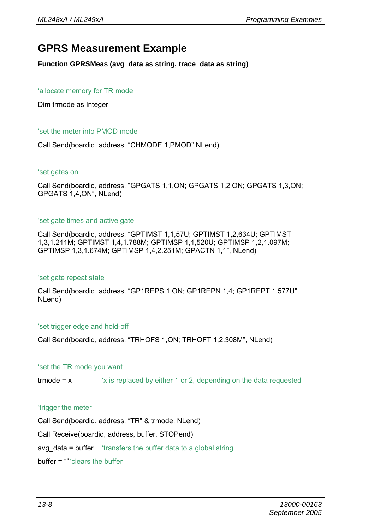### **GPRS Measurement Example**

**Function GPRSMeas (avg\_data as string, trace\_data as string)** 

#### 'allocate memory for TR mode

Dim trmode as Integer

#### 'set the meter into PMOD mode

Call Send(boardid, address, "CHMODE 1,PMOD",NLend)

#### 'set gates on

Call Send(boardid, address, "GPGATS 1,1,ON; GPGATS 1,2,ON; GPGATS 1,3,ON; GPGATS 1,4,ON", NLend)

#### 'set gate times and active gate

Call Send(boardid, address, "GPTIMST 1,1,57U; GPTIMST 1,2,634U; GPTIMST 1,3,1.211M; GPTIMST 1,4,1.788M; GPTIMSP 1,1,520U; GPTIMSP 1,2,1.097M; GPTIMSP 1,3,1.674M; GPTIMSP 1,4,2.251M; GPACTN 1,1", NLend)

#### 'set gate repeat state

Call Send(boardid, address, "GP1REPS 1,ON; GP1REPN 1,4; GP1REPT 1,577U", NLend)

#### 'set trigger edge and hold-off

Call Send(boardid, address, "TRHOFS 1,ON; TRHOFT 1,2.308M", NLend)

#### 'set the TR mode you want

trmode = x 'x is replaced by either 1 or 2, depending on the data requested

#### 'trigger the meter

Call Send(boardid, address, "TR" & trmode, NLend) Call Receive(boardid, address, buffer, STOPend) avg data = buffer 'transfers the buffer data to a global string buffer = "" 'clears the buffer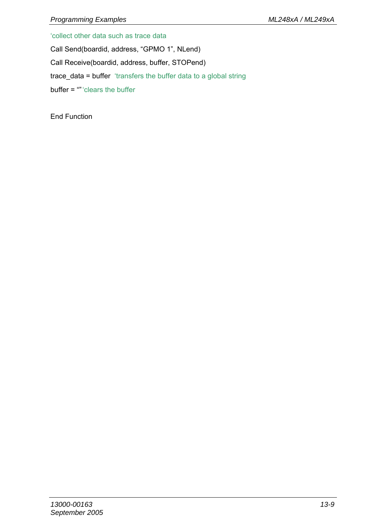'collect other data such as trace data

Call Send(boardid, address, "GPMO 1", NLend)

Call Receive(boardid, address, buffer, STOPend)

trace\_data = buffer 'transfers the buffer data to a global string

buffer = "" 'clears the buffer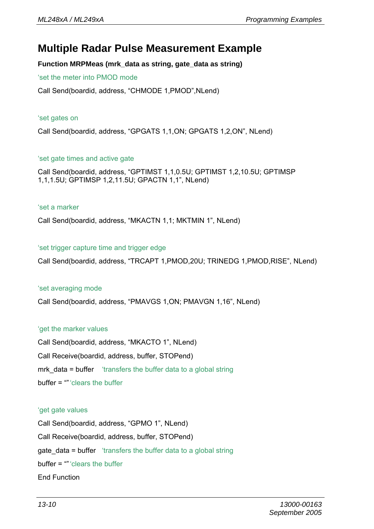### **Multiple Radar Pulse Measurement Example**

**Function MRPMeas (mrk\_data as string, gate\_data as string)** 

'set the meter into PMOD mode

Call Send(boardid, address, "CHMODE 1,PMOD",NLend)

#### 'set gates on

Call Send(boardid, address, "GPGATS 1,1,ON; GPGATS 1,2,ON", NLend)

#### 'set gate times and active gate

Call Send(boardid, address, "GPTIMST 1,1,0.5U; GPTIMST 1,2,10.5U; GPTIMSP 1,1,1.5U; GPTIMSP 1,2,11.5U; GPACTN 1,1", NLend)

#### 'set a marker

Call Send(boardid, address, "MKACTN 1,1; MKTMIN 1", NLend)

#### 'set trigger capture time and trigger edge

Call Send(boardid, address, "TRCAPT 1,PMOD,20U; TRINEDG 1,PMOD,RISE", NLend)

#### 'set averaging mode

Call Send(boardid, address, "PMAVGS 1,ON; PMAVGN 1,16", NLend)

#### 'get the marker values

Call Send(boardid, address, "MKACTO 1", NLend) Call Receive(boardid, address, buffer, STOPend) mrk data = buffer 'transfers the buffer data to a global string buffer = "" 'clears the buffer

#### 'get gate values

Call Send(boardid, address, "GPMO 1", NLend) Call Receive(boardid, address, buffer, STOPend) gate data = buffer 'transfers the buffer data to a global string buffer = "" 'clears the buffer End Function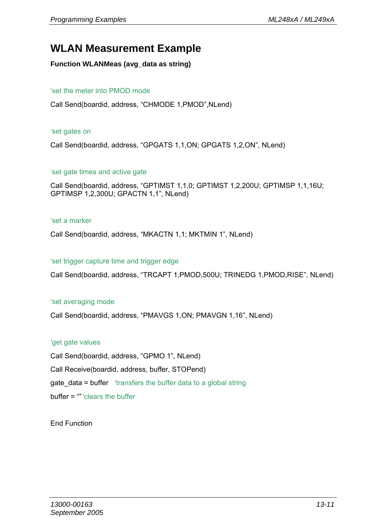### **WLAN Measurement Example**

#### **Function WLANMeas (avg\_data as string)**

#### 'set the meter into PMOD mode

Call Send(boardid, address, "CHMODE 1,PMOD",NLend)

#### 'set gates on

Call Send(boardid, address, "GPGATS 1,1,ON; GPGATS 1,2,ON", NLend)

#### 'set gate times and active gate

Call Send(boardid, address, "GPTIMST 1,1,0; GPTIMST 1,2,200U; GPTIMSP 1,1,16U; GPTIMSP 1,2,300U; GPACTN 1,1", NLend)

#### 'set a marker

Call Send(boardid, address, "MKACTN 1,1; MKTMIN 1", NLend)

#### 'set trigger capture time and trigger edge

Call Send(boardid, address, "TRCAPT 1,PMOD,500U; TRINEDG 1,PMOD,RISE", NLend)

#### 'set averaging mode

Call Send(boardid, address, "PMAVGS 1,ON; PMAVGN 1,16", NLend)

#### 'get gate values

Call Send(boardid, address, "GPMO 1", NLend) Call Receive(boardid, address, buffer, STOPend) **gate data = buffer** 'transfers the buffer data to a global string buffer = "" 'clears the buffer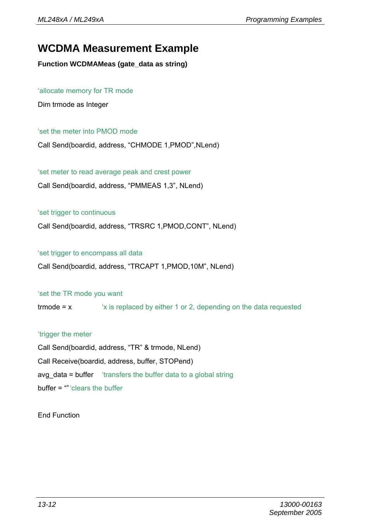### **WCDMA Measurement Example**

**Function WCDMAMeas (gate\_data as string)** 

#### 'allocate memory for TR mode

Dim trmode as Integer

#### 'set the meter into PMOD mode

Call Send(boardid, address, "CHMODE 1,PMOD",NLend)

'set meter to read average peak and crest power

Call Send(boardid, address, "PMMEAS 1,3", NLend)

#### 'set trigger to continuous

Call Send(boardid, address, "TRSRC 1,PMOD,CONT", NLend)

#### 'set trigger to encompass all data

Call Send(boardid, address, "TRCAPT 1,PMOD,10M", NLend)

#### 'set the TR mode you want

trmode = x 'x is replaced by either 1 or 2, depending on the data requested

#### 'trigger the meter

Call Send(boardid, address, "TR" & trmode, NLend) Call Receive(boardid, address, buffer, STOPend) avg data = buffer 'transfers the buffer data to a global string buffer = "" 'clears the buffer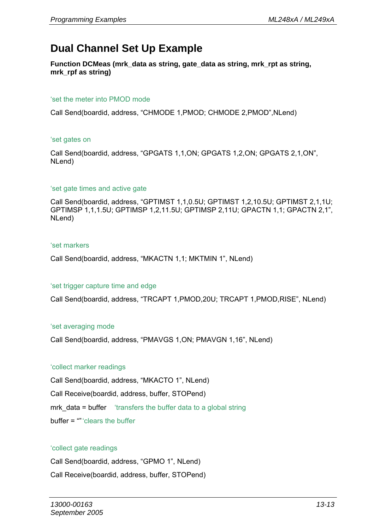### **Dual Channel Set Up Example**

**Function DCMeas (mrk\_data as string, gate\_data as string, mrk\_rpt as string, mrk\_rpf as string)** 

#### 'set the meter into PMOD mode

Call Send(boardid, address, "CHMODE 1,PMOD; CHMODE 2,PMOD",NLend)

#### 'set gates on

Call Send(boardid, address, "GPGATS 1,1,ON; GPGATS 1,2,ON; GPGATS 2,1,ON", NLend)

#### 'set gate times and active gate

Call Send(boardid, address, "GPTIMST 1,1,0.5U; GPTIMST 1,2,10.5U; GPTIMST 2,1,1U; GPTIMSP 1,1,1.5U; GPTIMSP 1,2,11.5U; GPTIMSP 2,11U; GPACTN 1,1; GPACTN 2,1", NLend)

#### 'set markers

Call Send(boardid, address, "MKACTN 1,1; MKTMIN 1", NLend)

#### 'set trigger capture time and edge

Call Send(boardid, address, "TRCAPT 1,PMOD,20U; TRCAPT 1,PMOD,RISE", NLend)

#### 'set averaging mode

Call Send(boardid, address, "PMAVGS 1,ON; PMAVGN 1,16", NLend)

#### 'collect marker readings

Call Send(boardid, address, "MKACTO 1", NLend) Call Receive(boardid, address, buffer, STOPend) mrk data = buffer 'transfers the buffer data to a global string buffer = "" 'clears the buffer

#### 'collect gate readings

Call Send(boardid, address, "GPMO 1", NLend)

Call Receive(boardid, address, buffer, STOPend)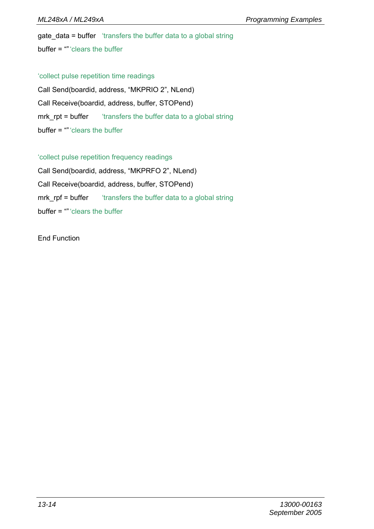gate data = buffer 'transfers the buffer data to a global string  $buffer = "" 'clears the buffer$ 

'collect pulse repetition time readings

Call Send(boardid, address, "MKPRIO 2", NLend) Call Receive(boardid, address, buffer, STOPend) mrk rpt = buffer "transfers the buffer data to a global string buffer = "" 'clears the buffer

'collect pulse repetition frequency readings

Call Send(boardid, address, "MKPRFO 2", NLend) Call Receive(boardid, address, buffer, STOPend) mrk\_rpf = buffer transfers the buffer data to a global string buffer = "" 'clears the buffer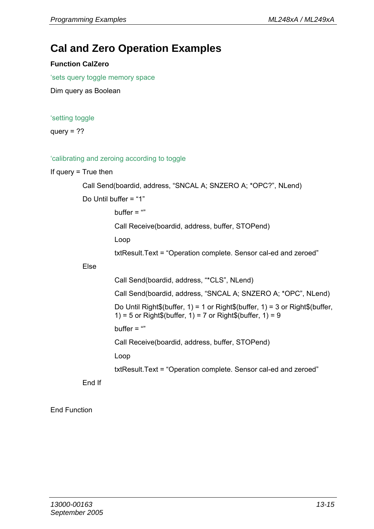### **Cal and Zero Operation Examples**

#### **Function CalZero**

'sets query toggle memory space

Dim query as Boolean

#### 'setting toggle

query  $=$  ??

#### 'calibrating and zeroing according to toggle

#### If query = True then

```
 Call Send(boardid, address, "SNCAL A; SNZERO A; *OPC?", NLend)
```
Do Until buffer = "1"

buffer  $=$  ""

Call Receive(boardid, address, buffer, STOPend)

Loop

txtResult.Text = "Operation complete. Sensor cal-ed and zeroed"

#### Else

Call Send(boardid, address, "\*CLS", NLend)

Call Send(boardid, address, "SNCAL A; SNZERO A; \*OPC", NLend)

Do Until Right\$(buffer, 1) = 1 or Right\$(buffer, 1) = 3 or Right\$(buffer, 1) = 5 or Right\$(buffer, 1) = 7 or Right\$(buffer, 1) = 9

buffer  $=$  ""

Call Receive(boardid, address, buffer, STOPend)

Loop

txtResult.Text = "Operation complete. Sensor cal-ed and zeroed"

End If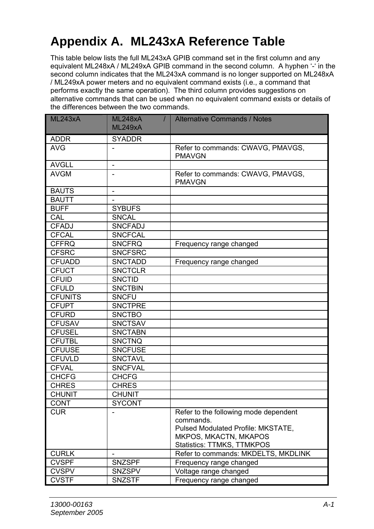# **Appendix A. ML243xA Reference Table**

This table below lists the full ML243xA GPIB command set in the first column and any equivalent ML248xA / ML249xA GPIB command in the second column. A hyphen '-' in the second column indicates that the ML243xA command is no longer supported on ML248xA / ML249xA power meters and no equivalent command exists (i.e., a command that performs exactly the same operation). The third column provides suggestions on alternative commands that can be used when no equivalent command exists or details of the differences between the two commands.

| ML243xA        | <b>ML248xA</b><br>$\prime$<br><b>ML249xA</b> | <b>Alternative Commands / Notes</b>                                                                                                             |
|----------------|----------------------------------------------|-------------------------------------------------------------------------------------------------------------------------------------------------|
| <b>ADDR</b>    | <b>SYADDR</b>                                |                                                                                                                                                 |
| AVG            |                                              | Refer to commands: CWAVG, PMAVGS,<br><b>PMAVGN</b>                                                                                              |
| <b>AVGLL</b>   | $\overline{\phantom{a}}$                     |                                                                                                                                                 |
| <b>AVGM</b>    | $\overline{\phantom{a}}$                     | Refer to commands: CWAVG, PMAVGS,<br><b>PMAVGN</b>                                                                                              |
| <b>BAUTS</b>   | $\overline{\phantom{0}}$                     |                                                                                                                                                 |
| <b>BAUTT</b>   | $\overline{\phantom{a}}$                     |                                                                                                                                                 |
| <b>BUFF</b>    | <b>SYBUFS</b>                                |                                                                                                                                                 |
| CAL            | <b>SNCAL</b>                                 |                                                                                                                                                 |
| <b>CFADJ</b>   | <b>SNCFADJ</b>                               |                                                                                                                                                 |
| <b>CFCAL</b>   | <b>SNCFCAL</b>                               |                                                                                                                                                 |
| <b>CFFRQ</b>   | <b>SNCFRQ</b>                                | Frequency range changed                                                                                                                         |
| <b>CFSRC</b>   | <b>SNCFSRC</b>                               |                                                                                                                                                 |
| <b>CFUADD</b>  | <b>SNCTADD</b>                               | Frequency range changed                                                                                                                         |
| <b>CFUCT</b>   | <b>SNCTCLR</b>                               |                                                                                                                                                 |
| <b>CFUID</b>   | <b>SNCTID</b>                                |                                                                                                                                                 |
| <b>CFULD</b>   | <b>SNCTBIN</b>                               |                                                                                                                                                 |
| <b>CFUNITS</b> | <b>SNCFU</b>                                 |                                                                                                                                                 |
| <b>CFUPT</b>   | <b>SNCTPRE</b>                               |                                                                                                                                                 |
| <b>CFURD</b>   | <b>SNCTBO</b>                                |                                                                                                                                                 |
| <b>CFUSAV</b>  | <b>SNCTSAV</b>                               |                                                                                                                                                 |
| <b>CFUSEL</b>  | <b>SNCTABN</b>                               |                                                                                                                                                 |
| <b>CFUTBL</b>  | <b>SNCTNQ</b>                                |                                                                                                                                                 |
| <b>CFUUSE</b>  | <b>SNCFUSE</b>                               |                                                                                                                                                 |
| <b>CFUVLD</b>  | <b>SNCTAVL</b>                               |                                                                                                                                                 |
| <b>CFVAL</b>   | <b>SNCFVAL</b>                               |                                                                                                                                                 |
| <b>CHCFG</b>   | <b>CHCFG</b>                                 |                                                                                                                                                 |
| <b>CHRES</b>   | <b>CHRES</b>                                 |                                                                                                                                                 |
| <b>CHUNIT</b>  | <b>CHUNIT</b>                                |                                                                                                                                                 |
| CONT           | <b>SYCONT</b>                                |                                                                                                                                                 |
| <b>CUR</b>     |                                              | Refer to the following mode dependent<br>commands.<br>Pulsed Modulated Profile: MKSTATE,<br>MKPOS, MKACTN, MKAPOS<br>Statistics: TTMKS, TTMKPOS |
| <b>CURLK</b>   |                                              | Refer to commands: MKDELTS, MKDLINK                                                                                                             |
| <b>CVSPF</b>   | <b>SNZSPF</b>                                | Frequency range changed                                                                                                                         |
| <b>CVSPV</b>   | SNZSPV                                       | Voltage range changed                                                                                                                           |
| <b>CVSTF</b>   | SNZSTF                                       | Frequency range changed                                                                                                                         |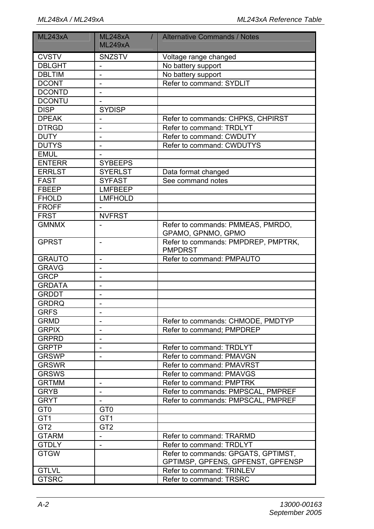| ML243xA         | <b>ML248xA</b><br>$\prime$ | <b>Alternative Commands / Notes</b>                     |
|-----------------|----------------------------|---------------------------------------------------------|
|                 | <b>ML249xA</b>             |                                                         |
| <b>CVSTV</b>    | SNZSTV                     | Voltage range changed                                   |
| <b>DBLGHT</b>   | $\mathcal{L}$              | No battery support                                      |
| <b>DBLTIM</b>   |                            | No battery support                                      |
| <b>DCONT</b>    | $\frac{1}{2}$              | Refer to command: SYDLIT                                |
| <b>DCONTD</b>   | $\overline{a}$             |                                                         |
| <b>DCONTU</b>   |                            |                                                         |
| <b>DISP</b>     | <b>SYDISP</b>              |                                                         |
| <b>DPEAK</b>    | $\overline{\phantom{0}}$   | Refer to commands: CHPKS, CHPIRST                       |
| <b>DTRGD</b>    | $\overline{a}$             | Refer to command: TRDLYT                                |
| <b>DUTY</b>     | $\overline{a}$             | Refer to command: CWDUTY                                |
| <b>DUTYS</b>    | $\overline{a}$             | Refer to command: CWDUTYS                               |
| <b>EMUL</b>     |                            |                                                         |
| <b>ENTERR</b>   | <b>SYBEEPS</b>             |                                                         |
| <b>ERRLST</b>   | <b>SYERLST</b>             | Data format changed                                     |
| <b>FAST</b>     | <b>SYFAST</b>              | See command notes                                       |
| <b>FBEEP</b>    | <b>LMFBEEP</b>             |                                                         |
| <b>FHOLD</b>    | <b>LMFHOLD</b>             |                                                         |
| <b>FROFF</b>    |                            |                                                         |
| <b>FRST</b>     | <b>NVFRST</b>              |                                                         |
| <b>GMNMX</b>    |                            | Refer to commands: PMMEAS, PMRDO,<br>GPAMO, GPNMO, GPMO |
| <b>GPRST</b>    |                            | Refer to commands: PMPDREP, PMPTRK,<br><b>PMPDRST</b>   |
| <b>GRAUTO</b>   | $\overline{\phantom{0}}$   | Refer to command: PMPAUTO                               |
| <b>GRAVG</b>    | $\overline{\phantom{a}}$   |                                                         |
| <b>GRCP</b>     | $\overline{\phantom{a}}$   |                                                         |
| <b>GRDATA</b>   | $\overline{\phantom{a}}$   |                                                         |
| <b>GRDDT</b>    | $\overline{\phantom{m}}$   |                                                         |
| <b>GRDRQ</b>    |                            |                                                         |
| <b>GRFS</b>     | $\overline{\phantom{0}}$   |                                                         |
| <b>GRMD</b>     |                            | Refer to commands: CHMODE, PMDTYP                       |
| <b>GRPIX</b>    | $\overline{\phantom{a}}$   | Refer to command; PMPDREP                               |
| <b>GRPRD</b>    | $\overline{a}$             |                                                         |
| <b>GRPTP</b>    | $\overline{\phantom{a}}$   | Refer to command: TRDLYT                                |
| <b>GRSWP</b>    | $\overline{a}$             | Refer to command: PMAVGN                                |
| <b>GRSWR</b>    |                            | Refer to command: PMAVRST                               |
| <b>GRSWS</b>    |                            | Refer to command: PMAVGS                                |
| <b>GRTMM</b>    | $\overline{a}$             | Refer to command: PMPTRK                                |
| <b>GRYB</b>     | $\overline{\phantom{0}}$   | Refer to commands: PMPSCAL, PMPREF                      |
| <b>GRYT</b>     |                            | Refer to commands: PMPSCAL, PMPREF                      |
| GT <sub>0</sub> | GT <sub>0</sub>            |                                                         |
| GT <sub>1</sub> | GT <sub>1</sub>            |                                                         |
| GT <sub>2</sub> | GT <sub>2</sub>            |                                                         |
| <b>GTARM</b>    | $\blacksquare$             | Refer to command: TRARMD                                |
| <b>GTDLY</b>    | $\mathbb{L}$               | Refer to command: TRDLYT                                |
| <b>GTGW</b>     |                            | Refer to commands: GPGATS, GPTIMST,                     |
|                 |                            | GPTIMSP, GPFENS, GPFENST, GPFENSP                       |
| <b>GTLVL</b>    |                            | Refer to command: TRINLEV                               |
| <b>GTSRC</b>    |                            | Refer to command: TRSRC                                 |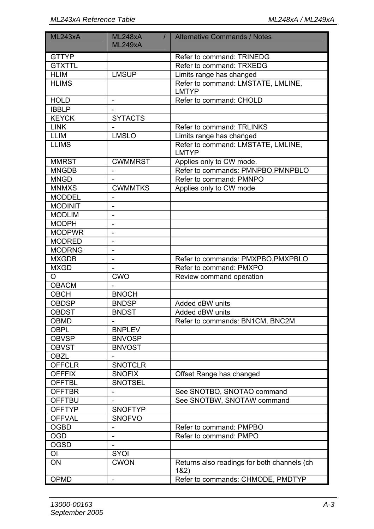| ML243xA        | <b>ML248xA</b><br>$\prime$<br><b>ML249xA</b> | <b>Alternative Commands / Notes</b>                 |
|----------------|----------------------------------------------|-----------------------------------------------------|
| <b>GTTYP</b>   |                                              | Refer to command: TRINEDG                           |
| <b>GTXTTL</b>  |                                              | Refer to command: TRXEDG                            |
| <b>HLIM</b>    | <b>LMSUP</b>                                 | Limits range has changed                            |
| <b>HLIMS</b>   |                                              | Refer to command: LMSTATE, LMLINE,<br>LMTYP         |
| <b>HOLD</b>    | $\mathcal{L}_{\mathcal{A}}$                  | Refer to command: CHOLD                             |
| <b>IBBLP</b>   |                                              |                                                     |
| <b>KEYCK</b>   | <b>SYTACTS</b>                               |                                                     |
| <b>LINK</b>    |                                              | Refer to command: TRLINKS                           |
| LLIM           | <b>LMSLO</b>                                 | Limits range has changed                            |
| <b>LLIMS</b>   |                                              | Refer to command: LMSTATE, LMLINE,<br>LMTYP         |
| <b>MMRST</b>   | <b>CWMMRST</b>                               | Applies only to CW mode.                            |
| <b>MNGDB</b>   |                                              | Refer to commands: PMNPBO, PMNPBLO                  |
| <b>MNGD</b>    | $\overline{\phantom{a}}$                     | Refer to command: PMNPO                             |
| <b>MNMXS</b>   | <b>CWMMTKS</b>                               | Applies only to CW mode                             |
| <b>MODDEL</b>  | $\mathbf{r}$                                 |                                                     |
| <b>MODINIT</b> | $\overline{\phantom{0}}$                     |                                                     |
| <b>MODLIM</b>  | $\overline{\phantom{0}}$                     |                                                     |
| <b>MODPH</b>   |                                              |                                                     |
| <b>MODPWR</b>  | $\overline{a}$                               |                                                     |
| <b>MODRED</b>  | $\overline{a}$                               |                                                     |
| <b>MODRNG</b>  | $\overline{a}$                               |                                                     |
| <b>MXGDB</b>   | $\overline{a}$                               | Refer to commands: PMXPBO, PMXPBLO                  |
| <b>MXGD</b>    | $\overline{\phantom{0}}$                     | Refer to command: PMXPO                             |
| O              | <b>CWO</b>                                   | Review command operation                            |
| <b>OBACM</b>   |                                              |                                                     |
| OBCH           | <b>BNOCH</b>                                 |                                                     |
| OBDSP          | <b>BNDSP</b>                                 | Added dBW units                                     |
| <b>OBDST</b>   | <b>BNDST</b>                                 | Added dBW units                                     |
| OBMD           |                                              | Refer to commands: BN1CM, BNC2M                     |
| OBPL           | <b>BNPLEV</b>                                |                                                     |
| <b>OBVSP</b>   | <b>BNVOSP</b>                                |                                                     |
| <b>OBVST</b>   | <b>BNVOST</b>                                |                                                     |
| OBZL           |                                              |                                                     |
| <b>OFFCLR</b>  | <b>SNOTCLR</b>                               |                                                     |
| <b>OFFFIX</b>  | <b>SNOFIX</b>                                | Offset Range has changed                            |
| <b>OFFTBL</b>  | <b>SNOTSEL</b>                               |                                                     |
| <b>OFFTBR</b>  | $\overline{a}$                               | See SNOTBO, SNOTAO command                          |
| <b>OFFTBU</b>  |                                              | See SNOTBW, SNOTAW command                          |
| <b>OFFTYP</b>  | <b>SNOFTYP</b>                               |                                                     |
| <b>OFFVAL</b>  | <b>SNOFVO</b>                                |                                                     |
| <b>OGBD</b>    | $\overline{\phantom{a}}$                     | Refer to command: PMPBO                             |
| <b>OGD</b>     | $\overline{\phantom{a}}$                     | Refer to command: PMPO                              |
| <b>OGSD</b>    | $\overline{\phantom{a}}$                     |                                                     |
| ОI             | SYOI                                         |                                                     |
| ON             | <b>CWON</b>                                  | Returns also readings for both channels (ch<br>182) |
| OPMD           | $\overline{\phantom{a}}$                     | Refer to commands: CHMODE, PMDTYP                   |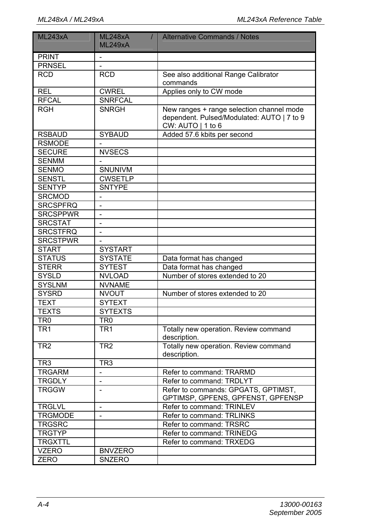| ML243xA          | <b>ML248xA</b><br>$\prime$<br><b>ML249xA</b> | Alternative Commands / Notes                                                                                   |
|------------------|----------------------------------------------|----------------------------------------------------------------------------------------------------------------|
| <b>PRINT</b>     |                                              |                                                                                                                |
| <b>PRNSEL</b>    |                                              |                                                                                                                |
| <b>RCD</b>       | <b>RCD</b>                                   | See also additional Range Calibrator<br>commands                                                               |
| <b>REL</b>       | <b>CWREL</b>                                 | Applies only to CW mode                                                                                        |
| <b>RFCAL</b>     | <b>SNRFCAL</b>                               |                                                                                                                |
| $\overline{RGH}$ | <b>SNRGH</b>                                 | New ranges + range selection channel mode<br>dependent. Pulsed/Modulated: AUTO   7 to 9<br>CW: $AUTO$   1 to 6 |
| <b>RSBAUD</b>    | <b>SYBAUD</b>                                | Added 57.6 kbits per second                                                                                    |
| <b>RSMODE</b>    |                                              |                                                                                                                |
| <b>SECURE</b>    | <b>NVSECS</b>                                |                                                                                                                |
| <b>SENMM</b>     |                                              |                                                                                                                |
| <b>SENMO</b>     | <b>SNUNIVM</b>                               |                                                                                                                |
| <b>SENSTL</b>    | <b>CWSETLP</b>                               |                                                                                                                |
| <b>SENTYP</b>    | <b>SNTYPE</b>                                |                                                                                                                |
| <b>SRCMOD</b>    | $\overline{\phantom{a}}$                     |                                                                                                                |
| <b>SRCSPFRQ</b>  | $\overline{a}$                               |                                                                                                                |
| <b>SRCSPPWR</b>  | $\overline{\phantom{m}}$                     |                                                                                                                |
| <b>SRCSTAT</b>   | $\frac{1}{2}$                                |                                                                                                                |
| <b>SRCSTFRQ</b>  | $\overline{\phantom{0}}$                     |                                                                                                                |
| <b>SRCSTPWR</b>  |                                              |                                                                                                                |
| <b>START</b>     | <b>SYSTART</b>                               |                                                                                                                |
| <b>STATUS</b>    | <b>SYSTATE</b>                               | Data format has changed                                                                                        |
| <b>STERR</b>     | <b>SYTEST</b>                                | Data format has changed                                                                                        |
| <b>SYSLD</b>     | <b>NVLOAD</b>                                | Number of stores extended to 20                                                                                |
| <b>SYSLNM</b>    | <b>NVNAME</b>                                |                                                                                                                |
| <b>SYSRD</b>     | <b>NVOUT</b>                                 | Number of stores extended to 20                                                                                |
| <b>TEXT</b>      | <b>SYTEXT</b>                                |                                                                                                                |
| <b>TEXTS</b>     | <b>SYTEXTS</b>                               |                                                                                                                |
| TR <sub>0</sub>  | TR <sub>0</sub>                              |                                                                                                                |
| TR <sub>1</sub>  | TR <sub>1</sub>                              | Totally new operation. Review command<br>description.                                                          |
| TR <sub>2</sub>  | TR <sub>2</sub>                              | Totally new operation. Review command<br>description.                                                          |
| TR <sub>3</sub>  | TR <sub>3</sub>                              |                                                                                                                |
| <b>TRGARM</b>    |                                              | Refer to command: TRARMD                                                                                       |
| <b>TRGDLY</b>    | $\overline{\phantom{0}}$                     | Refer to command: TRDLYT                                                                                       |
| <b>TRGGW</b>     |                                              | Refer to commands: GPGATS, GPTIMST,<br>GPTIMSP, GPFENS, GPFENST, GPFENSP                                       |
| <b>TRGLVL</b>    | $\overline{a}$                               | Refer to command: TRINLEV                                                                                      |
| <b>TRGMODE</b>   | $\overline{\phantom{a}}$                     | Refer to command: TRLINKS                                                                                      |
| <b>TRGSRC</b>    |                                              | Refer to command: TRSRC                                                                                        |
| <b>TRGTYP</b>    |                                              | Refer to command: TRINEDG                                                                                      |
| <b>TRGXTTL</b>   |                                              | Refer to command: TRXEDG                                                                                       |
| <b>VZERO</b>     | <b>BNVZERO</b>                               |                                                                                                                |
| ZERO             | SNZERO                                       |                                                                                                                |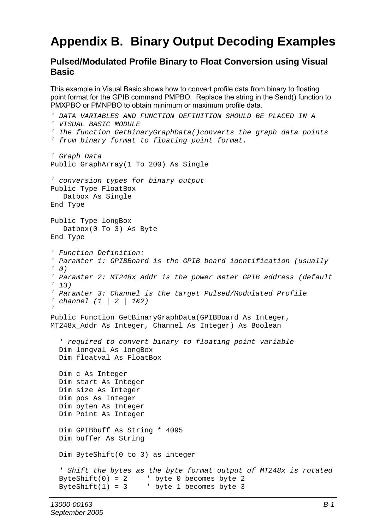# **Appendix B. Binary Output Decoding Examples**

### **Pulsed/Modulated Profile Binary to Float Conversion using Visual Basic**

This example in Visual Basic shows how to convert profile data from binary to floating point format for the GPIB command PMPBO. Replace the string in the Send() function to PMXPBO or PMNPBO to obtain minimum or maximum profile data.

```
' DATA VARIABLES AND FUNCTION DEFINITION SHOULD BE PLACED IN A 
' VISUAL BASIC MODULE 
' The function GetBinaryGraphData()converts the graph data points 
' from binary format to floating point format. 
' Graph Data 
Public GraphArray(1 To 200) As Single 
' conversion types for binary output 
Public Type FloatBox 
   Datbox As Single 
End Type 
Public Type longBox 
    Datbox(0 To 3) As Byte 
End Type 
' Function Definition: 
' Paramter 1: GPIBBoard is the GPIB board identification (usually 
' 0) 
' Paramter 2: MT248x_Addr is the power meter GPIB address (default 
' 13) 
' Paramter 3: Channel is the target Pulsed/Modulated Profile 
' channel (1 | 2 | 1&2) 
' 
Public Function GetBinaryGraphData(GPIBBoard As Integer, 
MT248x_Addr As Integer, Channel As Integer) As Boolean 
   ' required to convert binary to floating point variable 
   Dim longval As longBox 
   Dim floatval As FloatBox 
   Dim c As Integer 
   Dim start As Integer 
   Dim size As Integer 
   Dim pos As Integer 
   Dim byten As Integer 
   Dim Point As Integer 
   Dim GPIBbuff As String * 4095 
   Dim buffer As String 
   Dim ByteShift(0 to 3) as integer 
   ' Shift the bytes as the byte format output of MT248x is rotated 
 ByteShift(0) = 2 ' byte 0 becomes byte 2 
 ByteShift(1) = 3 ' byte 1 becomes byte 3
```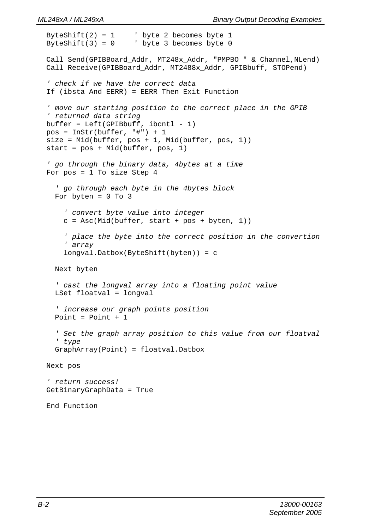```
ByteShift(2) = 1 ' byte 2 becomes byte 1
ByteShift(3) = 0 \qquad ' byte 3 becomes byte 0
 Call Send(GPIBBoard_Addr, MT248x_Addr, "PMPBO " & Channel,NLend) 
Call Receive(GPIBBoard Addr, MT2488x Addr, GPIBbuff, STOPend)
 ' check if we have the correct data 
 If (ibsta And EERR) = EERR Then Exit Function 
 ' move our starting position to the correct place in the GPIB 
 ' returned data string 
buffer = Left(GPIBbuffer, ibcnt1 - 1) pos = InStr(buffer, "#") + 1 
size = Mid(buster, pos + 1, Mid(buster, pos, 1)) start = pos + Mid(buffer, pos, 1) 
 ' go through the binary data, 4bytes at a time 
 For pos = 1 To size Step 4 
   ' go through each byte in the 4bytes block 
  For byten = 0 To 3
     ' convert byte value into integer 
    c = \text{Asc}(\text{Mid}(\text{buffer}, \text{start} + \text{pos} + \text{byten}, 1)) ' place the byte into the correct position in the convertion 
     ' array 
     longval.Datbox(ByteShift(byten)) = c 
   Next byten 
   ' cast the longval array into a floating point value 
   LSet floatval = longval 
   ' increase our graph points position 
   Point = Point + 1 
   ' Set the graph array position to this value from our floatval 
   ' type 
   GraphArray(Point) = floatval.Datbox 
 Next pos 
 ' return success! 
 GetBinaryGraphData = True
```

```
 End Function
```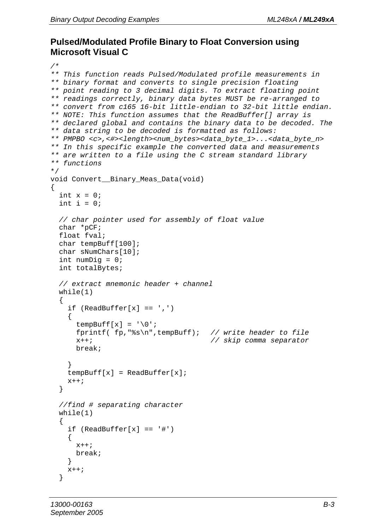### **Pulsed/Modulated Profile Binary to Float Conversion using Microsoft Visual C**

```
/* 
** This function reads Pulsed/Modulated profile measurements in 
** binary format and converts to single precision floating 
** point reading to 3 decimal digits. To extract floating point 
** readings correctly, binary data bytes MUST be re-arranged to 
** convert from c165 16-bit little-endian to 32-bit little endian. 
** NOTE: This function assumes that the ReadBuffer[] array is 
** declared global and contains the binary data to be decoded. The 
** data string to be decoded is formatted as follows: 
** PMPBO <c>,<#><length><num_bytes><data_byte_1>...<data_byte_n> 
** In this specific example the converted data and measurements 
** are written to a file using the C stream standard library 
** functions 
*/ 
void Convert__Binary_Meas_Data(void) 
{ 
  int x = 0;
  int i = 0;
   // char pointer used for assembly of float value 
   char *pCF; 
   float fval; 
   char tempBuff[100]; 
   char sNumChars[10]; 
  int numDig = 0;
   int totalBytes; 
   // extract mnemonic header + channel 
   while(1) 
   { 
    if (ReadBuffer[x] == ',')\{tempBuff[x] = \sqrt{0};
       fprintf( fp,"%s\n",tempBuff); // write header to file
                                         x++; // skip comma separator
       break; 
 } 
    tempBuffer[x] = ReadBuffer[x];x++; } 
   //find # separating character 
   while(1) 
   { 
    if (ReadBuffer[x] == '#') { 
      x++; break; 
     } 
    x++; }
```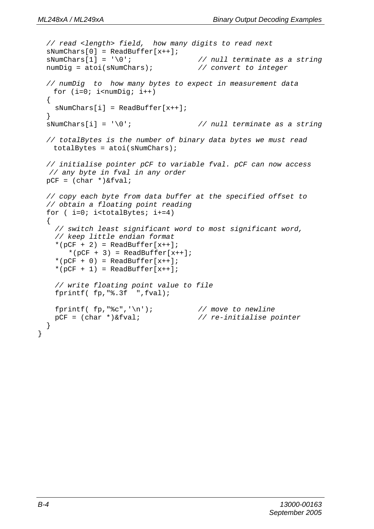```
 // read <length> field, how many digits to read next 
 sNumChars[0] = ReadBuffer[x++]; sNumChars[1] = '\0'; // null terminate as a string 
  numDig = atoi(sNumChars); // convert to integer
  // numDig to how many bytes to expect in measurement data 
   for (i=0; i<sub>sumDi</sub> <i>i</i> + +) { 
   sNumChars[i] = ReadBuffer[x++]; } 
  sNumChars[i] = '\0'; // null terminate as a string 
  // totalBytes is the number of binary data bytes we must read 
   totalBytes = atoi(sNumCharles); // initialise pointer pCF to variable fval. pCF can now access 
   // any byte in fval in any order 
 pCF = (char *)\&fval; // copy each byte from data buffer at the specified offset to 
  // obtain a floating point reading 
 for (i=0; i<totalBytes; i+=4)\{ // switch least significant word to most significant word, 
    // keep little endian format 
    *(pCF + 2) = ReadBuffer[x++];*(pCF + 3) = ReadBuffer[x++];*(pCF + 0) = ReadBuffer[x++];*(pCF + 1) = ReadBuffer[x++]; // write floating point value to file 
    fprintf( fp,"%.3f ",fval); 
   fprintf( fp, "%c", '\n'); <br>
pCF = (char *)&fval; <br>
// re-initialise p
                                        pCF = (char *)&fval; // re-initialise pointer 
  }
```
}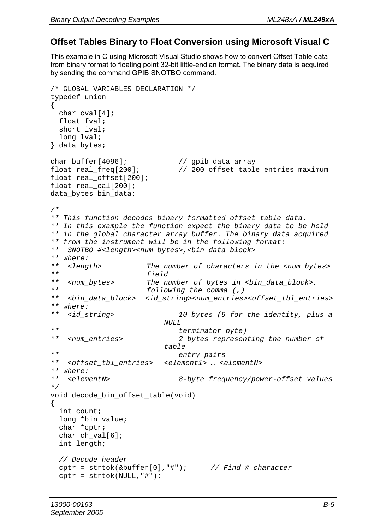### **Offset Tables Binary to Float Conversion using Microsoft Visual C**

This example in C using Microsoft Visual Studio shows how to convert Offset Table data from binary format to floating point 32-bit little-endian format. The binary data is acquired by sending the command GPIB SNOTBO command.

```
/* GLOBAL VARIABLES DECLARATION */ 
typedef union 
{ 
  char cval[4]; 
  float fval; 
  short ival; 
  long lval; 
} data_bytes; 
char buffer[4096]; // gpib data array 
float real_freq[200]; // 200 offset table entries maximum 
float real_offset[200]; 
float real_cal[200]; 
data bytes bin data;
/* 
** This function decodes binary formatted offset table data. 
** In this example the function expect the binary data to be held 
** in the global character array buffer. The binary data acquired 
** from the instrument will be in the following format: 
** SNOTBO #<length><num_bytes>,<bin_data_block> 
** where: 
** <length> The number of characters in the <num_bytes> 
** field 
** <num_bytes> The number of bytes in <bin_data_block>, 
** following the comma (,) 
  ** <bin_data_block> <id_string><num_entries><offset_tbl_entries> 
** where: 
   ** <id_string> 10 bytes (9 for the identity, plus a 
                        NULL 
** terminator byte) 
** <num_entries> 2 bytes representing the number of 
                         table 
** entry pairs 
** <offset_tbl_entries> <element1> … <elementN> 
** where: 
                            8-byte frequency/power-offset values
*/ 
void decode_bin_offset_table(void) 
{ 
  int count; 
  long *bin_value; 
  char *cptr; 
  char ch_val[6]; 
  int length; 
  // Decode header 
  cptr = strtok(&buffer[0],"#"); // Find # character
  cptr = strtok(NULL,"#");
```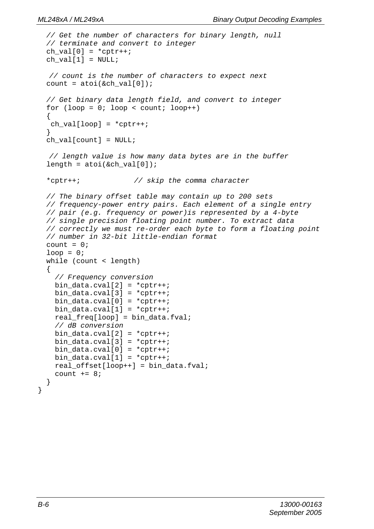```
 // Get the number of characters for binary length, null 
 // terminate and convert to integer 
ch_val[0] = *cpt++;ch\_val[1] = NULL; // count is the number of characters to expect next 
count = atoi(\&ch_val[0]); // Get binary data length field, and convert to integer 
for (loop = 0; loop < count; loop++)
 { 
ch\_val[loop] = *cpt++; } 
ch\_val[count] = NULL; // length value is how many data bytes are in the buffer 
length = atoi(\&ch val[0]); *cptr++; // skip the comma character 
 // The binary offset table may contain up to 200 sets 
 // frequency-power entry pairs. Each element of a single entry 
 // pair (e.g. frequency or power)is represented by a 4-byte 
 // single precision floating point number. To extract data 
 // correctly we must re-order each byte to form a floating point 
 // number in 32-bit little-endian format 
count = 0;
loop = 0; while (count < length) 
 { 
  // Frequency conversion 
 bin data.cval[2] = *cptr++;
 bin_data.cval[3] = *cptr++;
 bin_data.cval[0] = *cptr++;
  bin_data.cval[1] = *cptr++; 
  real_freq[loop] = bin_data.fval; 
  // dB conversion 
 bin_data.cval[2] = *cptr++;
 bin data.cval[3] = *cptr++;
 bin data.cval[0] = *cptr++;
 bin data.cval[1] = *cptr++;
 real offset[loop++] = bin data.fval;
 count += 8; }
```
}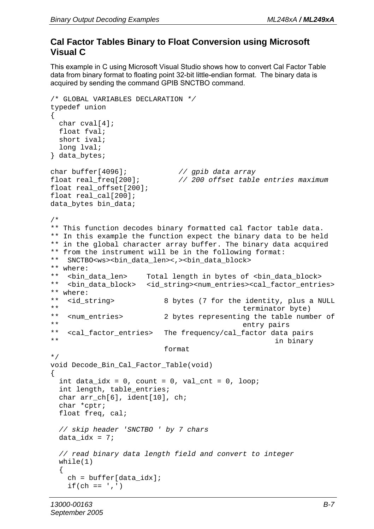### **Cal Factor Tables Binary to Float Conversion using Microsoft Visual C**

This example in C using Microsoft Visual Studio shows how to convert Cal Factor Table data from binary format to floating point 32-bit little-endian format. The binary data is acquired by sending the command GPIB SNCTBO command.

```
/* GLOBAL VARIABLES DECLARATION */ 
typedef union 
{ 
   char cval[4]; 
   float fval; 
   short ival; 
   long lval; 
} data_bytes; 
char buffer[4096]; // gpib data array
                                float real_freq[200]; // 200 offset table entries maximum
float real_offset[200]; 
float real_cal[200]; 
data bytes bin data;
/* 
** This function decodes binary formatted cal factor table data. 
** In this example the function expect the binary data to be held 
** in the global character array buffer. The binary data acquired 
** from the instrument will be in the following format: 
** SNCTBO<ws><bin_data_len><,><bin_data_block> 
** where:<br>** <bin_data_len>
** <bin_data_len> Total length in bytes of <bin_data_block> 
    ** <bin_data_block> <id_string><num_entries><cal_factor_entries> 
** where:<br>** <id** <id_string> 8 bytes (7 for the identity, plus a NULL 
** terminator byte)<br>** < xpum entries> 2 bytes xepresenting the table number
** <num_entries> 2 bytes representing the table number of 
** entry pairs<br>** coal factor entries> The frequency/cal factor data
** <cal_factor_entries> The frequency/cal_factor data pairs 
                                                        in binary
                            format 
*/ 
void Decode_Bin_Cal_Factor_Table(void) 
{ 
  int data_idx = 0, count = 0, val_cnt = 0, loop;
  int length, table entries;
   char arr_ch[6], ident[10], ch; 
   char *cptr; 
   float freq, cal; 
   // skip header 'SNCTBO ' by 7 chars 
  data idx = 7;
   // read binary data length field and convert to integer 
   while(1) 
   { 
     ch = buffer[data_idx]; 
    if(ch == ',')
```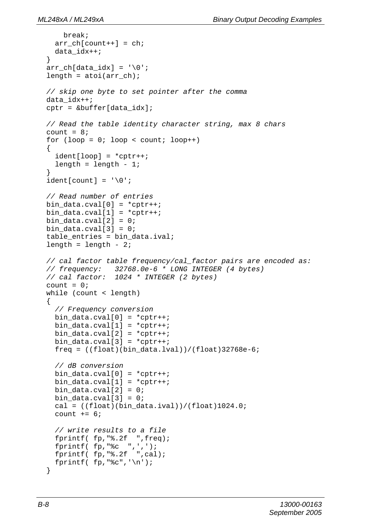```
 break; 
   arr_{ch}[count++] = ch;
    data_idx++; 
   } 
 arr ch[data_idx] = '\0';
 length = atoi(arrch); // skip one byte to set pointer after the comma 
  data_idx++; 
  cptr = &buffer[data_idx]; 
  // Read the table identity character string, max 8 chars 
 count = 8;for (loop = 0; loop < count; loop++)\{ident[loop] = *cptr++;length = length - 1; } 
 ident[count] = '\\0'; // Read number of entries 
 bin_data.cval[0] = *cptr++;
 bin\_data.cval[1] = *cpt++;bin_data.cval[2] = 0;
 bin_data.cval[3] = 0;
  table_entries = bin_data.ival; 
 length = length - 2i // cal factor table frequency/cal_factor pairs are encoded as: 
  // frequency: 32768.0e-6 * LONG INTEGER (4 bytes) 
  // cal factor: 1024 * INTEGER (2 bytes) 
 count = 0; while (count < length) 
   { 
    // Frequency conversion 
   bin\_data.cval[0] = *cpt++;bin_data.cval[1] = *cptr++;
   bin_data.cval[2] = *cptr++;
   bin data.cval[3] = *cptr++;
   freq = ((float)(bin data.lval))/(float)32768e-6; // dB conversion 
   bin_data.cval[0] = *cptr++;
   bin_data.cval[1] = *cptr++;
   bin_data.cval[2] = 0;
   bin_data.cval[3] = 0;
   cal = ((float)(bin_data,ival))/(float)1024.0;count += 6; // write results to a file 
    fprintf( fp,"%.2f ",freq); 
   fprintf(fp, "c ",'',');
    fprintf( fp,"%.2f ",cal); 
   fprintf(fp, "%c", '\n');
   }
```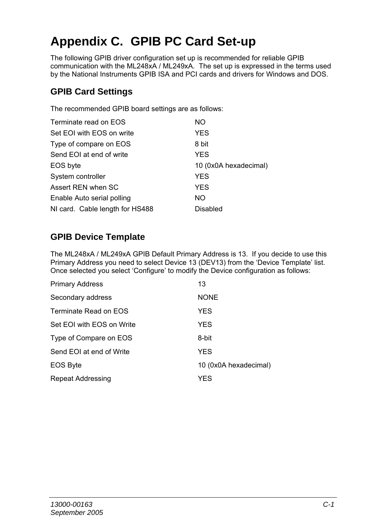# **Appendix C. GPIB PC Card Set-up**

The following GPIB driver configuration set up is recommended for reliable GPIB communication with the ML248xA / ML249xA. The set up is expressed in the terms used by the National Instruments GPIB ISA and PCI cards and drivers for Windows and DOS.

### **GPIB Card Settings**

The recommended GPIB board settings are as follows:

| Terminate read on EOS           | NO.                   |
|---------------------------------|-----------------------|
| Set EOI with EOS on write       | <b>YES</b>            |
| Type of compare on EOS          | 8 bit                 |
| Send EOI at end of write        | <b>YES</b>            |
| EOS byte                        | 10 (0x0A hexadecimal) |
| System controller               | <b>YES</b>            |
| Assert REN when SC              | <b>YES</b>            |
| Enable Auto serial polling      | <b>NO</b>             |
| NI card. Cable length for HS488 | Disabled              |

### **GPIB Device Template**

The ML248xA / ML249xA GPIB Default Primary Address is 13. If you decide to use this Primary Address you need to select Device 13 (DEV13) from the 'Device Template' list. Once selected you select 'Configure' to modify the Device configuration as follows:

| <b>Primary Address</b>    | 13                    |
|---------------------------|-----------------------|
| Secondary address         | <b>NONE</b>           |
| Terminate Read on EOS     | <b>YES</b>            |
| Set EOI with EOS on Write | <b>YES</b>            |
| Type of Compare on EOS    | 8-bit                 |
| Send EOI at end of Write  | <b>YES</b>            |
| <b>EOS Byte</b>           | 10 (0x0A hexadecimal) |
| Repeat Addressing         | YES                   |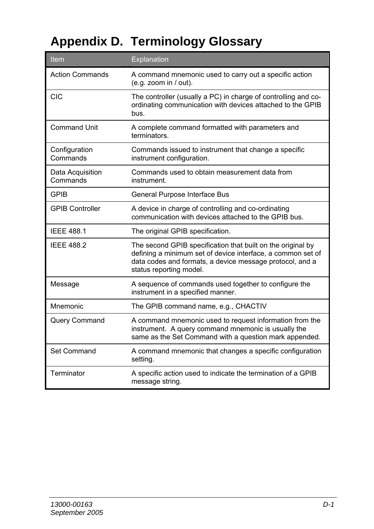# **Appendix D. Terminology Glossary**

| Item                         | Explanation                                                                                                                                                                                                       |
|------------------------------|-------------------------------------------------------------------------------------------------------------------------------------------------------------------------------------------------------------------|
| Action Commands              | A command mnemonic used to carry out a specific action<br>(e.g. zoom in / out).                                                                                                                                   |
| CIC                          | The controller (usually a PC) in charge of controlling and co-<br>ordinating communication with devices attached to the GPIB<br>bus.                                                                              |
| <b>Command Unit</b>          | A complete command formatted with parameters and<br>terminators.                                                                                                                                                  |
| Configuration<br>Commands    | Commands issued to instrument that change a specific<br>instrument configuration.                                                                                                                                 |
| Data Acquisition<br>Commands | Commands used to obtain measurement data from<br>instrument.                                                                                                                                                      |
| <b>GPIB</b>                  | General Purpose Interface Bus                                                                                                                                                                                     |
| <b>GPIB Controller</b>       | A device in charge of controlling and co-ordinating<br>communication with devices attached to the GPIB bus.                                                                                                       |
| <b>IFFF 4881</b>             | The original GPIB specification.                                                                                                                                                                                  |
| <b>IFFF 4882</b>             | The second GPIB specification that built on the original by<br>defining a minimum set of device interface, a common set of<br>data codes and formats, a device message protocol, and a<br>status reporting model. |
| Message                      | A sequence of commands used together to configure the<br>instrument in a specified manner.                                                                                                                        |
| Mnemonic                     | The GPIB command name, e.g., CHACTIV                                                                                                                                                                              |
| Query Command                | A command mnemonic used to request information from the<br>instrument. A query command mnemonic is usually the<br>same as the Set Command with a question mark appended.                                          |
| Set Command                  | A command mnemonic that changes a specific configuration<br>setting.                                                                                                                                              |
| Terminator                   | A specific action used to indicate the termination of a GPIB<br>message string.                                                                                                                                   |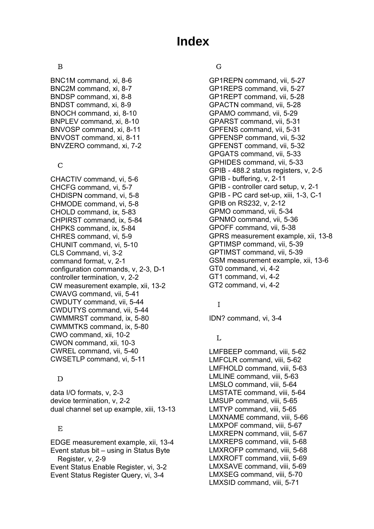## **Index**

### B

BNC1M command, xi, 8-6 BNC2M command, xi, 8-7 BNDSP command, xi, 8-8 BNDST command, xi, 8-9 BNOCH command, xi, 8-10 BNPLEV command, xi, 8-10 BNVOSP command, xi, 8-11 BNVOST command, xi, 8-11 BNVZERO command, xi, 7-2

### C

CHACTIV command, vi, 5-6 CHCFG command, vi, 5-7 CHDISPN command, vi, 5-8 CHMODE command, vi, 5-8 CHOLD command, ix, 5-83 CHPIRST command, ix, 5-84 CHPKS command, ix, 5-84 CHRES command, vi, 5-9 CHUNIT command, vi, 5-10 CLS Command, vi, 3-2 command format, v, 2-1 configuration commands, v, 2-3, D-1 controller termination, v, 2-2 CW measurement example, xii, 13-2 CWAVG command, vii, 5-41 CWDUTY command, vii, 5-44 CWDUTYS command, vii, 5-44 CWMMRST command, ix, 5-80 CWMMTKS command, ix, 5-80 CWO command, xii, 10-2 CWON command, xii, 10-3 CWREL command, vii, 5-40 CWSETLP command, vi, 5-11

### D

data I/O formats, v, 2-3 device termination, v, 2-2 dual channel set up example, xiii, 13-13

### E

EDGE measurement example, xii, 13-4 Event status bit – using in Status Byte Register, v, 2-9 Event Status Enable Register, vi, 3-2 Event Status Register Query, vi, 3-4

### G

GP1REPN command, vii, 5-27 GP1REPS command, vii, 5-27 GP1REPT command, vii, 5-28 GPACTN command, vii, 5-28 GPAMO command, vii, 5-29 GPARST command, vii, 5-31 GPFENS command, vii, 5-31 GPFENSP command, vii, 5-32 GPFENST command, vii, 5-32 GPGATS command, vii, 5-33 GPHIDES command, vii, 5-33 GPIB - 488.2 status registers, v, 2-5 GPIB - buffering, v, 2-11 GPIB - controller card setup, v, 2-1 GPIB - PC card set-up, xiii, 1-3, C-1 GPIB on RS232, v, 2-12 GPMO command, vii, 5-34 GPNMO command, vii, 5-36 GPOFF command, vii, 5-38 GPRS measurement example, xii, 13-8 GPTIMSP command, vii, 5-39 GPTIMST command, vii, 5-39 GSM measurement example, xii, 13-6 GT0 command, vi, 4-2 GT1 command, vi, 4-2 GT2 command, vi, 4-2

### I

IDN? command, vi, 3-4

### L

LMFBEEP command, viii, 5-62 LMFCLR command, viii, 5-62 LMFHOLD command, viii, 5-63 LMLINE command, viii, 5-63 LMSLO command, viii, 5-64 LMSTATE command, viii, 5-64 LMSUP command, viii, 5-65 LMTYP command, viii, 5-65 LMXNAME command, viii, 5-66 LMXPOF command, viii, 5-67 LMXREPN command, viii, 5-67 LMXREPS command, viii, 5-68 LMXROFP command, viii, 5-68 LMXROFT command, viii, 5-69 LMXSAVE command, viii, 5-69 LMXSEG command, viii, 5-70 LMXSID command, viii, 5-71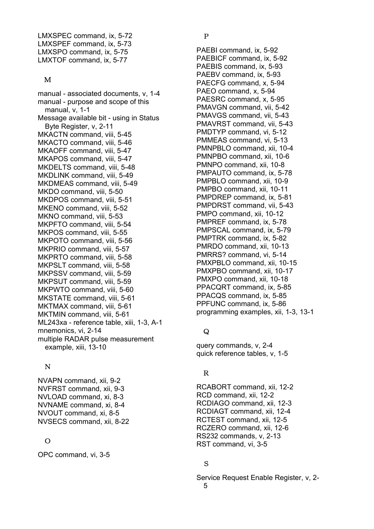LMXSPEC command, ix, 5-72 LMXSPEF command, ix, 5-73 LMXSPO command, ix, 5-75 LMXTOF command, ix, 5-77

#### M

manual - associated documents, v, 1-4 manual - purpose and scope of this manual, v, 1-1 Message available bit - using in Status Byte Register, v, 2-11 MKACTN command, viii, 5-45 MKACTO command, viii, 5-46 MKAOFF command, viii, 5-47 MKAPOS command, viii, 5-47 MKDELTS command, viii, 5-48 MKDLINK command, viii, 5-49 MKDMEAS command, viii, 5-49 MKDO command, viii, 5-50 MKDPOS command, viii, 5-51 MKENO command, viii, 5-52 MKNO command, viii, 5-53 MKPFTO command, viii, 5-54 MKPOS command, viii, 5-55 MKPOTO command, viii, 5-56 MKPRIO command, viii, 5-57 MKPRTO command, viii, 5-58 MKPSLT command, viii, 5-58 MKPSSV command, viii, 5-59 MKPSUT command, viii, 5-59 MKPWTO command, viii, 5-60 MKSTATE command, viii, 5-61 MKTMAX command, viii, 5-61 MKTMIN command, viii, 5-61 ML243xa - reference table, xiii, 1-3, A-1 mnemonics, vi, 2-14 multiple RADAR pulse measurement example, xiii, 13-10

### N

NVAPN command, xii, 9-2 NVFRST command, xii, 9-3 NVLOAD command, xi, 8-3 NVNAME command, xi, 8-4 NVOUT command, xi, 8-5 NVSECS command, xii, 8-22

### O

OPC command, vi, 3-5

### P

PAEBI command, ix, 5-92 PAEBICF command, ix, 5-92 PAEBIS command, ix, 5-93 PAEBV command, ix, 5-93 PAECFG command, x, 5-94 PAEO command, x, 5-94 PAESRC command, x, 5-95 PMAVGN command, vii, 5-42 PMAVGS command, vii, 5-43 PMAVRST command, vii, 5-43 PMDTYP command, vi, 5-12 PMMEAS command, vi, 5-13 PMNPBLO command, xii, 10-4 PMNPBO command, xii, 10-6 PMNPO command, xii, 10-8 PMPAUTO command, ix, 5-78 PMPBLO command, xii, 10-9 PMPBO command, xii, 10-11 PMPDREP command, ix, 5-81 PMPDRST command, vii, 5-43 PMPO command, xii, 10-12 PMPREF command, ix, 5-78 PMPSCAL command, ix, 5-79 PMPTRK command, ix, 5-82 PMRDO command, xii, 10-13 PMRRS? command, vi, 5-14 PMXPBLO command, xii, 10-15 PMXPBO command, xii, 10-17 PMXPO command, xii, 10-18 PPACQRT command, ix, 5-85 PPACQS command, ix, 5-85 PPFUNC command, ix, 5-86 programming examples, xii, 1-3, 13-1

### $\Omega$

query commands, v, 2-4 quick reference tables, v, 1-5

### R

RCABORT command, xii, 12-2 RCD command, xii, 12-2 RCDIAGO command, xii, 12-3 RCDIAGT command, xii, 12-4 RCTEST command, xii, 12-5 RCZERO command, xii, 12-6 RS232 commands, v, 2-13 RST command, vi, 3-5

### S

Service Request Enable Register, v, 2- 5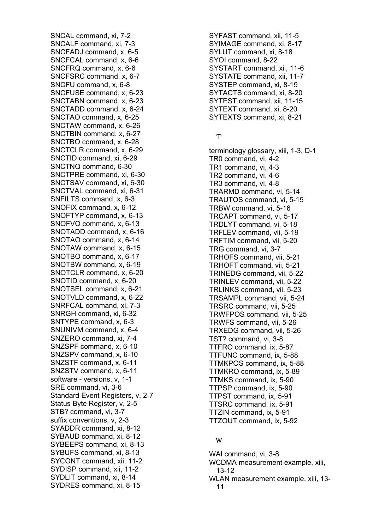SNCAL command, xi, 7-2 SNCALF command, xi, 7-3 SNCFADJ command, x, 6-5 SNCFCAL command, x, 6-6 SNCFRQ command, x, 6-6 SNCFSRC command, x, 6-7 SNCFU command, x, 6-8 SNCFUSE command, x, 6-23 SNCTABN command, x, 6-23 SNCTADD command, x, 6-24 SNCTAO command, x, 6-25 SNCTAW command, x, 6-26 SNCTBIN command, x, 6-27 SNCTBO command, x, 6-28 SNCTCLR command, x, 6-29 SNCTID command, xi, 6-29 SNCTNQ command, 6-30 SNCTPRE command, xi, 6-30 SNCTSAV command, xi, 6-30 SNCTVAL command, xi, 6-31 SNFILTS command, x, 6-3 SNOFIX command, x, 6-12 SNOFTYP command, x, 6-13 SNOFVO command, x, 6-13 SNOTADD command, x, 6-16 SNOTAO command, x, 6-14 SNOTAW command, x, 6-15 SNOTBO command, x, 6-17 SNOTBW command, x, 6-19 SNOTCLR command, x, 6-20 SNOTID command, x, 6-20 SNOTSEL command, x, 6-21 SNOTVLD command, x, 6-22 SNRFCAL command, xi, 7-3 SNRGH command, xi, 6-32 SNTYPE command, x, 6-3 SNUNIVM command, x, 6-4 SNZERO command, xi, 7-4 SNZSPF command, x, 6-10 SNZSPV command, x, 6-10 SNZSTF command, x, 6-11 SNZSTV command, x, 6-11 software - versions, v, 1-1 SRE command, vi, 3-6 Standard Event Registers, v, 2-7 Status Byte Register, v, 2-5 STB? command, vi, 3-7 suffix conventions, v, 2-3 SYADDR command, xi, 8-12 SYBAUD command, xi, 8-12 SYBEEPS command, xi, 8-13 SYBUFS command, xi, 8-13 SYCONT command, xii, 11-2 SYDISP command, xii, 11-2 SYDLIT command, xi, 8-14 SYDRES command, xi, 8-15

SYFAST command, xii, 11-5 SYIMAGE command, xi, 8-17 SYLUT command, xi, 8-18 SYOI command, 8-22 SYSTART command, xii, 11-6 SYSTATE command, xii, 11-7 SYSTEP command, xi, 8-19 SYTACTS command, xi, 8-20 SYTEST command, xii, 11-15 SYTEXT command, xi, 8-20 SYTEXTS command, xi, 8-21

### T

terminology glossary, xiii, 1-3, D-1 TR0 command, vi, 4-2 TR1 command, vi, 4-3 TR2 command, vi, 4-6 TR3 command, vi, 4-8 TRARMD command, vi, 5-14 TRAUTOS command, vi, 5-15 TRBW command, vi, 5-16 TRCAPT command, vi, 5-17 TRDLYT command, vi, 5-18 TRFLEV command, vii, 5-19 TRFTIM command, vii, 5-20 TRG command, vi, 3-7 TRHOFS command, vii, 5-21 TRHOFT command, vii, 5-21 TRINEDG command, vii, 5-22 TRINLEV command, vii, 5-22 TRLINKS command, vii, 5-23 TRSAMPL command, vii, 5-24 TRSRC command, vii, 5-25 TRWFPOS command, vii, 5-25 TRWFS command, vii, 5-26 TRXEDG command, vii, 5-26 TST? command, vi, 3-8 TTFRO command, ix, 5-87 TTFUNC command, ix, 5-88 TTMKPOS command, ix, 5-88 TTMKRO command, ix, 5-89 TTMKS command, ix, 5-90 TTPSP command, ix, 5-90 TTPST command, ix, 5-91 TTSRC command, ix, 5-91 TTZIN command, ix, 5-91 TTZOUT command, ix, 5-92

#### W

WAI command, vi, 3-8 WCDMA measurement example, xiii, 13-12 WLAN measurement example, xiii, 13- 11